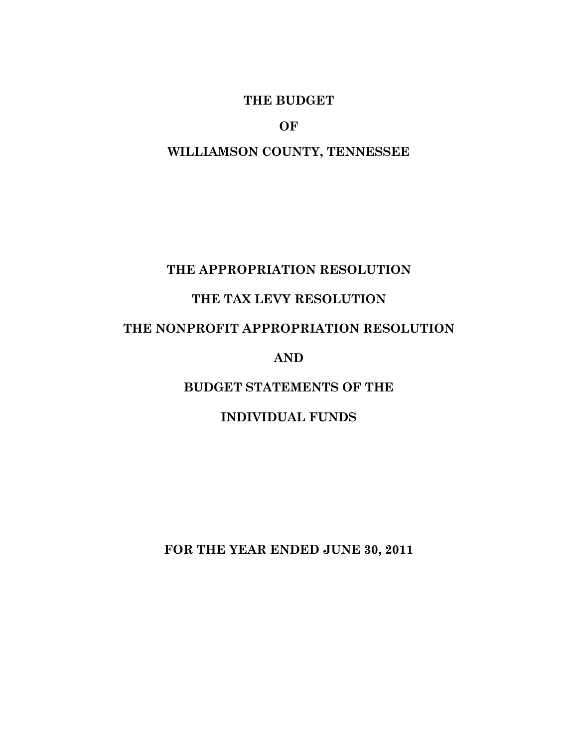### **THE BUDGET**

**OF** 

#### **WILLIAMSON COUNTY, TENNESSEE**

#### **THE APPROPRIATION RESOLUTION**

## **THE TAX LEVY RESOLUTION**

## **THE NONPROFIT APPROPRIATION RESOLUTION**

#### **AND**

### **BUDGET STATEMENTS OF THE**

#### **INDIVIDUAL FUNDS**

**FOR THE YEAR ENDED JUNE 30, 2011**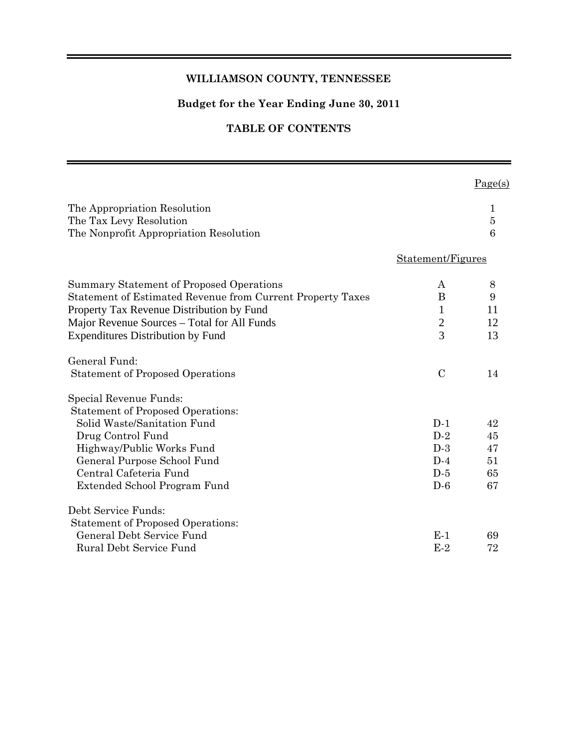#### **WILLIAMSON COUNTY, TENNESSEE**

#### **Budget for the Year Ending June 30, 2011**

#### **TABLE OF CONTENTS**

|                                                                                                                                                                                                                                                |                                                          | Page(s)                          |
|------------------------------------------------------------------------------------------------------------------------------------------------------------------------------------------------------------------------------------------------|----------------------------------------------------------|----------------------------------|
| The Appropriation Resolution<br>The Tax Levy Resolution<br>The Nonprofit Appropriation Resolution                                                                                                                                              |                                                          | 1<br>$\overline{5}$<br>6         |
|                                                                                                                                                                                                                                                | Statement/Figures                                        |                                  |
| Summary Statement of Proposed Operations<br>Statement of Estimated Revenue from Current Property Taxes<br>Property Tax Revenue Distribution by Fund<br>Major Revenue Sources – Total for All Funds<br><b>Expenditures Distribution by Fund</b> | A<br>B<br>$\mathbf{1}$<br>$\mathbf{2}$<br>$\overline{3}$ | 8<br>9<br>11<br>12<br>13         |
| General Fund:<br><b>Statement of Proposed Operations</b>                                                                                                                                                                                       | $\mathcal{C}$                                            | 14                               |
| Special Revenue Funds:<br><b>Statement of Proposed Operations:</b><br>Solid Waste/Sanitation Fund<br>Drug Control Fund<br>Highway/Public Works Fund<br>General Purpose School Fund<br>Central Cafeteria Fund<br>Extended School Program Fund   | $D-1$<br>$D-2$<br>$D-3$<br>$D-4$<br>$D-5$<br>$D-6$       | 42<br>45<br>47<br>51<br>65<br>67 |
| Debt Service Funds:<br><b>Statement of Proposed Operations:</b><br>General Debt Service Fund<br>Rural Debt Service Fund                                                                                                                        | $E-1$<br>$E-2$                                           | 69<br>72                         |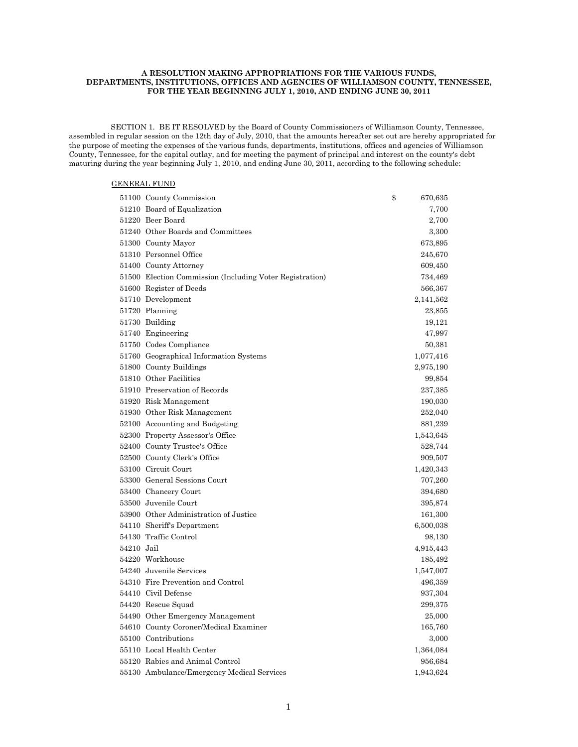#### **A RESOLUTION MAKING APPROPRIATIONS FOR THE VARIOUS FUNDS, DEPARTMENTS, INSTITUTIONS, OFFICES AND AGENCIES OF WILLIAMSON COUNTY, TENNESSEE, FOR THE YEAR BEGINNING JULY 1, 2010, AND ENDING JUNE 30, 2011**

 SECTION 1. BE IT RESOLVED by the Board of County Commissioners of Williamson County, Tennessee, assembled in regular session on the 12th day of July, 2010, that the amounts hereafter set out are hereby appropriated for the purpose of meeting the expenses of the various funds, departments, institutions, offices and agencies of Williamson County, Tennessee, for the capital outlay, and for meeting the payment of principal and interest on the county's debt maturing during the year beginning July 1, 2010, and ending June 30, 2011, according to the following schedule:

#### GENERAL FUND

|            | 51100 County Commission                                  | \$<br>670,635 |
|------------|----------------------------------------------------------|---------------|
|            | 51210 Board of Equalization                              | 7,700         |
|            | 51220 Beer Board                                         | 2,700         |
|            | 51240 Other Boards and Committees                        | 3,300         |
|            | 51300 County Mayor                                       | 673,895       |
|            | 51310 Personnel Office                                   | 245,670       |
|            | 51400 County Attorney                                    | 609,450       |
|            | 51500 Election Commission (Including Voter Registration) | 734,469       |
|            | 51600 Register of Deeds                                  | 566,367       |
|            | 51710 Development                                        | 2,141,562     |
|            | 51720 Planning                                           | 23,855        |
|            | 51730 Building                                           | 19,121        |
|            | 51740 Engineering                                        | 47,997        |
|            | 51750 Codes Compliance                                   | 50,381        |
|            | 51760 Geographical Information Systems                   | 1,077,416     |
|            | 51800 County Buildings                                   | 2,975,190     |
|            | 51810 Other Facilities                                   | 99,854        |
|            | 51910 Preservation of Records                            | 237,385       |
|            | 51920 Risk Management                                    | 190,030       |
|            | 51930 Other Risk Management                              | 252,040       |
|            | 52100 Accounting and Budgeting                           | 881,239       |
|            | 52300 Property Assessor's Office                         | 1,543,645     |
|            | 52400 County Trustee's Office                            | 528,744       |
|            | 52500 County Clerk's Office                              | 909,507       |
|            | 53100 Circuit Court                                      | 1,420,343     |
|            | 53300 General Sessions Court                             | 707,260       |
|            | 53400 Chancery Court                                     | 394,680       |
|            | 53500 Juvenile Court                                     | 395,874       |
|            | 53900 Other Administration of Justice                    | 161,300       |
|            | 54110 Sheriff's Department                               | 6,500,038     |
|            | 54130 Traffic Control                                    | 98,130        |
| 54210 Jail |                                                          | 4,915,443     |
|            | 54220 Workhouse                                          | 185,492       |
|            | 54240 Juvenile Services                                  | 1,547,007     |
|            | 54310 Fire Prevention and Control                        | 496,359       |
|            | 54410 Civil Defense                                      | 937,304       |
|            | 54420 Rescue Squad                                       | 299,375       |
|            | 54490 Other Emergency Management                         | 25,000        |
|            | 54610 County Coroner/Medical Examiner                    | 165,760       |
|            | 55100 Contributions                                      | 3,000         |
|            | 55110 Local Health Center                                | 1,364,084     |
|            | 55120 Rabies and Animal Control                          | 956,684       |
|            | 55130 Ambulance/Emergency Medical Services               | 1,943,624     |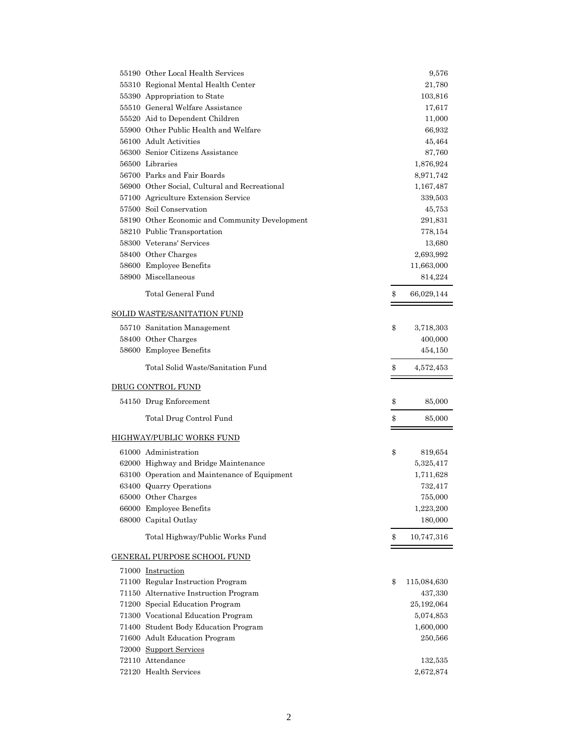| 55190 Other Local Health Services              | 9,576             |
|------------------------------------------------|-------------------|
| 55310 Regional Mental Health Center            | 21,780            |
| 55390 Appropriation to State                   | 103,816           |
| 55510 General Welfare Assistance               | 17,617            |
| 55520 Aid to Dependent Children                | 11,000            |
| 55900 Other Public Health and Welfare          | 66,932            |
| 56100 Adult Activities                         | 45,464            |
| 56300 Senior Citizens Assistance               | 87,760            |
| 56500 Libraries                                | 1,876,924         |
| 56700 Parks and Fair Boards                    | 8,971,742         |
| 56900 Other Social, Cultural and Recreational  | 1,167,487         |
| 57100 Agriculture Extension Service            | 339,503           |
| 57500 Soil Conservation                        | 45,753            |
| 58190 Other Economic and Community Development | 291,831           |
| 58210 Public Transportation                    | 778,154           |
| 58300 Veterans' Services                       | 13,680            |
| 58400 Other Charges                            | 2,693,992         |
| 58600 Employee Benefits                        | 11,663,000        |
| 58900 Miscellaneous                            | 814,224           |
| Total General Fund                             | \$<br>66,029,144  |
| <b>SOLID WASTE/SANITATION FUND</b>             |                   |
| 55710 Sanitation Management                    | \$<br>3,718,303   |
| 58400 Other Charges                            | 400,000           |
| 58600 Employee Benefits                        | 454,150           |
|                                                |                   |
| Total Solid Waste/Sanitation Fund              | \$<br>4,572,453   |
| DRUG CONTROL FUND                              |                   |
| 54150 Drug Enforcement                         | \$<br>85,000      |
| Total Drug Control Fund                        | \$<br>85,000      |
| <b>HIGHWAY/PUBLIC WORKS FUND</b>               |                   |
| 61000 Administration                           | \$<br>819,654     |
| 62000 Highway and Bridge Maintenance           | 5,325,417         |
| 63100 Operation and Maintenance of Equipment   | 1,711,628         |
| 63400 Quarry Operations                        | 732,417           |
| 65000 Other Charges                            | 755,000           |
| 66000 Employee Benefits                        | 1,223,200         |
| 68000 Capital Outlay                           | 180,000           |
| Total Highway/Public Works Fund                | \$<br>10,747,316  |
| <b>GENERAL PURPOSE SCHOOL FUND</b>             |                   |
| 71000 Instruction                              |                   |
| 71100 Regular Instruction Program              | \$<br>115,084,630 |
| 71150 Alternative Instruction Program          | 437,330           |
| 71200 Special Education Program                | 25,192,064        |
| 71300 Vocational Education Program             | 5,074,853         |
| 71400 Student Body Education Program           | 1,600,000         |
| 71600 Adult Education Program                  | 250,566           |
| 72000 Support Services                         |                   |
| 72110 Attendance                               | 132,535           |
| 72120 Health Services                          | 2,672,874         |
|                                                |                   |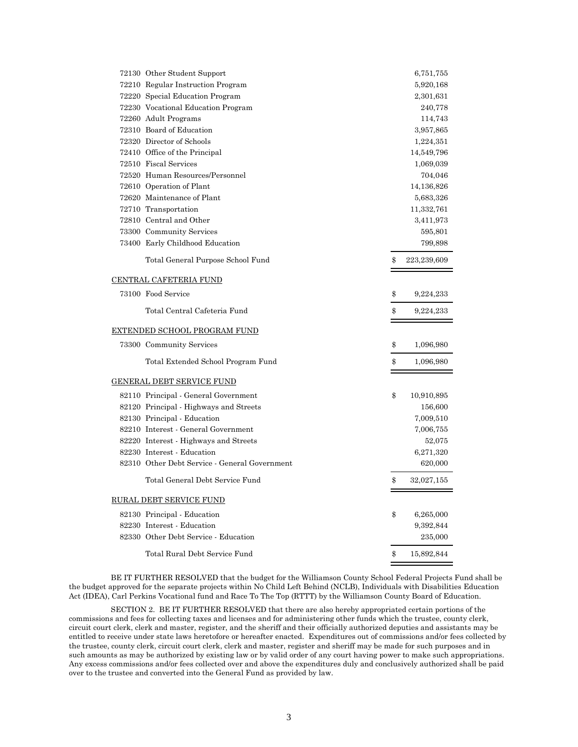| 72130 Other Student Support                   | 6,751,755         |
|-----------------------------------------------|-------------------|
| 72210 Regular Instruction Program             | 5,920,168         |
| 72220 Special Education Program               | 2,301,631         |
| 72230 Vocational Education Program            | 240,778           |
| 72260 Adult Programs                          | 114,743           |
| 72310 Board of Education                      | 3,957,865         |
| 72320 Director of Schools                     | 1,224,351         |
| 72410 Office of the Principal                 | 14,549,796        |
| 72510 Fiscal Services                         | 1,069,039         |
| 72520 Human Resources/Personnel               | 704,046           |
| 72610 Operation of Plant                      | 14,136,826        |
| 72620 Maintenance of Plant                    | 5,683,326         |
| 72710 Transportation                          | 11,332,761        |
| 72810 Central and Other                       | 3,411,973         |
| 73300 Community Services                      | 595,801           |
| 73400 Early Childhood Education               | 799,898           |
| Total General Purpose School Fund             | \$<br>223,239,609 |
| CENTRAL CAFETERIA FUND                        |                   |
| 73100 Food Service                            | \$<br>9,224,233   |
| Total Central Cafeteria Fund                  | \$<br>9,224,233   |
| EXTENDED SCHOOL PROGRAM FUND                  |                   |
| 73300 Community Services                      | \$<br>1,096,980   |
| Total Extended School Program Fund            | \$<br>1,096,980   |
| <b>GENERAL DEBT SERVICE FUND</b>              |                   |
| 82110 Principal - General Government          | \$<br>10,910,895  |
| 82120 Principal - Highways and Streets        | 156,600           |
| 82130 Principal - Education                   | 7,009,510         |
| 82210 Interest - General Government           | 7,006,755         |
| 82220 Interest - Highways and Streets         | 52,075            |
| 82230 Interest - Education                    | 6,271,320         |
| 82310 Other Debt Service - General Government | 620,000           |
| Total General Debt Service Fund               | \$<br>32,027,155  |
| <b>RURAL DEBT SERVICE FUND</b>                |                   |
| 82130 Principal - Education                   | \$<br>6,265,000   |
| 82230 Interest - Education                    | 9,392,844         |
| 82330 Other Debt Service - Education          | 235,000           |
| Total Rural Debt Service Fund                 | \$<br>15,892,844  |

 BE IT FURTHER RESOLVED that the budget for the Williamson County School Federal Projects Fund shall be the budget approved for the separate projects within No Child Left Behind (NCLB), Individuals with Disabilities Education Act (IDEA), Carl Perkins Vocational fund and Race To The Top (RTTT) by the Williamson County Board of Education.

 SECTION 2. BE IT FURTHER RESOLVED that there are also hereby appropriated certain portions of the commissions and fees for collecting taxes and licenses and for administering other funds which the trustee, county clerk, circuit court clerk, clerk and master, register, and the sheriff and their officially authorized deputies and assistants may be entitled to receive under state laws heretofore or hereafter enacted. Expenditures out of commissions and/or fees collected by the trustee, county clerk, circuit court clerk, clerk and master, register and sheriff may be made for such purposes and in such amounts as may be authorized by existing law or by valid order of any court having power to make such appropriations. Any excess commissions and/or fees collected over and above the expenditures duly and conclusively authorized shall be paid over to the trustee and converted into the General Fund as provided by law.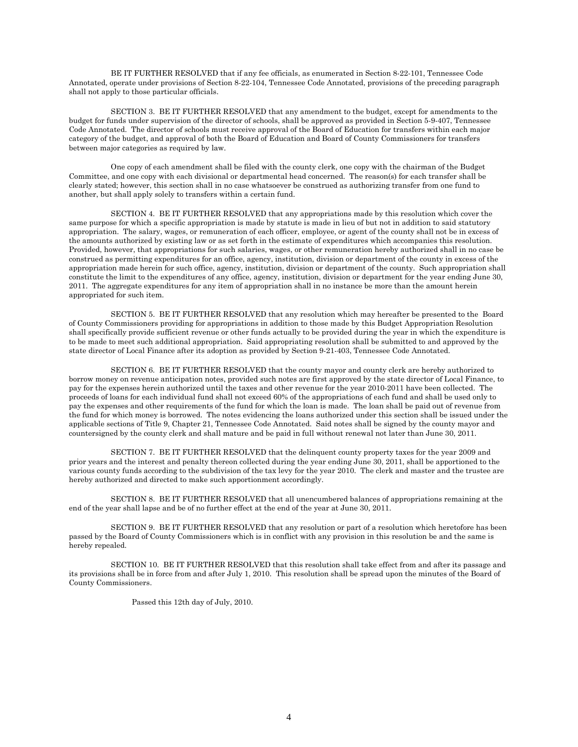BE IT FURTHER RESOLVED that if any fee officials, as enumerated in Section 8-22-101, Tennessee Code Annotated, operate under provisions of Section 8-22-104, Tennessee Code Annotated, provisions of the preceding paragraph shall not apply to those particular officials.

 SECTION 3. BE IT FURTHER RESOLVED that any amendment to the budget, except for amendments to the budget for funds under supervision of the director of schools, shall be approved as provided in Section 5-9-407, Tennessee Code Annotated. The director of schools must receive approval of the Board of Education for transfers within each major category of the budget, and approval of both the Board of Education and Board of County Commissioners for transfers between major categories as required by law.

 One copy of each amendment shall be filed with the county clerk, one copy with the chairman of the Budget Committee, and one copy with each divisional or departmental head concerned. The reason(s) for each transfer shall be clearly stated; however, this section shall in no case whatsoever be construed as authorizing transfer from one fund to another, but shall apply solely to transfers within a certain fund.

 SECTION 4. BE IT FURTHER RESOLVED that any appropriations made by this resolution which cover the same purpose for which a specific appropriation is made by statute is made in lieu of but not in addition to said statutory appropriation. The salary, wages, or remuneration of each officer, employee, or agent of the county shall not be in excess of the amounts authorized by existing law or as set forth in the estimate of expenditures which accompanies this resolution. Provided, however, that appropriations for such salaries, wages, or other remuneration hereby authorized shall in no case be construed as permitting expenditures for an office, agency, institution, division or department of the county in excess of the appropriation made herein for such office, agency, institution, division or department of the county. Such appropriation shall constitute the limit to the expenditures of any office, agency, institution, division or department for the year ending June 30, 2011. The aggregate expenditures for any item of appropriation shall in no instance be more than the amount herein appropriated for such item.

 SECTION 5. BE IT FURTHER RESOLVED that any resolution which may hereafter be presented to the Board of County Commissioners providing for appropriations in addition to those made by this Budget Appropriation Resolution shall specifically provide sufficient revenue or other funds actually to be provided during the year in which the expenditure is to be made to meet such additional appropriation. Said appropriating resolution shall be submitted to and approved by the state director of Local Finance after its adoption as provided by Section 9-21-403, Tennessee Code Annotated.

 SECTION 6. BE IT FURTHER RESOLVED that the county mayor and county clerk are hereby authorized to borrow money on revenue anticipation notes, provided such notes are first approved by the state director of Local Finance, to pay for the expenses herein authorized until the taxes and other revenue for the year 2010-2011 have been collected. The proceeds of loans for each individual fund shall not exceed 60% of the appropriations of each fund and shall be used only to pay the expenses and other requirements of the fund for which the loan is made. The loan shall be paid out of revenue from the fund for which money is borrowed. The notes evidencing the loans authorized under this section shall be issued under the applicable sections of Title 9, Chapter 21, Tennessee Code Annotated. Said notes shall be signed by the county mayor and countersigned by the county clerk and shall mature and be paid in full without renewal not later than June 30, 2011.

 SECTION 7. BE IT FURTHER RESOLVED that the delinquent county property taxes for the year 2009 and prior years and the interest and penalty thereon collected during the year ending June 30, 2011, shall be apportioned to the various county funds according to the subdivision of the tax levy for the year 2010. The clerk and master and the trustee are hereby authorized and directed to make such apportionment accordingly.

 SECTION 8. BE IT FURTHER RESOLVED that all unencumbered balances of appropriations remaining at the end of the year shall lapse and be of no further effect at the end of the year at June 30, 2011.

 SECTION 9. BE IT FURTHER RESOLVED that any resolution or part of a resolution which heretofore has been passed by the Board of County Commissioners which is in conflict with any provision in this resolution be and the same is hereby repealed.

 SECTION 10. BE IT FURTHER RESOLVED that this resolution shall take effect from and after its passage and its provisions shall be in force from and after July 1, 2010. This resolution shall be spread upon the minutes of the Board of County Commissioners.

Passed this 12th day of July, 2010.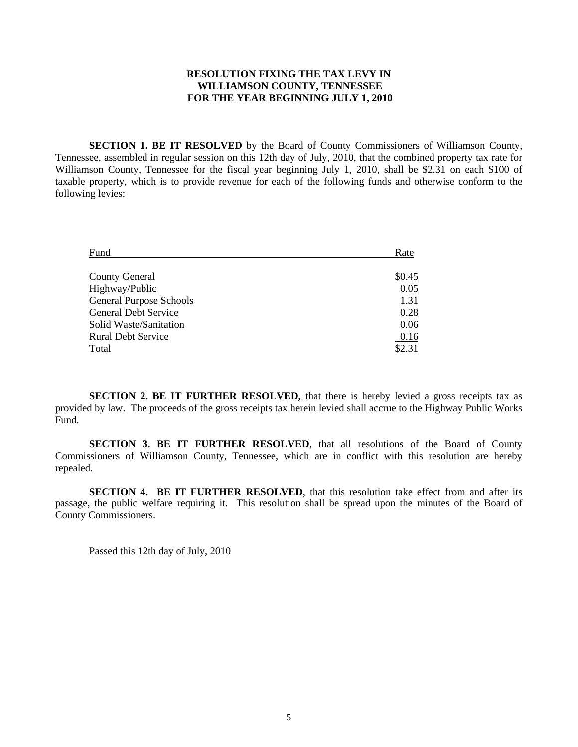#### **RESOLUTION FIXING THE TAX LEVY IN WILLIAMSON COUNTY, TENNESSEE FOR THE YEAR BEGINNING JULY 1, 2010**

**SECTION 1. BE IT RESOLVED** by the Board of County Commissioners of Williamson County, Tennessee, assembled in regular session on this 12th day of July, 2010, that the combined property tax rate for Williamson County, Tennessee for the fiscal year beginning July 1, 2010, shall be \$2.31 on each \$100 of taxable property, which is to provide revenue for each of the following funds and otherwise conform to the following levies:

| Fund                           | Rate   |
|--------------------------------|--------|
|                                |        |
| <b>County General</b>          | \$0.45 |
| Highway/Public                 | 0.05   |
| <b>General Purpose Schools</b> | 1.31   |
| General Debt Service           | 0.28   |
| Solid Waste/Sanitation         | 0.06   |
| <b>Rural Debt Service</b>      | 0.16   |
| Total                          | \$2.31 |

**SECTION 2. BE IT FURTHER RESOLVED,** that there is hereby levied a gross receipts tax as provided by law. The proceeds of the gross receipts tax herein levied shall accrue to the Highway Public Works Fund.

**SECTION 3. BE IT FURTHER RESOLVED**, that all resolutions of the Board of County Commissioners of Williamson County, Tennessee, which are in conflict with this resolution are hereby repealed.

**SECTION 4. BE IT FURTHER RESOLVED**, that this resolution take effect from and after its passage, the public welfare requiring it. This resolution shall be spread upon the minutes of the Board of County Commissioners.

Passed this 12th day of July, 2010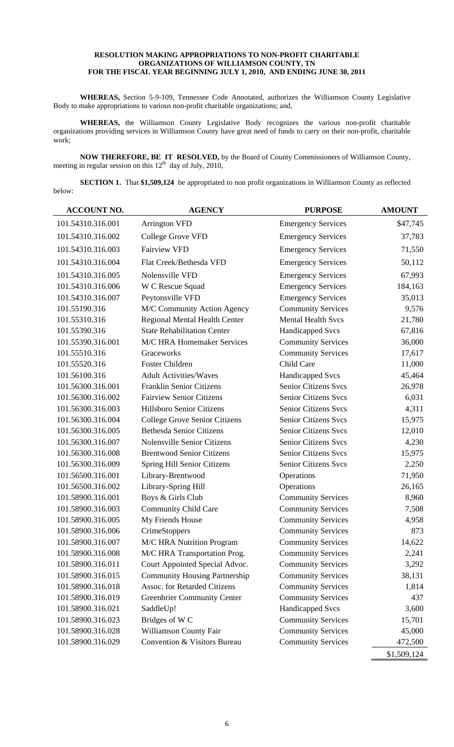#### **RESOLUTION MAKING APPROPRIATIONS TO NON-PROFIT CHARITABLE ORGANIZATIONS OF WILLIAMSON COUNTY, TN FOR THE FISCAL YEAR BEGINNING JULY 1, 2010, AND ENDING JUNE 30, 2011**

**WHEREAS,** Section 5-9-109, Tennessee Code Annotated, authorizes the Williamson County Legislative Body to make appropriations to various non-profit charitable organizations; and,

**WHEREAS,** the Williamson County Legislative Body recognizes the various non-profit charitable organizations providing services in Williamson County have great need of funds to carry on their non-profit, charitable work;

**NOW THEREFORE, BE IT RESOLVED,** by the Board of County Commissioners of Williamson County, meeting in regular session on this  $12<sup>th</sup>$  day of July, 2010,

**SECTION 1.** That \$1,509,124 be appropriated to non profit organizations in Williamson County as reflected below:

| <b>ACCOUNT NO.</b> | <b>AGENCY</b>                        | <b>PURPOSE</b>              | <b>AMOUNT</b> |
|--------------------|--------------------------------------|-----------------------------|---------------|
| 101.54310.316.001  | <b>Arrington VFD</b>                 | <b>Emergency Services</b>   | \$47,745      |
| 101.54310.316.002  | College Grove VFD                    | <b>Emergency Services</b>   | 37,783        |
| 101.54310.316.003  | <b>Fairview VFD</b>                  | <b>Emergency Services</b>   | 71,550        |
| 101.54310.316.004  | Flat Creek/Bethesda VFD              | <b>Emergency Services</b>   | 50,112        |
| 101.54310.316.005  | Nolensville VFD                      | <b>Emergency Services</b>   | 67,993        |
| 101.54310.316.006  | W C Rescue Squad                     | <b>Emergency Services</b>   | 184,163       |
| 101.54310.316.007  | Peytonsville VFD                     | <b>Emergency Services</b>   | 35,013        |
| 101.55190.316      | M/C Community Action Agency          | <b>Community Services</b>   | 9,576         |
| 101.55310.316      | Regional Mental Health Center        | <b>Mental Health Svcs</b>   | 21,780        |
| 101.55390.316      | <b>State Rehabilitation Center</b>   | <b>Handicapped Svcs</b>     | 67,816        |
| 101.55390.316.001  | M/C HRA Homemaker Services           | <b>Community Services</b>   | 36,000        |
| 101.55510.316      | Graceworks                           | <b>Community Services</b>   | 17,617        |
| 101.55520.316      | <b>Foster Children</b>               | Child Care                  | 11,000        |
| 101.56100.316      | <b>Adult Activities/Waves</b>        | <b>Handicapped Svcs</b>     | 45,464        |
| 101.56300.316.001  | <b>Franklin Senior Citizens</b>      | <b>Senior Citizens Svcs</b> | 26,978        |
| 101.56300.316.002  | <b>Fairview Senior Citizens</b>      | <b>Senior Citizens Svcs</b> | 6,031         |
| 101.56300.316.003  | Hillsboro Senior Citizens            | <b>Senior Citizens Svcs</b> | 4,311         |
| 101.56300.316.004  | College Grove Senior Citizens        | <b>Senior Citizens Svcs</b> | 15,975        |
| 101.56300.316.005  | <b>Bethesda Senior Citizens</b>      | <b>Senior Citizens Svcs</b> | 12,010        |
| 101.56300.316.007  | <b>Nolensville Senior Citizens</b>   | <b>Senior Citizens Svcs</b> | 4,230         |
| 101.56300.316.008  | <b>Brentwood Senior Citizens</b>     | <b>Senior Citizens Svcs</b> | 15,975        |
| 101.56300.316.009  | Spring Hill Senior Citizens          | Senior Citizens Svcs        | 2,250         |
| 101.56500.316.001  | Library-Brentwood                    | Operations                  | 71,950        |
| 101.56500.316.002  | Library-Spring Hill                  | Operations                  | 26,165        |
| 101.58900.316.001  | Boys & Girls Club                    | <b>Community Services</b>   | 8,960         |
| 101.58900.316.003  | <b>Community Child Care</b>          | <b>Community Services</b>   | 7,508         |
| 101.58900.316.005  | My Friends House                     | <b>Community Services</b>   | 4,958         |
| 101.58900.316.006  | CrimeStoppers                        | <b>Community Services</b>   | 873           |
| 101.58900.316.007  | M/C HRA Nutrition Program            | <b>Community Services</b>   | 14,622        |
| 101.58900.316.008  | M/C HRA Transportation Prog.         | <b>Community Services</b>   | 2,241         |
| 101.58900.316.011  | Court Appointed Special Advoc.       | <b>Community Services</b>   | 3,292         |
| 101.58900.316.015  | <b>Community Housing Partnership</b> | <b>Community Services</b>   | 38,131        |
| 101.58900.316.018  | Assoc. for Retarded Citizens         | <b>Community Services</b>   | 1,814         |
| 101.58900.316.019  | <b>Greenbrier Community Center</b>   | <b>Community Services</b>   | 437           |
| 101.58900.316.021  | SaddleUp!                            | <b>Handicapped Svcs</b>     | 3,600         |
| 101.58900.316.023  | Bridges of W <sub>C</sub>            | <b>Community Services</b>   | 15,701        |
| 101.58900.316.028  | Williamson County Fair               | <b>Community Services</b>   | 45,000        |
| 101.58900.316.029  | Convention & Visitors Bureau         | <b>Community Services</b>   | 472,500       |
|                    |                                      |                             | \$1,509,124   |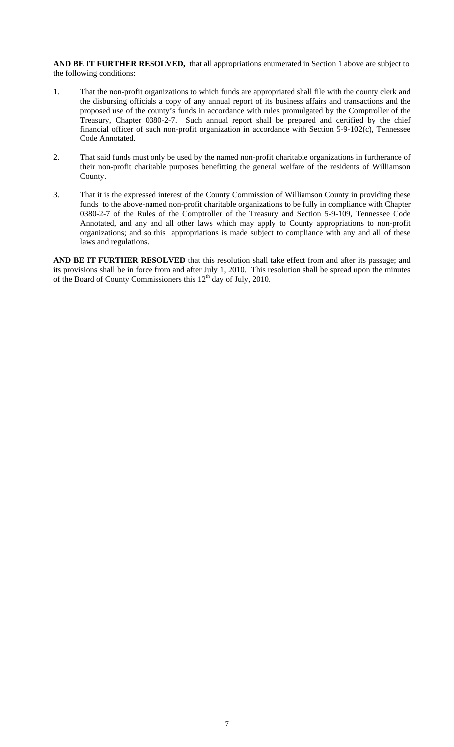**AND BE IT FURTHER RESOLVED,** that all appropriations enumerated in Section 1 above are subject to the following conditions:

- 1. That the non-profit organizations to which funds are appropriated shall file with the county clerk and the disbursing officials a copy of any annual report of its business affairs and transactions and the proposed use of the county's funds in accordance with rules promulgated by the Comptroller of the Treasury, Chapter 0380-2-7. Such annual report shall be prepared and certified by the chief financial officer of such non-profit organization in accordance with Section 5-9-102(c), Tennessee Code Annotated.
- 2. That said funds must only be used by the named non-profit charitable organizations in furtherance of their non-profit charitable purposes benefitting the general welfare of the residents of Williamson County.
- 3. That it is the expressed interest of the County Commission of Williamson County in providing these funds to the above-named non-profit charitable organizations to be fully in compliance with Chapter 0380-2-7 of the Rules of the Comptroller of the Treasury and Section 5-9-109, Tennessee Code Annotated, and any and all other laws which may apply to County appropriations to non-profit organizations; and so this appropriations is made subject to compliance with any and all of these laws and regulations.

**AND BE IT FURTHER RESOLVED** that this resolution shall take effect from and after its passage; and its provisions shall be in force from and after July 1, 2010. This resolution shall be spread upon the minutes of the Board of County Commissioners this  $12<sup>th</sup>$  day of July, 2010.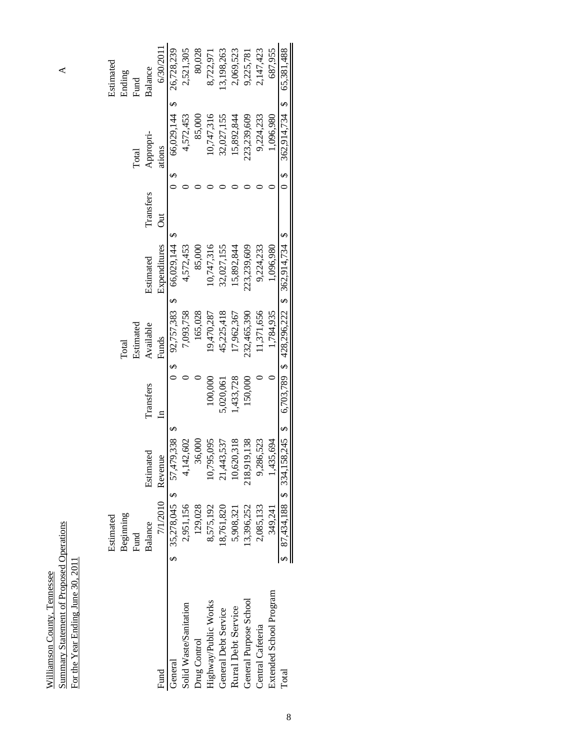## $\triangle$

Summary Statement of Proposed Operations A Summary Statement of Proposed Operations<br>For the Year Ending June 30, 2011 For the Year Ending June 30, 2011 Williamson County, Tennessee Williamson County, Tennessee

|                         | Estimated                      |                                                                         |              |                                 |              |           |                | Estimated  |
|-------------------------|--------------------------------|-------------------------------------------------------------------------|--------------|---------------------------------|--------------|-----------|----------------|------------|
|                         | Beginning                      |                                                                         |              | Total                           |              |           |                | Ending     |
|                         | Fund                           |                                                                         |              | Estimated                       |              |           | Total          | Fund       |
|                         | Balance                        | Estimated                                                               | Transfers    | Available                       | Estimated    | Transfers | Appropri-      | Balance    |
| Fund                    | $7/1/2010$ Revenue             |                                                                         | $\mathbf{r}$ | Funds                           | Expenditures | J         | ations         | 6/30/2011  |
| General                 | \$ 35,278,045 \$ 57,479,338 \$ |                                                                         |              | $0$ \$ 92,757,383 \$ 66,029,144 |              |           | 66,029,144 \$  | 26,728,239 |
| Solid Waste/Sanitation  | 2,951,156                      | 4,142,602                                                               |              | ,093,758                        | 4,572,453    |           | 4,572,453      | 2,521,305  |
| Drug Control            | 129,028                        | 36,000                                                                  |              | 165,028                         | 85,000       |           | 85,000         | 80,028     |
| Highway/Public Works    | 8,575,192                      | 10,795,095                                                              | 100,000      | 19,470,287                      | 10,747,316   |           | 0,747,316      | 8,722,971  |
| General Debt Service    | 18,761,820                     | 21,443,537                                                              | 5,020,061    | 45,225,418                      | 32,027,155   |           | 32,027,155     | 3,198,263  |
| Rural Debt Service      | 5,908,321                      | 10,620,318                                                              | ,433,728     | 17,962,367                      | 15,892,844   |           | 15,892,844     | 2,069,523  |
| General Purpose School  | 13,396,252                     | 218,919,138                                                             | 150,000      | 232,465,390                     | 23,239,609   |           | 223,239,609    | 9,225,781  |
| Central Cafeteria       | 2,085,133                      | 9,286,523                                                               |              | 1,371,656                       | 9,224,233    |           | 9,224,233      | 2,147,423  |
| Extended School Program | 349,241                        | 1,435,694                                                               |              | 1,784,935                       | 1,096,980    |           | 1,096,980      | 687,955    |
| Total                   |                                | 87,434,188 \$ 334,158,245 \$ 6,703,789 \$ 428,296,222 \$ 362,914,734 \$ |              |                                 |              | မ<br>ဝ    | 362,914,734 \$ | 65.381.488 |
|                         |                                |                                                                         |              |                                 |              |           |                |            |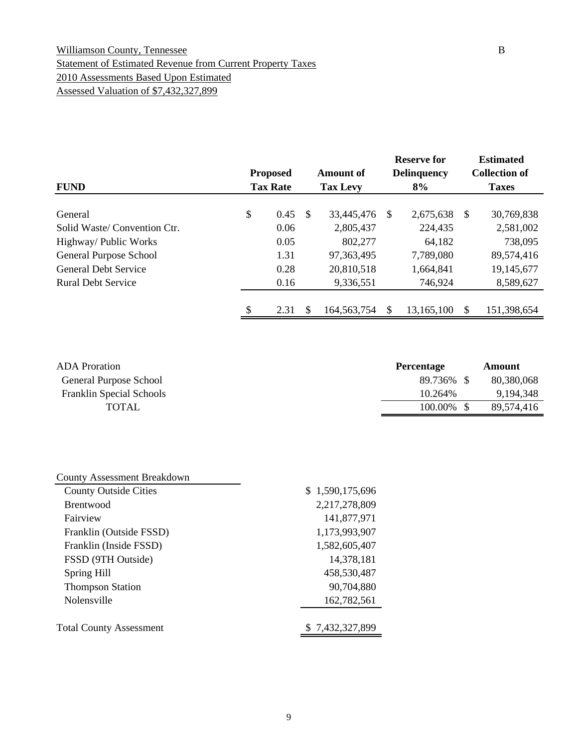#### Williamson County, Tennessee B Statement of Estimated Revenue from Current Property Taxes 2010 Assessments Based Upon Estimated Assessed Valuation of \$7,432,327,899

|                             | <b>Proposed</b> |                 |               | <b>Amount of</b> | <b>Reserve for</b><br><b>Delinquency</b> |            |               | <b>Estimated</b><br><b>Collection of</b> |
|-----------------------------|-----------------|-----------------|---------------|------------------|------------------------------------------|------------|---------------|------------------------------------------|
| <b>FUND</b>                 |                 | <b>Tax Rate</b> |               | <b>Tax Levy</b>  |                                          | 8%         |               | <b>Taxes</b>                             |
| General                     | \$              | 0.45            | <sup>\$</sup> | 33,445,476       | S                                        | 2,675,638  | <sup>\$</sup> | 30,769,838                               |
| Solid Waste/Convention Ctr. |                 | 0.06            |               | 2,805,437        |                                          | 224,435    |               | 2,581,002                                |
| Highway/ Public Works       |                 | 0.05            |               | 802,277          |                                          | 64,182     |               | 738,095                                  |
| General Purpose School      |                 | 1.31            |               | 97, 363, 495     |                                          | 7,789,080  |               | 89,574,416                               |
| <b>General Debt Service</b> |                 | 0.28            |               | 20,810,518       |                                          | 1,664,841  |               | 19,145,677                               |
| <b>Rural Debt Service</b>   |                 | 0.16            |               | 9,336,551        |                                          | 746,924    |               | 8,589,627                                |
|                             |                 |                 |               |                  |                                          |            |               |                                          |
|                             | \$              | 2.31            | \$.           | 164, 563, 754    |                                          | 13,165,100 |               | 151,398,654                              |

| <b>ADA</b> Proration            | <b>Percentage</b> | Amount     |
|---------------------------------|-------------------|------------|
| General Purpose School          | 89.736%           | 80,380,068 |
| <b>Franklin Special Schools</b> | 10.264%           | 9.194.348  |
| TOTAL                           | 100.00%           | 89,574,416 |

| <b>County Assessment Breakdown</b> |                 |
|------------------------------------|-----------------|
| <b>County Outside Cities</b>       | \$1,590,175,696 |
| <b>Brentwood</b>                   | 2,217,278,809   |
| Fairview                           | 141,877,971     |
| Franklin (Outside FSSD)            | 1,173,993,907   |
| Franklin (Inside FSSD)             | 1,582,605,407   |
| FSSD (9TH Outside)                 | 14,378,181      |
| Spring Hill                        | 458,530,487     |
| <b>Thompson Station</b>            | 90,704,880      |
| Nolensville                        | 162,782,561     |
|                                    |                 |
| <b>Total County Assessment</b>     | \$7,432,327,899 |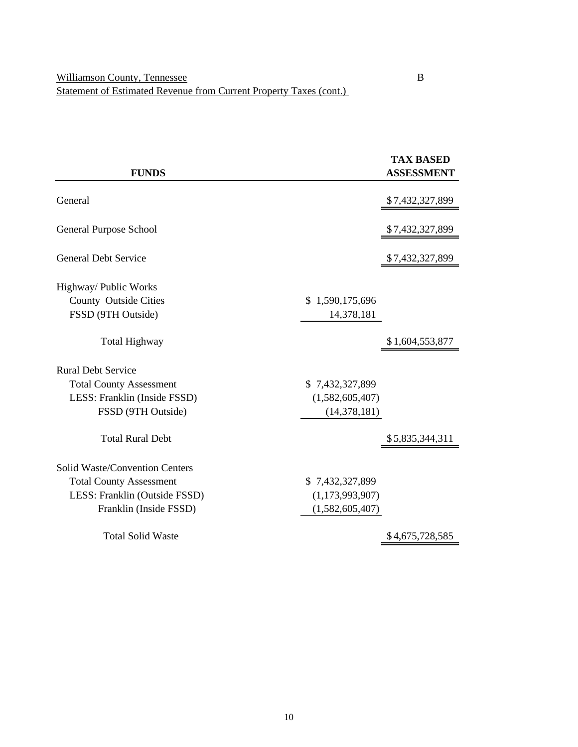|                                |                 | <b>TAX BASED</b>  |
|--------------------------------|-----------------|-------------------|
| <b>FUNDS</b>                   |                 | <b>ASSESSMENT</b> |
| General                        |                 |                   |
|                                |                 | \$7,432,327,899   |
| General Purpose School         |                 | \$7,432,327,899   |
| <b>General Debt Service</b>    |                 | \$7,432,327,899   |
| Highway/ Public Works          |                 |                   |
| <b>County Outside Cities</b>   | \$1,590,175,696 |                   |
| FSSD (9TH Outside)             | 14,378,181      |                   |
| <b>Total Highway</b>           |                 | \$1,604,553,877   |
| <b>Rural Debt Service</b>      |                 |                   |
| <b>Total County Assessment</b> | \$7,432,327,899 |                   |
| LESS: Franklin (Inside FSSD)   | (1,582,605,407) |                   |
| FSSD (9TH Outside)             | (14, 378, 181)  |                   |
| <b>Total Rural Debt</b>        |                 | \$5,835,344,311   |
| Solid Waste/Convention Centers |                 |                   |
| <b>Total County Assessment</b> | \$7,432,327,899 |                   |
| LESS: Franklin (Outside FSSD)  | (1,173,993,907) |                   |
| Franklin (Inside FSSD)         | (1,582,605,407) |                   |
| <b>Total Solid Waste</b>       |                 | \$4,675,728,585   |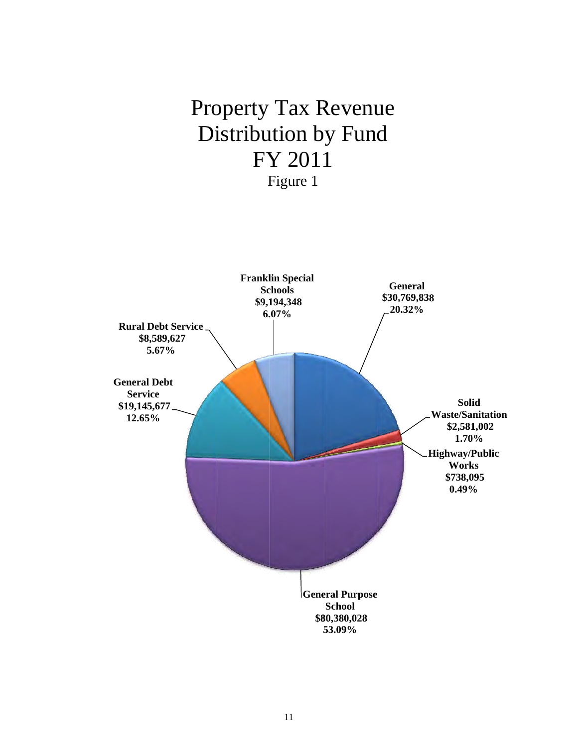## Property Tax Revenue Distribution by Fund FY Y 201 1 F Figure 1

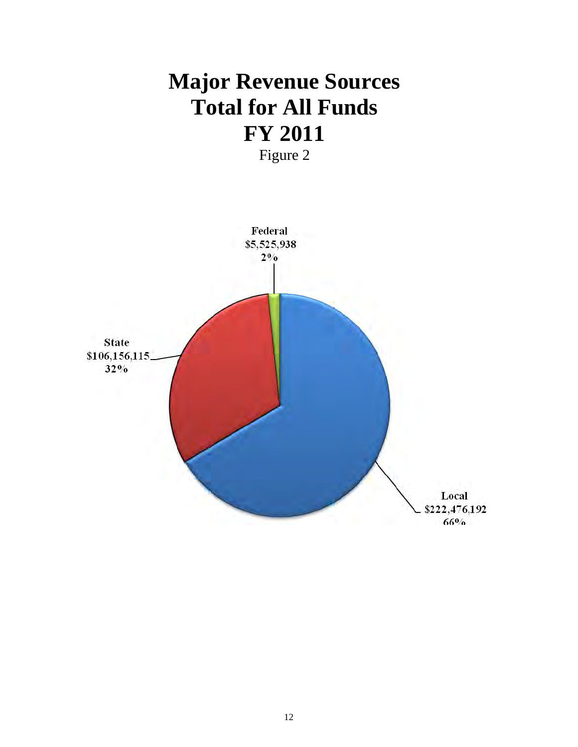## **Major Revenue Sources Total for All Funds FY 2011**  Figure 2

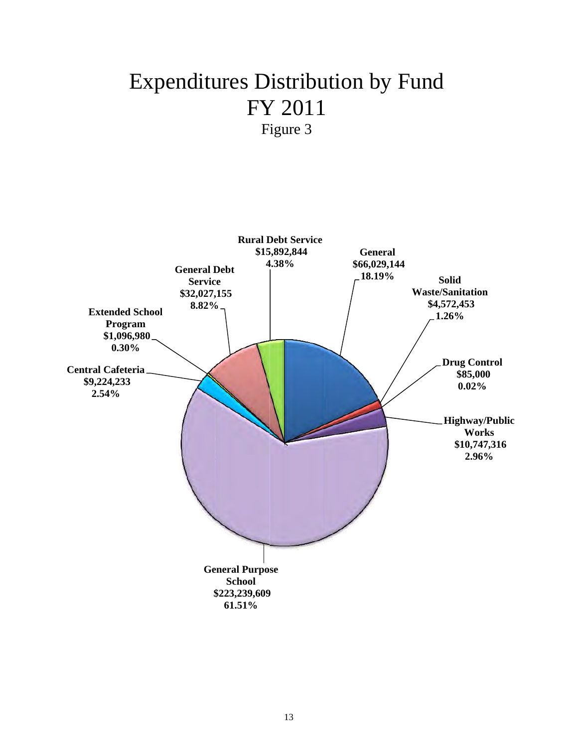# Expenditures Distribution by Fund FY Y 2011 1

F igure 3

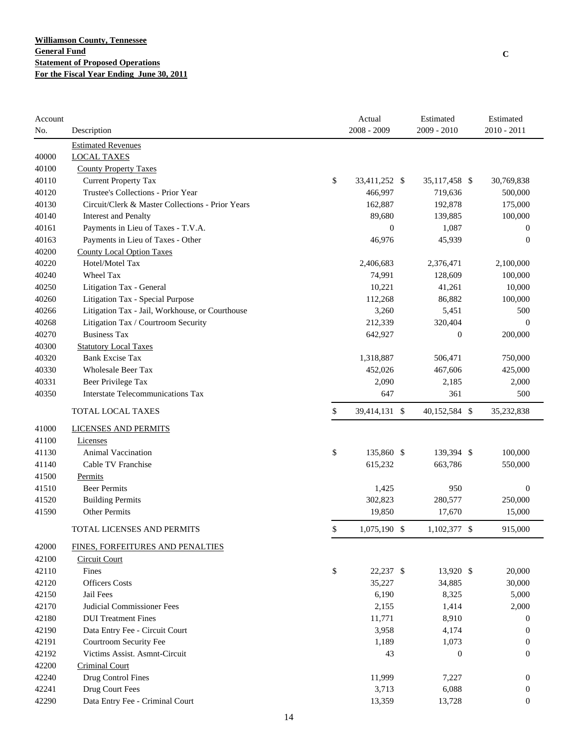| Account |                                                  | Actual              | Estimated        | Estimated        |
|---------|--------------------------------------------------|---------------------|------------------|------------------|
| No.     | Description                                      | $2008 - 2009$       | 2009 - 2010      | $2010 - 2011$    |
|         | <b>Estimated Revenues</b>                        |                     |                  |                  |
| 40000   | <b>LOCAL TAXES</b>                               |                     |                  |                  |
| 40100   | <b>County Property Taxes</b>                     |                     |                  |                  |
| 40110   | <b>Current Property Tax</b>                      | \$<br>33,411,252 \$ | 35,117,458 \$    | 30,769,838       |
| 40120   | Trustee's Collections - Prior Year               | 466,997             | 719,636          | 500,000          |
| 40130   | Circuit/Clerk & Master Collections - Prior Years | 162,887             | 192,878          | 175,000          |
| 40140   | <b>Interest and Penalty</b>                      | 89,680              | 139,885          | 100,000          |
| 40161   | Payments in Lieu of Taxes - T.V.A.               | $\boldsymbol{0}$    | 1,087            | $\mathbf{0}$     |
| 40163   | Payments in Lieu of Taxes - Other                | 46,976              | 45,939           | $\overline{0}$   |
| 40200   | <b>County Local Option Taxes</b>                 |                     |                  |                  |
| 40220   | Hotel/Motel Tax                                  | 2,406,683           | 2,376,471        | 2,100,000        |
| 40240   | Wheel Tax                                        | 74,991              | 128,609          | 100,000          |
| 40250   | Litigation Tax - General                         | 10,221              | 41,261           | 10,000           |
| 40260   | Litigation Tax - Special Purpose                 | 112,268             | 86,882           | 100,000          |
| 40266   | Litigation Tax - Jail, Workhouse, or Courthouse  | 3,260               | 5,451            | 500              |
| 40268   | Litigation Tax / Courtroom Security              | 212,339             | 320,404          | $\overline{0}$   |
| 40270   | <b>Business Tax</b>                              | 642,927             | $\boldsymbol{0}$ | 200,000          |
| 40300   | <b>Statutory Local Taxes</b>                     |                     |                  |                  |
| 40320   | <b>Bank Excise Tax</b>                           | 1,318,887           | 506,471          | 750,000          |
| 40330   | <b>Wholesale Beer Tax</b>                        | 452,026             | 467,606          | 425,000          |
| 40331   | Beer Privilege Tax                               | 2,090               | 2,185            | 2,000            |
| 40350   | <b>Interstate Telecommunications Tax</b>         | 647                 | 361              | 500              |
|         | TOTAL LOCAL TAXES                                | \$<br>39,414,131 \$ | 40,152,584 \$    | 35,232,838       |
| 41000   | <b>LICENSES AND PERMITS</b>                      |                     |                  |                  |
| 41100   | Licenses                                         |                     |                  |                  |
| 41130   | <b>Animal Vaccination</b>                        | \$<br>135,860 \$    | 139,394 \$       | 100,000          |
| 41140   | Cable TV Franchise                               | 615,232             | 663,786          | 550,000          |
| 41500   | Permits                                          |                     |                  |                  |
| 41510   | <b>Beer Permits</b>                              | 1,425               | 950              | $\mathbf{0}$     |
| 41520   | <b>Building Permits</b>                          | 302,823             | 280,577          | 250,000          |
| 41590   | Other Permits                                    | 19,850              | 17,670           | 15,000           |
|         | TOTAL LICENSES AND PERMITS                       | \$<br>1,075,190 \$  | 1,102,377 \$     | 915,000          |
|         | FINES, FORFEITURES AND PENALTIES                 |                     |                  |                  |
| 42000   |                                                  |                     |                  |                  |
| 42100   | Circuit Court                                    |                     |                  |                  |
| 42110   | Fines                                            | \$<br>22,237 \$     | 13,920 \$        | 20,000           |
| 42120   | <b>Officers</b> Costs                            | 35,227              | 34,885           | 30,000           |
| 42150   | Jail Fees                                        | 6,190               | 8,325            | 5,000            |
| 42170   | Judicial Commissioner Fees                       | 2,155               | 1,414            | 2,000            |
| 42180   | <b>DUI</b> Treatment Fines                       | 11,771              | 8,910            | $\boldsymbol{0}$ |
| 42190   | Data Entry Fee - Circuit Court                   | 3,958               | 4,174            | $\theta$         |
| 42191   | Courtroom Security Fee                           | 1,189               | 1,073            | $\overline{0}$   |
| 42192   | Victims Assist. Asmnt-Circuit                    | 43                  | $\boldsymbol{0}$ | $\overline{0}$   |
| 42200   | <b>Criminal Court</b>                            |                     |                  |                  |
| 42240   | Drug Control Fines                               | 11,999              | 7,227            | $\boldsymbol{0}$ |
| 42241   | Drug Court Fees                                  | 3,713               | 6,088            | $\boldsymbol{0}$ |
| 42290   | Data Entry Fee - Criminal Court                  | 13,359              | 13,728           | $\boldsymbol{0}$ |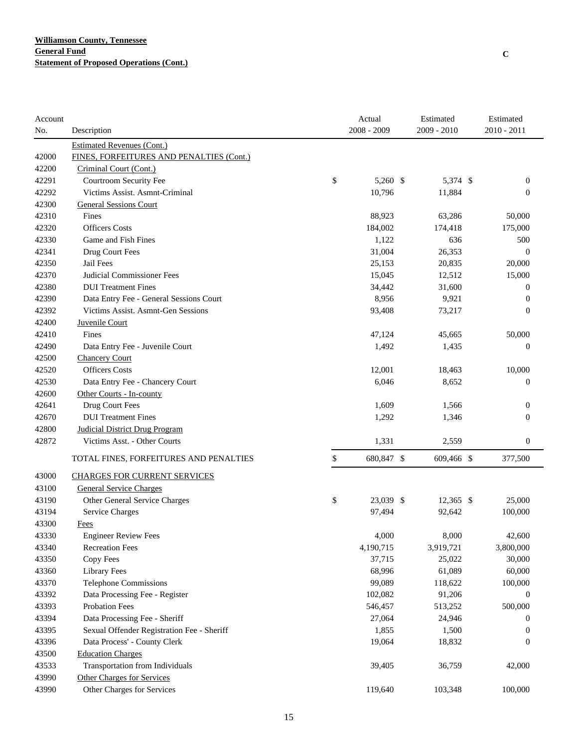| Account |                                            | Actual           | Estimated   | Estimated        |
|---------|--------------------------------------------|------------------|-------------|------------------|
| No.     | Description                                | 2008 - 2009      | 2009 - 2010 | 2010 - 2011      |
|         | <b>Estimated Revenues (Cont.)</b>          |                  |             |                  |
| 42000   | FINES, FORFEITURES AND PENALTIES (Cont.)   |                  |             |                  |
| 42200   | Criminal Court (Cont.)                     |                  |             |                  |
| 42291   | Courtroom Security Fee                     | \$<br>5,260 \$   | 5,374 \$    | $\boldsymbol{0}$ |
| 42292   | Victims Assist. Asmnt-Criminal             | 10,796           | 11,884      | $\boldsymbol{0}$ |
| 42300   | <b>General Sessions Court</b>              |                  |             |                  |
| 42310   | Fines                                      | 88,923           | 63,286      | 50,000           |
| 42320   | <b>Officers Costs</b>                      | 184,002          | 174,418     | 175,000          |
| 42330   | Game and Fish Fines                        | 1,122            | 636         | 500              |
| 42341   | Drug Court Fees                            | 31,004           | 26,353      | $\theta$         |
| 42350   | Jail Fees                                  | 25,153           | 20,835      | 20,000           |
| 42370   | Judicial Commissioner Fees                 | 15,045           | 12,512      | 15,000           |
| 42380   | <b>DUI</b> Treatment Fines                 | 34,442           | 31,600      | $\mathbf{0}$     |
| 42390   | Data Entry Fee - General Sessions Court    | 8,956            | 9,921       | $\mathbf{0}$     |
| 42392   | Victims Assist. Asmnt-Gen Sessions         | 93,408           | 73,217      | $\overline{0}$   |
| 42400   | Juvenile Court                             |                  |             |                  |
| 42410   | Fines                                      | 47,124           | 45,665      | 50,000           |
| 42490   | Data Entry Fee - Juvenile Court            | 1,492            | 1,435       | $\theta$         |
| 42500   | <b>Chancery Court</b>                      |                  |             |                  |
| 42520   | <b>Officers Costs</b>                      | 12,001           | 18,463      | 10,000           |
| 42530   | Data Entry Fee - Chancery Court            | 6,046            | 8,652       | $\theta$         |
| 42600   | Other Courts - In-county                   |                  |             |                  |
| 42641   | Drug Court Fees                            | 1,609            | 1,566       | $\mathbf{0}$     |
| 42670   | <b>DUI</b> Treatment Fines                 | 1,292            | 1,346       | $\boldsymbol{0}$ |
| 42800   | <b>Judicial District Drug Program</b>      |                  |             |                  |
| 42872   | Victims Asst. - Other Courts               | 1,331            | 2,559       | $\boldsymbol{0}$ |
|         | TOTAL FINES, FORFEITURES AND PENALTIES     | \$<br>680,847 \$ | 609,466 \$  | 377,500          |
| 43000   | <b>CHARGES FOR CURRENT SERVICES</b>        |                  |             |                  |
| 43100   | <b>General Service Charges</b>             |                  |             |                  |
| 43190   | Other General Service Charges              | \$<br>23,039 \$  | $12,365$ \$ | 25,000           |
| 43194   | Service Charges                            | 97,494           | 92,642      | 100,000          |
| 43300   | <b>Fees</b>                                |                  |             |                  |
| 43330   | <b>Engineer Review Fees</b>                | 4,000            | 8,000       | 42,600           |
| 43340   | <b>Recreation Fees</b>                     | 4,190,715        | 3,919,721   | 3,800,000        |
| 43350   | Copy Fees                                  | 37,715           | 25,022      | 30,000           |
| 43360   | <b>Library Fees</b>                        | 68,996           | 61,089      | 60,000           |
| 43370   | Telephone Commissions                      | 99,089           | 118,622     | 100,000          |
| 43392   | Data Processing Fee - Register             | 102,082          | 91,206      | $\mathbf{0}$     |
| 43393   | <b>Probation Fees</b>                      | 546,457          | 513,252     | 500,000          |
| 43394   | Data Processing Fee - Sheriff              | 27,064           | 24,946      | $\boldsymbol{0}$ |
| 43395   | Sexual Offender Registration Fee - Sheriff | 1,855            | 1,500       | $\boldsymbol{0}$ |
| 43396   | Data Process' - County Clerk               | 19,064           | 18,832      | $\overline{0}$   |
| 43500   | <b>Education Charges</b>                   |                  |             |                  |
| 43533   | Transportation from Individuals            | 39,405           | 36,759      | 42,000           |
| 43990   | Other Charges for Services                 |                  |             |                  |
| 43990   | Other Charges for Services                 | 119,640          | 103,348     | 100,000          |
|         |                                            |                  |             |                  |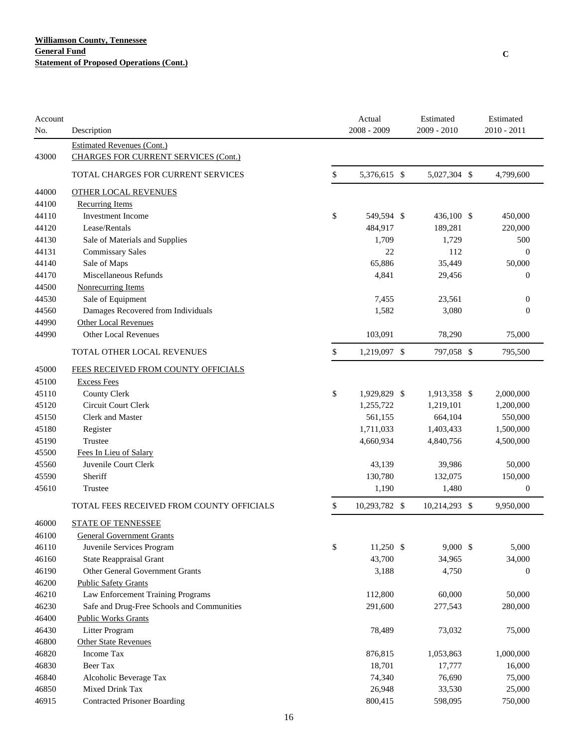| Account | Description                                                                      | Actual<br>2008 - 2009 | Estimated<br>2009 - 2010 | Estimated<br>$2010 - 2011$ |
|---------|----------------------------------------------------------------------------------|-----------------------|--------------------------|----------------------------|
| No.     |                                                                                  |                       |                          |                            |
| 43000   | <b>Estimated Revenues (Cont.)</b><br><b>CHARGES FOR CURRENT SERVICES (Cont.)</b> |                       |                          |                            |
|         | TOTAL CHARGES FOR CURRENT SERVICES                                               | \$<br>5,376,615 \$    | 5,027,304 \$             | 4,799,600                  |
| 44000   | <b>OTHER LOCAL REVENUES</b>                                                      |                       |                          |                            |
| 44100   | <b>Recurring Items</b>                                                           |                       |                          |                            |
| 44110   | <b>Investment Income</b>                                                         | \$<br>549,594 \$      | 436,100 \$               | 450,000                    |
| 44120   | Lease/Rentals                                                                    | 484,917               | 189,281                  | 220,000                    |
| 44130   | Sale of Materials and Supplies                                                   | 1,709                 | 1,729                    | 500                        |
| 44131   | <b>Commissary Sales</b>                                                          | 22                    | 112                      | $\overline{0}$             |
| 44140   | Sale of Maps                                                                     | 65,886                | 35,449                   | 50,000                     |
| 44170   | Miscellaneous Refunds                                                            | 4,841                 | 29,456                   | $\mathbf{0}$               |
| 44500   | Nonrecurring Items                                                               |                       |                          |                            |
| 44530   | Sale of Equipment                                                                | 7,455                 | 23,561                   | $\boldsymbol{0}$           |
| 44560   | Damages Recovered from Individuals                                               | 1,582                 | 3,080                    | $\boldsymbol{0}$           |
| 44990   | <b>Other Local Revenues</b>                                                      |                       |                          |                            |
| 44990   | Other Local Revenues                                                             | 103,091               | 78,290                   | 75,000                     |
|         | TOTAL OTHER LOCAL REVENUES                                                       | \$<br>1,219,097 \$    | 797,058 \$               | 795,500                    |
| 45000   | FEES RECEIVED FROM COUNTY OFFICIALS                                              |                       |                          |                            |
| 45100   | <b>Excess Fees</b>                                                               |                       |                          |                            |
| 45110   | <b>County Clerk</b>                                                              | \$<br>1,929,829 \$    | 1,913,358 \$             | 2,000,000                  |
| 45120   | <b>Circuit Court Clerk</b>                                                       | 1,255,722             | 1,219,101                | 1,200,000                  |
| 45150   | Clerk and Master                                                                 | 561,155               | 664,104                  | 550,000                    |
| 45180   | Register                                                                         | 1,711,033             | 1,403,433                | 1,500,000                  |
| 45190   | Trustee                                                                          | 4,660,934             | 4,840,756                | 4,500,000                  |
| 45500   | Fees In Lieu of Salary                                                           |                       |                          |                            |
| 45560   | Juvenile Court Clerk                                                             | 43,139                | 39,986                   | 50,000                     |
| 45590   | Sheriff                                                                          | 130,780               | 132,075                  | 150,000                    |
| 45610   | Trustee                                                                          | 1,190                 | 1,480                    | $\boldsymbol{0}$           |
|         | TOTAL FEES RECEIVED FROM COUNTY OFFICIALS                                        | \$<br>10,293,782 \$   | 10,214,293 \$            | 9,950,000                  |
| 46000   | <b>STATE OF TENNESSEE</b>                                                        |                       |                          |                            |
| 46100   | <b>General Government Grants</b>                                                 |                       |                          |                            |
| 46110   | Juvenile Services Program                                                        | \$<br>11,250 \$       | $9,000$ \$               | 5,000                      |
| 46160   | <b>State Reappraisal Grant</b>                                                   | 43,700                | 34,965                   | 34,000                     |
| 46190   | Other General Government Grants                                                  | 3,188                 | 4,750                    | 0                          |
| 46200   | <b>Public Safety Grants</b>                                                      |                       |                          |                            |
| 46210   | Law Enforcement Training Programs                                                | 112,800               | 60,000                   | 50,000                     |
| 46230   | Safe and Drug-Free Schools and Communities                                       | 291,600               | 277,543                  | 280,000                    |
| 46400   | <b>Public Works Grants</b>                                                       |                       |                          |                            |
| 46430   | Litter Program                                                                   | 78,489                | 73,032                   | 75,000                     |
| 46800   | <b>Other State Revenues</b>                                                      |                       |                          |                            |
| 46820   | Income Tax                                                                       | 876,815               | 1,053,863                | 1,000,000                  |
| 46830   | Beer Tax                                                                         | 18,701                | 17,777                   | 16,000                     |
| 46840   | Alcoholic Beverage Tax                                                           | 74,340                | 76,690                   | 75,000                     |
| 46850   | Mixed Drink Tax                                                                  | 26,948                | 33,530                   | 25,000                     |
| 46915   | <b>Contracted Prisoner Boarding</b>                                              | 800,415               | 598,095                  | 750,000                    |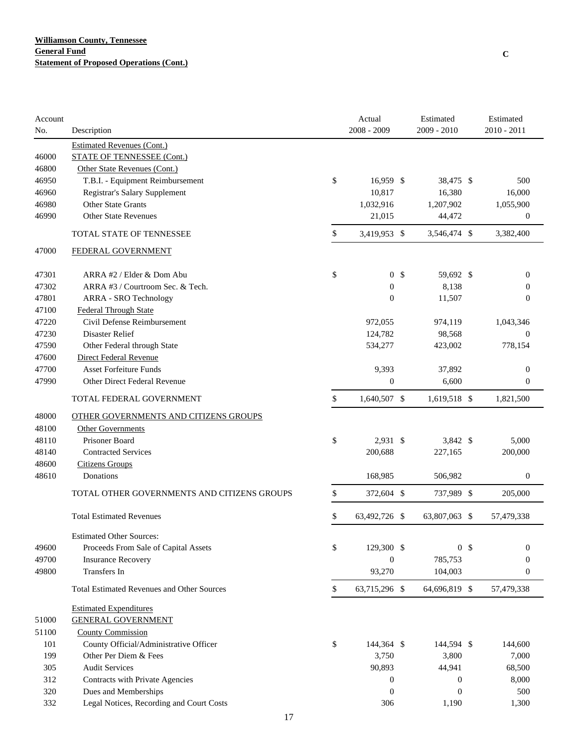| Account<br>No. | Description                                                   | Actual<br>$2008 - 2009$                  | Estimated<br>2009 - 2010 |                | Estimated<br>$2010 - 2011$ |
|----------------|---------------------------------------------------------------|------------------------------------------|--------------------------|----------------|----------------------------|
|                | <b>Estimated Revenues (Cont.)</b>                             |                                          |                          |                |                            |
| 46000          | <b>STATE OF TENNESSEE (Cont.)</b>                             |                                          |                          |                |                            |
| 46800          | Other State Revenues (Cont.)                                  |                                          |                          |                |                            |
| 46950          | T.B.I. - Equipment Reimbursement                              | \$<br>16,959 \$                          | 38,475 \$                |                | 500                        |
| 46960          | Registrar's Salary Supplement                                 | 10,817                                   | 16,380                   |                | 16,000                     |
| 46980          | <b>Other State Grants</b>                                     | 1,032,916                                | 1,207,902                |                | 1,055,900                  |
| 46990          | <b>Other State Revenues</b>                                   | 21,015                                   | 44,472                   |                | $\mathbf{0}$               |
|                | <b>TOTAL STATE OF TENNESSEE</b>                               | \$<br>3,419,953 \$                       | 3,546,474 \$             |                | 3,382,400                  |
| 47000          | FEDERAL GOVERNMENT                                            |                                          |                          |                |                            |
|                |                                                               |                                          |                          |                |                            |
| 47301<br>47302 | ARRA #2 / Elder & Dom Abu<br>ARRA #3 / Courtroom Sec. & Tech. | \$<br>0 <sup>5</sup><br>$\boldsymbol{0}$ | 59,692 \$<br>8,138       |                | 0<br>$\mathbf{0}$          |
| 47801          |                                                               | $\mathbf{0}$                             |                          |                | $\overline{0}$             |
| 47100          | ARRA - SRO Technology<br><b>Federal Through State</b>         |                                          | 11,507                   |                |                            |
| 47220          | Civil Defense Reimbursement                                   | 972,055                                  | 974,119                  |                | 1,043,346                  |
| 47230          | Disaster Relief                                               | 124,782                                  | 98,568                   |                | $\mathbf{0}$               |
| 47590          | Other Federal through State                                   | 534,277                                  | 423,002                  |                | 778,154                    |
| 47600          | Direct Federal Revenue                                        |                                          |                          |                |                            |
| 47700          | <b>Asset Forfeiture Funds</b>                                 | 9,393                                    | 37,892                   |                | $\boldsymbol{0}$           |
| 47990          | <b>Other Direct Federal Revenue</b>                           | $\boldsymbol{0}$                         | 6,600                    |                | $\boldsymbol{0}$           |
|                |                                                               |                                          |                          |                |                            |
|                | TOTAL FEDERAL GOVERNMENT                                      | \$<br>1,640,507 \$                       | 1,619,518 \$             |                | 1,821,500                  |
| 48000          | OTHER GOVERNMENTS AND CITIZENS GROUPS                         |                                          |                          |                |                            |
| 48100          | <b>Other Governments</b>                                      |                                          |                          |                |                            |
| 48110          | Prisoner Board                                                | \$<br>2,931 \$                           | 3,842 \$                 |                | 5,000                      |
| 48140          | <b>Contracted Services</b>                                    | 200,688                                  | 227,165                  |                | 200,000                    |
| 48600          | <b>Citizens Groups</b>                                        |                                          |                          |                |                            |
| 48610          | Donations                                                     | 168,985                                  | 506,982                  |                | $\boldsymbol{0}$           |
|                | TOTAL OTHER GOVERNMENTS AND CITIZENS GROUPS                   | \$<br>372,604 \$                         | 737,989 \$               |                | 205,000                    |
|                | <b>Total Estimated Revenues</b>                               | \$<br>63,492,726 \$                      | 63,807,063 \$            |                | 57,479,338                 |
|                | <b>Estimated Other Sources:</b>                               |                                          |                          |                |                            |
| 49600          | Proceeds From Sale of Capital Assets                          | \$<br>129,300 \$                         |                          | 0 <sup>5</sup> | 0                          |
| 49700          | <b>Insurance Recovery</b>                                     | $\boldsymbol{0}$                         | 785,753                  |                | $\boldsymbol{0}$           |
| 49800          | Transfers In                                                  | 93,270                                   | 104,003                  |                | $\boldsymbol{0}$           |
|                | <b>Total Estimated Revenues and Other Sources</b>             | \$<br>63,715,296 \$                      | 64,696,819 \$            |                | 57,479,338                 |
|                | <b>Estimated Expenditures</b>                                 |                                          |                          |                |                            |
| 51000          | <b>GENERAL GOVERNMENT</b>                                     |                                          |                          |                |                            |
| 51100          | <b>County Commission</b>                                      |                                          |                          |                |                            |
| 101            | County Official/Administrative Officer                        | \$<br>144,364 \$                         | 144,594 \$               |                | 144,600                    |
| 199            | Other Per Diem & Fees                                         | 3,750                                    | 3,800                    |                | 7,000                      |
| 305            | <b>Audit Services</b>                                         | 90,893                                   | 44,941                   |                | 68,500                     |
| 312            | Contracts with Private Agencies                               | $\boldsymbol{0}$                         | $\mathbf{0}$             |                | 8,000                      |
| 320            | Dues and Memberships                                          | $\boldsymbol{0}$                         | $\boldsymbol{0}$         |                | 500                        |
| 332            | Legal Notices, Recording and Court Costs                      | 306                                      | 1,190                    |                | 1,300                      |
|                | 17                                                            |                                          |                          |                |                            |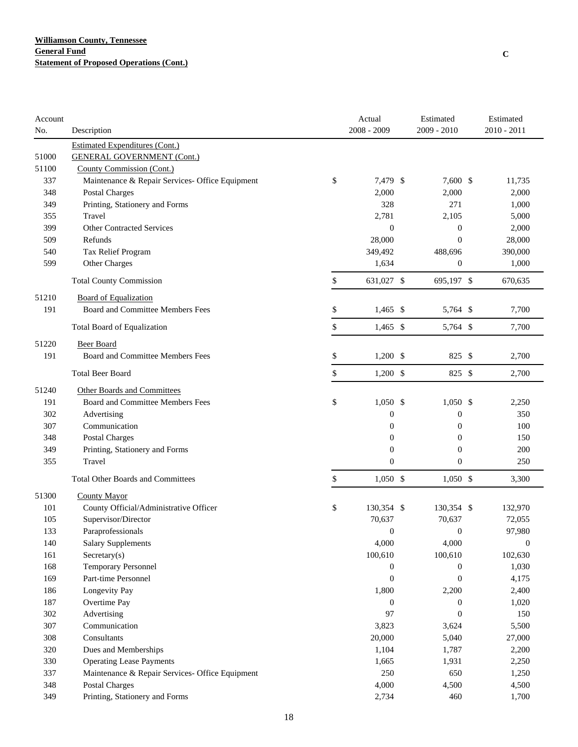| Account |                                                 | Actual           | Estimated        | Estimated        |
|---------|-------------------------------------------------|------------------|------------------|------------------|
| No.     | Description                                     | 2008 - 2009      | $2009 - 2010$    | 2010 - 2011      |
|         | <b>Estimated Expenditures (Cont.)</b>           |                  |                  |                  |
| 51000   | <b>GENERAL GOVERNMENT (Cont.)</b>               |                  |                  |                  |
| 51100   | County Commission (Cont.)                       |                  |                  |                  |
| 337     | Maintenance & Repair Services- Office Equipment | \$<br>7,479 \$   | 7,600 \$         | 11,735           |
| 348     | Postal Charges                                  | 2,000            | 2,000            | 2,000            |
| 349     | Printing, Stationery and Forms                  | 328              | 271              | 1,000            |
| 355     | Travel                                          | 2,781            | 2,105            | 5,000            |
| 399     | <b>Other Contracted Services</b>                | $\overline{0}$   | $\boldsymbol{0}$ | 2,000            |
| 509     | Refunds                                         | 28,000           | $\overline{0}$   | 28,000           |
| 540     | Tax Relief Program                              | 349,492          | 488,696          | 390,000          |
| 599     | Other Charges                                   | 1,634            | $\boldsymbol{0}$ | 1,000            |
|         | <b>Total County Commission</b>                  | \$<br>631,027 \$ | 695,197 \$       | 670,635          |
| 51210   | <b>Board of Equalization</b>                    |                  |                  |                  |
| 191     | Board and Committee Members Fees                | \$<br>$1,465$ \$ | 5,764 \$         | 7,700            |
|         | Total Board of Equalization                     | \$<br>$1,465$ \$ | 5,764 \$         | 7,700            |
| 51220   | <b>Beer Board</b>                               |                  |                  |                  |
| 191     | Board and Committee Members Fees                | \$<br>$1,200$ \$ | 825 \$           | 2,700            |
|         | <b>Total Beer Board</b>                         | \$<br>$1,200$ \$ | 825 \$           | 2,700            |
| 51240   | <b>Other Boards and Committees</b>              |                  |                  |                  |
| 191     | Board and Committee Members Fees                | \$<br>$1,050$ \$ | $1,050$ \$       | 2,250            |
| 302     | Advertising                                     | $\boldsymbol{0}$ | $\boldsymbol{0}$ | 350              |
| 307     | Communication                                   | $\boldsymbol{0}$ | $\boldsymbol{0}$ | 100              |
| 348     | Postal Charges                                  | $\overline{0}$   | $\mathbf{0}$     | 150              |
| 349     | Printing, Stationery and Forms                  | $\overline{0}$   | $\overline{0}$   | 200              |
| 355     | Travel                                          | $\overline{0}$   | $\overline{0}$   | 250              |
|         | <b>Total Other Boards and Committees</b>        | \$<br>$1,050$ \$ | $1,050$ \$       | 3,300            |
| 51300   | <b>County Mayor</b>                             |                  |                  |                  |
| 101     | County Official/Administrative Officer          | \$<br>130,354 \$ | 130,354 \$       | 132,970          |
| 105     | Supervisor/Director                             | 70,637           | 70,637           | 72,055           |
| 133     | Paraprofessionals                               | $\theta$         | $\boldsymbol{0}$ | 97.980           |
| 140     | <b>Salary Supplements</b>                       | 4,000            | 4,000            | $\boldsymbol{0}$ |
| 161     | $S \text{ecretary}(s)$                          | 100,610          | 100,610          | 102,630          |
| 168     | <b>Temporary Personnel</b>                      | $\boldsymbol{0}$ | $\boldsymbol{0}$ | 1,030            |
| 169     | Part-time Personnel                             | $\boldsymbol{0}$ | $\boldsymbol{0}$ | 4,175            |
| 186     | Longevity Pay                                   | 1,800            | 2,200            | 2,400            |
| 187     | Overtime Pay                                    | $\theta$         | $\mathbf{0}$     | 1,020            |
| 302     | Advertising                                     | 97               | $\mathbf{0}$     | 150              |
| 307     | Communication                                   | 3,823            | 3,624            | 5,500            |
| 308     | Consultants                                     | 20,000           | 5,040            | 27,000           |
| 320     | Dues and Memberships                            | 1,104            | 1,787            | 2,200            |
| 330     | <b>Operating Lease Payments</b>                 | 1,665            | 1,931            | 2,250            |
| 337     | Maintenance & Repair Services- Office Equipment | 250              | 650              | 1,250            |
| 348     | <b>Postal Charges</b>                           | 4,000            | 4,500            | 4,500            |
| 349     | Printing, Stationery and Forms                  | 2,734            | 460              | 1,700            |
|         |                                                 |                  |                  |                  |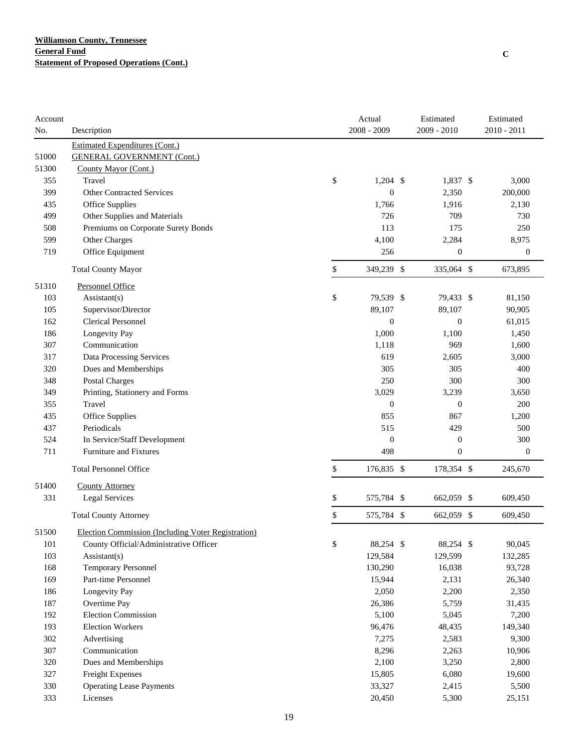| Account |                                                    | Actual           | Estimated        | Estimated        |
|---------|----------------------------------------------------|------------------|------------------|------------------|
| No.     | Description                                        | 2008 - 2009      | 2009 - 2010      | $2010 - 2011$    |
|         | <b>Estimated Expenditures (Cont.)</b>              |                  |                  |                  |
| 51000   | <b>GENERAL GOVERNMENT (Cont.)</b>                  |                  |                  |                  |
| 51300   | County Mayor (Cont.)                               |                  |                  |                  |
| 355     | Travel                                             | \$<br>$1,204$ \$ | 1,837 \$         | 3,000            |
| 399     | <b>Other Contracted Services</b>                   | $\boldsymbol{0}$ | 2,350            | 200,000          |
| 435     | Office Supplies                                    | 1,766            | 1,916            | 2,130            |
| 499     | Other Supplies and Materials                       | 726              | 709              | 730              |
| 508     | Premiums on Corporate Surety Bonds                 | 113              | 175              | 250              |
| 599     | Other Charges                                      | 4,100            | 2,284            | 8,975            |
| 719     | Office Equipment                                   | 256              | $\boldsymbol{0}$ | $\boldsymbol{0}$ |
|         | <b>Total County Mayor</b>                          | \$<br>349,239 \$ | 335,064 \$       | 673,895          |
| 51310   | Personnel Office                                   |                  |                  |                  |
| 103     | Assistant(s)                                       | \$<br>79,539 \$  | 79,433 \$        | 81,150           |
| 105     | Supervisor/Director                                | 89,107           | 89,107           | 90,905           |
| 162     | <b>Clerical Personnel</b>                          | $\boldsymbol{0}$ | $\boldsymbol{0}$ | 61,015           |
| 186     | Longevity Pay                                      | 1,000            | 1,100            | 1,450            |
| 307     | Communication                                      | 1,118            | 969              | 1,600            |
| 317     | Data Processing Services                           | 619              | 2,605            | 3,000            |
| 320     | Dues and Memberships                               | 305              | 305              | 400              |
| 348     | Postal Charges                                     | 250              | 300              | 300              |
| 349     | Printing, Stationery and Forms                     | 3,029            | 3,239            | 3,650            |
| 355     | Travel                                             | $\mathbf{0}$     | $\boldsymbol{0}$ | 200              |
| 435     | Office Supplies                                    | 855              | 867              | 1,200            |
| 437     | Periodicals                                        | 515              | 429              | 500              |
| 524     | In Service/Staff Development                       | $\boldsymbol{0}$ | $\boldsymbol{0}$ | 300              |
| 711     | <b>Furniture and Fixtures</b>                      | 498              | $\boldsymbol{0}$ | $\boldsymbol{0}$ |
|         | <b>Total Personnel Office</b>                      | \$<br>176,835 \$ | 178,354 \$       | 245,670          |
|         |                                                    |                  |                  |                  |
| 51400   | <b>County Attorney</b>                             |                  |                  |                  |
| 331     | <b>Legal Services</b>                              | \$<br>575,784 \$ | 662,059 \$       | 609,450          |
|         | <b>Total County Attorney</b>                       | \$<br>575,784 \$ | 662,059 \$       | 609,450          |
| 51500   | Election Commission (Including Voter Registration) |                  |                  |                  |
| 101     | County Official/Administrative Officer             | \$<br>88,254 \$  | 88,254 \$        | 90,045           |
| 103     | $\text{Assistant}(s)$                              | 129,584          | 129,599          | 132,285          |
| 168     | <b>Temporary Personnel</b>                         | 130,290          | 16,038           | 93,728           |
| 169     | Part-time Personnel                                | 15,944           | 2,131            | 26,340           |
| 186     | Longevity Pay                                      | 2,050            | 2,200            | 2,350            |
| 187     | Overtime Pay                                       | 26,386           | 5,759            | 31,435           |
| 192     | <b>Election Commission</b>                         | 5,100            | 5,045            | 7,200            |
| 193     | <b>Election Workers</b>                            | 96,476           | 48,435           | 149,340          |
| 302     | Advertising                                        | 7,275            | 2,583            | 9,300            |
| 307     | Communication                                      | 8,296            | 2,263            | 10,906           |
| 320     | Dues and Memberships                               | 2,100            | 3,250            | 2,800            |
| 327     | Freight Expenses                                   | 15,805           | 6,080            | 19,600           |
| 330     | <b>Operating Lease Payments</b>                    | 33,327           | 2,415            | 5,500            |
| 333     | Licenses                                           | 20,450           | 5,300            | 25,151           |
|         |                                                    |                  |                  |                  |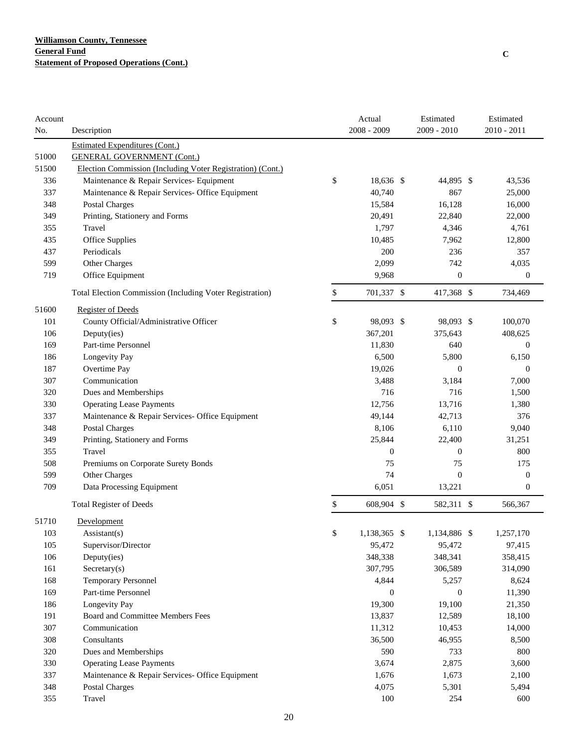| Account                                                             | Actual           | Estimated        | Estimated        |
|---------------------------------------------------------------------|------------------|------------------|------------------|
| No.<br>Description                                                  | 2008 - 2009      | 2009 - 2010      | 2010 - 2011      |
| <b>Estimated Expenditures (Cont.)</b>                               |                  |                  |                  |
| 51000<br><b>GENERAL GOVERNMENT (Cont.)</b>                          |                  |                  |                  |
| 51500<br>Election Commission (Including Voter Registration) (Cont.) |                  |                  |                  |
| \$<br>336<br>Maintenance & Repair Services- Equipment               | 18,636 \$        | 44,895 \$        | 43,536           |
| 337<br>Maintenance & Repair Services- Office Equipment              | 40,740           | 867              | 25,000           |
| 348<br><b>Postal Charges</b>                                        | 15,584           | 16,128           | 16,000           |
| 349<br>Printing, Stationery and Forms                               | 20,491           | 22,840           | 22,000           |
| 355<br>Travel                                                       | 1,797            | 4,346            | 4,761            |
| 435<br>Office Supplies                                              | 10,485           | 7,962            | 12,800           |
| Periodicals<br>437                                                  | 200              | 236              | 357              |
| 599<br>Other Charges                                                | 2,099            | 742              | 4,035            |
| 719<br>Office Equipment                                             | 9,968            | $\boldsymbol{0}$ | $\mathbf{0}$     |
| \$<br>Total Election Commission (Including Voter Registration)      | 701,337 \$       | 417,368 \$       | 734,469          |
| 51600<br><b>Register of Deeds</b>                                   |                  |                  |                  |
| \$<br>101<br>County Official/Administrative Officer                 | 98,093 \$        | 98,093 \$        | 100,070          |
| 106<br>Deputy(ies)                                                  | 367,201          | 375,643          | 408,625          |
| 169<br>Part-time Personnel                                          | 11,830           | 640              | $\theta$         |
| 186<br>Longevity Pay                                                | 6,500            | 5,800            | 6,150            |
| 187<br>Overtime Pay                                                 | 19,026           | $\overline{0}$   | $\mathbf{0}$     |
| Communication<br>307                                                | 3,488            | 3,184            | 7,000            |
| 320<br>Dues and Memberships                                         | 716              | 716              | 1,500            |
| 330<br><b>Operating Lease Payments</b>                              | 12,756           | 13,716           | 1,380            |
| 337<br>Maintenance & Repair Services- Office Equipment              | 49,144           | 42,713           | 376              |
| 348<br><b>Postal Charges</b>                                        | 8,106            | 6,110            | 9,040            |
| 349<br>Printing, Stationery and Forms                               | 25,844           | 22,400           | 31,251           |
| 355<br>Travel                                                       | $\boldsymbol{0}$ | $\boldsymbol{0}$ | 800              |
| 508<br>Premiums on Corporate Surety Bonds                           | 75               | 75               | 175              |
| 599<br>Other Charges                                                | 74               | $\overline{0}$   | $\mathbf{0}$     |
| 709<br>Data Processing Equipment                                    | 6,051            | 13,221           | $\boldsymbol{0}$ |
| <b>Total Register of Deeds</b><br>\$                                | 608,904 \$       | 582,311 \$       | 566,367          |
| 51710<br>Development                                                |                  |                  |                  |
| 103<br>\$<br>Assistant(s)                                           | 1,138,365 \$     | 1,134,886 \$     | 1,257,170        |
| 105<br>Supervisor/Director                                          | 95,472           | 95,472           | 97,415           |
| 106<br>Deputy(ies)                                                  | 348,338          | 348,341          | 358,415          |
| 161<br>Sercetary(s)                                                 | 307,795          | 306,589          | 314,090          |
| 168<br><b>Temporary Personnel</b>                                   | 4,844            | 5,257            | 8,624            |
| 169<br>Part-time Personnel                                          | $\boldsymbol{0}$ | $\mathbf{0}$     | 11,390           |
| 186<br>Longevity Pay                                                | 19,300           | 19,100           | 21,350           |
| Board and Committee Members Fees<br>191                             | 13,837           | 12,589           | 18,100           |
| 307<br>Communication                                                | 11,312           | 10,453           | 14,000           |
| 308<br>Consultants                                                  | 36,500           | 46,955           | 8,500            |
| 320<br>Dues and Memberships                                         | 590              | 733              | 800              |
| 330<br><b>Operating Lease Payments</b>                              | 3,674            | 2,875            | 3,600            |
| 337<br>Maintenance & Repair Services- Office Equipment              | 1,676            | 1,673            | 2,100            |
| 348<br>Postal Charges                                               | 4,075            | 5,301            | 5,494            |
| 355<br>Travel                                                       | 100              | 254              | 600              |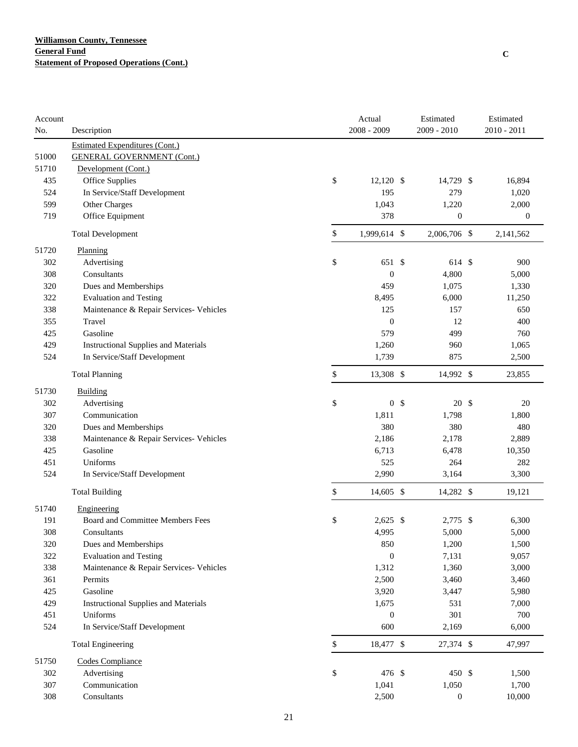| Account |                                             | Actual               | Estimated        | Estimated        |
|---------|---------------------------------------------|----------------------|------------------|------------------|
| No.     | Description                                 | $2008 - 2009$        | 2009 - 2010      | $2010 - 2011$    |
|         | <b>Estimated Expenditures (Cont.)</b>       |                      |                  |                  |
| 51000   | <b>GENERAL GOVERNMENT (Cont.)</b>           |                      |                  |                  |
| 51710   | Development (Cont.)                         |                      |                  |                  |
| 435     | Office Supplies                             | \$<br>$12,120$ \$    | 14,729 \$        | 16,894           |
| 524     | In Service/Staff Development                | 195                  | 279              | 1,020            |
| 599     | Other Charges                               | 1,043                | 1,220            | 2,000            |
| 719     | Office Equipment                            | 378                  | $\boldsymbol{0}$ | $\boldsymbol{0}$ |
|         | <b>Total Development</b>                    | \$<br>1,999,614 \$   | 2,006,706 \$     | 2,141,562        |
| 51720   | Planning                                    |                      |                  |                  |
| 302     | Advertising                                 | \$<br>651 \$         | 614 \$           | 900              |
| 308     | Consultants                                 | $\boldsymbol{0}$     | 4,800            | 5,000            |
| 320     | Dues and Memberships                        | 459                  | 1,075            | 1,330            |
| 322     | <b>Evaluation and Testing</b>               | 8,495                | 6,000            | 11,250           |
| 338     | Maintenance & Repair Services- Vehicles     | 125                  | 157              | 650              |
| 355     | Travel                                      | $\theta$             | 12               | 400              |
| 425     | Gasoline                                    | 579                  | 499              | 760              |
| 429     | <b>Instructional Supplies and Materials</b> | 1,260                | 960              | 1,065            |
| 524     | In Service/Staff Development                | 1,739                | 875              | 2,500            |
|         | <b>Total Planning</b>                       | \$<br>13,308 \$      | 14,992 \$        | 23,855           |
| 51730   | <b>Building</b>                             |                      |                  |                  |
| 302     | Advertising                                 | \$<br>0 <sup>5</sup> | 20 \$            | 20               |
| 307     | Communication                               | 1,811                | 1,798            | 1,800            |
| 320     | Dues and Memberships                        | 380                  | 380              | 480              |
| 338     | Maintenance & Repair Services- Vehicles     | 2,186                | 2,178            | 2,889            |
| 425     | Gasoline                                    | 6,713                | 6,478            | 10,350           |
| 451     | Uniforms                                    | 525                  | 264              | 282              |
| 524     | In Service/Staff Development                | 2,990                | 3,164            | 3,300            |
|         | <b>Total Building</b>                       | \$<br>14,605 \$      | 14,282 \$        | 19,121           |
| 51740   | Engineering                                 |                      |                  |                  |
| 191     | Board and Committee Members Fees            | \$<br>$2,625$ \$     | 2,775 \$         | 6,300            |
| 308     | Consultants                                 | 4,995                | 5,000            | 5,000            |
| 320     | Dues and Memberships                        | 850                  | 1,200            | 1,500            |
| 322     | <b>Evaluation and Testing</b>               | $\mathbf{0}$         | 7,131            | 9,057            |
| 338     | Maintenance & Repair Services- Vehicles     | 1,312                | 1,360            | 3,000            |
| 361     | Permits                                     | 2,500                | 3,460            | 3,460            |
| 425     | Gasoline                                    | 3,920                | 3,447            | 5,980            |
| 429     | <b>Instructional Supplies and Materials</b> | 1,675                | 531              | 7,000            |
| 451     | Uniforms                                    | $\theta$             | 301              | 700              |
| 524     | In Service/Staff Development                | 600                  | 2,169            | 6,000            |
|         | <b>Total Engineering</b>                    | \$<br>18,477 \$      | 27,374 \$        | 47,997           |
| 51750   | Codes Compliance                            |                      |                  |                  |
| 302     | Advertising                                 | \$<br>476 \$         | 450 \$           | 1,500            |
| 307     | Communication                               | 1,041                | 1,050            | 1,700            |
| 308     | Consultants                                 | 2,500                | $\boldsymbol{0}$ | 10,000           |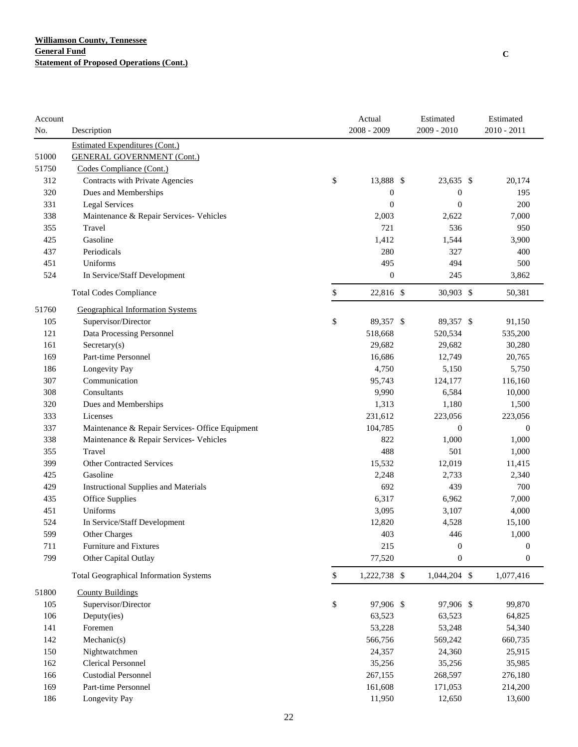| Account |                                                 | Actual             | Estimated        | Estimated        |
|---------|-------------------------------------------------|--------------------|------------------|------------------|
| No.     | Description                                     | 2008 - 2009        | 2009 - 2010      | 2010 - 2011      |
|         | <b>Estimated Expenditures (Cont.)</b>           |                    |                  |                  |
| 51000   | <b>GENERAL GOVERNMENT (Cont.)</b>               |                    |                  |                  |
| 51750   | Codes Compliance (Cont.)                        |                    |                  |                  |
| 312     | Contracts with Private Agencies                 | \$<br>13,888 \$    | 23,635 \$        | 20,174           |
| 320     | Dues and Memberships                            | $\boldsymbol{0}$   | $\boldsymbol{0}$ | 195              |
| 331     | Legal Services                                  | $\boldsymbol{0}$   | $\boldsymbol{0}$ | 200              |
| 338     | Maintenance & Repair Services- Vehicles         | 2,003              | 2,622            | 7,000            |
| 355     | Travel                                          | 721                | 536              | 950              |
| 425     | Gasoline                                        | 1,412              | 1,544            | 3,900            |
| 437     | Periodicals                                     | 280                | 327              | 400              |
| 451     | Uniforms                                        | 495                | 494              | 500              |
| 524     | In Service/Staff Development                    | $\boldsymbol{0}$   | 245              | 3,862            |
|         | <b>Total Codes Compliance</b>                   | \$<br>22,816 \$    | 30,903 \$        | 50,381           |
| 51760   | <b>Geographical Information Systems</b>         |                    |                  |                  |
| 105     | Supervisor/Director                             | \$<br>89,357 \$    | 89,357 \$        | 91,150           |
| 121     | Data Processing Personnel                       | 518,668            | 520,534          | 535,200          |
| 161     | $S \nectors(s)$                                 | 29,682             | 29,682           | 30,280           |
| 169     | Part-time Personnel                             | 16,686             | 12,749           | 20,765           |
| 186     | Longevity Pay                                   | 4,750              | 5,150            | 5,750            |
| 307     | Communication                                   | 95,743             | 124,177          | 116,160          |
| 308     | Consultants                                     | 9,990              | 6,584            | 10,000           |
| 320     | Dues and Memberships                            | 1,313              | 1,180            | 1,500            |
| 333     | Licenses                                        | 231,612            | 223,056          | 223,056          |
| 337     | Maintenance & Repair Services- Office Equipment | 104,785            | $\boldsymbol{0}$ | $\mathbf{0}$     |
| 338     | Maintenance & Repair Services- Vehicles         | 822                | 1,000            | 1,000            |
| 355     | Travel                                          | 488                | 501              | 1,000            |
| 399     | <b>Other Contracted Services</b>                | 15,532             | 12,019           | 11,415           |
| 425     | Gasoline                                        | 2,248              | 2,733            | 2,340            |
| 429     | <b>Instructional Supplies and Materials</b>     | 692                | 439              | 700              |
| 435     | <b>Office Supplies</b>                          | 6,317              | 6,962            | 7,000            |
| 451     | Uniforms                                        | 3,095              | 3,107            | 4,000            |
| 524     | In Service/Staff Development                    | 12,820             | 4,528            | 15,100           |
| 599     | Other Charges                                   | 403                | 446              | 1,000            |
| 711     | Furniture and Fixtures                          | 215                | $\boldsymbol{0}$ | $\boldsymbol{0}$ |
| 799     | Other Capital Outlay                            | 77,520             | $\boldsymbol{0}$ | $\boldsymbol{0}$ |
|         | <b>Total Geographical Information Systems</b>   | \$<br>1,222,738 \$ | 1,044,204 \$     | 1,077,416        |
| 51800   | <b>County Buildings</b>                         |                    |                  |                  |
| 105     | Supervisor/Director                             | \$<br>97,906 \$    | 97,906 \$        | 99,870           |
| 106     | Deputy(ies)                                     | 63,523             | 63,523           | 64,825           |
| 141     | Foremen                                         | 53,228             | 53,248           | 54,340           |
| 142     | Mechanic(s)                                     | 566,756            | 569,242          | 660,735          |
| 150     | Nightwatchmen                                   | 24,357             | 24,360           | 25,915           |
| 162     | <b>Clerical Personnel</b>                       | 35,256             | 35,256           | 35,985           |
| 166     | <b>Custodial Personnel</b>                      | 267,155            | 268,597          | 276,180          |
| 169     | Part-time Personnel                             | 161,608            | 171,053          | 214,200          |
| 186     | Longevity Pay                                   | 11,950             | 12,650           | 13,600           |
|         |                                                 |                    |                  |                  |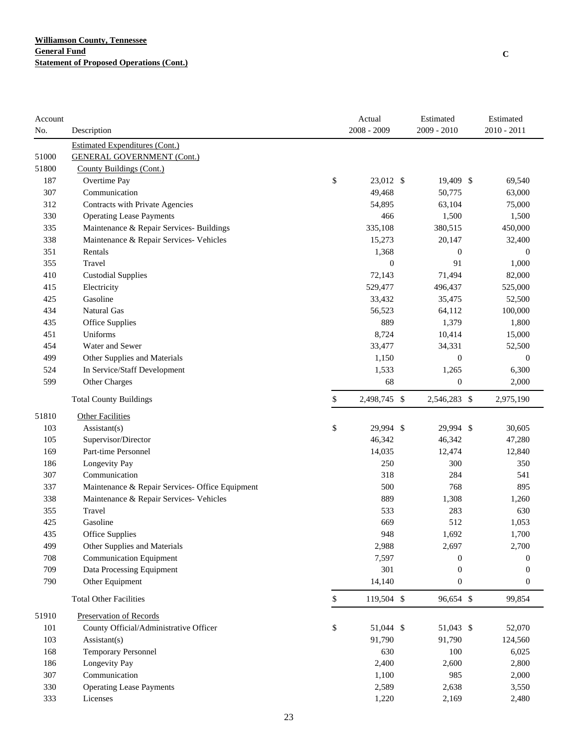| $2008 - 2009$<br>2009 - 2010<br>2010 - 2011<br>No.<br>Description<br><b>Estimated Expenditures (Cont.)</b><br><b>GENERAL GOVERNMENT (Cont.)</b><br>51000<br>51800<br>County Buildings (Cont.)<br>\$<br>187<br>Overtime Pay<br>23,012 \$<br>19,409 \$<br>69,540<br>307<br>Communication<br>49,468<br>50,775<br>63,000<br>312<br>Contracts with Private Agencies<br>54,895<br>63,104<br>75,000<br>330<br><b>Operating Lease Payments</b><br>466<br>1,500<br>1,500<br>Maintenance & Repair Services- Buildings<br>335<br>335,108<br>380,515<br>450,000<br>338<br>Maintenance & Repair Services- Vehicles<br>15,273<br>20,147<br>32,400<br>351<br>Rentals<br>1,368<br>$\boldsymbol{0}$<br>$\theta$<br>$\boldsymbol{0}$<br>91<br>355<br>Travel<br>1,000<br>410<br><b>Custodial Supplies</b><br>72,143<br>71,494<br>82,000<br>415<br>Electricity<br>529,477<br>496,437<br>525,000<br>Gasoline<br>425<br>33,432<br>35,475<br>52,500<br>Natural Gas<br>434<br>56,523<br>64,112<br>100,000<br>889<br>1,379<br>435<br>Office Supplies<br>1,800<br>Uniforms<br>8,724<br>451<br>10,414<br>15,000<br>454<br>Water and Sewer<br>33,477<br>34,331<br>52,500<br>499<br>Other Supplies and Materials<br>1,150<br>$\overline{0}$<br>$\theta$<br>524<br>In Service/Staff Development<br>1,533<br>1,265<br>6,300<br>599<br>$\boldsymbol{0}$<br>Other Charges<br>68<br>2,000<br>\$<br>2,498,745 \$<br>2,546,283 \$<br>2,975,190<br><b>Total County Buildings</b><br>51810<br><b>Other Facilities</b><br>\$<br>103<br>$\text{Assistant}(s)$<br>29,994 \$<br>29,994 \$<br>30,605<br>105<br>Supervisor/Director<br>46,342<br>46,342<br>47,280<br>169<br>Part-time Personnel<br>14,035<br>12,474<br>12,840<br>186<br>Longevity Pay<br>250<br>300<br>350<br>307<br>Communication<br>318<br>284<br>541<br>500<br>768<br>337<br>Maintenance & Repair Services- Office Equipment<br>895<br>889<br>338<br>Maintenance & Repair Services- Vehicles<br>1,308<br>1,260<br>355<br>Travel<br>533<br>283<br>630<br>425<br>Gasoline<br>669<br>512<br>1,053<br>435<br>948<br>1,692<br>1.700<br><b>Office Supplies</b><br>499<br>Other Supplies and Materials<br>2,988<br>2,697<br>2,700<br>708<br><b>Communication Equipment</b><br>7,597<br>$\overline{0}$<br>0<br>709<br>Data Processing Equipment<br>301<br>$\overline{0}$<br>$\mathbf{0}$<br>790<br>14,140<br>$\boldsymbol{0}$<br>Other Equipment<br>$\boldsymbol{0}$<br><b>Total Other Facilities</b><br>\$<br>119,504 \$<br>96,654 \$<br>99,854<br>51910<br>Preservation of Records<br>\$<br>101<br>County Official/Administrative Officer<br>51,044 \$<br>51,043 \$<br>52,070<br>103<br>91,790<br>91,790<br>Assistant(s)<br>124,560<br>168<br><b>Temporary Personnel</b><br>630<br>100<br>6,025<br>186<br>Longevity Pay<br>2,400<br>2,600<br>2,800<br>Communication<br>307<br>1,100<br>985<br>2,000<br>330<br><b>Operating Lease Payments</b><br>2,589<br>2,638<br>3,550<br>333<br>Licenses<br>1,220<br>2,169<br>2,480 | Account |  | Actual | Estimated | Estimated |
|-----------------------------------------------------------------------------------------------------------------------------------------------------------------------------------------------------------------------------------------------------------------------------------------------------------------------------------------------------------------------------------------------------------------------------------------------------------------------------------------------------------------------------------------------------------------------------------------------------------------------------------------------------------------------------------------------------------------------------------------------------------------------------------------------------------------------------------------------------------------------------------------------------------------------------------------------------------------------------------------------------------------------------------------------------------------------------------------------------------------------------------------------------------------------------------------------------------------------------------------------------------------------------------------------------------------------------------------------------------------------------------------------------------------------------------------------------------------------------------------------------------------------------------------------------------------------------------------------------------------------------------------------------------------------------------------------------------------------------------------------------------------------------------------------------------------------------------------------------------------------------------------------------------------------------------------------------------------------------------------------------------------------------------------------------------------------------------------------------------------------------------------------------------------------------------------------------------------------------------------------------------------------------------------------------------------------------------------------------------------------------------------------------------------------------------------------------------------------------------------------------------------------------------------------------------------------------------------------------------------------------------------------------------------------------------------------------------------------------------------------------------------------------------------------------------------------------------------------------------------------------------------------------------------------------------------|---------|--|--------|-----------|-----------|
|                                                                                                                                                                                                                                                                                                                                                                                                                                                                                                                                                                                                                                                                                                                                                                                                                                                                                                                                                                                                                                                                                                                                                                                                                                                                                                                                                                                                                                                                                                                                                                                                                                                                                                                                                                                                                                                                                                                                                                                                                                                                                                                                                                                                                                                                                                                                                                                                                                                                                                                                                                                                                                                                                                                                                                                                                                                                                                                                         |         |  |        |           |           |
|                                                                                                                                                                                                                                                                                                                                                                                                                                                                                                                                                                                                                                                                                                                                                                                                                                                                                                                                                                                                                                                                                                                                                                                                                                                                                                                                                                                                                                                                                                                                                                                                                                                                                                                                                                                                                                                                                                                                                                                                                                                                                                                                                                                                                                                                                                                                                                                                                                                                                                                                                                                                                                                                                                                                                                                                                                                                                                                                         |         |  |        |           |           |
|                                                                                                                                                                                                                                                                                                                                                                                                                                                                                                                                                                                                                                                                                                                                                                                                                                                                                                                                                                                                                                                                                                                                                                                                                                                                                                                                                                                                                                                                                                                                                                                                                                                                                                                                                                                                                                                                                                                                                                                                                                                                                                                                                                                                                                                                                                                                                                                                                                                                                                                                                                                                                                                                                                                                                                                                                                                                                                                                         |         |  |        |           |           |
|                                                                                                                                                                                                                                                                                                                                                                                                                                                                                                                                                                                                                                                                                                                                                                                                                                                                                                                                                                                                                                                                                                                                                                                                                                                                                                                                                                                                                                                                                                                                                                                                                                                                                                                                                                                                                                                                                                                                                                                                                                                                                                                                                                                                                                                                                                                                                                                                                                                                                                                                                                                                                                                                                                                                                                                                                                                                                                                                         |         |  |        |           |           |
|                                                                                                                                                                                                                                                                                                                                                                                                                                                                                                                                                                                                                                                                                                                                                                                                                                                                                                                                                                                                                                                                                                                                                                                                                                                                                                                                                                                                                                                                                                                                                                                                                                                                                                                                                                                                                                                                                                                                                                                                                                                                                                                                                                                                                                                                                                                                                                                                                                                                                                                                                                                                                                                                                                                                                                                                                                                                                                                                         |         |  |        |           |           |
|                                                                                                                                                                                                                                                                                                                                                                                                                                                                                                                                                                                                                                                                                                                                                                                                                                                                                                                                                                                                                                                                                                                                                                                                                                                                                                                                                                                                                                                                                                                                                                                                                                                                                                                                                                                                                                                                                                                                                                                                                                                                                                                                                                                                                                                                                                                                                                                                                                                                                                                                                                                                                                                                                                                                                                                                                                                                                                                                         |         |  |        |           |           |
|                                                                                                                                                                                                                                                                                                                                                                                                                                                                                                                                                                                                                                                                                                                                                                                                                                                                                                                                                                                                                                                                                                                                                                                                                                                                                                                                                                                                                                                                                                                                                                                                                                                                                                                                                                                                                                                                                                                                                                                                                                                                                                                                                                                                                                                                                                                                                                                                                                                                                                                                                                                                                                                                                                                                                                                                                                                                                                                                         |         |  |        |           |           |
|                                                                                                                                                                                                                                                                                                                                                                                                                                                                                                                                                                                                                                                                                                                                                                                                                                                                                                                                                                                                                                                                                                                                                                                                                                                                                                                                                                                                                                                                                                                                                                                                                                                                                                                                                                                                                                                                                                                                                                                                                                                                                                                                                                                                                                                                                                                                                                                                                                                                                                                                                                                                                                                                                                                                                                                                                                                                                                                                         |         |  |        |           |           |
|                                                                                                                                                                                                                                                                                                                                                                                                                                                                                                                                                                                                                                                                                                                                                                                                                                                                                                                                                                                                                                                                                                                                                                                                                                                                                                                                                                                                                                                                                                                                                                                                                                                                                                                                                                                                                                                                                                                                                                                                                                                                                                                                                                                                                                                                                                                                                                                                                                                                                                                                                                                                                                                                                                                                                                                                                                                                                                                                         |         |  |        |           |           |
|                                                                                                                                                                                                                                                                                                                                                                                                                                                                                                                                                                                                                                                                                                                                                                                                                                                                                                                                                                                                                                                                                                                                                                                                                                                                                                                                                                                                                                                                                                                                                                                                                                                                                                                                                                                                                                                                                                                                                                                                                                                                                                                                                                                                                                                                                                                                                                                                                                                                                                                                                                                                                                                                                                                                                                                                                                                                                                                                         |         |  |        |           |           |
|                                                                                                                                                                                                                                                                                                                                                                                                                                                                                                                                                                                                                                                                                                                                                                                                                                                                                                                                                                                                                                                                                                                                                                                                                                                                                                                                                                                                                                                                                                                                                                                                                                                                                                                                                                                                                                                                                                                                                                                                                                                                                                                                                                                                                                                                                                                                                                                                                                                                                                                                                                                                                                                                                                                                                                                                                                                                                                                                         |         |  |        |           |           |
|                                                                                                                                                                                                                                                                                                                                                                                                                                                                                                                                                                                                                                                                                                                                                                                                                                                                                                                                                                                                                                                                                                                                                                                                                                                                                                                                                                                                                                                                                                                                                                                                                                                                                                                                                                                                                                                                                                                                                                                                                                                                                                                                                                                                                                                                                                                                                                                                                                                                                                                                                                                                                                                                                                                                                                                                                                                                                                                                         |         |  |        |           |           |
|                                                                                                                                                                                                                                                                                                                                                                                                                                                                                                                                                                                                                                                                                                                                                                                                                                                                                                                                                                                                                                                                                                                                                                                                                                                                                                                                                                                                                                                                                                                                                                                                                                                                                                                                                                                                                                                                                                                                                                                                                                                                                                                                                                                                                                                                                                                                                                                                                                                                                                                                                                                                                                                                                                                                                                                                                                                                                                                                         |         |  |        |           |           |
|                                                                                                                                                                                                                                                                                                                                                                                                                                                                                                                                                                                                                                                                                                                                                                                                                                                                                                                                                                                                                                                                                                                                                                                                                                                                                                                                                                                                                                                                                                                                                                                                                                                                                                                                                                                                                                                                                                                                                                                                                                                                                                                                                                                                                                                                                                                                                                                                                                                                                                                                                                                                                                                                                                                                                                                                                                                                                                                                         |         |  |        |           |           |
|                                                                                                                                                                                                                                                                                                                                                                                                                                                                                                                                                                                                                                                                                                                                                                                                                                                                                                                                                                                                                                                                                                                                                                                                                                                                                                                                                                                                                                                                                                                                                                                                                                                                                                                                                                                                                                                                                                                                                                                                                                                                                                                                                                                                                                                                                                                                                                                                                                                                                                                                                                                                                                                                                                                                                                                                                                                                                                                                         |         |  |        |           |           |
|                                                                                                                                                                                                                                                                                                                                                                                                                                                                                                                                                                                                                                                                                                                                                                                                                                                                                                                                                                                                                                                                                                                                                                                                                                                                                                                                                                                                                                                                                                                                                                                                                                                                                                                                                                                                                                                                                                                                                                                                                                                                                                                                                                                                                                                                                                                                                                                                                                                                                                                                                                                                                                                                                                                                                                                                                                                                                                                                         |         |  |        |           |           |
|                                                                                                                                                                                                                                                                                                                                                                                                                                                                                                                                                                                                                                                                                                                                                                                                                                                                                                                                                                                                                                                                                                                                                                                                                                                                                                                                                                                                                                                                                                                                                                                                                                                                                                                                                                                                                                                                                                                                                                                                                                                                                                                                                                                                                                                                                                                                                                                                                                                                                                                                                                                                                                                                                                                                                                                                                                                                                                                                         |         |  |        |           |           |
|                                                                                                                                                                                                                                                                                                                                                                                                                                                                                                                                                                                                                                                                                                                                                                                                                                                                                                                                                                                                                                                                                                                                                                                                                                                                                                                                                                                                                                                                                                                                                                                                                                                                                                                                                                                                                                                                                                                                                                                                                                                                                                                                                                                                                                                                                                                                                                                                                                                                                                                                                                                                                                                                                                                                                                                                                                                                                                                                         |         |  |        |           |           |
|                                                                                                                                                                                                                                                                                                                                                                                                                                                                                                                                                                                                                                                                                                                                                                                                                                                                                                                                                                                                                                                                                                                                                                                                                                                                                                                                                                                                                                                                                                                                                                                                                                                                                                                                                                                                                                                                                                                                                                                                                                                                                                                                                                                                                                                                                                                                                                                                                                                                                                                                                                                                                                                                                                                                                                                                                                                                                                                                         |         |  |        |           |           |
|                                                                                                                                                                                                                                                                                                                                                                                                                                                                                                                                                                                                                                                                                                                                                                                                                                                                                                                                                                                                                                                                                                                                                                                                                                                                                                                                                                                                                                                                                                                                                                                                                                                                                                                                                                                                                                                                                                                                                                                                                                                                                                                                                                                                                                                                                                                                                                                                                                                                                                                                                                                                                                                                                                                                                                                                                                                                                                                                         |         |  |        |           |           |
|                                                                                                                                                                                                                                                                                                                                                                                                                                                                                                                                                                                                                                                                                                                                                                                                                                                                                                                                                                                                                                                                                                                                                                                                                                                                                                                                                                                                                                                                                                                                                                                                                                                                                                                                                                                                                                                                                                                                                                                                                                                                                                                                                                                                                                                                                                                                                                                                                                                                                                                                                                                                                                                                                                                                                                                                                                                                                                                                         |         |  |        |           |           |
|                                                                                                                                                                                                                                                                                                                                                                                                                                                                                                                                                                                                                                                                                                                                                                                                                                                                                                                                                                                                                                                                                                                                                                                                                                                                                                                                                                                                                                                                                                                                                                                                                                                                                                                                                                                                                                                                                                                                                                                                                                                                                                                                                                                                                                                                                                                                                                                                                                                                                                                                                                                                                                                                                                                                                                                                                                                                                                                                         |         |  |        |           |           |
|                                                                                                                                                                                                                                                                                                                                                                                                                                                                                                                                                                                                                                                                                                                                                                                                                                                                                                                                                                                                                                                                                                                                                                                                                                                                                                                                                                                                                                                                                                                                                                                                                                                                                                                                                                                                                                                                                                                                                                                                                                                                                                                                                                                                                                                                                                                                                                                                                                                                                                                                                                                                                                                                                                                                                                                                                                                                                                                                         |         |  |        |           |           |
|                                                                                                                                                                                                                                                                                                                                                                                                                                                                                                                                                                                                                                                                                                                                                                                                                                                                                                                                                                                                                                                                                                                                                                                                                                                                                                                                                                                                                                                                                                                                                                                                                                                                                                                                                                                                                                                                                                                                                                                                                                                                                                                                                                                                                                                                                                                                                                                                                                                                                                                                                                                                                                                                                                                                                                                                                                                                                                                                         |         |  |        |           |           |
|                                                                                                                                                                                                                                                                                                                                                                                                                                                                                                                                                                                                                                                                                                                                                                                                                                                                                                                                                                                                                                                                                                                                                                                                                                                                                                                                                                                                                                                                                                                                                                                                                                                                                                                                                                                                                                                                                                                                                                                                                                                                                                                                                                                                                                                                                                                                                                                                                                                                                                                                                                                                                                                                                                                                                                                                                                                                                                                                         |         |  |        |           |           |
|                                                                                                                                                                                                                                                                                                                                                                                                                                                                                                                                                                                                                                                                                                                                                                                                                                                                                                                                                                                                                                                                                                                                                                                                                                                                                                                                                                                                                                                                                                                                                                                                                                                                                                                                                                                                                                                                                                                                                                                                                                                                                                                                                                                                                                                                                                                                                                                                                                                                                                                                                                                                                                                                                                                                                                                                                                                                                                                                         |         |  |        |           |           |
|                                                                                                                                                                                                                                                                                                                                                                                                                                                                                                                                                                                                                                                                                                                                                                                                                                                                                                                                                                                                                                                                                                                                                                                                                                                                                                                                                                                                                                                                                                                                                                                                                                                                                                                                                                                                                                                                                                                                                                                                                                                                                                                                                                                                                                                                                                                                                                                                                                                                                                                                                                                                                                                                                                                                                                                                                                                                                                                                         |         |  |        |           |           |
|                                                                                                                                                                                                                                                                                                                                                                                                                                                                                                                                                                                                                                                                                                                                                                                                                                                                                                                                                                                                                                                                                                                                                                                                                                                                                                                                                                                                                                                                                                                                                                                                                                                                                                                                                                                                                                                                                                                                                                                                                                                                                                                                                                                                                                                                                                                                                                                                                                                                                                                                                                                                                                                                                                                                                                                                                                                                                                                                         |         |  |        |           |           |
|                                                                                                                                                                                                                                                                                                                                                                                                                                                                                                                                                                                                                                                                                                                                                                                                                                                                                                                                                                                                                                                                                                                                                                                                                                                                                                                                                                                                                                                                                                                                                                                                                                                                                                                                                                                                                                                                                                                                                                                                                                                                                                                                                                                                                                                                                                                                                                                                                                                                                                                                                                                                                                                                                                                                                                                                                                                                                                                                         |         |  |        |           |           |
|                                                                                                                                                                                                                                                                                                                                                                                                                                                                                                                                                                                                                                                                                                                                                                                                                                                                                                                                                                                                                                                                                                                                                                                                                                                                                                                                                                                                                                                                                                                                                                                                                                                                                                                                                                                                                                                                                                                                                                                                                                                                                                                                                                                                                                                                                                                                                                                                                                                                                                                                                                                                                                                                                                                                                                                                                                                                                                                                         |         |  |        |           |           |
|                                                                                                                                                                                                                                                                                                                                                                                                                                                                                                                                                                                                                                                                                                                                                                                                                                                                                                                                                                                                                                                                                                                                                                                                                                                                                                                                                                                                                                                                                                                                                                                                                                                                                                                                                                                                                                                                                                                                                                                                                                                                                                                                                                                                                                                                                                                                                                                                                                                                                                                                                                                                                                                                                                                                                                                                                                                                                                                                         |         |  |        |           |           |
|                                                                                                                                                                                                                                                                                                                                                                                                                                                                                                                                                                                                                                                                                                                                                                                                                                                                                                                                                                                                                                                                                                                                                                                                                                                                                                                                                                                                                                                                                                                                                                                                                                                                                                                                                                                                                                                                                                                                                                                                                                                                                                                                                                                                                                                                                                                                                                                                                                                                                                                                                                                                                                                                                                                                                                                                                                                                                                                                         |         |  |        |           |           |
|                                                                                                                                                                                                                                                                                                                                                                                                                                                                                                                                                                                                                                                                                                                                                                                                                                                                                                                                                                                                                                                                                                                                                                                                                                                                                                                                                                                                                                                                                                                                                                                                                                                                                                                                                                                                                                                                                                                                                                                                                                                                                                                                                                                                                                                                                                                                                                                                                                                                                                                                                                                                                                                                                                                                                                                                                                                                                                                                         |         |  |        |           |           |
|                                                                                                                                                                                                                                                                                                                                                                                                                                                                                                                                                                                                                                                                                                                                                                                                                                                                                                                                                                                                                                                                                                                                                                                                                                                                                                                                                                                                                                                                                                                                                                                                                                                                                                                                                                                                                                                                                                                                                                                                                                                                                                                                                                                                                                                                                                                                                                                                                                                                                                                                                                                                                                                                                                                                                                                                                                                                                                                                         |         |  |        |           |           |
|                                                                                                                                                                                                                                                                                                                                                                                                                                                                                                                                                                                                                                                                                                                                                                                                                                                                                                                                                                                                                                                                                                                                                                                                                                                                                                                                                                                                                                                                                                                                                                                                                                                                                                                                                                                                                                                                                                                                                                                                                                                                                                                                                                                                                                                                                                                                                                                                                                                                                                                                                                                                                                                                                                                                                                                                                                                                                                                                         |         |  |        |           |           |
|                                                                                                                                                                                                                                                                                                                                                                                                                                                                                                                                                                                                                                                                                                                                                                                                                                                                                                                                                                                                                                                                                                                                                                                                                                                                                                                                                                                                                                                                                                                                                                                                                                                                                                                                                                                                                                                                                                                                                                                                                                                                                                                                                                                                                                                                                                                                                                                                                                                                                                                                                                                                                                                                                                                                                                                                                                                                                                                                         |         |  |        |           |           |
|                                                                                                                                                                                                                                                                                                                                                                                                                                                                                                                                                                                                                                                                                                                                                                                                                                                                                                                                                                                                                                                                                                                                                                                                                                                                                                                                                                                                                                                                                                                                                                                                                                                                                                                                                                                                                                                                                                                                                                                                                                                                                                                                                                                                                                                                                                                                                                                                                                                                                                                                                                                                                                                                                                                                                                                                                                                                                                                                         |         |  |        |           |           |
|                                                                                                                                                                                                                                                                                                                                                                                                                                                                                                                                                                                                                                                                                                                                                                                                                                                                                                                                                                                                                                                                                                                                                                                                                                                                                                                                                                                                                                                                                                                                                                                                                                                                                                                                                                                                                                                                                                                                                                                                                                                                                                                                                                                                                                                                                                                                                                                                                                                                                                                                                                                                                                                                                                                                                                                                                                                                                                                                         |         |  |        |           |           |
|                                                                                                                                                                                                                                                                                                                                                                                                                                                                                                                                                                                                                                                                                                                                                                                                                                                                                                                                                                                                                                                                                                                                                                                                                                                                                                                                                                                                                                                                                                                                                                                                                                                                                                                                                                                                                                                                                                                                                                                                                                                                                                                                                                                                                                                                                                                                                                                                                                                                                                                                                                                                                                                                                                                                                                                                                                                                                                                                         |         |  |        |           |           |
|                                                                                                                                                                                                                                                                                                                                                                                                                                                                                                                                                                                                                                                                                                                                                                                                                                                                                                                                                                                                                                                                                                                                                                                                                                                                                                                                                                                                                                                                                                                                                                                                                                                                                                                                                                                                                                                                                                                                                                                                                                                                                                                                                                                                                                                                                                                                                                                                                                                                                                                                                                                                                                                                                                                                                                                                                                                                                                                                         |         |  |        |           |           |
|                                                                                                                                                                                                                                                                                                                                                                                                                                                                                                                                                                                                                                                                                                                                                                                                                                                                                                                                                                                                                                                                                                                                                                                                                                                                                                                                                                                                                                                                                                                                                                                                                                                                                                                                                                                                                                                                                                                                                                                                                                                                                                                                                                                                                                                                                                                                                                                                                                                                                                                                                                                                                                                                                                                                                                                                                                                                                                                                         |         |  |        |           |           |
|                                                                                                                                                                                                                                                                                                                                                                                                                                                                                                                                                                                                                                                                                                                                                                                                                                                                                                                                                                                                                                                                                                                                                                                                                                                                                                                                                                                                                                                                                                                                                                                                                                                                                                                                                                                                                                                                                                                                                                                                                                                                                                                                                                                                                                                                                                                                                                                                                                                                                                                                                                                                                                                                                                                                                                                                                                                                                                                                         |         |  |        |           |           |
|                                                                                                                                                                                                                                                                                                                                                                                                                                                                                                                                                                                                                                                                                                                                                                                                                                                                                                                                                                                                                                                                                                                                                                                                                                                                                                                                                                                                                                                                                                                                                                                                                                                                                                                                                                                                                                                                                                                                                                                                                                                                                                                                                                                                                                                                                                                                                                                                                                                                                                                                                                                                                                                                                                                                                                                                                                                                                                                                         |         |  |        |           |           |
|                                                                                                                                                                                                                                                                                                                                                                                                                                                                                                                                                                                                                                                                                                                                                                                                                                                                                                                                                                                                                                                                                                                                                                                                                                                                                                                                                                                                                                                                                                                                                                                                                                                                                                                                                                                                                                                                                                                                                                                                                                                                                                                                                                                                                                                                                                                                                                                                                                                                                                                                                                                                                                                                                                                                                                                                                                                                                                                                         |         |  |        |           |           |
|                                                                                                                                                                                                                                                                                                                                                                                                                                                                                                                                                                                                                                                                                                                                                                                                                                                                                                                                                                                                                                                                                                                                                                                                                                                                                                                                                                                                                                                                                                                                                                                                                                                                                                                                                                                                                                                                                                                                                                                                                                                                                                                                                                                                                                                                                                                                                                                                                                                                                                                                                                                                                                                                                                                                                                                                                                                                                                                                         |         |  |        |           |           |
|                                                                                                                                                                                                                                                                                                                                                                                                                                                                                                                                                                                                                                                                                                                                                                                                                                                                                                                                                                                                                                                                                                                                                                                                                                                                                                                                                                                                                                                                                                                                                                                                                                                                                                                                                                                                                                                                                                                                                                                                                                                                                                                                                                                                                                                                                                                                                                                                                                                                                                                                                                                                                                                                                                                                                                                                                                                                                                                                         |         |  |        |           |           |
|                                                                                                                                                                                                                                                                                                                                                                                                                                                                                                                                                                                                                                                                                                                                                                                                                                                                                                                                                                                                                                                                                                                                                                                                                                                                                                                                                                                                                                                                                                                                                                                                                                                                                                                                                                                                                                                                                                                                                                                                                                                                                                                                                                                                                                                                                                                                                                                                                                                                                                                                                                                                                                                                                                                                                                                                                                                                                                                                         |         |  |        |           |           |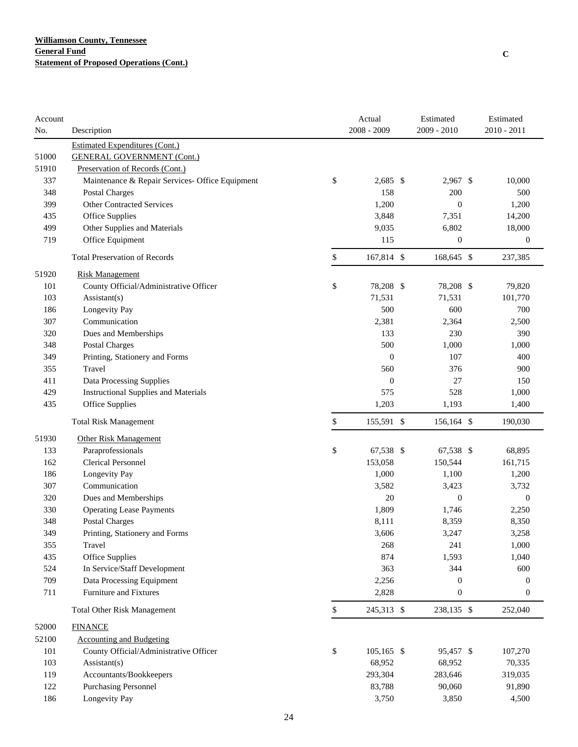| Account |                                                 |              | Actual           | Estimated        | Estimated        |
|---------|-------------------------------------------------|--------------|------------------|------------------|------------------|
| No.     | Description                                     |              | 2008 - 2009      | 2009 - 2010      | 2010 - 2011      |
|         | <b>Estimated Expenditures (Cont.)</b>           |              |                  |                  |                  |
| 51000   | <b>GENERAL GOVERNMENT (Cont.)</b>               |              |                  |                  |                  |
| 51910   | Preservation of Records (Cont.)                 |              |                  |                  |                  |
| 337     | Maintenance & Repair Services- Office Equipment | \$           | $2,685$ \$       | 2,967 \$         | 10,000           |
| 348     | Postal Charges                                  |              | 158              | 200              | 500              |
| 399     | <b>Other Contracted Services</b>                |              | 1,200            | $\boldsymbol{0}$ | 1,200            |
| 435     | <b>Office Supplies</b>                          |              | 3,848            | 7,351            | 14,200           |
| 499     | Other Supplies and Materials                    |              | 9,035            | 6,802            | 18,000           |
| 719     | Office Equipment                                |              | 115              | $\boldsymbol{0}$ | $\boldsymbol{0}$ |
|         | <b>Total Preservation of Records</b>            | \$           | 167,814 \$       | 168,645 \$       | 237,385          |
| 51920   | <b>Risk Management</b>                          |              |                  |                  |                  |
| 101     | County Official/Administrative Officer          | \$           | 78,208 \$        | 78,208 \$        | 79,820           |
| 103     | Assistant(s)                                    |              | 71,531           | 71,531           | 101,770          |
| 186     | Longevity Pay                                   |              | 500              | 600              | 700              |
| 307     | Communication                                   |              | 2,381            | 2,364            | 2,500            |
| 320     | Dues and Memberships                            |              | 133              | 230              | 390              |
| 348     | <b>Postal Charges</b>                           |              | 500              | 1,000            | 1,000            |
| 349     | Printing, Stationery and Forms                  |              | $\boldsymbol{0}$ | 107              | 400              |
| 355     | Travel                                          |              | 560              | 376              | 900              |
| 411     | Data Processing Supplies                        |              | $\boldsymbol{0}$ | 27               | 150              |
| 429     | <b>Instructional Supplies and Materials</b>     |              | 575              | 528              | 1,000            |
| 435     | Office Supplies                                 |              | 1,203            | 1,193            | 1,400            |
|         | <b>Total Risk Management</b>                    | \$           | 155,591 \$       | 156,164 \$       | 190,030          |
| 51930   | <b>Other Risk Management</b>                    |              |                  |                  |                  |
| 133     | Paraprofessionals                               | \$           | 67,538 \$        | 67,538 \$        | 68,895           |
| 162     | <b>Clerical Personnel</b>                       |              | 153,058          | 150,544          | 161,715          |
| 186     | Longevity Pay                                   |              | 1,000            | 1,100            | 1,200            |
| 307     | Communication                                   |              | 3,582            | 3,423            | 3,732            |
| 320     | Dues and Memberships                            |              | 20               | $\mathbf{0}$     | $\boldsymbol{0}$ |
| 330     | <b>Operating Lease Payments</b>                 |              | 1,809            | 1,746            | 2,250            |
| 348     | <b>Postal Charges</b>                           |              | 8,111            | 8,359            | 8,350            |
| 349     | Printing, Stationery and Forms                  |              | 3,606            | 3,247            | 3,258            |
| 355     | Travel                                          |              | 268              | 241              | 1,000            |
| 435     | Office Supplies                                 |              | 874              | 1,593            | 1,040            |
| 524     | In Service/Staff Development                    |              | 363              | 344              | 600              |
| 709     | Data Processing Equipment                       |              | 2,256            | 0                | $\mathbf{0}$     |
| 711     | Furniture and Fixtures                          |              | 2,828            | $\boldsymbol{0}$ | $\boldsymbol{0}$ |
|         | <b>Total Other Risk Management</b>              | $\mathbb{S}$ | 245,313 \$       | 238,135 \$       | 252,040          |
| 52000   | <b>FINANCE</b>                                  |              |                  |                  |                  |
| 52100   | <b>Accounting and Budgeting</b>                 |              |                  |                  |                  |
| 101     | County Official/Administrative Officer          | \$           | 105,165 \$       | 95,457 \$        | 107,270          |
| 103     | Assistant(s)                                    |              | 68,952           | 68,952           | 70,335           |
| 119     | Accountants/Bookkeepers                         |              | 293,304          | 283,646          | 319,035          |
| 122     | <b>Purchasing Personnel</b>                     |              | 83,788           | 90,060           | 91,890           |
| 186     | Longevity Pay                                   |              | 3,750            | 3,850            | 4,500            |
|         |                                                 |              |                  |                  |                  |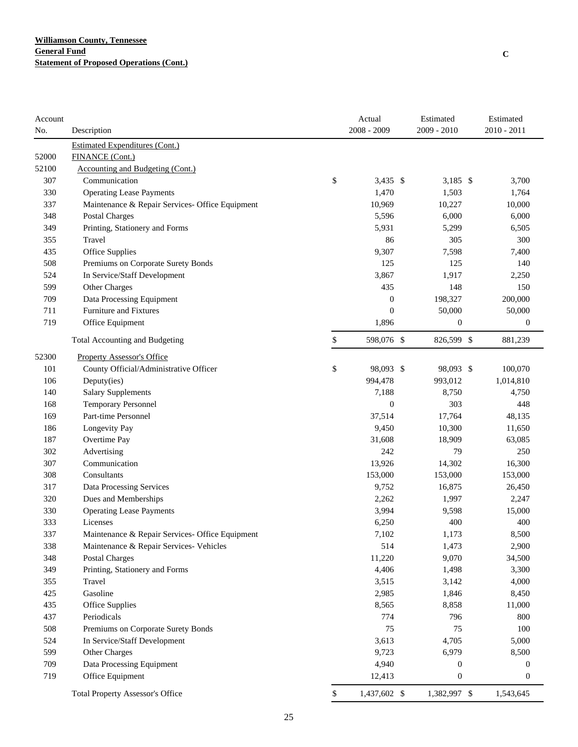| Account<br>No. | Description                                       | Actual<br>2008 - 2009 | Estimated<br>2009 - 2010 | Estimated<br>$2010 - 2011$ |
|----------------|---------------------------------------------------|-----------------------|--------------------------|----------------------------|
|                |                                                   |                       |                          |                            |
| 52000          | Estimated Expenditures (Cont.)<br>FINANCE (Cont.) |                       |                          |                            |
| 52100          | Accounting and Budgeting (Cont.)                  |                       |                          |                            |
| 307            | Communication                                     | \$<br>$3,435$ \$      | 3,185 $$$                | 3,700                      |
| 330            | <b>Operating Lease Payments</b>                   | 1,470                 | 1,503                    | 1,764                      |
| 337            | Maintenance & Repair Services- Office Equipment   | 10,969                | 10,227                   | 10,000                     |
| 348            | Postal Charges                                    | 5,596                 | 6,000                    | 6,000                      |
| 349            | Printing, Stationery and Forms                    | 5,931                 | 5,299                    | 6,505                      |
| 355            | Travel                                            | 86                    | 305                      | 300                        |
|                |                                                   | 9,307                 |                          |                            |
| 435            | Office Supplies                                   |                       | 7,598                    | 7,400                      |
| 508            | Premiums on Corporate Surety Bonds                | 125                   | 125                      | 140                        |
| 524            | In Service/Staff Development                      | 3,867                 | 1,917                    | 2,250                      |
| 599            | Other Charges                                     | 435                   | 148                      | 150                        |
| 709            | Data Processing Equipment                         | $\boldsymbol{0}$      | 198,327                  | 200,000                    |
| 711            | Furniture and Fixtures                            | $\overline{0}$        | 50,000                   | 50,000                     |
| 719            | Office Equipment                                  | 1,896                 | $\boldsymbol{0}$         | $\mathbf{0}$               |
|                | Total Accounting and Budgeting                    | \$<br>598,076 \$      | 826,599 \$               | 881,239                    |
| 52300          | <b>Property Assessor's Office</b>                 |                       |                          |                            |
| 101            | County Official/Administrative Officer            | \$<br>98,093 \$       | 98,093 \$                | 100,070                    |
| 106            | Deputy(ies)                                       | 994,478               | 993,012                  | 1,014,810                  |
| 140            | <b>Salary Supplements</b>                         | 7,188                 | 8,750                    | 4,750                      |
| 168            | Temporary Personnel                               | $\mathbf{0}$          | 303                      | 448                        |
| 169            | Part-time Personnel                               | 37,514                | 17,764                   | 48,135                     |
| 186            | Longevity Pay                                     | 9,450                 | 10,300                   | 11,650                     |
| 187            | Overtime Pay                                      | 31,608                | 18,909                   | 63,085                     |
| 302            | Advertising                                       | 242                   | 79                       | 250                        |
| 307            | Communication                                     | 13,926                | 14,302                   | 16,300                     |
| 308            | Consultants                                       | 153,000               | 153,000                  | 153,000                    |
| 317            | Data Processing Services                          | 9,752                 | 16,875                   | 26,450                     |
| 320            | Dues and Memberships                              | 2,262                 | 1,997                    | 2,247                      |
| 330            | <b>Operating Lease Payments</b>                   | 3,994                 | 9,598                    | 15,000                     |
| 333            | Licenses                                          | 6,250                 | 400                      | 400                        |
| 337            | Maintenance & Repair Services- Office Equipment   | 7,102                 | 1,173                    | 8,500                      |
| 338            | Maintenance & Repair Services- Vehicles           | 514                   | 1,473                    | 2,900                      |
| 348            | <b>Postal Charges</b>                             | 11,220                | 9,070                    | 34,500                     |
| 349            | Printing, Stationery and Forms                    | 4,406                 | 1,498                    | 3,300                      |
| 355            | Travel                                            | 3,515                 | 3,142                    | 4,000                      |
| 425            | Gasoline                                          | 2,985                 | 1,846                    | 8,450                      |
| 435            | Office Supplies                                   | 8,565                 | 8,858                    | 11,000                     |
| 437            | Periodicals                                       | 774                   | 796                      | 800                        |
| 508            | Premiums on Corporate Surety Bonds                | 75                    | 75                       | 100                        |
| 524            | In Service/Staff Development                      | 3,613                 | 4,705                    | 5,000                      |
| 599            | Other Charges                                     | 9,723                 | 6,979                    | 8,500                      |
| 709            | Data Processing Equipment                         | 4,940                 | $\mathbf{0}$             | $\theta$                   |
| 719            | Office Equipment                                  | 12,413                | $\boldsymbol{0}$         | $\boldsymbol{0}$           |
|                | <b>Total Property Assessor's Office</b>           | \$<br>1,437,602 \$    | 1,382,997 \$             | 1,543,645                  |
|                |                                                   |                       |                          |                            |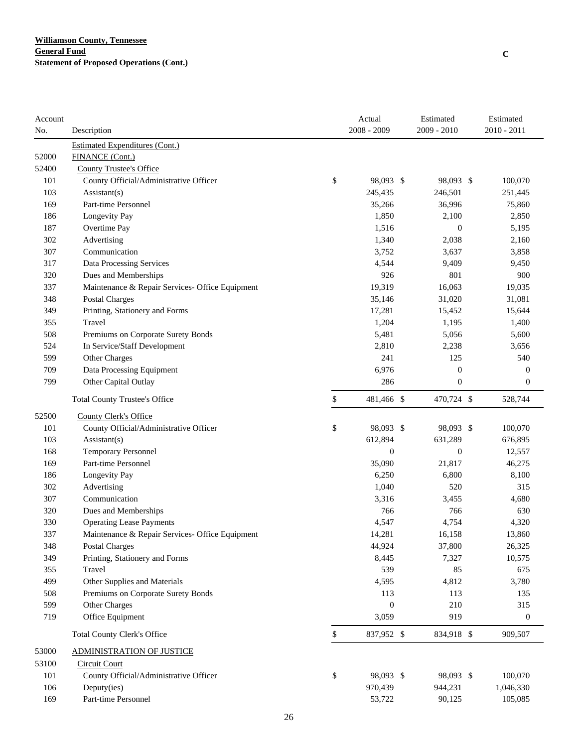| 2008 - 2009<br>2009 - 2010<br>$2010 - 2011$<br>No.<br>Description<br><b>Estimated Expenditures (Cont.)</b><br>52000<br>FINANCE (Cont.)<br>52400<br><b>County Trustee's Office</b><br>\$<br>101<br>County Official/Administrative Officer<br>98,093 \$<br>98,093 \$<br>100,070<br>103<br>245,435<br>246,501<br>251,445<br>$\text{Assistant}(s)$<br>169<br>Part-time Personnel<br>35,266<br>36,996<br>75,860<br>186<br>Longevity Pay<br>1,850<br>2,100<br>2,850<br>187<br>Overtime Pay<br>1,516<br>$\boldsymbol{0}$<br>5,195<br>302<br>Advertising<br>1,340<br>2,160<br>2,038<br>307<br>3,752<br>Communication<br>3,637<br>3,858<br>317<br>Data Processing Services<br>4,544<br>9,409<br>9,450<br>801<br>900<br>320<br>Dues and Memberships<br>926<br>19,319<br>16,063<br>337<br>Maintenance & Repair Services- Office Equipment<br>19,035<br>348<br><b>Postal Charges</b><br>35,146<br>31,020<br>31,081<br>349<br>Printing, Stationery and Forms<br>17,281<br>15,452<br>15,644<br>Travel<br>1,204<br>355<br>1,195<br>1,400<br>508<br>5,481<br>5,056<br>5,600<br>Premiums on Corporate Surety Bonds<br>524<br>In Service/Staff Development<br>2,810<br>2,238<br>3,656<br>599<br>241<br>125<br>540<br>Other Charges<br>6,976<br>709<br>Data Processing Equipment<br>$\boldsymbol{0}$<br>$\mathbf{0}$<br>799<br>286<br>$\mathbf{0}$<br>Other Capital Outlay<br>$\mathbf{0}$<br>\$<br><b>Total County Trustee's Office</b><br>481,466 \$<br>470,724 \$<br>528,744<br>52500<br>County Clerk's Office<br>\$<br>101<br>County Official/Administrative Officer<br>98,093 \$<br>98,093 \$<br>100,070<br>103<br>612,894<br>Assistant(s)<br>631,289<br>676,895<br>$\mathbf{0}$<br>$\boldsymbol{0}$<br>168<br><b>Temporary Personnel</b><br>12,557<br>169<br>Part-time Personnel<br>35,090<br>21,817<br>46,275<br>186<br>Longevity Pay<br>6,250<br>6,800<br>8,100<br>1,040<br>520<br>302<br>Advertising<br>315<br>Communication<br>307<br>3,316<br>3,455<br>4,680<br>766<br>320<br>Dues and Memberships<br>766<br>630<br>330<br>4,547<br>4,754<br>4,320<br><b>Operating Lease Payments</b><br>337<br>14.281<br>Maintenance & Repair Services- Office Equipment<br>16,158<br>13,860<br>348<br>44,924<br>37,800<br>26,325<br>Postal Charges<br>349<br>Printing, Stationery and Forms<br>8,445<br>7,327<br>10,575<br>539<br>355<br>Travel<br>85<br>675<br>499<br>Other Supplies and Materials<br>4,595<br>4,812<br>3,780<br>508<br>Premiums on Corporate Surety Bonds<br>113<br>113<br>135<br>599<br>Other Charges<br>$\boldsymbol{0}$<br>210<br>315<br>719<br>919<br>Office Equipment<br>3,059<br>$\boldsymbol{0}$<br>\$<br><b>Total County Clerk's Office</b><br>837,952 \$<br>834,918 \$<br>909,507<br>53000<br><b>ADMINISTRATION OF JUSTICE</b><br>53100<br><b>Circuit Court</b><br>101<br>County Official/Administrative Officer<br>\$<br>98,093 \$<br>98,093 \$<br>100,070<br>106<br>970,439<br>Deputy(ies)<br>944,231<br>1,046,330 | Account |  | Actual | Estimated | Estimated |
|---------------------------------------------------------------------------------------------------------------------------------------------------------------------------------------------------------------------------------------------------------------------------------------------------------------------------------------------------------------------------------------------------------------------------------------------------------------------------------------------------------------------------------------------------------------------------------------------------------------------------------------------------------------------------------------------------------------------------------------------------------------------------------------------------------------------------------------------------------------------------------------------------------------------------------------------------------------------------------------------------------------------------------------------------------------------------------------------------------------------------------------------------------------------------------------------------------------------------------------------------------------------------------------------------------------------------------------------------------------------------------------------------------------------------------------------------------------------------------------------------------------------------------------------------------------------------------------------------------------------------------------------------------------------------------------------------------------------------------------------------------------------------------------------------------------------------------------------------------------------------------------------------------------------------------------------------------------------------------------------------------------------------------------------------------------------------------------------------------------------------------------------------------------------------------------------------------------------------------------------------------------------------------------------------------------------------------------------------------------------------------------------------------------------------------------------------------------------------------------------------------------------------------------------------------------------------------------------------------------------------------------------------------------------------------------------------------------------------------------------------------------------------------------------------------------------------------------------------------------------------------------------------------------------------|---------|--|--------|-----------|-----------|
|                                                                                                                                                                                                                                                                                                                                                                                                                                                                                                                                                                                                                                                                                                                                                                                                                                                                                                                                                                                                                                                                                                                                                                                                                                                                                                                                                                                                                                                                                                                                                                                                                                                                                                                                                                                                                                                                                                                                                                                                                                                                                                                                                                                                                                                                                                                                                                                                                                                                                                                                                                                                                                                                                                                                                                                                                                                                                                                           |         |  |        |           |           |
|                                                                                                                                                                                                                                                                                                                                                                                                                                                                                                                                                                                                                                                                                                                                                                                                                                                                                                                                                                                                                                                                                                                                                                                                                                                                                                                                                                                                                                                                                                                                                                                                                                                                                                                                                                                                                                                                                                                                                                                                                                                                                                                                                                                                                                                                                                                                                                                                                                                                                                                                                                                                                                                                                                                                                                                                                                                                                                                           |         |  |        |           |           |
|                                                                                                                                                                                                                                                                                                                                                                                                                                                                                                                                                                                                                                                                                                                                                                                                                                                                                                                                                                                                                                                                                                                                                                                                                                                                                                                                                                                                                                                                                                                                                                                                                                                                                                                                                                                                                                                                                                                                                                                                                                                                                                                                                                                                                                                                                                                                                                                                                                                                                                                                                                                                                                                                                                                                                                                                                                                                                                                           |         |  |        |           |           |
|                                                                                                                                                                                                                                                                                                                                                                                                                                                                                                                                                                                                                                                                                                                                                                                                                                                                                                                                                                                                                                                                                                                                                                                                                                                                                                                                                                                                                                                                                                                                                                                                                                                                                                                                                                                                                                                                                                                                                                                                                                                                                                                                                                                                                                                                                                                                                                                                                                                                                                                                                                                                                                                                                                                                                                                                                                                                                                                           |         |  |        |           |           |
|                                                                                                                                                                                                                                                                                                                                                                                                                                                                                                                                                                                                                                                                                                                                                                                                                                                                                                                                                                                                                                                                                                                                                                                                                                                                                                                                                                                                                                                                                                                                                                                                                                                                                                                                                                                                                                                                                                                                                                                                                                                                                                                                                                                                                                                                                                                                                                                                                                                                                                                                                                                                                                                                                                                                                                                                                                                                                                                           |         |  |        |           |           |
|                                                                                                                                                                                                                                                                                                                                                                                                                                                                                                                                                                                                                                                                                                                                                                                                                                                                                                                                                                                                                                                                                                                                                                                                                                                                                                                                                                                                                                                                                                                                                                                                                                                                                                                                                                                                                                                                                                                                                                                                                                                                                                                                                                                                                                                                                                                                                                                                                                                                                                                                                                                                                                                                                                                                                                                                                                                                                                                           |         |  |        |           |           |
|                                                                                                                                                                                                                                                                                                                                                                                                                                                                                                                                                                                                                                                                                                                                                                                                                                                                                                                                                                                                                                                                                                                                                                                                                                                                                                                                                                                                                                                                                                                                                                                                                                                                                                                                                                                                                                                                                                                                                                                                                                                                                                                                                                                                                                                                                                                                                                                                                                                                                                                                                                                                                                                                                                                                                                                                                                                                                                                           |         |  |        |           |           |
|                                                                                                                                                                                                                                                                                                                                                                                                                                                                                                                                                                                                                                                                                                                                                                                                                                                                                                                                                                                                                                                                                                                                                                                                                                                                                                                                                                                                                                                                                                                                                                                                                                                                                                                                                                                                                                                                                                                                                                                                                                                                                                                                                                                                                                                                                                                                                                                                                                                                                                                                                                                                                                                                                                                                                                                                                                                                                                                           |         |  |        |           |           |
|                                                                                                                                                                                                                                                                                                                                                                                                                                                                                                                                                                                                                                                                                                                                                                                                                                                                                                                                                                                                                                                                                                                                                                                                                                                                                                                                                                                                                                                                                                                                                                                                                                                                                                                                                                                                                                                                                                                                                                                                                                                                                                                                                                                                                                                                                                                                                                                                                                                                                                                                                                                                                                                                                                                                                                                                                                                                                                                           |         |  |        |           |           |
|                                                                                                                                                                                                                                                                                                                                                                                                                                                                                                                                                                                                                                                                                                                                                                                                                                                                                                                                                                                                                                                                                                                                                                                                                                                                                                                                                                                                                                                                                                                                                                                                                                                                                                                                                                                                                                                                                                                                                                                                                                                                                                                                                                                                                                                                                                                                                                                                                                                                                                                                                                                                                                                                                                                                                                                                                                                                                                                           |         |  |        |           |           |
|                                                                                                                                                                                                                                                                                                                                                                                                                                                                                                                                                                                                                                                                                                                                                                                                                                                                                                                                                                                                                                                                                                                                                                                                                                                                                                                                                                                                                                                                                                                                                                                                                                                                                                                                                                                                                                                                                                                                                                                                                                                                                                                                                                                                                                                                                                                                                                                                                                                                                                                                                                                                                                                                                                                                                                                                                                                                                                                           |         |  |        |           |           |
|                                                                                                                                                                                                                                                                                                                                                                                                                                                                                                                                                                                                                                                                                                                                                                                                                                                                                                                                                                                                                                                                                                                                                                                                                                                                                                                                                                                                                                                                                                                                                                                                                                                                                                                                                                                                                                                                                                                                                                                                                                                                                                                                                                                                                                                                                                                                                                                                                                                                                                                                                                                                                                                                                                                                                                                                                                                                                                                           |         |  |        |           |           |
|                                                                                                                                                                                                                                                                                                                                                                                                                                                                                                                                                                                                                                                                                                                                                                                                                                                                                                                                                                                                                                                                                                                                                                                                                                                                                                                                                                                                                                                                                                                                                                                                                                                                                                                                                                                                                                                                                                                                                                                                                                                                                                                                                                                                                                                                                                                                                                                                                                                                                                                                                                                                                                                                                                                                                                                                                                                                                                                           |         |  |        |           |           |
|                                                                                                                                                                                                                                                                                                                                                                                                                                                                                                                                                                                                                                                                                                                                                                                                                                                                                                                                                                                                                                                                                                                                                                                                                                                                                                                                                                                                                                                                                                                                                                                                                                                                                                                                                                                                                                                                                                                                                                                                                                                                                                                                                                                                                                                                                                                                                                                                                                                                                                                                                                                                                                                                                                                                                                                                                                                                                                                           |         |  |        |           |           |
|                                                                                                                                                                                                                                                                                                                                                                                                                                                                                                                                                                                                                                                                                                                                                                                                                                                                                                                                                                                                                                                                                                                                                                                                                                                                                                                                                                                                                                                                                                                                                                                                                                                                                                                                                                                                                                                                                                                                                                                                                                                                                                                                                                                                                                                                                                                                                                                                                                                                                                                                                                                                                                                                                                                                                                                                                                                                                                                           |         |  |        |           |           |
|                                                                                                                                                                                                                                                                                                                                                                                                                                                                                                                                                                                                                                                                                                                                                                                                                                                                                                                                                                                                                                                                                                                                                                                                                                                                                                                                                                                                                                                                                                                                                                                                                                                                                                                                                                                                                                                                                                                                                                                                                                                                                                                                                                                                                                                                                                                                                                                                                                                                                                                                                                                                                                                                                                                                                                                                                                                                                                                           |         |  |        |           |           |
|                                                                                                                                                                                                                                                                                                                                                                                                                                                                                                                                                                                                                                                                                                                                                                                                                                                                                                                                                                                                                                                                                                                                                                                                                                                                                                                                                                                                                                                                                                                                                                                                                                                                                                                                                                                                                                                                                                                                                                                                                                                                                                                                                                                                                                                                                                                                                                                                                                                                                                                                                                                                                                                                                                                                                                                                                                                                                                                           |         |  |        |           |           |
|                                                                                                                                                                                                                                                                                                                                                                                                                                                                                                                                                                                                                                                                                                                                                                                                                                                                                                                                                                                                                                                                                                                                                                                                                                                                                                                                                                                                                                                                                                                                                                                                                                                                                                                                                                                                                                                                                                                                                                                                                                                                                                                                                                                                                                                                                                                                                                                                                                                                                                                                                                                                                                                                                                                                                                                                                                                                                                                           |         |  |        |           |           |
|                                                                                                                                                                                                                                                                                                                                                                                                                                                                                                                                                                                                                                                                                                                                                                                                                                                                                                                                                                                                                                                                                                                                                                                                                                                                                                                                                                                                                                                                                                                                                                                                                                                                                                                                                                                                                                                                                                                                                                                                                                                                                                                                                                                                                                                                                                                                                                                                                                                                                                                                                                                                                                                                                                                                                                                                                                                                                                                           |         |  |        |           |           |
|                                                                                                                                                                                                                                                                                                                                                                                                                                                                                                                                                                                                                                                                                                                                                                                                                                                                                                                                                                                                                                                                                                                                                                                                                                                                                                                                                                                                                                                                                                                                                                                                                                                                                                                                                                                                                                                                                                                                                                                                                                                                                                                                                                                                                                                                                                                                                                                                                                                                                                                                                                                                                                                                                                                                                                                                                                                                                                                           |         |  |        |           |           |
|                                                                                                                                                                                                                                                                                                                                                                                                                                                                                                                                                                                                                                                                                                                                                                                                                                                                                                                                                                                                                                                                                                                                                                                                                                                                                                                                                                                                                                                                                                                                                                                                                                                                                                                                                                                                                                                                                                                                                                                                                                                                                                                                                                                                                                                                                                                                                                                                                                                                                                                                                                                                                                                                                                                                                                                                                                                                                                                           |         |  |        |           |           |
|                                                                                                                                                                                                                                                                                                                                                                                                                                                                                                                                                                                                                                                                                                                                                                                                                                                                                                                                                                                                                                                                                                                                                                                                                                                                                                                                                                                                                                                                                                                                                                                                                                                                                                                                                                                                                                                                                                                                                                                                                                                                                                                                                                                                                                                                                                                                                                                                                                                                                                                                                                                                                                                                                                                                                                                                                                                                                                                           |         |  |        |           |           |
|                                                                                                                                                                                                                                                                                                                                                                                                                                                                                                                                                                                                                                                                                                                                                                                                                                                                                                                                                                                                                                                                                                                                                                                                                                                                                                                                                                                                                                                                                                                                                                                                                                                                                                                                                                                                                                                                                                                                                                                                                                                                                                                                                                                                                                                                                                                                                                                                                                                                                                                                                                                                                                                                                                                                                                                                                                                                                                                           |         |  |        |           |           |
|                                                                                                                                                                                                                                                                                                                                                                                                                                                                                                                                                                                                                                                                                                                                                                                                                                                                                                                                                                                                                                                                                                                                                                                                                                                                                                                                                                                                                                                                                                                                                                                                                                                                                                                                                                                                                                                                                                                                                                                                                                                                                                                                                                                                                                                                                                                                                                                                                                                                                                                                                                                                                                                                                                                                                                                                                                                                                                                           |         |  |        |           |           |
|                                                                                                                                                                                                                                                                                                                                                                                                                                                                                                                                                                                                                                                                                                                                                                                                                                                                                                                                                                                                                                                                                                                                                                                                                                                                                                                                                                                                                                                                                                                                                                                                                                                                                                                                                                                                                                                                                                                                                                                                                                                                                                                                                                                                                                                                                                                                                                                                                                                                                                                                                                                                                                                                                                                                                                                                                                                                                                                           |         |  |        |           |           |
|                                                                                                                                                                                                                                                                                                                                                                                                                                                                                                                                                                                                                                                                                                                                                                                                                                                                                                                                                                                                                                                                                                                                                                                                                                                                                                                                                                                                                                                                                                                                                                                                                                                                                                                                                                                                                                                                                                                                                                                                                                                                                                                                                                                                                                                                                                                                                                                                                                                                                                                                                                                                                                                                                                                                                                                                                                                                                                                           |         |  |        |           |           |
|                                                                                                                                                                                                                                                                                                                                                                                                                                                                                                                                                                                                                                                                                                                                                                                                                                                                                                                                                                                                                                                                                                                                                                                                                                                                                                                                                                                                                                                                                                                                                                                                                                                                                                                                                                                                                                                                                                                                                                                                                                                                                                                                                                                                                                                                                                                                                                                                                                                                                                                                                                                                                                                                                                                                                                                                                                                                                                                           |         |  |        |           |           |
|                                                                                                                                                                                                                                                                                                                                                                                                                                                                                                                                                                                                                                                                                                                                                                                                                                                                                                                                                                                                                                                                                                                                                                                                                                                                                                                                                                                                                                                                                                                                                                                                                                                                                                                                                                                                                                                                                                                                                                                                                                                                                                                                                                                                                                                                                                                                                                                                                                                                                                                                                                                                                                                                                                                                                                                                                                                                                                                           |         |  |        |           |           |
|                                                                                                                                                                                                                                                                                                                                                                                                                                                                                                                                                                                                                                                                                                                                                                                                                                                                                                                                                                                                                                                                                                                                                                                                                                                                                                                                                                                                                                                                                                                                                                                                                                                                                                                                                                                                                                                                                                                                                                                                                                                                                                                                                                                                                                                                                                                                                                                                                                                                                                                                                                                                                                                                                                                                                                                                                                                                                                                           |         |  |        |           |           |
|                                                                                                                                                                                                                                                                                                                                                                                                                                                                                                                                                                                                                                                                                                                                                                                                                                                                                                                                                                                                                                                                                                                                                                                                                                                                                                                                                                                                                                                                                                                                                                                                                                                                                                                                                                                                                                                                                                                                                                                                                                                                                                                                                                                                                                                                                                                                                                                                                                                                                                                                                                                                                                                                                                                                                                                                                                                                                                                           |         |  |        |           |           |
|                                                                                                                                                                                                                                                                                                                                                                                                                                                                                                                                                                                                                                                                                                                                                                                                                                                                                                                                                                                                                                                                                                                                                                                                                                                                                                                                                                                                                                                                                                                                                                                                                                                                                                                                                                                                                                                                                                                                                                                                                                                                                                                                                                                                                                                                                                                                                                                                                                                                                                                                                                                                                                                                                                                                                                                                                                                                                                                           |         |  |        |           |           |
|                                                                                                                                                                                                                                                                                                                                                                                                                                                                                                                                                                                                                                                                                                                                                                                                                                                                                                                                                                                                                                                                                                                                                                                                                                                                                                                                                                                                                                                                                                                                                                                                                                                                                                                                                                                                                                                                                                                                                                                                                                                                                                                                                                                                                                                                                                                                                                                                                                                                                                                                                                                                                                                                                                                                                                                                                                                                                                                           |         |  |        |           |           |
|                                                                                                                                                                                                                                                                                                                                                                                                                                                                                                                                                                                                                                                                                                                                                                                                                                                                                                                                                                                                                                                                                                                                                                                                                                                                                                                                                                                                                                                                                                                                                                                                                                                                                                                                                                                                                                                                                                                                                                                                                                                                                                                                                                                                                                                                                                                                                                                                                                                                                                                                                                                                                                                                                                                                                                                                                                                                                                                           |         |  |        |           |           |
|                                                                                                                                                                                                                                                                                                                                                                                                                                                                                                                                                                                                                                                                                                                                                                                                                                                                                                                                                                                                                                                                                                                                                                                                                                                                                                                                                                                                                                                                                                                                                                                                                                                                                                                                                                                                                                                                                                                                                                                                                                                                                                                                                                                                                                                                                                                                                                                                                                                                                                                                                                                                                                                                                                                                                                                                                                                                                                                           |         |  |        |           |           |
|                                                                                                                                                                                                                                                                                                                                                                                                                                                                                                                                                                                                                                                                                                                                                                                                                                                                                                                                                                                                                                                                                                                                                                                                                                                                                                                                                                                                                                                                                                                                                                                                                                                                                                                                                                                                                                                                                                                                                                                                                                                                                                                                                                                                                                                                                                                                                                                                                                                                                                                                                                                                                                                                                                                                                                                                                                                                                                                           |         |  |        |           |           |
|                                                                                                                                                                                                                                                                                                                                                                                                                                                                                                                                                                                                                                                                                                                                                                                                                                                                                                                                                                                                                                                                                                                                                                                                                                                                                                                                                                                                                                                                                                                                                                                                                                                                                                                                                                                                                                                                                                                                                                                                                                                                                                                                                                                                                                                                                                                                                                                                                                                                                                                                                                                                                                                                                                                                                                                                                                                                                                                           |         |  |        |           |           |
|                                                                                                                                                                                                                                                                                                                                                                                                                                                                                                                                                                                                                                                                                                                                                                                                                                                                                                                                                                                                                                                                                                                                                                                                                                                                                                                                                                                                                                                                                                                                                                                                                                                                                                                                                                                                                                                                                                                                                                                                                                                                                                                                                                                                                                                                                                                                                                                                                                                                                                                                                                                                                                                                                                                                                                                                                                                                                                                           |         |  |        |           |           |
|                                                                                                                                                                                                                                                                                                                                                                                                                                                                                                                                                                                                                                                                                                                                                                                                                                                                                                                                                                                                                                                                                                                                                                                                                                                                                                                                                                                                                                                                                                                                                                                                                                                                                                                                                                                                                                                                                                                                                                                                                                                                                                                                                                                                                                                                                                                                                                                                                                                                                                                                                                                                                                                                                                                                                                                                                                                                                                                           |         |  |        |           |           |
|                                                                                                                                                                                                                                                                                                                                                                                                                                                                                                                                                                                                                                                                                                                                                                                                                                                                                                                                                                                                                                                                                                                                                                                                                                                                                                                                                                                                                                                                                                                                                                                                                                                                                                                                                                                                                                                                                                                                                                                                                                                                                                                                                                                                                                                                                                                                                                                                                                                                                                                                                                                                                                                                                                                                                                                                                                                                                                                           |         |  |        |           |           |
|                                                                                                                                                                                                                                                                                                                                                                                                                                                                                                                                                                                                                                                                                                                                                                                                                                                                                                                                                                                                                                                                                                                                                                                                                                                                                                                                                                                                                                                                                                                                                                                                                                                                                                                                                                                                                                                                                                                                                                                                                                                                                                                                                                                                                                                                                                                                                                                                                                                                                                                                                                                                                                                                                                                                                                                                                                                                                                                           |         |  |        |           |           |
|                                                                                                                                                                                                                                                                                                                                                                                                                                                                                                                                                                                                                                                                                                                                                                                                                                                                                                                                                                                                                                                                                                                                                                                                                                                                                                                                                                                                                                                                                                                                                                                                                                                                                                                                                                                                                                                                                                                                                                                                                                                                                                                                                                                                                                                                                                                                                                                                                                                                                                                                                                                                                                                                                                                                                                                                                                                                                                                           |         |  |        |           |           |
|                                                                                                                                                                                                                                                                                                                                                                                                                                                                                                                                                                                                                                                                                                                                                                                                                                                                                                                                                                                                                                                                                                                                                                                                                                                                                                                                                                                                                                                                                                                                                                                                                                                                                                                                                                                                                                                                                                                                                                                                                                                                                                                                                                                                                                                                                                                                                                                                                                                                                                                                                                                                                                                                                                                                                                                                                                                                                                                           |         |  |        |           |           |
|                                                                                                                                                                                                                                                                                                                                                                                                                                                                                                                                                                                                                                                                                                                                                                                                                                                                                                                                                                                                                                                                                                                                                                                                                                                                                                                                                                                                                                                                                                                                                                                                                                                                                                                                                                                                                                                                                                                                                                                                                                                                                                                                                                                                                                                                                                                                                                                                                                                                                                                                                                                                                                                                                                                                                                                                                                                                                                                           |         |  |        |           |           |
|                                                                                                                                                                                                                                                                                                                                                                                                                                                                                                                                                                                                                                                                                                                                                                                                                                                                                                                                                                                                                                                                                                                                                                                                                                                                                                                                                                                                                                                                                                                                                                                                                                                                                                                                                                                                                                                                                                                                                                                                                                                                                                                                                                                                                                                                                                                                                                                                                                                                                                                                                                                                                                                                                                                                                                                                                                                                                                                           |         |  |        |           |           |
|                                                                                                                                                                                                                                                                                                                                                                                                                                                                                                                                                                                                                                                                                                                                                                                                                                                                                                                                                                                                                                                                                                                                                                                                                                                                                                                                                                                                                                                                                                                                                                                                                                                                                                                                                                                                                                                                                                                                                                                                                                                                                                                                                                                                                                                                                                                                                                                                                                                                                                                                                                                                                                                                                                                                                                                                                                                                                                                           |         |  |        |           |           |
|                                                                                                                                                                                                                                                                                                                                                                                                                                                                                                                                                                                                                                                                                                                                                                                                                                                                                                                                                                                                                                                                                                                                                                                                                                                                                                                                                                                                                                                                                                                                                                                                                                                                                                                                                                                                                                                                                                                                                                                                                                                                                                                                                                                                                                                                                                                                                                                                                                                                                                                                                                                                                                                                                                                                                                                                                                                                                                                           |         |  |        |           |           |
| Part-time Personnel<br>169<br>53,722<br>90,125<br>105,085                                                                                                                                                                                                                                                                                                                                                                                                                                                                                                                                                                                                                                                                                                                                                                                                                                                                                                                                                                                                                                                                                                                                                                                                                                                                                                                                                                                                                                                                                                                                                                                                                                                                                                                                                                                                                                                                                                                                                                                                                                                                                                                                                                                                                                                                                                                                                                                                                                                                                                                                                                                                                                                                                                                                                                                                                                                                 |         |  |        |           |           |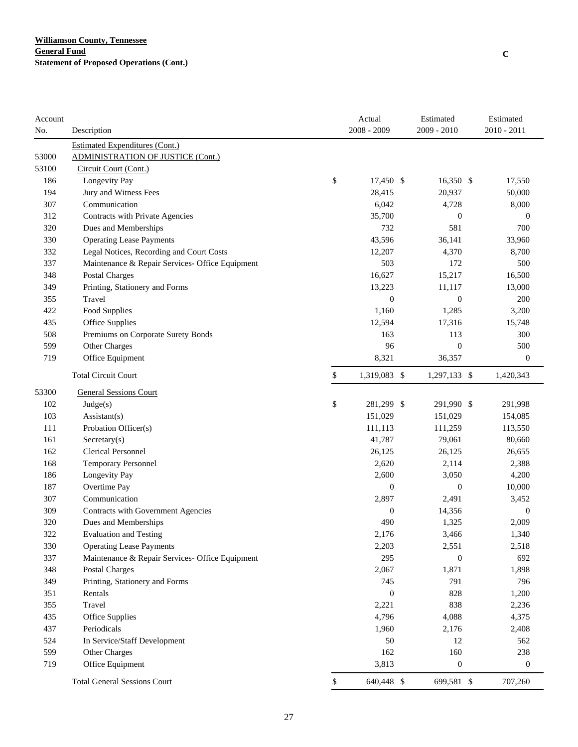| Account |                                                 | Actual             | Estimated        | Estimated        |
|---------|-------------------------------------------------|--------------------|------------------|------------------|
| No.     | Description                                     | 2008 - 2009        | $2009 - 2010$    | 2010 - 2011      |
|         | <b>Estimated Expenditures (Cont.)</b>           |                    |                  |                  |
| 53000   | <b>ADMINISTRATION OF JUSTICE (Cont.)</b>        |                    |                  |                  |
| 53100   | Circuit Court (Cont.)                           |                    |                  |                  |
| 186     | Longevity Pay                                   | \$<br>17,450 \$    | $16,350$ \$      | 17,550           |
| 194     | Jury and Witness Fees                           | 28,415             | 20,937           | 50,000           |
| 307     | Communication                                   | 6,042              | 4,728            | 8,000            |
| 312     | Contracts with Private Agencies                 | 35,700             | $\boldsymbol{0}$ | $\mathbf{0}$     |
| 320     | Dues and Memberships                            | 732                | 581              | 700              |
| 330     | <b>Operating Lease Payments</b>                 | 43,596             | 36,141           | 33,960           |
| 332     | Legal Notices, Recording and Court Costs        | 12,207             | 4,370            | 8,700            |
| 337     | Maintenance & Repair Services- Office Equipment | 503                | 172              | 500              |
| 348     | <b>Postal Charges</b>                           | 16,627             | 15,217           | 16,500           |
| 349     | Printing, Stationery and Forms                  | 13,223             | 11,117           | 13,000           |
| 355     | Travel                                          | $\mathbf{0}$       | $\mathbf{0}$     | 200              |
| 422     | Food Supplies                                   | 1,160              | 1,285            | 3,200            |
| 435     | Office Supplies                                 | 12,594             | 17,316           | 15,748           |
| 508     | Premiums on Corporate Surety Bonds              | 163                | 113              | 300              |
| 599     | Other Charges                                   | 96                 | $\mathbf{0}$     | 500              |
| 719     | Office Equipment                                | 8,321              | 36,357           | $\boldsymbol{0}$ |
|         | <b>Total Circuit Court</b>                      | \$<br>1,319,083 \$ | 1,297,133 \$     | 1,420,343        |
| 53300   | <b>General Sessions Court</b>                   |                    |                  |                  |
| 102     | Judge(s)                                        | \$<br>281,299 \$   | 291,990 \$       | 291,998          |
| 103     | $\text{Assistant}(s)$                           | 151,029            | 151,029          | 154,085          |
| 111     | Probation Officer(s)                            | 111,113            | 111,259          | 113,550          |
| 161     | Sercetary(s)                                    | 41,787             | 79,061           | 80,660           |
| 162     | <b>Clerical Personnel</b>                       | 26,125             | 26,125           | 26,655           |
| 168     | Temporary Personnel                             | 2,620              | 2,114            | 2,388            |
| 186     | Longevity Pay                                   | 2,600              | 3,050            | 4,200            |
| 187     | Overtime Pay                                    | $\mathbf{0}$       | $\mathbf{0}$     | 10,000           |
| 307     | Communication                                   | 2,897              | 2,491            | 3,452            |
| 309     | Contracts with Government Agencies              | $\boldsymbol{0}$   | 14,356           | $\boldsymbol{0}$ |
| 320     | Dues and Memberships                            | 490                | 1,325            | 2,009            |
| 322     | <b>Evaluation and Testing</b>                   | 2,176              | 3,466            | 1,340            |
| 330     | <b>Operating Lease Payments</b>                 | 2,203              | 2,551            | 2,518            |
| 337     | Maintenance & Repair Services- Office Equipment | 295                | $\boldsymbol{0}$ | 692              |
| 348     | Postal Charges                                  | 2,067              | 1,871            | 1,898            |
| 349     | Printing, Stationery and Forms                  | 745                | 791              | 796              |
| 351     | Rentals                                         | $\boldsymbol{0}$   | 828              | 1,200            |
| 355     | Travel                                          | 2,221              | 838              | 2,236            |
| 435     | Office Supplies                                 | 4,796              | 4,088            | 4,375            |
| 437     | Periodicals                                     | 1,960              | 2,176            | 2,408            |
| 524     | In Service/Staff Development                    | 50                 | 12               | 562              |
| 599     | Other Charges                                   | 162                | 160              | 238              |
| 719     | Office Equipment                                | 3,813              | $\boldsymbol{0}$ | $\boldsymbol{0}$ |
|         | <b>Total General Sessions Court</b>             | \$<br>640,448 \$   | 699,581 \$       | 707,260          |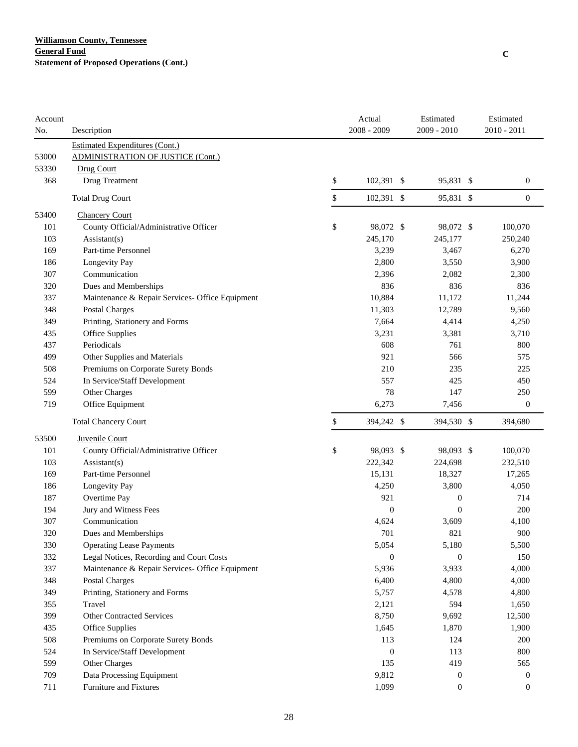| Account |                                                 | Actual           | Estimated        | Estimated        |
|---------|-------------------------------------------------|------------------|------------------|------------------|
| No.     | Description                                     | 2008 - 2009      | 2009 - 2010      | $2010 - 2011$    |
|         | <b>Estimated Expenditures (Cont.)</b>           |                  |                  |                  |
| 53000   | <b>ADMINISTRATION OF JUSTICE (Cont.)</b>        |                  |                  |                  |
| 53330   | Drug Court                                      |                  |                  |                  |
| 368     | Drug Treatment                                  | \$<br>102,391 \$ | 95,831 \$        | $\mathbf{0}$     |
|         | <b>Total Drug Court</b>                         | \$<br>102,391 \$ | 95,831 \$        | $\mathbf{0}$     |
| 53400   | <b>Chancery Court</b>                           |                  |                  |                  |
| 101     | County Official/Administrative Officer          | \$<br>98,072 \$  | 98,072 \$        | 100,070          |
| 103     | Assistant(s)                                    | 245,170          | 245,177          | 250,240          |
| 169     | Part-time Personnel                             | 3,239            | 3,467            | 6,270            |
| 186     | Longevity Pay                                   | 2,800            | 3,550            | 3,900            |
| 307     | Communication                                   | 2,396            | 2,082            | 2,300            |
| 320     | Dues and Memberships                            | 836              | 836              | 836              |
| 337     | Maintenance & Repair Services- Office Equipment | 10,884           | 11,172           | 11,244           |
| 348     | <b>Postal Charges</b>                           | 11,303           | 12,789           | 9,560            |
| 349     | Printing, Stationery and Forms                  | 7,664            | 4,414            | 4,250            |
| 435     | Office Supplies                                 | 3,231            | 3,381            | 3,710            |
| 437     | Periodicals                                     | 608              | 761              | 800              |
| 499     | Other Supplies and Materials                    | 921              | 566              | 575              |
| 508     | Premiums on Corporate Surety Bonds              | 210              | 235              | 225              |
| 524     | In Service/Staff Development                    | 557              | 425              | 450              |
| 599     | Other Charges                                   | 78               | 147              | 250              |
| 719     | Office Equipment                                | 6,273            | 7,456            | $\boldsymbol{0}$ |
|         | <b>Total Chancery Court</b>                     | \$<br>394,242 \$ | 394,530 \$       | 394,680          |
| 53500   | Juvenile Court                                  |                  |                  |                  |
| 101     | County Official/Administrative Officer          | \$<br>98,093 \$  | 98,093 \$        | 100,070          |
| 103     | Assistant(s)                                    | 222,342          | 224,698          | 232,510          |
| 169     | Part-time Personnel                             | 15,131           | 18,327           | 17,265           |
| 186     | Longevity Pay                                   | 4,250            | 3,800            | 4,050            |
| 187     | Overtime Pay                                    | 921              | $\boldsymbol{0}$ | 714              |
| 194     | Jury and Witness Fees                           | $\boldsymbol{0}$ | $\boldsymbol{0}$ | 200              |
| 307     | Communication                                   | 4,624            | 3,609            | 4,100            |
| 320     | Dues and Memberships                            | 701              | 821              | 900              |
| 330     | <b>Operating Lease Payments</b>                 | 5,054            | 5,180            | 5,500            |
| 332     | Legal Notices, Recording and Court Costs        | $\overline{0}$   | $\theta$         | 150              |
| 337     | Maintenance & Repair Services- Office Equipment | 5,936            | 3,933            | 4,000            |
| 348     | Postal Charges                                  | 6,400            | 4,800            | 4,000            |
| 349     | Printing, Stationery and Forms                  | 5,757            | 4,578            | 4,800            |
| 355     | Travel                                          | 2,121            | 594              | 1,650            |
| 399     | <b>Other Contracted Services</b>                | 8,750            | 9,692            | 12,500           |
| 435     | <b>Office Supplies</b>                          | 1,645            | 1,870            | 1,900            |
| 508     | Premiums on Corporate Surety Bonds              | 113              | 124              | 200              |
| 524     | In Service/Staff Development                    | $\boldsymbol{0}$ | 113              | 800              |
| 599     | Other Charges                                   | 135              | 419              | 565              |
| 709     | Data Processing Equipment                       | 9,812            | $\boldsymbol{0}$ | $\boldsymbol{0}$ |
| 711     | Furniture and Fixtures                          | 1,099            | $\boldsymbol{0}$ | $\boldsymbol{0}$ |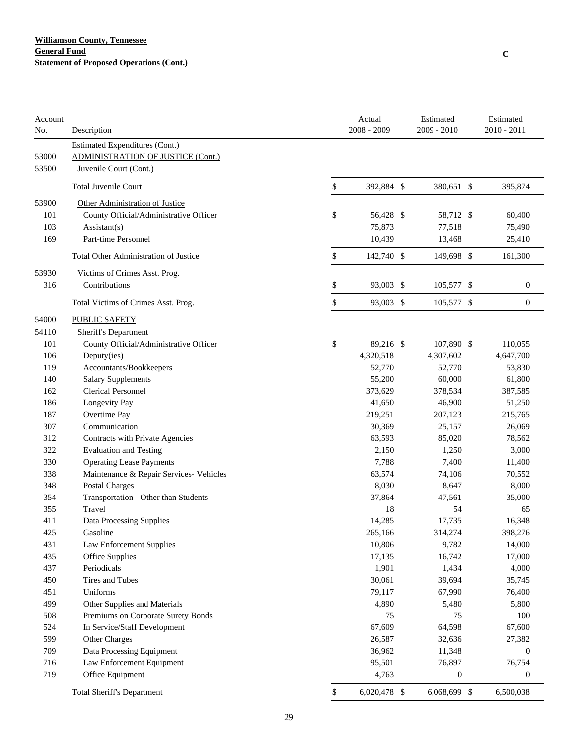| Account<br>No. | Description                                                                                          | Actual<br>2008 - 2009 | Estimated<br>2009 - 2010 | Estimated<br>$2010 - 2011$ |
|----------------|------------------------------------------------------------------------------------------------------|-----------------------|--------------------------|----------------------------|
| 53000<br>53500 | Estimated Expenditures (Cont.)<br><b>ADMINISTRATION OF JUSTICE (Cont.)</b><br>Juvenile Court (Cont.) |                       |                          |                            |
|                | <b>Total Juvenile Court</b>                                                                          | \$<br>392,884 \$      | 380,651 \$               | 395,874                    |
| 53900          | Other Administration of Justice                                                                      |                       |                          |                            |
| 101            | County Official/Administrative Officer                                                               | \$<br>56,428 \$       | 58,712 \$                | 60,400                     |
| 103            | Assistant(s)                                                                                         | 75,873                | 77,518                   | 75,490                     |
| 169            | Part-time Personnel                                                                                  | 10,439                | 13,468                   | 25,410                     |
|                | <b>Total Other Administration of Justice</b>                                                         | \$<br>142,740 \$      | 149,698 \$               | 161,300                    |
| 53930          | Victims of Crimes Asst. Prog.                                                                        |                       |                          |                            |
| 316            | Contributions                                                                                        | \$<br>93,003 \$       | 105,577 \$               | $\boldsymbol{0}$           |
|                | Total Victims of Crimes Asst. Prog.                                                                  | \$<br>93,003 \$       | 105,577 \$               | $\mathbf{0}$               |
| 54000          | PUBLIC SAFETY                                                                                        |                       |                          |                            |
| 54110          | <b>Sheriff's Department</b>                                                                          |                       |                          |                            |
| 101            | County Official/Administrative Officer                                                               | \$<br>89,216 \$       | 107,890 \$               | 110,055                    |
| 106            | Deputy(ies)                                                                                          | 4,320,518             | 4,307,602                | 4,647,700                  |
| 119            | Accountants/Bookkeepers                                                                              | 52,770                | 52,770                   | 53,830                     |
| 140            | <b>Salary Supplements</b>                                                                            | 55,200                | 60,000                   | 61,800                     |
| 162            | <b>Clerical Personnel</b>                                                                            | 373,629               | 378,534                  | 387,585                    |
| 186            | Longevity Pay                                                                                        | 41,650                | 46,900                   | 51,250                     |
| 187            | Overtime Pay                                                                                         | 219,251               | 207,123                  | 215,765                    |
| 307            | Communication                                                                                        | 30,369                | 25,157                   | 26,069                     |
| 312            | Contracts with Private Agencies                                                                      | 63,593                | 85,020                   | 78,562                     |
| 322            | <b>Evaluation and Testing</b>                                                                        | 2,150                 | 1,250                    | 3,000                      |
| 330            | <b>Operating Lease Payments</b>                                                                      | 7,788                 | 7,400                    | 11,400                     |
| 338            | Maintenance & Repair Services- Vehicles                                                              | 63,574                | 74,106                   | 70,552                     |
| 348            | <b>Postal Charges</b>                                                                                | 8,030                 | 8,647                    | 8,000                      |
| 354            | Transportation - Other than Students                                                                 | 37,864                | 47,561                   | 35,000                     |
| 355            | Travel                                                                                               | 18                    | 54                       | 65                         |
| 411            | Data Processing Supplies                                                                             | 14,285                | 17,735                   | 16,348                     |
| 425            | Gasoline                                                                                             | 265,166               | 314,274                  | 398,276                    |
| 431            | Law Enforcement Supplies                                                                             | 10,806                | 9,782                    | 14,000                     |
| 435            | Office Supplies                                                                                      | 17,135                | 16,742                   | 17,000                     |
| 437            | Periodicals                                                                                          | 1,901                 | 1,434                    | 4,000                      |
| 450            | Tires and Tubes                                                                                      | 30,061                | 39,694                   | 35,745                     |
| 451            | Uniforms                                                                                             | 79,117                | 67,990                   | 76,400                     |
| 499            | Other Supplies and Materials                                                                         | 4,890                 | 5,480                    | 5,800                      |
| 508            | Premiums on Corporate Surety Bonds                                                                   | 75                    | 75                       | 100                        |
| 524            | In Service/Staff Development                                                                         | 67,609                | 64,598                   | 67,600                     |
| 599            | Other Charges                                                                                        | 26,587                | 32,636                   | 27,382                     |
| 709            | Data Processing Equipment                                                                            | 36,962                | 11,348                   | $\boldsymbol{0}$           |
| 716            | Law Enforcement Equipment                                                                            | 95,501                | 76,897                   | 76,754                     |
| 719            | Office Equipment                                                                                     | 4,763                 | $\boldsymbol{0}$         | $\boldsymbol{0}$           |
|                | <b>Total Sheriff's Department</b>                                                                    | \$<br>6,020,478 \$    | 6,068,699 \$             | 6,500,038                  |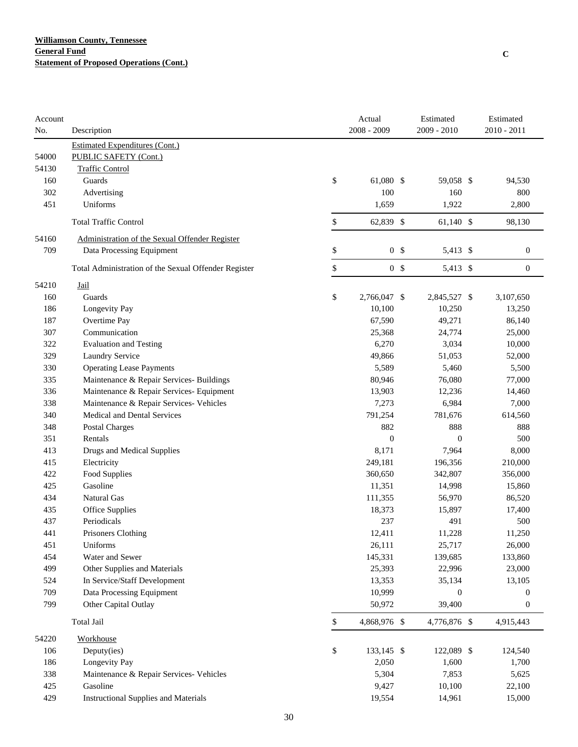| Account |                                                      | Actual               | Estimated        | Estimated        |
|---------|------------------------------------------------------|----------------------|------------------|------------------|
| No.     | Description                                          | 2008 - 2009          | 2009 - 2010      | 2010 - 2011      |
|         | <b>Estimated Expenditures (Cont.)</b>                |                      |                  |                  |
| 54000   | PUBLIC SAFETY (Cont.)                                |                      |                  |                  |
| 54130   | <b>Traffic Control</b>                               |                      |                  |                  |
| 160     | Guards                                               | \$<br>61,080 \$      | 59,058 \$        | 94,530           |
| 302     | Advertising                                          | 100                  | 160              | 800              |
| 451     | Uniforms                                             | 1,659                | 1,922            | 2,800            |
|         | <b>Total Traffic Control</b>                         | \$<br>62,839 \$      | $61,140$ \$      | 98,130           |
| 54160   | Administration of the Sexual Offender Register       |                      |                  |                  |
| 709     | Data Processing Equipment                            | \$<br>0 <sup>5</sup> | 5,413 \$         | $\boldsymbol{0}$ |
|         | Total Administration of the Sexual Offender Register | \$<br>0 <sup>5</sup> | 5,413 \$         | $\mathbf{0}$     |
| 54210   | Jail                                                 |                      |                  |                  |
| 160     | Guards                                               | \$<br>2,766,047 \$   | 2,845,527 \$     | 3,107,650        |
| 186     | Longevity Pay                                        | 10,100               | 10,250           | 13,250           |
| 187     | Overtime Pay                                         | 67,590               | 49,271           | 86,140           |
| 307     | Communication                                        | 25,368               | 24,774           | 25,000           |
| 322     | <b>Evaluation and Testing</b>                        | 6,270                | 3,034            | 10,000           |
| 329     | Laundry Service                                      | 49,866               | 51,053           | 52,000           |
| 330     | <b>Operating Lease Payments</b>                      | 5,589                | 5,460            | 5,500            |
| 335     | Maintenance & Repair Services- Buildings             | 80,946               | 76,080           | 77,000           |
| 336     | Maintenance & Repair Services- Equipment             | 13,903               | 12,236           | 14,460           |
| 338     | Maintenance & Repair Services- Vehicles              | 7,273                | 6,984            | 7,000            |
| 340     | Medical and Dental Services                          | 791,254              | 781,676          | 614,560          |
| 348     | Postal Charges                                       | 882                  | 888              | 888              |
| 351     | Rentals                                              | $\boldsymbol{0}$     | $\mathbf{0}$     | 500              |
| 413     | Drugs and Medical Supplies                           | 8,171                | 7,964            | 8,000            |
| 415     | Electricity                                          | 249,181              | 196,356          | 210,000          |
| 422     | Food Supplies                                        | 360,650              | 342,807          | 356,000          |
| 425     | Gasoline                                             | 11,351               | 14,998           | 15,860           |
| 434     | Natural Gas                                          | 111,355              | 56,970           | 86,520           |
| 435     | Office Supplies                                      | 18,373               | 15,897           | 17,400           |
| 437     | Periodicals                                          | 237                  | 491              | 500              |
| 441     | Prisoners Clothing                                   | 12,411               | 11,228           | 11,250           |
| 451     | Uniforms                                             | 26,111               | 25,717           | 26,000           |
| 454     | Water and Sewer                                      | 145,331              | 139,685          | 133,860          |
| 499     | Other Supplies and Materials                         | 25,393               | 22,996           | 23,000           |
| 524     | In Service/Staff Development                         | 13,353               | 35,134           | 13,105           |
| 709     | Data Processing Equipment                            | 10,999               | $\boldsymbol{0}$ | $\mathbf{0}$     |
| 799     | Other Capital Outlay                                 | 50,972               | 39,400           | $\boldsymbol{0}$ |
|         | Total Jail                                           | \$<br>4,868,976 \$   | 4,776,876 \$     | 4,915,443        |
|         |                                                      |                      |                  |                  |
| 54220   | Workhouse                                            |                      |                  |                  |
| 106     | Deputy(ies)                                          | \$<br>133,145 \$     | 122,089 \$       | 124,540          |
| 186     | Longevity Pay                                        | 2,050                | 1,600            | 1,700            |
| 338     | Maintenance & Repair Services- Vehicles              | 5,304                | 7,853            | 5,625            |
| 425     | Gasoline                                             | 9,427                | 10,100           | 22,100           |
| 429     | <b>Instructional Supplies and Materials</b>          | 19,554               | 14,961           | 15,000           |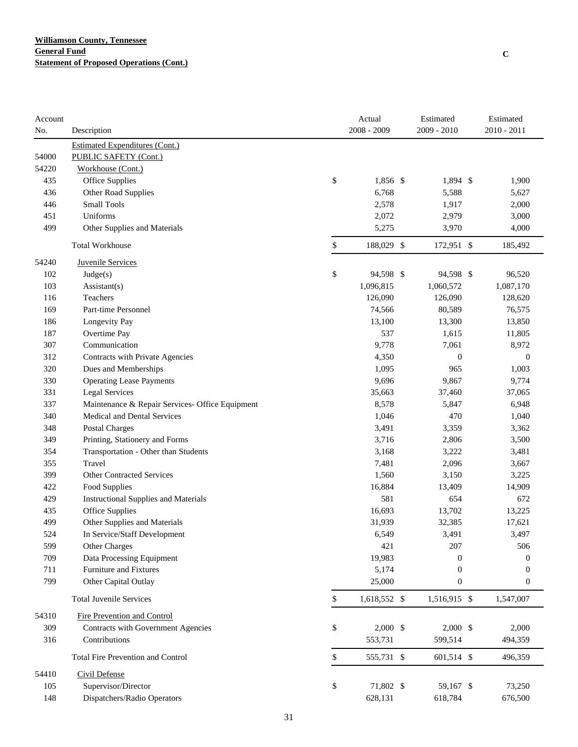| Account |                                                 | Actual             | Estimated        | Estimated        |
|---------|-------------------------------------------------|--------------------|------------------|------------------|
| No.     | Description                                     | $2008 - 2009$      | 2009 - 2010      | 2010 - 2011      |
|         | <b>Estimated Expenditures (Cont.)</b>           |                    |                  |                  |
| 54000   | PUBLIC SAFETY (Cont.)                           |                    |                  |                  |
| 54220   | Workhouse (Cont.)                               |                    |                  |                  |
| 435     | Office Supplies                                 | \$<br>1,856 \$     | 1,894 \$         | 1,900            |
| 436     | Other Road Supplies                             | 6,768              | 5,588            | 5,627            |
| 446     | <b>Small Tools</b>                              | 2,578              | 1,917            | 2,000            |
| 451     | Uniforms                                        | 2,072              | 2,979            | 3,000            |
| 499     | Other Supplies and Materials                    | 5,275              | 3,970            | 4,000            |
|         | <b>Total Workhouse</b>                          | \$<br>188,029 \$   | 172,951 \$       | 185,492          |
| 54240   | <b>Juvenile Services</b>                        |                    |                  |                  |
| 102     | Judge(s)                                        | \$<br>94,598 \$    | 94,598 \$        | 96,520           |
| 103     | Assistant(s)                                    | 1,096,815          | 1,060,572        | 1,087,170        |
| 116     | Teachers                                        | 126,090            | 126,090          | 128,620          |
| 169     | Part-time Personnel                             | 74,566             | 80,589           | 76,575           |
| 186     | Longevity Pay                                   | 13,100             | 13,300           | 13,850           |
| 187     | Overtime Pay                                    | 537                | 1,615            | 11,805           |
| 307     | Communication                                   | 9,778              | 7,061            | 8,972            |
| 312     | Contracts with Private Agencies                 | 4,350              | $\mathbf{0}$     | $\boldsymbol{0}$ |
| 320     | Dues and Memberships                            | 1,095              | 965              | 1,003            |
| 330     | <b>Operating Lease Payments</b>                 | 9,696              | 9,867            | 9,774            |
| 331     | <b>Legal Services</b>                           | 35,663             | 37,460           | 37,065           |
| 337     | Maintenance & Repair Services- Office Equipment | 8,578              | 5,847            | 6,948            |
| 340     | <b>Medical and Dental Services</b>              | 1,046              | 470              | 1,040            |
| 348     | <b>Postal Charges</b>                           | 3,491              | 3,359            | 3,362            |
| 349     | Printing, Stationery and Forms                  | 3,716              | 2,806            | 3,500            |
| 354     | Transportation - Other than Students            | 3,168              | 3,222            | 3,481            |
| 355     | Travel                                          | 7,481              | 2,096            | 3,667            |
| 399     | <b>Other Contracted Services</b>                | 1,560              | 3,150            | 3,225            |
| 422     | Food Supplies                                   | 16,884             | 13,409           | 14,909           |
| 429     | <b>Instructional Supplies and Materials</b>     | 581                | 654              | 672              |
| 435     | Office Supplies                                 | 16,693             | 13,702           | 13,225           |
| 499     | Other Supplies and Materials                    | 31,939             | 32,385           | 17,621           |
| 524     | In Service/Staff Development                    | 6,549              | 3,491            | 3,497            |
| 599     | Other Charges                                   | 421                | 207              | 506              |
| 709     | Data Processing Equipment                       | 19,983             | $\theta$         | $\mathbf{0}$     |
| 711     | <b>Furniture and Fixtures</b>                   | 5,174              | $\mathbf{0}$     | $\mathbf{0}$     |
| 799     | Other Capital Outlay                            | 25,000             | $\boldsymbol{0}$ | $\boldsymbol{0}$ |
|         | <b>Total Juvenile Services</b>                  | \$<br>1,618,552 \$ | 1,516,915 \$     | 1,547,007        |
| 54310   | Fire Prevention and Control                     |                    |                  |                  |
| 309     | Contracts with Government Agencies              | \$<br>$2,000$ \$   | $2,000$ \$       | 2,000            |
| 316     | Contributions                                   | 553,731            | 599,514          | 494,359          |
|         | Total Fire Prevention and Control               | \$<br>555,731 \$   | 601,514 \$       | 496,359          |
| 54410   | <b>Civil Defense</b>                            |                    |                  |                  |
| 105     | Supervisor/Director                             | \$<br>71,802 \$    | 59,167 \$        | 73,250           |
| 148     | Dispatchers/Radio Operators                     | 628,131            | 618,784          | 676,500          |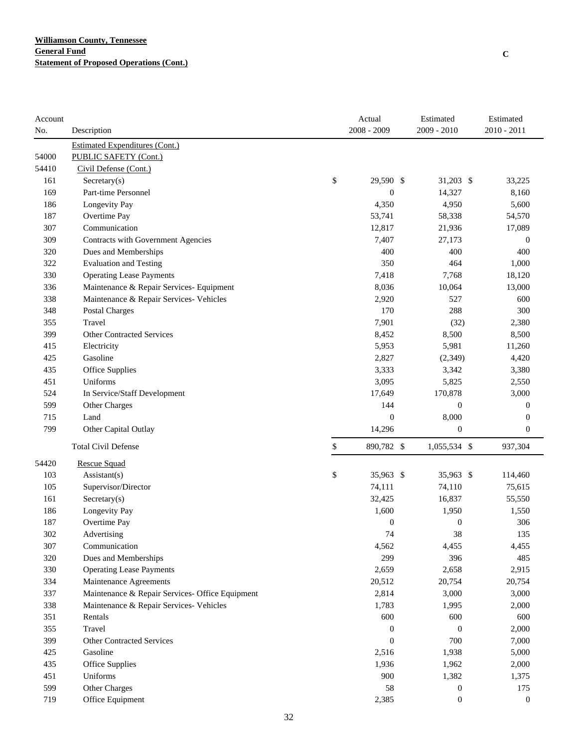| Account |                                                 | Actual           | Estimated        | Estimated        |
|---------|-------------------------------------------------|------------------|------------------|------------------|
| No.     | Description                                     | 2008 - 2009      | 2009 - 2010      | 2010 - 2011      |
|         | <b>Estimated Expenditures (Cont.)</b>           |                  |                  |                  |
| 54000   | PUBLIC SAFETY (Cont.)                           |                  |                  |                  |
| 54410   | Civil Defense (Cont.)                           |                  |                  |                  |
| 161     | Sercetary(s)                                    | \$<br>29,590 \$  | $31,203$ \$      | 33,225           |
| 169     | Part-time Personnel                             | $\boldsymbol{0}$ | 14,327           | 8,160            |
| 186     | Longevity Pay                                   | 4,350            | 4,950            | 5,600            |
| 187     | Overtime Pay                                    | 53,741           | 58,338           | 54,570           |
| 307     | Communication                                   | 12,817           | 21,936           | 17,089           |
| 309     | Contracts with Government Agencies              | 7,407            | 27,173           | $\boldsymbol{0}$ |
| 320     | Dues and Memberships                            | 400              | 400              | 400              |
| 322     | <b>Evaluation and Testing</b>                   | 350              | 464              | 1,000            |
| 330     | <b>Operating Lease Payments</b>                 | 7,418            | 7,768            | 18,120           |
| 336     | Maintenance & Repair Services- Equipment        | 8,036            | 10,064           | 13,000           |
| 338     | Maintenance & Repair Services- Vehicles         | 2,920            | 527              | 600              |
| 348     | Postal Charges                                  | 170              | 288              | 300              |
| 355     | Travel                                          | 7,901            | (32)             | 2,380            |
| 399     | <b>Other Contracted Services</b>                | 8,452            | 8,500            | 8,500            |
| 415     | Electricity                                     | 5,953            | 5,981            | 11,260           |
| 425     | Gasoline                                        | 2,827            | (2, 349)         | 4,420            |
| 435     | Office Supplies                                 | 3,333            | 3,342            | 3,380            |
| 451     | Uniforms                                        | 3,095            | 5,825            | 2,550            |
| 524     | In Service/Staff Development                    | 17,649           | 170,878          | 3,000            |
| 599     | Other Charges                                   | 144              | $\mathbf{0}$     | $\mathbf{0}$     |
| 715     | Land                                            | $\overline{0}$   | 8,000            | $\mathbf{0}$     |
| 799     | Other Capital Outlay                            | 14,296           | $\mathbf{0}$     | $\boldsymbol{0}$ |
|         | <b>Total Civil Defense</b>                      | \$<br>890,782 \$ | 1,055,534 \$     | 937,304          |
| 54420   | <b>Rescue Squad</b>                             |                  |                  |                  |
| 103     | $\text{Assistant}(s)$                           | \$<br>35,963 \$  | 35,963 \$        | 114,460          |
| 105     | Supervisor/Director                             | 74,111           | 74,110           | 75,615           |
| 161     | Sercetary(s)                                    | 32,425           | 16,837           | 55,550           |
| 186     | Longevity Pay                                   | 1,600            | 1,950            | 1,550            |
| 187     | Overtime Pay                                    | $\boldsymbol{0}$ | $\boldsymbol{0}$ | 306              |
| 302     | Advertising                                     | 74               | 38               | 135              |
| 307     | Communication                                   | 4,562            | 4,455            | 4,455            |
| 320     | Dues and Memberships                            | 299              | 396              | 485              |
| 330     | <b>Operating Lease Payments</b>                 | 2,659            | 2,658            | 2,915            |
| 334     | Maintenance Agreements                          | 20,512           | 20,754           | 20,754           |
| 337     | Maintenance & Repair Services- Office Equipment | 2,814            | 3,000            | 3,000            |
| 338     | Maintenance & Repair Services- Vehicles         | 1,783            | 1,995            | 2,000            |
| 351     | Rentals                                         | 600              | 600              | 600              |
| 355     | Travel                                          | $\boldsymbol{0}$ | $\mathbf{0}$     | 2,000            |
| 399     | <b>Other Contracted Services</b>                | $\boldsymbol{0}$ | 700              | 7,000            |
| 425     | Gasoline                                        | 2,516            | 1,938            | 5,000            |
| 435     | Office Supplies                                 | 1,936            | 1,962            | 2,000            |
| 451     | Uniforms                                        | 900              | 1,382            | 1,375            |
| 599     | Other Charges                                   | 58               | $\boldsymbol{0}$ | 175              |
| 719     | Office Equipment                                | 2,385            | $\boldsymbol{0}$ | $\boldsymbol{0}$ |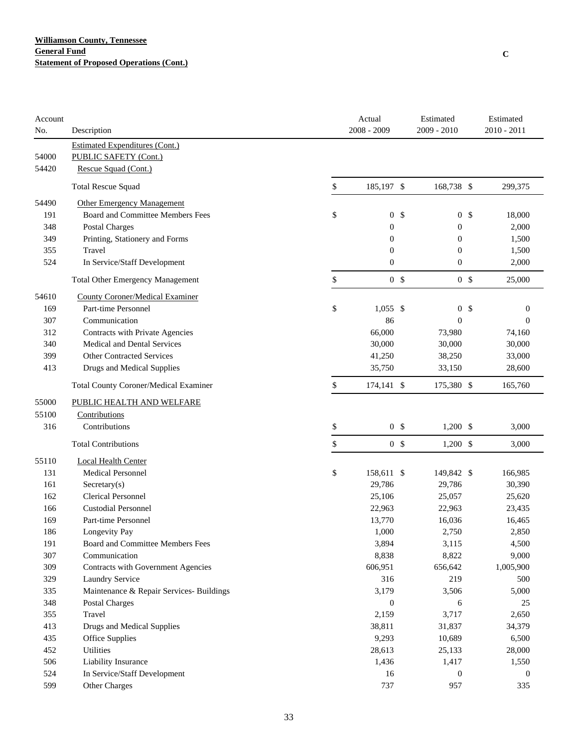| Account |                                              | Actual               | Estimated        |                | Estimated        |
|---------|----------------------------------------------|----------------------|------------------|----------------|------------------|
| No.     | Description                                  | 2008 - 2009          | $2009 - 2010$    |                | $2010 - 2011$    |
|         | Estimated Expenditures (Cont.)               |                      |                  |                |                  |
| 54000   | PUBLIC SAFETY (Cont.)                        |                      |                  |                |                  |
| 54420   | Rescue Squad (Cont.)                         |                      |                  |                |                  |
|         | <b>Total Rescue Squad</b>                    | \$<br>185,197 \$     | 168,738 \$       |                | 299,375          |
| 54490   | <b>Other Emergency Management</b>            |                      |                  |                |                  |
| 191     | Board and Committee Members Fees             | \$<br>0 <sup>5</sup> |                  | 0 <sup>5</sup> | 18,000           |
| 348     | Postal Charges                               | $\boldsymbol{0}$     | $\boldsymbol{0}$ |                | 2,000            |
| 349     | Printing, Stationery and Forms               | $\boldsymbol{0}$     | $\boldsymbol{0}$ |                | 1,500            |
| 355     | Travel                                       | $\boldsymbol{0}$     | $\boldsymbol{0}$ |                | 1,500            |
| 524     | In Service/Staff Development                 | $\boldsymbol{0}$     | $\boldsymbol{0}$ |                | 2,000            |
|         | <b>Total Other Emergency Management</b>      | \$<br>0 <sup>5</sup> |                  | 0 <sup>5</sup> | 25,000           |
| 54610   | <b>County Coroner/Medical Examiner</b>       |                      |                  |                |                  |
| 169     | Part-time Personnel                          | \$<br>$1,055$ \$     |                  | 0 <sup>5</sup> | $\boldsymbol{0}$ |
| 307     | Communication                                | 86                   | $\boldsymbol{0}$ |                | $\mathbf{0}$     |
| 312     | Contracts with Private Agencies              | 66,000               | 73,980           |                | 74,160           |
| 340     | <b>Medical and Dental Services</b>           | 30,000               | 30,000           |                | 30,000           |
| 399     | <b>Other Contracted Services</b>             | 41,250               | 38,250           |                | 33,000           |
| 413     | Drugs and Medical Supplies                   | 35,750               | 33,150           |                | 28,600           |
|         | <b>Total County Coroner/Medical Examiner</b> | \$<br>174,141 \$     | 175,380 \$       |                | 165,760          |
| 55000   | PUBLIC HEALTH AND WELFARE                    |                      |                  |                |                  |
| 55100   | Contributions                                |                      |                  |                |                  |
| 316     | Contributions                                | \$<br>0 <sup>5</sup> | $1,200$ \$       |                | 3,000            |
|         | <b>Total Contributions</b>                   | \$<br>0 <sup>5</sup> | $1,200$ \$       |                | 3,000            |
| 55110   | <b>Local Health Center</b>                   |                      |                  |                |                  |
| 131     | <b>Medical Personnel</b>                     | \$<br>158,611 \$     | 149,842 \$       |                | 166,985          |
| 161     | Sercetary(s)                                 | 29,786               | 29,786           |                | 30,390           |
| 162     | <b>Clerical Personnel</b>                    | 25,106               | 25,057           |                | 25,620           |
| 166     | <b>Custodial Personnel</b>                   | 22,963               | 22,963           |                | 23,435           |
| 169     | Part-time Personnel                          | 13,770               | 16,036           |                | 16,465           |
| 186     | Longevity Pay                                | 1,000                | 2,750            |                | 2,850            |
| 191     | Board and Committee Members Fees             | 3,894                | 3,115            |                | 4,500            |
| 307     | Communication                                | 8,838                | 8,822            |                | 9,000            |
| 309     | Contracts with Government Agencies           | 606,951              | 656,642          |                | 1,005,900        |
| 329     | <b>Laundry Service</b>                       | 316                  | 219              |                | 500              |
| 335     | Maintenance & Repair Services- Buildings     | 3,179                | 3,506            |                | 5,000            |
| 348     | <b>Postal Charges</b>                        | $\boldsymbol{0}$     | 6                |                | 25               |
| 355     | Travel                                       | 2,159                | 3,717            |                | 2,650            |
| 413     | Drugs and Medical Supplies                   | 38,811               | 31,837           |                | 34,379           |
| 435     | <b>Office Supplies</b>                       | 9,293                | 10,689           |                | 6,500            |
| 452     | Utilities                                    | 28,613               | 25,133           |                | 28,000           |
| 506     | Liability Insurance                          | 1,436                | 1,417            |                | 1,550            |
| 524     | In Service/Staff Development                 | 16                   | $\boldsymbol{0}$ |                | 0                |
| 599     | Other Charges                                | 737                  | 957              |                | 335              |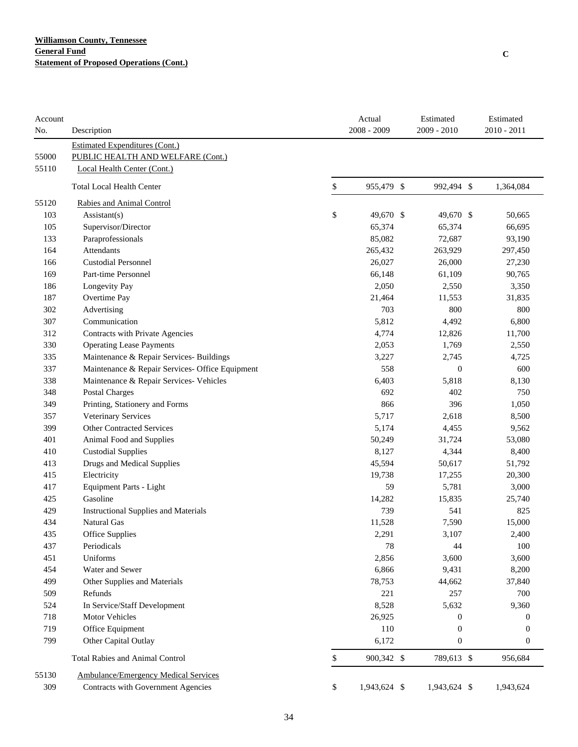| Account<br>No. | Description                                     | Actual<br>$2008 - 2009$ | Estimated<br>2009 - 2010 | Estimated<br>2010 - 2011 |
|----------------|-------------------------------------------------|-------------------------|--------------------------|--------------------------|
|                | <b>Estimated Expenditures (Cont.)</b>           |                         |                          |                          |
| 55000          | PUBLIC HEALTH AND WELFARE (Cont.)               |                         |                          |                          |
| 55110          | Local Health Center (Cont.)                     |                         |                          |                          |
|                |                                                 |                         |                          |                          |
|                | <b>Total Local Health Center</b>                | \$<br>955,479 \$        | 992,494 \$               | 1,364,084                |
| 55120          | Rabies and Animal Control                       |                         |                          |                          |
| 103            | $\text{Assistant}(s)$                           | \$<br>49,670 \$         | 49,670 \$                | 50,665                   |
| 105            | Supervisor/Director                             | 65,374                  | 65,374                   | 66,695                   |
| 133            | Paraprofessionals                               | 85,082                  | 72,687                   | 93,190                   |
| 164            | Attendants                                      | 265,432                 | 263,929                  | 297,450                  |
| 166            | <b>Custodial Personnel</b>                      | 26,027                  | 26,000                   | 27,230                   |
| 169            | Part-time Personnel                             | 66,148                  | 61,109                   | 90,765                   |
| 186            | Longevity Pay                                   | 2,050                   | 2,550                    | 3,350                    |
| 187            | Overtime Pay                                    | 21,464                  | 11,553                   | 31,835                   |
| 302            | Advertising                                     | 703                     | 800                      | 800                      |
| 307            | Communication                                   | 5,812                   | 4,492                    | 6,800                    |
| 312            | Contracts with Private Agencies                 | 4,774                   | 12,826                   | 11,700                   |
| 330            | <b>Operating Lease Payments</b>                 | 2,053                   | 1,769                    | 2,550                    |
| 335            | Maintenance & Repair Services- Buildings        | 3,227                   | 2,745                    | 4,725                    |
| 337            | Maintenance & Repair Services- Office Equipment | 558                     | $\boldsymbol{0}$         | 600                      |
| 338            | Maintenance & Repair Services- Vehicles         | 6,403                   | 5,818                    | 8,130                    |
| 348            | <b>Postal Charges</b>                           | 692                     | 402                      | 750                      |
| 349            | Printing, Stationery and Forms                  | 866                     | 396                      | 1,050                    |
| 357            | Veterinary Services                             | 5,717                   | 2,618                    | 8,500                    |
| 399            | <b>Other Contracted Services</b>                | 5,174                   | 4,455                    | 9,562                    |
| 401            | Animal Food and Supplies                        | 50,249                  | 31,724                   | 53,080                   |
| 410            | <b>Custodial Supplies</b>                       | 8,127                   | 4,344                    | 8,400                    |
| 413            | Drugs and Medical Supplies                      | 45,594                  | 50,617                   | 51,792                   |
| 415            | Electricity                                     | 19,738                  | 17,255                   | 20,300                   |
| 417            | <b>Equipment Parts - Light</b>                  | 59                      | 5,781                    | 3,000                    |
| 425            | Gasoline                                        | 14,282                  | 15,835                   | 25,740                   |
| 429            | <b>Instructional Supplies and Materials</b>     | 739                     | 541                      | 825                      |
| 434            | Natural Gas                                     | 11,528                  | 7,590                    | 15,000                   |
| 435            | <b>Office Supplies</b>                          | 2,291                   | 3,107                    | 2,400                    |
| 437            | Periodicals                                     | 78                      | 44                       | 100                      |
| 451            | Uniforms                                        | 2,856                   | 3,600                    | 3,600                    |
| 454            | Water and Sewer                                 | 6,866                   | 9,431                    | 8,200                    |
| 499            | Other Supplies and Materials                    | 78,753                  | 44,662                   | 37,840                   |
| 509            | Refunds                                         | 221                     | 257                      | 700                      |
| 524            | In Service/Staff Development                    | 8,528                   | 5,632                    | 9,360                    |
| 718            | <b>Motor Vehicles</b>                           | 26,925                  | $\boldsymbol{0}$         | $\boldsymbol{0}$         |
| 719            | Office Equipment                                | 110                     | $\boldsymbol{0}$         | $\boldsymbol{0}$         |
| 799            | Other Capital Outlay                            | 6,172                   | $\boldsymbol{0}$         | $\boldsymbol{0}$         |
|                | Total Rabies and Animal Control                 | \$<br>900,342 \$        | 789,613 \$               | 956,684                  |
| 55130          | <b>Ambulance/Emergency Medical Services</b>     |                         |                          |                          |
| 309            | Contracts with Government Agencies              | \$<br>1,943,624 \$      | 1,943,624 \$             | 1,943,624                |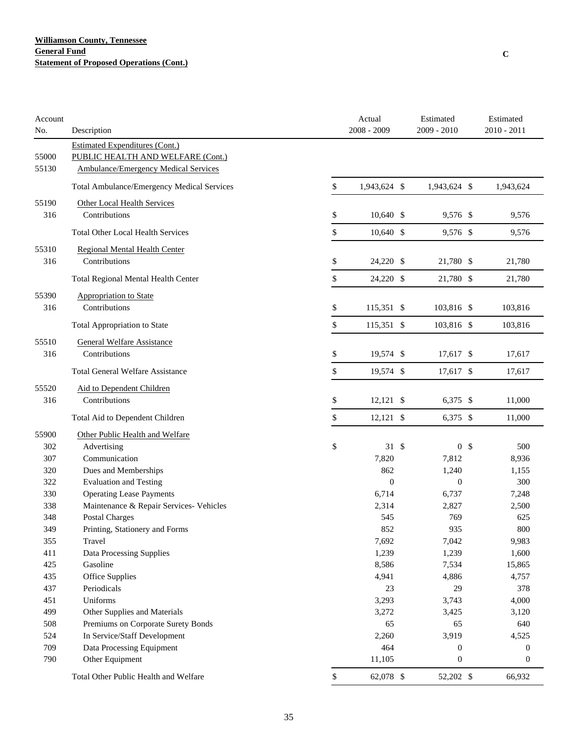| Account<br>No. | Description                                                                                                               | Actual<br>$2008 - 2009$ | Estimated<br>2009 - 2010 |                | Estimated<br>2010 - 2011 |
|----------------|---------------------------------------------------------------------------------------------------------------------------|-------------------------|--------------------------|----------------|--------------------------|
| 55000<br>55130 | <b>Estimated Expenditures (Cont.)</b><br>PUBLIC HEALTH AND WELFARE (Cont.)<br><b>Ambulance/Emergency Medical Services</b> |                         |                          |                |                          |
|                | Total Ambulance/Emergency Medical Services                                                                                | \$<br>1,943,624 \$      | 1,943,624 \$             |                | 1,943,624                |
| 55190<br>316   | Other Local Health Services<br>Contributions                                                                              | \$<br>10,640 \$         | 9,576 \$                 |                | 9,576                    |
|                | <b>Total Other Local Health Services</b>                                                                                  | \$<br>$10,640$ \$       | 9,576 \$                 |                | 9,576                    |
| 55310<br>316   | <b>Regional Mental Health Center</b><br>Contributions                                                                     | \$<br>24,220 \$         | 21,780 \$                |                | 21,780                   |
|                | Total Regional Mental Health Center                                                                                       | \$<br>24,220 \$         | 21,780 \$                |                | 21,780                   |
| 55390<br>316   | Appropriation to State<br>Contributions                                                                                   | \$<br>115,351 \$        | 103,816 \$               |                | 103,816                  |
|                | Total Appropriation to State                                                                                              | \$<br>115,351 \$        | 103,816 \$               |                | 103,816                  |
| 55510<br>316   | <b>General Welfare Assistance</b><br>Contributions                                                                        | \$<br>19,574 \$         | 17,617 \$                |                | 17,617                   |
|                | <b>Total General Welfare Assistance</b>                                                                                   | \$<br>19,574 \$         | 17,617 \$                |                | 17,617                   |
| 55520<br>316   | Aid to Dependent Children<br>Contributions                                                                                | \$<br>$12,121$ \$       | $6,375$ \$               |                | 11,000                   |
|                | Total Aid to Dependent Children                                                                                           | \$<br>$12,121$ \$       | 6,375 \$                 |                | 11,000                   |
| 55900          | Other Public Health and Welfare                                                                                           |                         |                          |                |                          |
| 302            | Advertising                                                                                                               | \$<br>$31 \text{ }$     |                          | 0 <sup>5</sup> | 500                      |
| 307            | Communication                                                                                                             | 7,820                   | 7,812                    |                | 8,936                    |
| 320            | Dues and Memberships                                                                                                      | 862                     | 1,240                    |                | 1,155                    |
| 322            | <b>Evaluation and Testing</b>                                                                                             | $\theta$                | $\boldsymbol{0}$         |                | 300                      |
| 330            | <b>Operating Lease Payments</b>                                                                                           | 6,714                   | 6,737                    |                | 7,248                    |
| 338            | Maintenance & Repair Services- Vehicles                                                                                   | 2,314                   | 2,827                    |                | 2,500                    |
| 348            | Postal Charges                                                                                                            | 545                     | 769                      |                | 625                      |
| 349            | Printing, Stationery and Forms                                                                                            | 852                     | 935                      |                | 800                      |
| 355<br>411     | Travel                                                                                                                    | 7,692<br>1,239          | 7,042<br>1,239           |                | 9,983                    |
| 425            | Data Processing Supplies<br>Gasoline                                                                                      | 8,586                   | 7,534                    |                | 1,600<br>15,865          |
| 435            | <b>Office Supplies</b>                                                                                                    | 4,941                   | 4,886                    |                | 4,757                    |
| 437            | Periodicals                                                                                                               | 23                      | 29                       |                | 378                      |
| 451            | Uniforms                                                                                                                  | 3,293                   | 3,743                    |                | 4,000                    |
| 499            | Other Supplies and Materials                                                                                              | 3,272                   | 3,425                    |                | 3,120                    |
| 508            | Premiums on Corporate Surety Bonds                                                                                        | 65                      | 65                       |                | 640                      |
| 524            | In Service/Staff Development                                                                                              | 2,260                   | 3,919                    |                | 4,525                    |
| 709            | Data Processing Equipment                                                                                                 | 464                     | $\mathbf{0}$             |                | 0                        |
| 790            | Other Equipment                                                                                                           | 11,105                  | $\boldsymbol{0}$         |                | $\boldsymbol{0}$         |
|                | Total Other Public Health and Welfare                                                                                     | \$<br>62,078 \$         | 52,202 \$                |                | 66,932                   |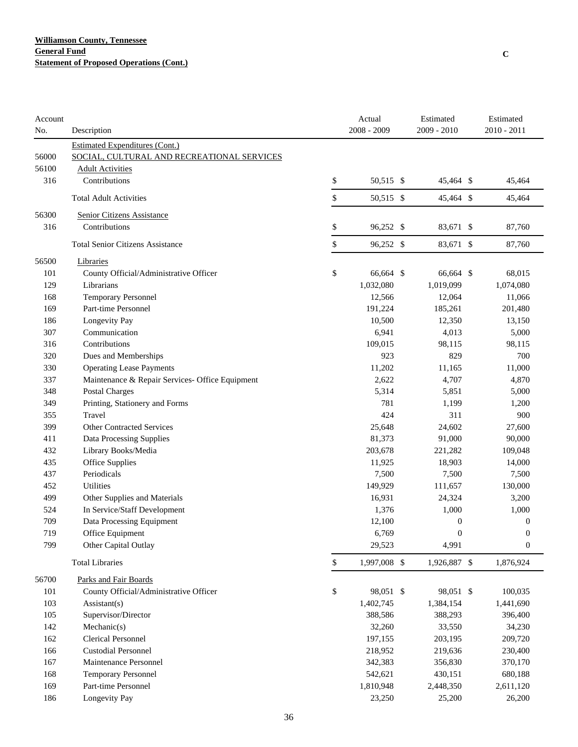| Account<br>No. | Description                                     | Actual<br>$2008 - 2009$ | Estimated<br>2009 - 2010 | Estimated<br>$2010 - 2011$ |
|----------------|-------------------------------------------------|-------------------------|--------------------------|----------------------------|
|                | <b>Estimated Expenditures (Cont.)</b>           |                         |                          |                            |
| 56000          | SOCIAL, CULTURAL AND RECREATIONAL SERVICES      |                         |                          |                            |
| 56100          | <b>Adult Activities</b>                         |                         |                          |                            |
| 316            | Contributions                                   | \$<br>50,515 \$         | 45,464 \$                | 45,464                     |
|                | <b>Total Adult Activities</b>                   | \$<br>50,515 \$         | 45,464 \$                | 45,464                     |
| 56300          | Senior Citizens Assistance                      |                         |                          |                            |
| 316            | Contributions                                   | \$<br>96,252 \$         | 83,671 \$                | 87,760                     |
|                | <b>Total Senior Citizens Assistance</b>         | \$<br>96,252 \$         | 83,671 \$                | 87,760                     |
| 56500          | Libraries                                       |                         |                          |                            |
| 101            | County Official/Administrative Officer          | \$<br>66,664 \$         | 66,664 \$                | 68,015                     |
| 129            | Librarians                                      | 1,032,080               | 1,019,099                | 1,074,080                  |
| 168            | <b>Temporary Personnel</b>                      | 12,566                  | 12,064                   | 11,066                     |
| 169            | Part-time Personnel                             | 191,224                 | 185,261                  | 201,480                    |
| 186            | Longevity Pay                                   | 10,500                  | 12,350                   | 13,150                     |
| 307            | Communication                                   | 6,941                   | 4,013                    | 5,000                      |
| 316            | Contributions                                   | 109,015                 | 98,115                   | 98,115                     |
| 320            | Dues and Memberships                            | 923                     | 829                      | 700                        |
| 330            | <b>Operating Lease Payments</b>                 | 11,202                  | 11,165                   | 11,000                     |
| 337            | Maintenance & Repair Services- Office Equipment | 2,622                   | 4,707                    | 4,870                      |
| 348            | <b>Postal Charges</b>                           | 5,314                   | 5,851                    | 5,000                      |
| 349            | Printing, Stationery and Forms                  | 781                     | 1,199                    | 1,200                      |
| 355            | Travel                                          | 424                     | 311                      | 900                        |
| 399            | <b>Other Contracted Services</b>                | 25,648                  | 24,602                   | 27,600                     |
| 411            | Data Processing Supplies                        | 81,373                  | 91,000                   | 90,000                     |
| 432            | Library Books/Media                             | 203,678                 | 221,282                  | 109,048                    |
| 435            | Office Supplies                                 | 11,925                  | 18,903                   | 14,000                     |
| 437            | Periodicals                                     | 7,500                   | 7,500                    | 7,500                      |
| 452            | <b>Utilities</b>                                | 149,929                 | 111,657                  | 130,000                    |
| 499            | Other Supplies and Materials                    | 16,931                  | 24,324                   | 3,200                      |
| 524            | In Service/Staff Development                    | 1,376                   | 1,000                    | 1,000                      |
| 709            | Data Processing Equipment                       | 12,100                  | $\boldsymbol{0}$         | $\boldsymbol{0}$           |
| 719            | Office Equipment                                | 6,769                   | $\boldsymbol{0}$         | $\boldsymbol{0}$           |
| 799            | Other Capital Outlay                            | 29,523                  | 4,991                    | $\boldsymbol{0}$           |
|                | <b>Total Libraries</b>                          | \$<br>1,997,008 \$      | 1,926,887 \$             | 1,876,924                  |
| 56700          | Parks and Fair Boards                           |                         |                          |                            |
| 101            | County Official/Administrative Officer          | \$<br>98,051 \$         | 98,051 \$                | 100,035                    |
| 103            | $\text{Assistant}(s)$                           | 1,402,745               | 1,384,154                | 1,441,690                  |
| 105            | Supervisor/Director                             | 388,586                 | 388,293                  | 396,400                    |
| 142            | Mechanic(s)                                     | 32,260                  | 33,550                   | 34,230                     |
| 162            | Clerical Personnel                              | 197,155                 | 203,195                  | 209,720                    |
| 166            | <b>Custodial Personnel</b>                      | 218,952                 | 219,636                  | 230,400                    |
| 167            | Maintenance Personnel                           | 342,383                 | 356,830                  | 370,170                    |
| 168            | Temporary Personnel                             | 542,621                 | 430,151                  | 680,188                    |
| 169            | Part-time Personnel                             | 1,810,948               | 2,448,350                | 2,611,120                  |
| 186            | Longevity Pay                                   | 23,250                  | 25,200                   | 26,200                     |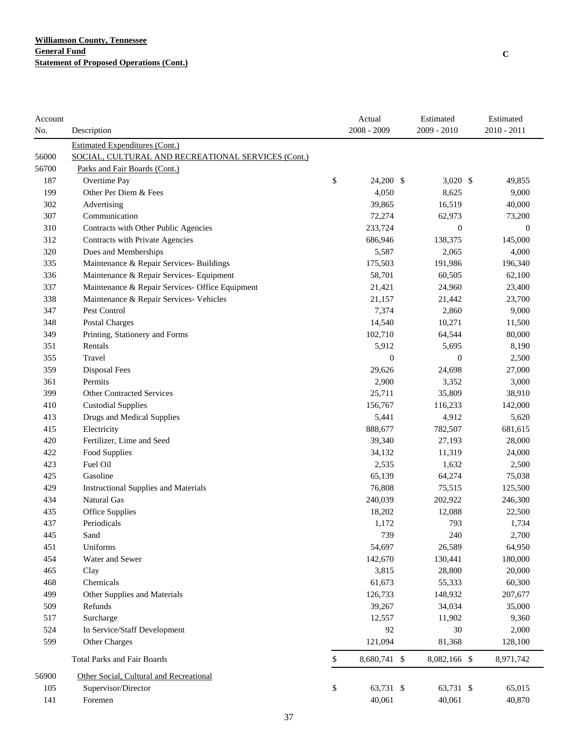| Account<br>No. | Description                                        | Actual<br>$2008 - 2009$ | Estimated<br>2009 - 2010 | Estimated<br>2010 - 2011 |
|----------------|----------------------------------------------------|-------------------------|--------------------------|--------------------------|
|                | <b>Estimated Expenditures (Cont.)</b>              |                         |                          |                          |
| 56000          | SOCIAL, CULTURAL AND RECREATIONAL SERVICES (Cont.) |                         |                          |                          |
| 56700          | Parks and Fair Boards (Cont.)                      |                         |                          |                          |
| 187            | Overtime Pay                                       | \$<br>24,200 \$         | $3,020$ \$               | 49,855                   |
| 199            | Other Per Diem & Fees                              | 4,050                   | 8,625                    | 9,000                    |
| 302            | Advertising                                        | 39,865                  | 16,519                   | 40,000                   |
| 307            | Communication                                      | 72,274                  | 62,973                   | 73,200                   |
| 310            | Contracts with Other Public Agencies               | 233,724                 | $\boldsymbol{0}$         | $\mathbf{0}$             |
| 312            | Contracts with Private Agencies                    | 686,946                 | 138,375                  | 145,000                  |
| 320            | Dues and Memberships                               | 5,587                   | 2,065                    | 4,000                    |
| 335            | Maintenance & Repair Services- Buildings           | 175,503                 | 191,986                  | 196,340                  |
| 336            | Maintenance & Repair Services- Equipment           | 58,701                  | 60,505                   | 62,100                   |
| 337            | Maintenance & Repair Services- Office Equipment    | 21,421                  | 24,960                   | 23,400                   |
| 338            | Maintenance & Repair Services- Vehicles            | 21,157                  | 21,442                   | 23,700                   |
| 347            | Pest Control                                       | 7,374                   | 2,860                    | 9,000                    |
| 348            | Postal Charges                                     | 14,540                  | 10,271                   | 11,500                   |
| 349            | Printing, Stationery and Forms                     | 102,710                 | 64,544                   | 80,000                   |
| 351            | Rentals                                            | 5,912                   | 5,695                    | 8,190                    |
| 355            | Travel                                             | $\boldsymbol{0}$        | $\boldsymbol{0}$         | 2,500                    |
| 359            | <b>Disposal Fees</b>                               | 29,626                  | 24,698                   | 27,000                   |
| 361            | Permits                                            | 2,900                   | 3,352                    | 3,000                    |
| 399            | <b>Other Contracted Services</b>                   | 25,711                  | 35,809                   | 38,910                   |
| 410            | <b>Custodial Supplies</b>                          | 156,767                 | 116,233                  | 142,000                  |
| 413            | <b>Drugs and Medical Supplies</b>                  | 5,441                   | 4,912                    | 5,620                    |
| 415            | Electricity                                        | 888,677                 | 782,507                  | 681,615                  |
| 420            | Fertilizer, Lime and Seed                          | 39,340                  | 27,193                   | 28,000                   |
| 422            | Food Supplies                                      | 34,132                  | 11,319                   | 24,000                   |
| 423            | Fuel Oil                                           | 2,535                   | 1,632                    | 2,500                    |
| 425            | Gasoline                                           | 65,139                  | 64,274                   | 75,038                   |
| 429            | <b>Instructional Supplies and Materials</b>        | 76,808                  | 75,515                   | 125,500                  |
| 434            | Natural Gas                                        | 240,039                 | 202,922                  | 246,300                  |
| 435            | Office Supplies                                    | 18,202                  | 12,088                   | 22,500                   |
| 437            | Periodicals                                        | 1,172                   | 793                      | 1,734                    |
| 445            | Sand                                               | 739                     | 240                      | 2,700                    |
| 451            | Uniforms                                           | 54,697                  | 26,589                   | 64,950                   |
| 454            | Water and Sewer                                    | 142,670                 | 130,441                  | 180,000                  |
| 465            | Clay                                               | 3,815                   | 28,800                   | 20,000                   |
| 468            | Chemicals                                          | 61,673                  | 55,333                   | 60,300                   |
| 499            | Other Supplies and Materials                       | 126,733                 | 148,932                  | 207,677                  |
| 509            | Refunds                                            | 39,267                  | 34,034                   | 35,000                   |
| 517            | Surcharge                                          | 12,557                  | 11,902                   | 9,360                    |
| 524            | In Service/Staff Development                       | 92                      | 30                       | 2,000                    |
| 599            | Other Charges                                      | 121,094                 | 81,368                   | 128,100                  |
|                | <b>Total Parks and Fair Boards</b>                 | \$<br>8,680,741 \$      | 8,082,166 \$             | 8,971,742                |
| 56900          | Other Social, Cultural and Recreational            |                         |                          |                          |
| 105            | Supervisor/Director                                | \$<br>63,731 \$         | 63,731 \$                | 65,015                   |
| 141            | Foremen                                            | 40,061                  | 40,061                   | 40,870                   |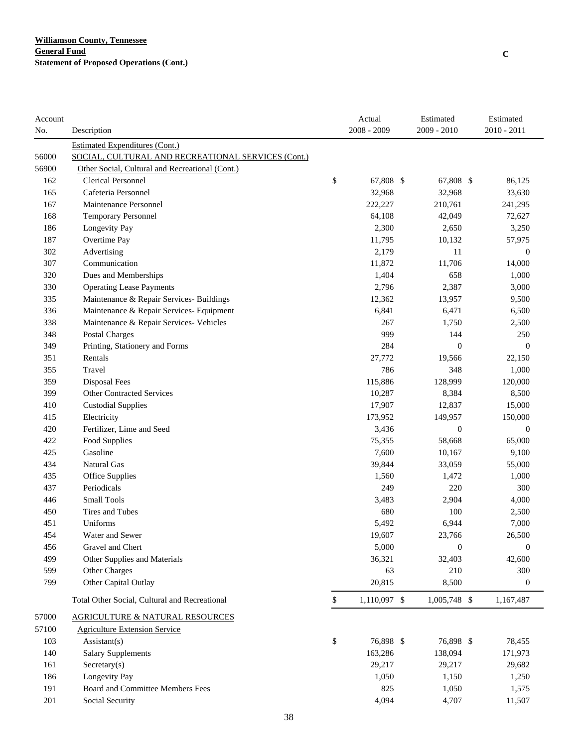| No.<br><b>Estimated Expenditures (Cont.)</b><br>56000<br>SOCIAL, CULTURAL AND RECREATIONAL SERVICES (Cont.)<br>56900<br>Other Social, Cultural and Recreational (Cont.)<br>\$<br><b>Clerical Personnel</b><br>162<br>67,808 \$<br>67,808 \$<br>86,125<br>Cafeteria Personnel<br>165<br>32,968<br>32,968<br>33,630<br>167<br>Maintenance Personnel<br>222,227<br>210,761<br>241,295<br>168<br><b>Temporary Personnel</b><br>64,108<br>42,049<br>72,627<br>186<br>Longevity Pay<br>2,300<br>2,650<br>3,250<br>187<br>Overtime Pay<br>11,795<br>10,132<br>57,975<br>302<br>Advertising<br>2,179<br>11<br>$\boldsymbol{0}$<br>307<br>Communication<br>11,872<br>11,706<br>14,000<br>320<br>Dues and Memberships<br>1,404<br>658<br>1,000<br>330<br><b>Operating Lease Payments</b><br>2,796<br>2,387<br>3,000<br>335<br>Maintenance & Repair Services- Buildings<br>12,362<br>9,500<br>13,957<br>336<br>Maintenance & Repair Services- Equipment<br>6,841<br>6,471<br>6,500<br>338<br>Maintenance & Repair Services- Vehicles<br>267<br>1,750<br>2,500<br>999<br>348<br><b>Postal Charges</b><br>144<br>250<br>284<br>349<br>Printing, Stationery and Forms<br>$\mathbf{0}$<br>$\theta$<br>27,772<br>351<br>19,566<br>22,150<br>Rentals<br>786<br>1,000<br>355<br>Travel<br>348<br>359<br><b>Disposal Fees</b><br>115,886<br>128,999<br>120,000<br>399<br><b>Other Contracted Services</b><br>10,287<br>8,384<br>8,500<br>410<br><b>Custodial Supplies</b><br>17,907<br>12,837<br>15,000<br>415<br>173,952<br>149,957<br>150,000<br>Electricity<br>Fertilizer, Lime and Seed<br>420<br>3,436<br>$\boldsymbol{0}$<br>$\boldsymbol{0}$<br>422<br>Food Supplies<br>75,355<br>58,668<br>65,000<br>Gasoline<br>7,600<br>425<br>10,167<br>9,100<br>434<br>Natural Gas<br>39,844<br>33,059<br>55,000<br>435<br>1,560<br>Office Supplies<br>1,472<br>1,000<br>Periodicals<br>220<br>437<br>249<br>300<br><b>Small Tools</b><br>446<br>3,483<br>2,904<br>4,000<br>450<br>Tires and Tubes<br>680<br>100<br>2,500<br>Uniforms<br>5,492<br>451<br>6,944<br>7,000<br>19,607<br>454<br>Water and Sewer<br>23,766<br>26,500<br>456<br>5,000<br>$\boldsymbol{0}$<br>$\boldsymbol{0}$<br>Gravel and Chert<br>499<br>Other Supplies and Materials<br>36,321<br>32,403<br>42,600<br>599<br>Other Charges<br>63<br>210<br>300<br>799<br>Other Capital Outlay<br>20,815<br>8,500<br>$\boldsymbol{0}$<br>\$<br>Total Other Social, Cultural and Recreational<br>$1,110,097$ \$<br>$1,005,748$ \$<br>1,167,487<br>57000<br><b>AGRICULTURE &amp; NATURAL RESOURCES</b><br>57100<br><b>Agriculture Extension Service</b><br>103<br>\$<br>76,898 \$<br>76,898 \$<br>$\text{Assistant}(s)$<br>78,455<br>140<br><b>Salary Supplements</b><br>163,286<br>138,094<br>171,973<br>Sercetary(s)<br>161<br>29,217<br>29,217<br>29,682<br>186<br>Longevity Pay<br>1,050<br>1,150<br>1,250<br>191<br>Board and Committee Members Fees<br>825<br>1,050<br>1,575 | Account |                 | Actual      | Estimated   | Estimated     |
|------------------------------------------------------------------------------------------------------------------------------------------------------------------------------------------------------------------------------------------------------------------------------------------------------------------------------------------------------------------------------------------------------------------------------------------------------------------------------------------------------------------------------------------------------------------------------------------------------------------------------------------------------------------------------------------------------------------------------------------------------------------------------------------------------------------------------------------------------------------------------------------------------------------------------------------------------------------------------------------------------------------------------------------------------------------------------------------------------------------------------------------------------------------------------------------------------------------------------------------------------------------------------------------------------------------------------------------------------------------------------------------------------------------------------------------------------------------------------------------------------------------------------------------------------------------------------------------------------------------------------------------------------------------------------------------------------------------------------------------------------------------------------------------------------------------------------------------------------------------------------------------------------------------------------------------------------------------------------------------------------------------------------------------------------------------------------------------------------------------------------------------------------------------------------------------------------------------------------------------------------------------------------------------------------------------------------------------------------------------------------------------------------------------------------------------------------------------------------------------------------------------------------------------------------------------------------------------------------------------------------------------------------------------------------------------------------------------------------------------------------------------------------------------------------------------------------------------------------------------------------------------------------------------------|---------|-----------------|-------------|-------------|---------------|
|                                                                                                                                                                                                                                                                                                                                                                                                                                                                                                                                                                                                                                                                                                                                                                                                                                                                                                                                                                                                                                                                                                                                                                                                                                                                                                                                                                                                                                                                                                                                                                                                                                                                                                                                                                                                                                                                                                                                                                                                                                                                                                                                                                                                                                                                                                                                                                                                                                                                                                                                                                                                                                                                                                                                                                                                                                                                                                                        |         | Description     | 2008 - 2009 | 2009 - 2010 | $2010 - 2011$ |
|                                                                                                                                                                                                                                                                                                                                                                                                                                                                                                                                                                                                                                                                                                                                                                                                                                                                                                                                                                                                                                                                                                                                                                                                                                                                                                                                                                                                                                                                                                                                                                                                                                                                                                                                                                                                                                                                                                                                                                                                                                                                                                                                                                                                                                                                                                                                                                                                                                                                                                                                                                                                                                                                                                                                                                                                                                                                                                                        |         |                 |             |             |               |
|                                                                                                                                                                                                                                                                                                                                                                                                                                                                                                                                                                                                                                                                                                                                                                                                                                                                                                                                                                                                                                                                                                                                                                                                                                                                                                                                                                                                                                                                                                                                                                                                                                                                                                                                                                                                                                                                                                                                                                                                                                                                                                                                                                                                                                                                                                                                                                                                                                                                                                                                                                                                                                                                                                                                                                                                                                                                                                                        |         |                 |             |             |               |
|                                                                                                                                                                                                                                                                                                                                                                                                                                                                                                                                                                                                                                                                                                                                                                                                                                                                                                                                                                                                                                                                                                                                                                                                                                                                                                                                                                                                                                                                                                                                                                                                                                                                                                                                                                                                                                                                                                                                                                                                                                                                                                                                                                                                                                                                                                                                                                                                                                                                                                                                                                                                                                                                                                                                                                                                                                                                                                                        |         |                 |             |             |               |
|                                                                                                                                                                                                                                                                                                                                                                                                                                                                                                                                                                                                                                                                                                                                                                                                                                                                                                                                                                                                                                                                                                                                                                                                                                                                                                                                                                                                                                                                                                                                                                                                                                                                                                                                                                                                                                                                                                                                                                                                                                                                                                                                                                                                                                                                                                                                                                                                                                                                                                                                                                                                                                                                                                                                                                                                                                                                                                                        |         |                 |             |             |               |
|                                                                                                                                                                                                                                                                                                                                                                                                                                                                                                                                                                                                                                                                                                                                                                                                                                                                                                                                                                                                                                                                                                                                                                                                                                                                                                                                                                                                                                                                                                                                                                                                                                                                                                                                                                                                                                                                                                                                                                                                                                                                                                                                                                                                                                                                                                                                                                                                                                                                                                                                                                                                                                                                                                                                                                                                                                                                                                                        |         |                 |             |             |               |
|                                                                                                                                                                                                                                                                                                                                                                                                                                                                                                                                                                                                                                                                                                                                                                                                                                                                                                                                                                                                                                                                                                                                                                                                                                                                                                                                                                                                                                                                                                                                                                                                                                                                                                                                                                                                                                                                                                                                                                                                                                                                                                                                                                                                                                                                                                                                                                                                                                                                                                                                                                                                                                                                                                                                                                                                                                                                                                                        |         |                 |             |             |               |
|                                                                                                                                                                                                                                                                                                                                                                                                                                                                                                                                                                                                                                                                                                                                                                                                                                                                                                                                                                                                                                                                                                                                                                                                                                                                                                                                                                                                                                                                                                                                                                                                                                                                                                                                                                                                                                                                                                                                                                                                                                                                                                                                                                                                                                                                                                                                                                                                                                                                                                                                                                                                                                                                                                                                                                                                                                                                                                                        |         |                 |             |             |               |
|                                                                                                                                                                                                                                                                                                                                                                                                                                                                                                                                                                                                                                                                                                                                                                                                                                                                                                                                                                                                                                                                                                                                                                                                                                                                                                                                                                                                                                                                                                                                                                                                                                                                                                                                                                                                                                                                                                                                                                                                                                                                                                                                                                                                                                                                                                                                                                                                                                                                                                                                                                                                                                                                                                                                                                                                                                                                                                                        |         |                 |             |             |               |
|                                                                                                                                                                                                                                                                                                                                                                                                                                                                                                                                                                                                                                                                                                                                                                                                                                                                                                                                                                                                                                                                                                                                                                                                                                                                                                                                                                                                                                                                                                                                                                                                                                                                                                                                                                                                                                                                                                                                                                                                                                                                                                                                                                                                                                                                                                                                                                                                                                                                                                                                                                                                                                                                                                                                                                                                                                                                                                                        |         |                 |             |             |               |
|                                                                                                                                                                                                                                                                                                                                                                                                                                                                                                                                                                                                                                                                                                                                                                                                                                                                                                                                                                                                                                                                                                                                                                                                                                                                                                                                                                                                                                                                                                                                                                                                                                                                                                                                                                                                                                                                                                                                                                                                                                                                                                                                                                                                                                                                                                                                                                                                                                                                                                                                                                                                                                                                                                                                                                                                                                                                                                                        |         |                 |             |             |               |
|                                                                                                                                                                                                                                                                                                                                                                                                                                                                                                                                                                                                                                                                                                                                                                                                                                                                                                                                                                                                                                                                                                                                                                                                                                                                                                                                                                                                                                                                                                                                                                                                                                                                                                                                                                                                                                                                                                                                                                                                                                                                                                                                                                                                                                                                                                                                                                                                                                                                                                                                                                                                                                                                                                                                                                                                                                                                                                                        |         |                 |             |             |               |
|                                                                                                                                                                                                                                                                                                                                                                                                                                                                                                                                                                                                                                                                                                                                                                                                                                                                                                                                                                                                                                                                                                                                                                                                                                                                                                                                                                                                                                                                                                                                                                                                                                                                                                                                                                                                                                                                                                                                                                                                                                                                                                                                                                                                                                                                                                                                                                                                                                                                                                                                                                                                                                                                                                                                                                                                                                                                                                                        |         |                 |             |             |               |
|                                                                                                                                                                                                                                                                                                                                                                                                                                                                                                                                                                                                                                                                                                                                                                                                                                                                                                                                                                                                                                                                                                                                                                                                                                                                                                                                                                                                                                                                                                                                                                                                                                                                                                                                                                                                                                                                                                                                                                                                                                                                                                                                                                                                                                                                                                                                                                                                                                                                                                                                                                                                                                                                                                                                                                                                                                                                                                                        |         |                 |             |             |               |
|                                                                                                                                                                                                                                                                                                                                                                                                                                                                                                                                                                                                                                                                                                                                                                                                                                                                                                                                                                                                                                                                                                                                                                                                                                                                                                                                                                                                                                                                                                                                                                                                                                                                                                                                                                                                                                                                                                                                                                                                                                                                                                                                                                                                                                                                                                                                                                                                                                                                                                                                                                                                                                                                                                                                                                                                                                                                                                                        |         |                 |             |             |               |
|                                                                                                                                                                                                                                                                                                                                                                                                                                                                                                                                                                                                                                                                                                                                                                                                                                                                                                                                                                                                                                                                                                                                                                                                                                                                                                                                                                                                                                                                                                                                                                                                                                                                                                                                                                                                                                                                                                                                                                                                                                                                                                                                                                                                                                                                                                                                                                                                                                                                                                                                                                                                                                                                                                                                                                                                                                                                                                                        |         |                 |             |             |               |
|                                                                                                                                                                                                                                                                                                                                                                                                                                                                                                                                                                                                                                                                                                                                                                                                                                                                                                                                                                                                                                                                                                                                                                                                                                                                                                                                                                                                                                                                                                                                                                                                                                                                                                                                                                                                                                                                                                                                                                                                                                                                                                                                                                                                                                                                                                                                                                                                                                                                                                                                                                                                                                                                                                                                                                                                                                                                                                                        |         |                 |             |             |               |
|                                                                                                                                                                                                                                                                                                                                                                                                                                                                                                                                                                                                                                                                                                                                                                                                                                                                                                                                                                                                                                                                                                                                                                                                                                                                                                                                                                                                                                                                                                                                                                                                                                                                                                                                                                                                                                                                                                                                                                                                                                                                                                                                                                                                                                                                                                                                                                                                                                                                                                                                                                                                                                                                                                                                                                                                                                                                                                                        |         |                 |             |             |               |
|                                                                                                                                                                                                                                                                                                                                                                                                                                                                                                                                                                                                                                                                                                                                                                                                                                                                                                                                                                                                                                                                                                                                                                                                                                                                                                                                                                                                                                                                                                                                                                                                                                                                                                                                                                                                                                                                                                                                                                                                                                                                                                                                                                                                                                                                                                                                                                                                                                                                                                                                                                                                                                                                                                                                                                                                                                                                                                                        |         |                 |             |             |               |
|                                                                                                                                                                                                                                                                                                                                                                                                                                                                                                                                                                                                                                                                                                                                                                                                                                                                                                                                                                                                                                                                                                                                                                                                                                                                                                                                                                                                                                                                                                                                                                                                                                                                                                                                                                                                                                                                                                                                                                                                                                                                                                                                                                                                                                                                                                                                                                                                                                                                                                                                                                                                                                                                                                                                                                                                                                                                                                                        |         |                 |             |             |               |
|                                                                                                                                                                                                                                                                                                                                                                                                                                                                                                                                                                                                                                                                                                                                                                                                                                                                                                                                                                                                                                                                                                                                                                                                                                                                                                                                                                                                                                                                                                                                                                                                                                                                                                                                                                                                                                                                                                                                                                                                                                                                                                                                                                                                                                                                                                                                                                                                                                                                                                                                                                                                                                                                                                                                                                                                                                                                                                                        |         |                 |             |             |               |
|                                                                                                                                                                                                                                                                                                                                                                                                                                                                                                                                                                                                                                                                                                                                                                                                                                                                                                                                                                                                                                                                                                                                                                                                                                                                                                                                                                                                                                                                                                                                                                                                                                                                                                                                                                                                                                                                                                                                                                                                                                                                                                                                                                                                                                                                                                                                                                                                                                                                                                                                                                                                                                                                                                                                                                                                                                                                                                                        |         |                 |             |             |               |
|                                                                                                                                                                                                                                                                                                                                                                                                                                                                                                                                                                                                                                                                                                                                                                                                                                                                                                                                                                                                                                                                                                                                                                                                                                                                                                                                                                                                                                                                                                                                                                                                                                                                                                                                                                                                                                                                                                                                                                                                                                                                                                                                                                                                                                                                                                                                                                                                                                                                                                                                                                                                                                                                                                                                                                                                                                                                                                                        |         |                 |             |             |               |
|                                                                                                                                                                                                                                                                                                                                                                                                                                                                                                                                                                                                                                                                                                                                                                                                                                                                                                                                                                                                                                                                                                                                                                                                                                                                                                                                                                                                                                                                                                                                                                                                                                                                                                                                                                                                                                                                                                                                                                                                                                                                                                                                                                                                                                                                                                                                                                                                                                                                                                                                                                                                                                                                                                                                                                                                                                                                                                                        |         |                 |             |             |               |
|                                                                                                                                                                                                                                                                                                                                                                                                                                                                                                                                                                                                                                                                                                                                                                                                                                                                                                                                                                                                                                                                                                                                                                                                                                                                                                                                                                                                                                                                                                                                                                                                                                                                                                                                                                                                                                                                                                                                                                                                                                                                                                                                                                                                                                                                                                                                                                                                                                                                                                                                                                                                                                                                                                                                                                                                                                                                                                                        |         |                 |             |             |               |
|                                                                                                                                                                                                                                                                                                                                                                                                                                                                                                                                                                                                                                                                                                                                                                                                                                                                                                                                                                                                                                                                                                                                                                                                                                                                                                                                                                                                                                                                                                                                                                                                                                                                                                                                                                                                                                                                                                                                                                                                                                                                                                                                                                                                                                                                                                                                                                                                                                                                                                                                                                                                                                                                                                                                                                                                                                                                                                                        |         |                 |             |             |               |
|                                                                                                                                                                                                                                                                                                                                                                                                                                                                                                                                                                                                                                                                                                                                                                                                                                                                                                                                                                                                                                                                                                                                                                                                                                                                                                                                                                                                                                                                                                                                                                                                                                                                                                                                                                                                                                                                                                                                                                                                                                                                                                                                                                                                                                                                                                                                                                                                                                                                                                                                                                                                                                                                                                                                                                                                                                                                                                                        |         |                 |             |             |               |
|                                                                                                                                                                                                                                                                                                                                                                                                                                                                                                                                                                                                                                                                                                                                                                                                                                                                                                                                                                                                                                                                                                                                                                                                                                                                                                                                                                                                                                                                                                                                                                                                                                                                                                                                                                                                                                                                                                                                                                                                                                                                                                                                                                                                                                                                                                                                                                                                                                                                                                                                                                                                                                                                                                                                                                                                                                                                                                                        |         |                 |             |             |               |
|                                                                                                                                                                                                                                                                                                                                                                                                                                                                                                                                                                                                                                                                                                                                                                                                                                                                                                                                                                                                                                                                                                                                                                                                                                                                                                                                                                                                                                                                                                                                                                                                                                                                                                                                                                                                                                                                                                                                                                                                                                                                                                                                                                                                                                                                                                                                                                                                                                                                                                                                                                                                                                                                                                                                                                                                                                                                                                                        |         |                 |             |             |               |
|                                                                                                                                                                                                                                                                                                                                                                                                                                                                                                                                                                                                                                                                                                                                                                                                                                                                                                                                                                                                                                                                                                                                                                                                                                                                                                                                                                                                                                                                                                                                                                                                                                                                                                                                                                                                                                                                                                                                                                                                                                                                                                                                                                                                                                                                                                                                                                                                                                                                                                                                                                                                                                                                                                                                                                                                                                                                                                                        |         |                 |             |             |               |
|                                                                                                                                                                                                                                                                                                                                                                                                                                                                                                                                                                                                                                                                                                                                                                                                                                                                                                                                                                                                                                                                                                                                                                                                                                                                                                                                                                                                                                                                                                                                                                                                                                                                                                                                                                                                                                                                                                                                                                                                                                                                                                                                                                                                                                                                                                                                                                                                                                                                                                                                                                                                                                                                                                                                                                                                                                                                                                                        |         |                 |             |             |               |
|                                                                                                                                                                                                                                                                                                                                                                                                                                                                                                                                                                                                                                                                                                                                                                                                                                                                                                                                                                                                                                                                                                                                                                                                                                                                                                                                                                                                                                                                                                                                                                                                                                                                                                                                                                                                                                                                                                                                                                                                                                                                                                                                                                                                                                                                                                                                                                                                                                                                                                                                                                                                                                                                                                                                                                                                                                                                                                                        |         |                 |             |             |               |
|                                                                                                                                                                                                                                                                                                                                                                                                                                                                                                                                                                                                                                                                                                                                                                                                                                                                                                                                                                                                                                                                                                                                                                                                                                                                                                                                                                                                                                                                                                                                                                                                                                                                                                                                                                                                                                                                                                                                                                                                                                                                                                                                                                                                                                                                                                                                                                                                                                                                                                                                                                                                                                                                                                                                                                                                                                                                                                                        |         |                 |             |             |               |
|                                                                                                                                                                                                                                                                                                                                                                                                                                                                                                                                                                                                                                                                                                                                                                                                                                                                                                                                                                                                                                                                                                                                                                                                                                                                                                                                                                                                                                                                                                                                                                                                                                                                                                                                                                                                                                                                                                                                                                                                                                                                                                                                                                                                                                                                                                                                                                                                                                                                                                                                                                                                                                                                                                                                                                                                                                                                                                                        |         |                 |             |             |               |
|                                                                                                                                                                                                                                                                                                                                                                                                                                                                                                                                                                                                                                                                                                                                                                                                                                                                                                                                                                                                                                                                                                                                                                                                                                                                                                                                                                                                                                                                                                                                                                                                                                                                                                                                                                                                                                                                                                                                                                                                                                                                                                                                                                                                                                                                                                                                                                                                                                                                                                                                                                                                                                                                                                                                                                                                                                                                                                                        |         |                 |             |             |               |
|                                                                                                                                                                                                                                                                                                                                                                                                                                                                                                                                                                                                                                                                                                                                                                                                                                                                                                                                                                                                                                                                                                                                                                                                                                                                                                                                                                                                                                                                                                                                                                                                                                                                                                                                                                                                                                                                                                                                                                                                                                                                                                                                                                                                                                                                                                                                                                                                                                                                                                                                                                                                                                                                                                                                                                                                                                                                                                                        |         |                 |             |             |               |
|                                                                                                                                                                                                                                                                                                                                                                                                                                                                                                                                                                                                                                                                                                                                                                                                                                                                                                                                                                                                                                                                                                                                                                                                                                                                                                                                                                                                                                                                                                                                                                                                                                                                                                                                                                                                                                                                                                                                                                                                                                                                                                                                                                                                                                                                                                                                                                                                                                                                                                                                                                                                                                                                                                                                                                                                                                                                                                                        |         |                 |             |             |               |
|                                                                                                                                                                                                                                                                                                                                                                                                                                                                                                                                                                                                                                                                                                                                                                                                                                                                                                                                                                                                                                                                                                                                                                                                                                                                                                                                                                                                                                                                                                                                                                                                                                                                                                                                                                                                                                                                                                                                                                                                                                                                                                                                                                                                                                                                                                                                                                                                                                                                                                                                                                                                                                                                                                                                                                                                                                                                                                                        |         |                 |             |             |               |
|                                                                                                                                                                                                                                                                                                                                                                                                                                                                                                                                                                                                                                                                                                                                                                                                                                                                                                                                                                                                                                                                                                                                                                                                                                                                                                                                                                                                                                                                                                                                                                                                                                                                                                                                                                                                                                                                                                                                                                                                                                                                                                                                                                                                                                                                                                                                                                                                                                                                                                                                                                                                                                                                                                                                                                                                                                                                                                                        |         |                 |             |             |               |
|                                                                                                                                                                                                                                                                                                                                                                                                                                                                                                                                                                                                                                                                                                                                                                                                                                                                                                                                                                                                                                                                                                                                                                                                                                                                                                                                                                                                                                                                                                                                                                                                                                                                                                                                                                                                                                                                                                                                                                                                                                                                                                                                                                                                                                                                                                                                                                                                                                                                                                                                                                                                                                                                                                                                                                                                                                                                                                                        |         |                 |             |             |               |
|                                                                                                                                                                                                                                                                                                                                                                                                                                                                                                                                                                                                                                                                                                                                                                                                                                                                                                                                                                                                                                                                                                                                                                                                                                                                                                                                                                                                                                                                                                                                                                                                                                                                                                                                                                                                                                                                                                                                                                                                                                                                                                                                                                                                                                                                                                                                                                                                                                                                                                                                                                                                                                                                                                                                                                                                                                                                                                                        |         |                 |             |             |               |
|                                                                                                                                                                                                                                                                                                                                                                                                                                                                                                                                                                                                                                                                                                                                                                                                                                                                                                                                                                                                                                                                                                                                                                                                                                                                                                                                                                                                                                                                                                                                                                                                                                                                                                                                                                                                                                                                                                                                                                                                                                                                                                                                                                                                                                                                                                                                                                                                                                                                                                                                                                                                                                                                                                                                                                                                                                                                                                                        |         |                 |             |             |               |
|                                                                                                                                                                                                                                                                                                                                                                                                                                                                                                                                                                                                                                                                                                                                                                                                                                                                                                                                                                                                                                                                                                                                                                                                                                                                                                                                                                                                                                                                                                                                                                                                                                                                                                                                                                                                                                                                                                                                                                                                                                                                                                                                                                                                                                                                                                                                                                                                                                                                                                                                                                                                                                                                                                                                                                                                                                                                                                                        |         |                 |             |             |               |
|                                                                                                                                                                                                                                                                                                                                                                                                                                                                                                                                                                                                                                                                                                                                                                                                                                                                                                                                                                                                                                                                                                                                                                                                                                                                                                                                                                                                                                                                                                                                                                                                                                                                                                                                                                                                                                                                                                                                                                                                                                                                                                                                                                                                                                                                                                                                                                                                                                                                                                                                                                                                                                                                                                                                                                                                                                                                                                                        |         |                 |             |             |               |
|                                                                                                                                                                                                                                                                                                                                                                                                                                                                                                                                                                                                                                                                                                                                                                                                                                                                                                                                                                                                                                                                                                                                                                                                                                                                                                                                                                                                                                                                                                                                                                                                                                                                                                                                                                                                                                                                                                                                                                                                                                                                                                                                                                                                                                                                                                                                                                                                                                                                                                                                                                                                                                                                                                                                                                                                                                                                                                                        |         |                 |             |             |               |
|                                                                                                                                                                                                                                                                                                                                                                                                                                                                                                                                                                                                                                                                                                                                                                                                                                                                                                                                                                                                                                                                                                                                                                                                                                                                                                                                                                                                                                                                                                                                                                                                                                                                                                                                                                                                                                                                                                                                                                                                                                                                                                                                                                                                                                                                                                                                                                                                                                                                                                                                                                                                                                                                                                                                                                                                                                                                                                                        |         |                 |             |             |               |
|                                                                                                                                                                                                                                                                                                                                                                                                                                                                                                                                                                                                                                                                                                                                                                                                                                                                                                                                                                                                                                                                                                                                                                                                                                                                                                                                                                                                                                                                                                                                                                                                                                                                                                                                                                                                                                                                                                                                                                                                                                                                                                                                                                                                                                                                                                                                                                                                                                                                                                                                                                                                                                                                                                                                                                                                                                                                                                                        |         |                 |             |             |               |
|                                                                                                                                                                                                                                                                                                                                                                                                                                                                                                                                                                                                                                                                                                                                                                                                                                                                                                                                                                                                                                                                                                                                                                                                                                                                                                                                                                                                                                                                                                                                                                                                                                                                                                                                                                                                                                                                                                                                                                                                                                                                                                                                                                                                                                                                                                                                                                                                                                                                                                                                                                                                                                                                                                                                                                                                                                                                                                                        | 201     | Social Security | 4,094       | 4,707       | 11,507        |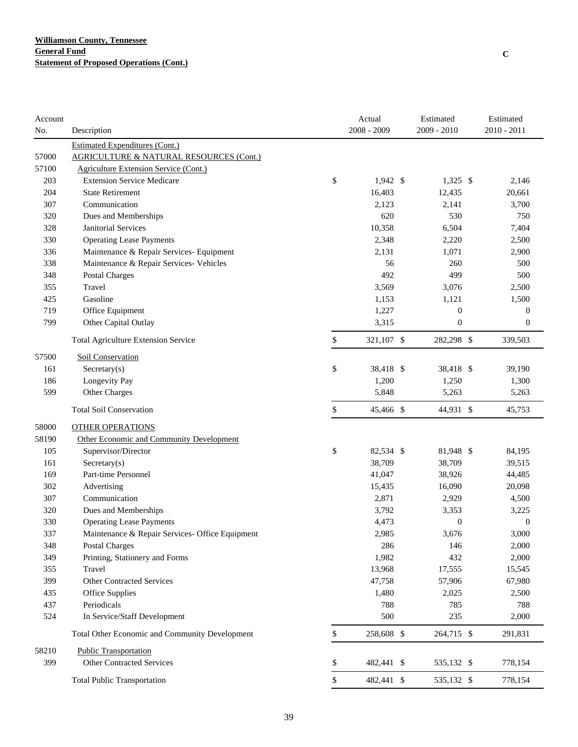| Account |                                                    | Actual           | Estimated        | Estimated        |
|---------|----------------------------------------------------|------------------|------------------|------------------|
| No.     | Description                                        | 2008 - 2009      | 2009 - 2010      | 2010 - 2011      |
|         | <b>Estimated Expenditures (Cont.)</b>              |                  |                  |                  |
| 57000   | <b>AGRICULTURE &amp; NATURAL RESOURCES (Cont.)</b> |                  |                  |                  |
| 57100   | Agriculture Extension Service (Cont.)              |                  |                  |                  |
| 203     | <b>Extension Service Medicare</b>                  | \$<br>$1,942$ \$ | $1,325$ \$       | 2,146            |
| 204     | <b>State Retirement</b>                            | 16,403           | 12,435           | 20,661           |
| 307     | Communication                                      | 2,123            | 2,141            | 3,700            |
| 320     | Dues and Memberships                               | 620              | 530              | 750              |
| 328     | Janitorial Services                                | 10,358           | 6,504            | 7,404            |
| 330     | <b>Operating Lease Payments</b>                    | 2,348            | 2,220            | 2,500            |
| 336     | Maintenance & Repair Services- Equipment           | 2,131            | 1,071            | 2,900            |
| 338     | Maintenance & Repair Services- Vehicles            | 56               | 260              | 500              |
| 348     | Postal Charges                                     | 492              | 499              | 500              |
| 355     | Travel                                             | 3,569            | 3,076            | 2,500            |
| 425     | Gasoline                                           | 1,153            | 1,121            | 1,500            |
| 719     | Office Equipment                                   | 1,227            | $\boldsymbol{0}$ | $\boldsymbol{0}$ |
| 799     | Other Capital Outlay                               | 3,315            | $\boldsymbol{0}$ | $\boldsymbol{0}$ |
|         | <b>Total Agriculture Extension Service</b>         | \$<br>321,107 \$ | 282,298 \$       | 339,503          |
| 57500   | Soil Conservation                                  |                  |                  |                  |
| 161     | Sercetary(s)                                       | \$<br>38,418 \$  | 38,418 \$        | 39,190           |
| 186     | Longevity Pay                                      | 1,200            | 1,250            | 1,300            |
| 599     | Other Charges                                      | 5,848            | 5,263            | 5,263            |
|         | <b>Total Soil Conservation</b>                     | \$<br>45,466 \$  | 44,931 \$        | 45,753           |
| 58000   | <b>OTHER OPERATIONS</b>                            |                  |                  |                  |
| 58190   | Other Economic and Community Development           |                  |                  |                  |
| 105     | Supervisor/Director                                | \$<br>82,534 \$  | 81,948 \$        | 84,195           |
| 161     | $S \text{eccetary}(s)$                             | 38,709           | 38,709           | 39,515           |
| 169     | Part-time Personnel                                | 41,047           | 38,926           | 44,485           |
| 302     | Advertising                                        | 15,435           | 16,090           | 20,098           |
| 307     | Communication                                      | 2,871            | 2,929            | 4,500            |
| 320     | Dues and Memberships                               | 3,792            | 3,353            | 3,225            |
| 330     | <b>Operating Lease Payments</b>                    | 4,473            | $\boldsymbol{0}$ | 0                |
| 337     | Maintenance & Repair Services- Office Equipment    | 2,985            | 3,676            | 3,000            |
| 348     | <b>Postal Charges</b>                              | 286              | 146              | 2,000            |
| 349     | Printing, Stationery and Forms                     | 1,982            | 432              | 2,000            |
| 355     | Travel                                             | 13,968           | 17,555           | 15,545           |
| 399     | <b>Other Contracted Services</b>                   | 47,758           | 57,906           | 67,980           |
| 435     | <b>Office Supplies</b>                             | 1,480            | 2,025            | 2,500            |
| 437     | Periodicals                                        | 788              | 785              | 788              |
| 524     | In Service/Staff Development                       | 500              | 235              | 2,000            |
|         | Total Other Economic and Community Development     | \$<br>258,608 \$ | 264,715 \$       | 291,831          |
| 58210   | <b>Public Transportation</b>                       |                  |                  |                  |
| 399     | <b>Other Contracted Services</b>                   | \$<br>482,441 \$ | 535,132 \$       | 778,154          |
|         | <b>Total Public Transportation</b>                 | \$<br>482,441 \$ | 535,132 \$       | 778,154          |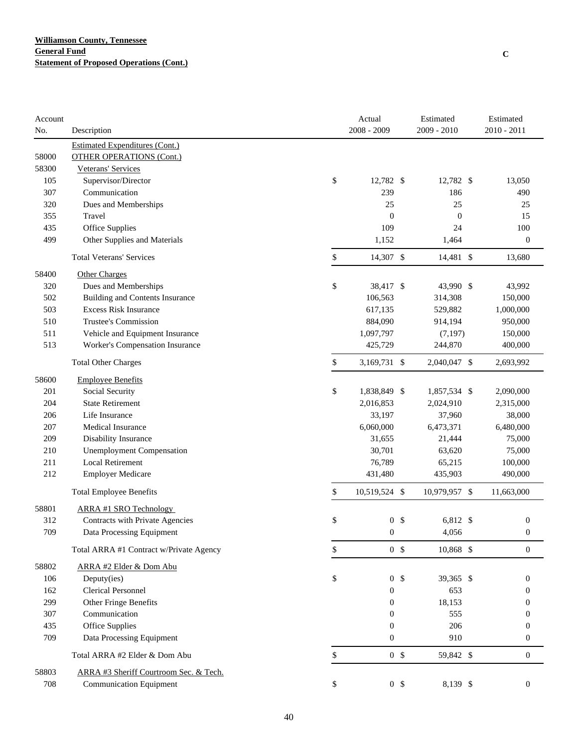| Account |                                         | Actual                | Estimated        | Estimated        |
|---------|-----------------------------------------|-----------------------|------------------|------------------|
| No.     | Description                             | $2008 - 2009$         | 2009 - 2010      | $2010 - 2011$    |
|         | <b>Estimated Expenditures (Cont.)</b>   |                       |                  |                  |
| 58000   | <b>OTHER OPERATIONS (Cont.)</b>         |                       |                  |                  |
| 58300   | Veterans' Services                      |                       |                  |                  |
| 105     | Supervisor/Director                     | \$<br>12,782 \$       | 12,782 \$        | 13,050           |
| 307     | Communication                           | 239                   | 186              | 490              |
| 320     | Dues and Memberships                    | 25                    | 25               | 25               |
| 355     | Travel                                  | $\boldsymbol{0}$      | $\boldsymbol{0}$ | 15               |
| 435     | Office Supplies                         | 109                   | 24               | 100              |
| 499     | Other Supplies and Materials            | 1,152                 | 1,464            | $\boldsymbol{0}$ |
|         | <b>Total Veterans' Services</b>         | \$<br>14,307 \$       | 14,481 \$        | 13,680           |
| 58400   | Other Charges                           |                       |                  |                  |
| 320     | Dues and Memberships                    | \$<br>38,417 \$       | 43,990 \$        | 43,992           |
| 502     | <b>Building and Contents Insurance</b>  | 106,563               | 314,308          | 150,000          |
| 503     | <b>Excess Risk Insurance</b>            | 617,135               | 529,882          | 1,000,000        |
| 510     | Trustee's Commission                    | 884,090               | 914,194          | 950,000          |
| 511     | Vehicle and Equipment Insurance         | 1,097,797             | (7, 197)         | 150,000          |
| 513     | Worker's Compensation Insurance         | 425,729               | 244,870          | 400,000          |
|         | <b>Total Other Charges</b>              | \$<br>3,169,731 \$    | 2,040,047 \$     | 2,693,992        |
| 58600   | <b>Employee Benefits</b>                |                       |                  |                  |
| 201     | Social Security                         | \$<br>1,838,849 \$    | 1,857,534 \$     | 2,090,000        |
| 204     | <b>State Retirement</b>                 | 2,016,853             | 2,024,910        | 2,315,000        |
| 206     | Life Insurance                          | 33,197                | 37,960           | 38,000           |
| 207     | Medical Insurance                       | 6,060,000             | 6,473,371        | 6,480,000        |
| 209     | Disability Insurance                    | 31,655                | 21,444           | 75,000           |
| 210     | <b>Unemployment Compensation</b>        | 30,701                | 63,620           | 75,000           |
| 211     | <b>Local Retirement</b>                 | 76,789                | 65,215           | 100,000          |
| 212     | <b>Employer Medicare</b>                | 431,480               | 435,903          | 490,000          |
|         | <b>Total Employee Benefits</b>          | \$<br>10,519,524 \$   | 10,979,957 \$    | 11,663,000       |
| 58801   | ARRA #1 SRO Technology                  |                       |                  |                  |
| 312     | Contracts with Private Agencies         | \$<br>0 <sup>5</sup>  | 6,812 \$         | $\boldsymbol{0}$ |
| 709     | Data Processing Equipment               | $\mathbf{0}$          | 4,056            | $\boldsymbol{0}$ |
|         | Total ARRA #1 Contract w/Private Agency | \$<br>0 <sup>5</sup>  | 10,868 \$        | $\boldsymbol{0}$ |
| 58802   | ARRA #2 Elder & Dom Abu                 |                       |                  |                  |
| 106     | Deputy(ies)                             | \$<br>0 <sup>5</sup>  | 39,365 \$        | $\mathbf{0}$     |
| 162     | <b>Clerical Personnel</b>               | $\boldsymbol{0}$      | 653              | $\theta$         |
| 299     | Other Fringe Benefits                   | $\boldsymbol{0}$      | 18,153           | $\theta$         |
| 307     | Communication                           | $\boldsymbol{0}$      | 555              | $\mathbf{0}$     |
| 435     | <b>Office Supplies</b>                  | $\boldsymbol{0}$      | 206              | $\mathbf{0}$     |
| 709     | Data Processing Equipment               | $\boldsymbol{0}$      | 910              | $\boldsymbol{0}$ |
|         | Total ARRA #2 Elder & Dom Abu           | \$<br>0 <sup>5</sup>  | 59,842 \$        | $\mathbf{0}$     |
| 58803   | ARRA #3 Sheriff Courtroom Sec. & Tech.  |                       |                  |                  |
| 708     | <b>Communication Equipment</b>          | \$<br>$0 \text{ }$ \$ | 8,139 \$         | $\boldsymbol{0}$ |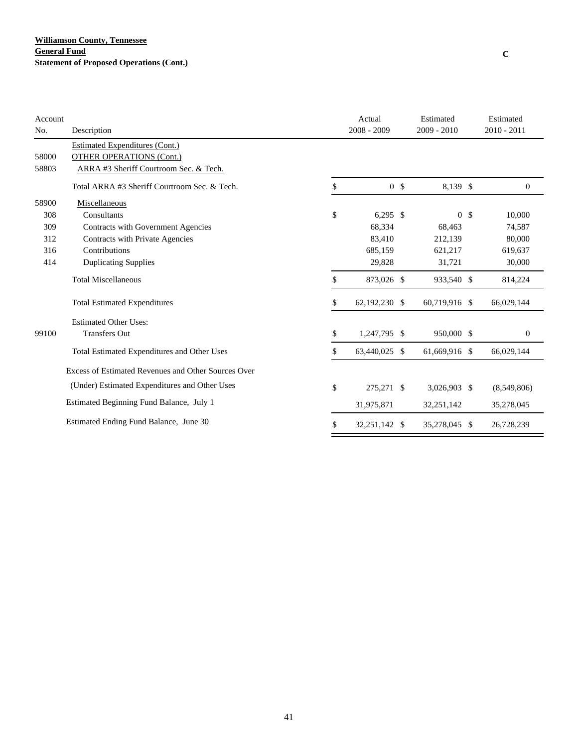### **Williamson County, Tennessee General Fund Statement of Proposed Operations (Cont.)**

| Account |                                                     | Actual               | Estimated     |                | Estimated     |
|---------|-----------------------------------------------------|----------------------|---------------|----------------|---------------|
| No.     | Description                                         | $2008 - 2009$        | $2009 - 2010$ |                | $2010 - 2011$ |
|         | <b>Estimated Expenditures (Cont.)</b>               |                      |               |                |               |
| 58000   | <b>OTHER OPERATIONS (Cont.)</b>                     |                      |               |                |               |
| 58803   | ARRA #3 Sheriff Courtroom Sec. & Tech.              |                      |               |                |               |
|         | Total ARRA #3 Sheriff Courtroom Sec. & Tech.        | \$<br>0 <sup>5</sup> | 8,139 \$      |                | $\mathbf{0}$  |
| 58900   | Miscellaneous                                       |                      |               |                |               |
| 308     | Consultants                                         | \$<br>$6,295$ \$     |               | 0 <sup>5</sup> | 10,000        |
| 309     | Contracts with Government Agencies                  | 68,334               | 68,463        |                | 74,587        |
| 312     | Contracts with Private Agencies                     | 83,410               | 212,139       |                | 80,000        |
| 316     | Contributions                                       | 685,159              | 621,217       |                | 619,637       |
| 414     | <b>Duplicating Supplies</b>                         | 29,828               | 31,721        |                | 30,000        |
|         | <b>Total Miscellaneous</b>                          | \$<br>873,026 \$     | 933,540 \$    |                | 814,224       |
|         | <b>Total Estimated Expenditures</b>                 | \$<br>62,192,230 \$  | 60,719,916 \$ |                | 66,029,144    |
|         | <b>Estimated Other Uses:</b>                        |                      |               |                |               |
| 99100   | <b>Transfers Out</b>                                | \$<br>1,247,795 \$   | 950,000 \$    |                | $\mathbf{0}$  |
|         | Total Estimated Expenditures and Other Uses         | \$<br>63,440,025 \$  | 61,669,916 \$ |                | 66,029,144    |
|         | Excess of Estimated Revenues and Other Sources Over |                      |               |                |               |
|         | (Under) Estimated Expenditures and Other Uses       | \$<br>275,271 \$     | 3,026,903 \$  |                | (8,549,806)   |
|         | Estimated Beginning Fund Balance, July 1            | 31,975,871           | 32,251,142    |                | 35,278,045    |
|         | Estimated Ending Fund Balance, June 30              | \$<br>32,251,142 \$  | 35,278,045 \$ |                | 26,728,239    |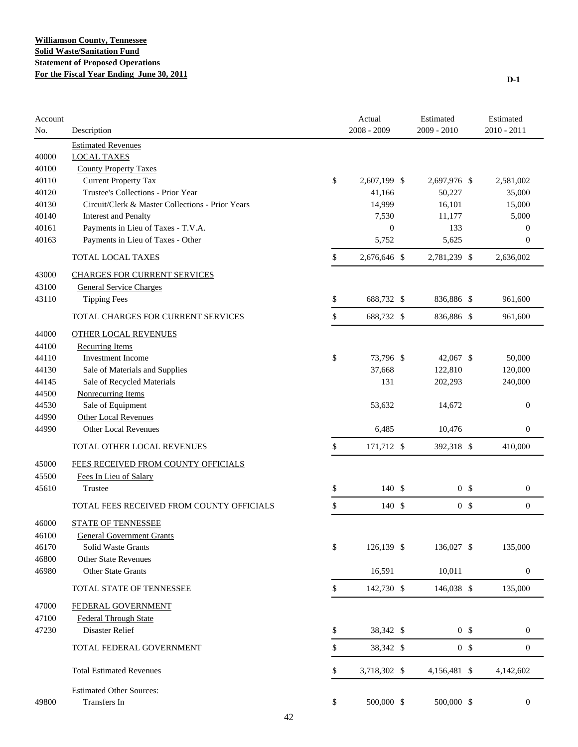| Account<br>No. | Description                                      | Actual<br>$2008 - 2009$ | Estimated<br>2009 - 2010 |                | Estimated<br>$2010 - 2011$ |
|----------------|--------------------------------------------------|-------------------------|--------------------------|----------------|----------------------------|
|                | <b>Estimated Revenues</b>                        |                         |                          |                |                            |
| 40000          | <b>LOCAL TAXES</b>                               |                         |                          |                |                            |
| 40100          | <b>County Property Taxes</b>                     |                         |                          |                |                            |
| 40110          | <b>Current Property Tax</b>                      | \$<br>2,607,199 \$      | 2,697,976 \$             |                | 2,581,002                  |
| 40120          | Trustee's Collections - Prior Year               | 41,166                  | 50,227                   |                | 35,000                     |
| 40130          | Circuit/Clerk & Master Collections - Prior Years | 14,999                  | 16,101                   |                | 15,000                     |
| 40140          | <b>Interest and Penalty</b>                      | 7,530                   | 11,177                   |                | 5,000                      |
| 40161          | Payments in Lieu of Taxes - T.V.A.               | $\mathbf{0}$            | 133                      |                | $\mathbf{0}$               |
| 40163          | Payments in Lieu of Taxes - Other                | 5,752                   | 5,625                    |                | $\mathbf{0}$               |
|                | <b>TOTAL LOCAL TAXES</b>                         | \$<br>2,676,646 \$      | 2,781,239 \$             |                | 2,636,002                  |
| 43000          | <b>CHARGES FOR CURRENT SERVICES</b>              |                         |                          |                |                            |
| 43100          | <b>General Service Charges</b>                   |                         |                          |                |                            |
| 43110          | <b>Tipping Fees</b>                              | \$<br>688,732 \$        | 836,886 \$               |                | 961,600                    |
|                | TOTAL CHARGES FOR CURRENT SERVICES               | \$<br>688,732 \$        | 836,886 \$               |                | 961,600                    |
| 44000          | <b>OTHER LOCAL REVENUES</b>                      |                         |                          |                |                            |
| 44100          | <b>Recurring Items</b>                           |                         |                          |                |                            |
| 44110          | <b>Investment Income</b>                         | \$<br>73.796 \$         | 42,067 \$                |                | 50,000                     |
| 44130          | Sale of Materials and Supplies                   | 37,668                  | 122,810                  |                | 120,000                    |
| 44145          | Sale of Recycled Materials                       | 131                     | 202,293                  |                | 240,000                    |
| 44500          | <b>Nonrecurring Items</b>                        |                         |                          |                |                            |
| 44530          | Sale of Equipment                                | 53,632                  | 14,672                   |                | $\boldsymbol{0}$           |
| 44990          | <b>Other Local Revenues</b>                      |                         |                          |                |                            |
| 44990          | Other Local Revenues                             | 6,485                   | 10,476                   |                | $\boldsymbol{0}$           |
|                | TOTAL OTHER LOCAL REVENUES                       | \$<br>171,712 \$        | 392,318 \$               |                | 410,000                    |
| 45000          | FEES RECEIVED FROM COUNTY OFFICIALS              |                         |                          |                |                            |
| 45500          | Fees In Lieu of Salary                           |                         |                          |                |                            |
| 45610          | Trustee                                          | \$<br>140S              |                          | 0 <sup>5</sup> | $\mathbf{0}$               |
|                | TOTAL FEES RECEIVED FROM COUNTY OFFICIALS        | \$<br>140S              |                          | 0 <sup>5</sup> | $\mathbf{0}$               |
| 46000          | <b>STATE OF TENNESSEE</b>                        |                         |                          |                |                            |
| 46100          | <b>General Government Grants</b>                 |                         |                          |                |                            |
| 46170          | Solid Waste Grants                               | \$<br>126,139 \$        | 136,027 \$               |                | 135,000                    |
| 46800          | Other State Revenues                             |                         |                          |                |                            |
| 46980          | <b>Other State Grants</b>                        | 16,591                  | 10,011                   |                | $\boldsymbol{0}$           |
|                | TOTAL STATE OF TENNESSEE                         | \$<br>142,730 \$        | 146,038 \$               |                | 135,000                    |
| 47000          | FEDERAL GOVERNMENT                               |                         |                          |                |                            |
| 47100          | <b>Federal Through State</b>                     |                         |                          |                |                            |
| 47230          | Disaster Relief                                  | \$<br>38,342 \$         |                          | 0 <sup>5</sup> | $\boldsymbol{0}$           |
|                | TOTAL FEDERAL GOVERNMENT                         | \$<br>38,342 \$         |                          | 0 <sup>5</sup> | $\boldsymbol{0}$           |
|                | <b>Total Estimated Revenues</b>                  | \$<br>3,718,302 \$      | 4,156,481 \$             |                | 4,142,602                  |
|                |                                                  |                         |                          |                |                            |
|                | <b>Estimated Other Sources:</b>                  |                         |                          |                |                            |
| 49800          | Transfers In                                     | \$<br>500,000 \$        | 500,000 \$               |                | $\boldsymbol{0}$           |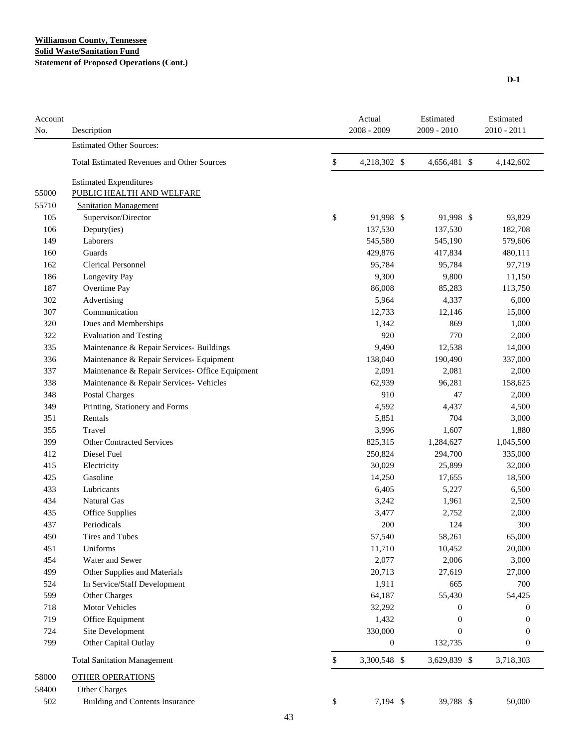#### **Williamson County, Tennessee Solid Waste/Sanitation Fund Statement of Proposed Operations (Cont.)**

| Account<br>No. | Description                                       | Actual<br>$2008 - 2009$ | Estimated<br>2009 - 2010 | Estimated<br>$2010 - 2011$ |
|----------------|---------------------------------------------------|-------------------------|--------------------------|----------------------------|
|                | <b>Estimated Other Sources:</b>                   |                         |                          |                            |
|                | <b>Total Estimated Revenues and Other Sources</b> | \$<br>4,218,302 \$      | 4,656,481 \$             | 4,142,602                  |
|                | <b>Estimated Expenditures</b>                     |                         |                          |                            |
| 55000          | PUBLIC HEALTH AND WELFARE                         |                         |                          |                            |
| 55710          | <b>Sanitation Management</b>                      |                         |                          |                            |
| 105            | Supervisor/Director                               | \$<br>91,998 \$         | 91,998 \$                | 93,829                     |
| 106            | Deputy(ies)                                       | 137,530                 | 137,530                  | 182,708                    |
| 149            | Laborers                                          | 545,580                 | 545,190                  | 579,606                    |
| 160            | Guards                                            | 429,876                 | 417,834                  | 480,111                    |
| 162            | <b>Clerical Personnel</b>                         | 95,784                  | 95,784                   | 97,719                     |
| 186            | Longevity Pay                                     | 9,300                   | 9,800                    | 11,150                     |
| 187            | Overtime Pay                                      | 86,008                  | 85,283                   | 113,750                    |
| 302            | Advertising                                       | 5,964                   | 4,337                    | 6,000                      |
| 307            | Communication                                     | 12,733                  | 12,146                   | 15,000                     |
| 320            | Dues and Memberships                              | 1,342                   | 869                      | 1,000                      |
| 322            | <b>Evaluation and Testing</b>                     | 920                     | 770                      | 2,000                      |
| 335            | Maintenance & Repair Services- Buildings          | 9,490                   | 12,538                   | 14,000                     |
| 336            | Maintenance & Repair Services- Equipment          | 138,040                 | 190,490                  | 337,000                    |
| 337            | Maintenance & Repair Services- Office Equipment   | 2,091                   | 2,081                    | 2,000                      |
| 338            | Maintenance & Repair Services- Vehicles           | 62,939                  | 96,281                   | 158,625                    |
| 348            | <b>Postal Charges</b>                             | 910                     | 47                       | 2,000                      |
| 349            | Printing, Stationery and Forms                    | 4,592                   | 4,437                    | 4,500                      |
| 351            | Rentals                                           | 5,851                   | 704                      | 3,000                      |
| 355            | Travel                                            | 3,996                   | 1,607                    | 1,880                      |
| 399            | <b>Other Contracted Services</b>                  | 825,315                 | 1,284,627                | 1,045,500                  |
| 412            | Diesel Fuel                                       | 250,824                 | 294,700                  | 335,000                    |
| 415            | Electricity                                       | 30,029                  | 25,899                   | 32,000                     |
| 425            | Gasoline                                          | 14,250                  | 17,655                   | 18,500                     |
| 433            | Lubricants                                        | 6,405                   | 5,227                    | 6,500                      |
| 434            | Natural Gas                                       | 3,242                   | 1,961                    | 2,500                      |
| 435            | Office Supplies                                   | 3,477                   | 2,752                    | 2,000                      |
| 437            | Periodicals                                       | 200                     | 124                      | 300                        |
| 450            | Tires and Tubes                                   | 57,540                  | 58,261                   | 65,000                     |
| 451            | Uniforms                                          | 11,710                  | 10,452                   | 20,000                     |
| 454            | Water and Sewer                                   | 2,077                   | 2,006                    | 3,000                      |
| 499            | Other Supplies and Materials                      | 20,713                  | 27,619                   | 27,000                     |
| 524            | In Service/Staff Development                      | 1,911                   | 665                      | 700                        |
| 599            | Other Charges                                     | 64,187                  | 55,430                   | 54,425                     |
| 718            | Motor Vehicles                                    | 32,292                  | 0                        | $\theta$                   |
| 719            | Office Equipment                                  | 1,432                   | 0                        | $\Omega$                   |
| 724            | Site Development                                  | 330,000                 | $\theta$                 | $\mathbf 0$                |
| 799            | Other Capital Outlay                              | $\boldsymbol{0}$        | 132,735                  | $\mathbf 0$                |
|                | <b>Total Sanitation Management</b>                | \$<br>3,300,548 \$      | 3,629,839 \$             | 3,718,303                  |
| 58000          | <b>OTHER OPERATIONS</b>                           |                         |                          |                            |
|                |                                                   |                         |                          |                            |
| 58400          | <b>Other Charges</b>                              |                         |                          |                            |
| 502            | <b>Building and Contents Insurance</b>            | \$<br>7,194 \$          | 39,788 \$                | 50,000                     |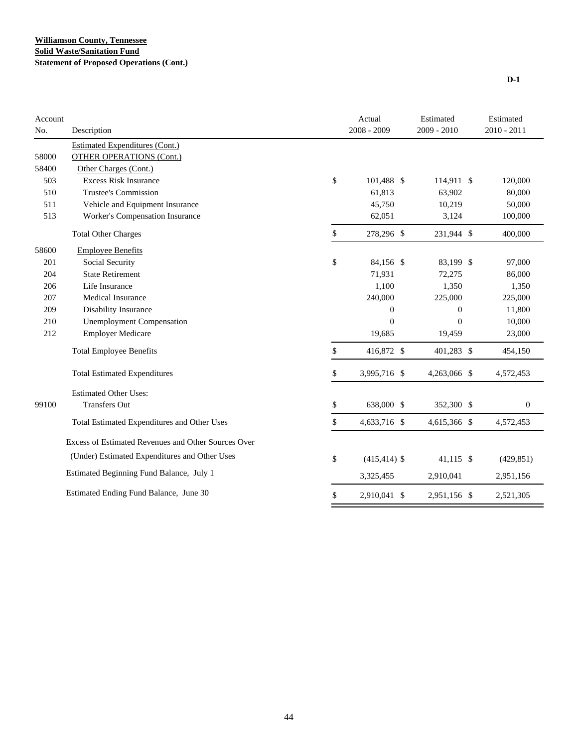| <b>Estimated Expenditures (Cont.)</b><br>58000<br><b>OTHER OPERATIONS (Cont.)</b><br>58400<br>Other Charges (Cont.)<br>\$<br>503<br><b>Excess Risk Insurance</b><br>101,488 \$<br>114,911 \$<br>120,000<br><b>Trustee's Commission</b><br>61,813<br>510<br>63,902<br>80,000<br>511<br>Vehicle and Equipment Insurance<br>45,750<br>10,219<br>50,000<br>513<br>Worker's Compensation Insurance<br>3,124<br>100,000<br>62,051<br>\$<br><b>Total Other Charges</b><br>278,296 \$<br>231,944 \$<br>400,000<br><b>Employee Benefits</b><br>58600<br>\$<br>201<br>Social Security<br>84,156 \$<br>83,199 \$<br>97,000<br><b>State Retirement</b><br>204<br>71,931<br>72,275<br>86,000<br>1,100<br>1,350<br>206<br>Life Insurance<br>1,350<br>Medical Insurance<br>240,000<br>207<br>225,000<br>225,000<br>Disability Insurance<br>209<br>$\mathbf{0}$<br>$\mathbf{0}$<br>11,800<br>$\overline{0}$<br><b>Unemployment Compensation</b><br>$\theta$<br>10,000<br>210<br><b>Employer Medicare</b><br>212<br>19,685<br>19,459<br>23,000<br>\$<br>416,872 \$<br>401,283 \$<br><b>Total Employee Benefits</b><br>454,150<br><b>Total Estimated Expenditures</b><br>\$<br>3,995,716 \$<br>4,263,066 \$<br>4,572,453<br><b>Estimated Other Uses:</b><br><b>Transfers Out</b><br>\$<br>638,000 \$<br>352,300 \$<br>99100<br>$\boldsymbol{0}$<br>\$<br>Total Estimated Expenditures and Other Uses<br>4,633,716 \$<br>4,615,366 \$<br>4,572,453<br>Excess of Estimated Revenues and Other Sources Over<br>(Under) Estimated Expenditures and Other Uses<br>\$<br>$(415, 414)$ \$<br>41,115 \$<br>(429, 851)<br>Estimated Beginning Fund Balance, July 1<br>3,325,455<br>2,910,041<br>2,951,156<br>Estimated Ending Fund Balance, June 30<br>\$<br>2,910,041 \$<br>2,951,156 \$<br>2,521,305 | Account<br>No. |             | Actual<br>$2008 - 2009$ | Estimated<br>$2009 - 2010$ | Estimated<br>$2010 - 2011$ |
|-----------------------------------------------------------------------------------------------------------------------------------------------------------------------------------------------------------------------------------------------------------------------------------------------------------------------------------------------------------------------------------------------------------------------------------------------------------------------------------------------------------------------------------------------------------------------------------------------------------------------------------------------------------------------------------------------------------------------------------------------------------------------------------------------------------------------------------------------------------------------------------------------------------------------------------------------------------------------------------------------------------------------------------------------------------------------------------------------------------------------------------------------------------------------------------------------------------------------------------------------------------------------------------------------------------------------------------------------------------------------------------------------------------------------------------------------------------------------------------------------------------------------------------------------------------------------------------------------------------------------------------------------------------------------------------------------------------------------------------------------------------------------------|----------------|-------------|-------------------------|----------------------------|----------------------------|
|                                                                                                                                                                                                                                                                                                                                                                                                                                                                                                                                                                                                                                                                                                                                                                                                                                                                                                                                                                                                                                                                                                                                                                                                                                                                                                                                                                                                                                                                                                                                                                                                                                                                                                                                                                             |                | Description |                         |                            |                            |
|                                                                                                                                                                                                                                                                                                                                                                                                                                                                                                                                                                                                                                                                                                                                                                                                                                                                                                                                                                                                                                                                                                                                                                                                                                                                                                                                                                                                                                                                                                                                                                                                                                                                                                                                                                             |                |             |                         |                            |                            |
|                                                                                                                                                                                                                                                                                                                                                                                                                                                                                                                                                                                                                                                                                                                                                                                                                                                                                                                                                                                                                                                                                                                                                                                                                                                                                                                                                                                                                                                                                                                                                                                                                                                                                                                                                                             |                |             |                         |                            |                            |
|                                                                                                                                                                                                                                                                                                                                                                                                                                                                                                                                                                                                                                                                                                                                                                                                                                                                                                                                                                                                                                                                                                                                                                                                                                                                                                                                                                                                                                                                                                                                                                                                                                                                                                                                                                             |                |             |                         |                            |                            |
|                                                                                                                                                                                                                                                                                                                                                                                                                                                                                                                                                                                                                                                                                                                                                                                                                                                                                                                                                                                                                                                                                                                                                                                                                                                                                                                                                                                                                                                                                                                                                                                                                                                                                                                                                                             |                |             |                         |                            |                            |
|                                                                                                                                                                                                                                                                                                                                                                                                                                                                                                                                                                                                                                                                                                                                                                                                                                                                                                                                                                                                                                                                                                                                                                                                                                                                                                                                                                                                                                                                                                                                                                                                                                                                                                                                                                             |                |             |                         |                            |                            |
|                                                                                                                                                                                                                                                                                                                                                                                                                                                                                                                                                                                                                                                                                                                                                                                                                                                                                                                                                                                                                                                                                                                                                                                                                                                                                                                                                                                                                                                                                                                                                                                                                                                                                                                                                                             |                |             |                         |                            |                            |
|                                                                                                                                                                                                                                                                                                                                                                                                                                                                                                                                                                                                                                                                                                                                                                                                                                                                                                                                                                                                                                                                                                                                                                                                                                                                                                                                                                                                                                                                                                                                                                                                                                                                                                                                                                             |                |             |                         |                            |                            |
|                                                                                                                                                                                                                                                                                                                                                                                                                                                                                                                                                                                                                                                                                                                                                                                                                                                                                                                                                                                                                                                                                                                                                                                                                                                                                                                                                                                                                                                                                                                                                                                                                                                                                                                                                                             |                |             |                         |                            |                            |
|                                                                                                                                                                                                                                                                                                                                                                                                                                                                                                                                                                                                                                                                                                                                                                                                                                                                                                                                                                                                                                                                                                                                                                                                                                                                                                                                                                                                                                                                                                                                                                                                                                                                                                                                                                             |                |             |                         |                            |                            |
|                                                                                                                                                                                                                                                                                                                                                                                                                                                                                                                                                                                                                                                                                                                                                                                                                                                                                                                                                                                                                                                                                                                                                                                                                                                                                                                                                                                                                                                                                                                                                                                                                                                                                                                                                                             |                |             |                         |                            |                            |
|                                                                                                                                                                                                                                                                                                                                                                                                                                                                                                                                                                                                                                                                                                                                                                                                                                                                                                                                                                                                                                                                                                                                                                                                                                                                                                                                                                                                                                                                                                                                                                                                                                                                                                                                                                             |                |             |                         |                            |                            |
|                                                                                                                                                                                                                                                                                                                                                                                                                                                                                                                                                                                                                                                                                                                                                                                                                                                                                                                                                                                                                                                                                                                                                                                                                                                                                                                                                                                                                                                                                                                                                                                                                                                                                                                                                                             |                |             |                         |                            |                            |
|                                                                                                                                                                                                                                                                                                                                                                                                                                                                                                                                                                                                                                                                                                                                                                                                                                                                                                                                                                                                                                                                                                                                                                                                                                                                                                                                                                                                                                                                                                                                                                                                                                                                                                                                                                             |                |             |                         |                            |                            |
|                                                                                                                                                                                                                                                                                                                                                                                                                                                                                                                                                                                                                                                                                                                                                                                                                                                                                                                                                                                                                                                                                                                                                                                                                                                                                                                                                                                                                                                                                                                                                                                                                                                                                                                                                                             |                |             |                         |                            |                            |
|                                                                                                                                                                                                                                                                                                                                                                                                                                                                                                                                                                                                                                                                                                                                                                                                                                                                                                                                                                                                                                                                                                                                                                                                                                                                                                                                                                                                                                                                                                                                                                                                                                                                                                                                                                             |                |             |                         |                            |                            |
|                                                                                                                                                                                                                                                                                                                                                                                                                                                                                                                                                                                                                                                                                                                                                                                                                                                                                                                                                                                                                                                                                                                                                                                                                                                                                                                                                                                                                                                                                                                                                                                                                                                                                                                                                                             |                |             |                         |                            |                            |
|                                                                                                                                                                                                                                                                                                                                                                                                                                                                                                                                                                                                                                                                                                                                                                                                                                                                                                                                                                                                                                                                                                                                                                                                                                                                                                                                                                                                                                                                                                                                                                                                                                                                                                                                                                             |                |             |                         |                            |                            |
|                                                                                                                                                                                                                                                                                                                                                                                                                                                                                                                                                                                                                                                                                                                                                                                                                                                                                                                                                                                                                                                                                                                                                                                                                                                                                                                                                                                                                                                                                                                                                                                                                                                                                                                                                                             |                |             |                         |                            |                            |
|                                                                                                                                                                                                                                                                                                                                                                                                                                                                                                                                                                                                                                                                                                                                                                                                                                                                                                                                                                                                                                                                                                                                                                                                                                                                                                                                                                                                                                                                                                                                                                                                                                                                                                                                                                             |                |             |                         |                            |                            |
|                                                                                                                                                                                                                                                                                                                                                                                                                                                                                                                                                                                                                                                                                                                                                                                                                                                                                                                                                                                                                                                                                                                                                                                                                                                                                                                                                                                                                                                                                                                                                                                                                                                                                                                                                                             |                |             |                         |                            |                            |
|                                                                                                                                                                                                                                                                                                                                                                                                                                                                                                                                                                                                                                                                                                                                                                                                                                                                                                                                                                                                                                                                                                                                                                                                                                                                                                                                                                                                                                                                                                                                                                                                                                                                                                                                                                             |                |             |                         |                            |                            |
|                                                                                                                                                                                                                                                                                                                                                                                                                                                                                                                                                                                                                                                                                                                                                                                                                                                                                                                                                                                                                                                                                                                                                                                                                                                                                                                                                                                                                                                                                                                                                                                                                                                                                                                                                                             |                |             |                         |                            |                            |
|                                                                                                                                                                                                                                                                                                                                                                                                                                                                                                                                                                                                                                                                                                                                                                                                                                                                                                                                                                                                                                                                                                                                                                                                                                                                                                                                                                                                                                                                                                                                                                                                                                                                                                                                                                             |                |             |                         |                            |                            |
|                                                                                                                                                                                                                                                                                                                                                                                                                                                                                                                                                                                                                                                                                                                                                                                                                                                                                                                                                                                                                                                                                                                                                                                                                                                                                                                                                                                                                                                                                                                                                                                                                                                                                                                                                                             |                |             |                         |                            |                            |
|                                                                                                                                                                                                                                                                                                                                                                                                                                                                                                                                                                                                                                                                                                                                                                                                                                                                                                                                                                                                                                                                                                                                                                                                                                                                                                                                                                                                                                                                                                                                                                                                                                                                                                                                                                             |                |             |                         |                            |                            |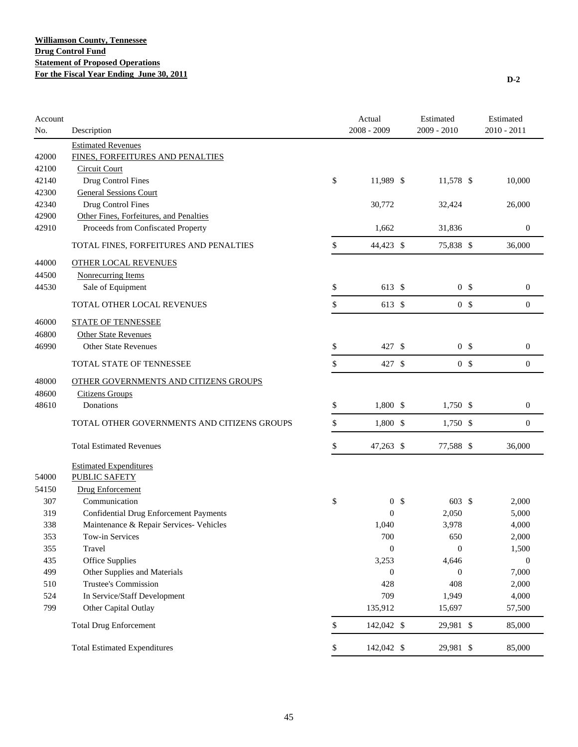| Account<br>No. | Description                                   | Actual<br>2008 - 2009 |                | Estimated<br>2009 - 2010 |                | Estimated<br>$2010 - 2011$ |
|----------------|-----------------------------------------------|-----------------------|----------------|--------------------------|----------------|----------------------------|
|                | <b>Estimated Revenues</b>                     |                       |                |                          |                |                            |
| 42000          | FINES, FORFEITURES AND PENALTIES              |                       |                |                          |                |                            |
| 42100          | <b>Circuit Court</b>                          |                       |                |                          |                |                            |
| 42140          | Drug Control Fines                            | \$<br>11,989 \$       |                | 11,578 \$                |                | 10,000                     |
| 42300          | <b>General Sessions Court</b>                 |                       |                |                          |                |                            |
| 42340          | Drug Control Fines                            | 30,772                |                | 32,424                   |                | 26,000                     |
| 42900          | Other Fines, Forfeitures, and Penalties       |                       |                |                          |                |                            |
| 42910          | Proceeds from Confiscated Property            | 1,662                 |                | 31,836                   |                | $\boldsymbol{0}$           |
|                | TOTAL FINES, FORFEITURES AND PENALTIES        | \$<br>44,423 \$       |                | 75,838 \$                |                | 36,000                     |
| 44000          | <b>OTHER LOCAL REVENUES</b>                   |                       |                |                          |                |                            |
| 44500          | <b>Nonrecurring Items</b>                     |                       |                |                          |                |                            |
| 44530          | Sale of Equipment                             | \$<br>613 \$          |                | 0 <sup>5</sup>           |                | $\boldsymbol{0}$           |
|                | TOTAL OTHER LOCAL REVENUES                    | \$<br>613 \$          |                |                          | 0 <sup>5</sup> | $\mathbf{0}$               |
| 46000          | <b>STATE OF TENNESSEE</b>                     |                       |                |                          |                |                            |
| 46800          | <b>Other State Revenues</b>                   |                       |                |                          |                |                            |
| 46990          | <b>Other State Revenues</b>                   | \$<br>427 \$          |                | 0 <sup>5</sup>           |                | $\boldsymbol{0}$           |
|                | TOTAL STATE OF TENNESSEE                      | \$<br>427 \$          |                | 0 <sup>5</sup>           |                | $\mathbf{0}$               |
| 48000          | OTHER GOVERNMENTS AND CITIZENS GROUPS         |                       |                |                          |                |                            |
| 48600          | <b>Citizens Groups</b>                        |                       |                |                          |                |                            |
| 48610          | Donations                                     | \$<br>1,800 \$        |                | 1,750 \$                 |                | $\boldsymbol{0}$           |
|                | TOTAL OTHER GOVERNMENTS AND CITIZENS GROUPS   | \$<br>1,800 \$        |                | $1,750$ \$               |                | $\mathbf{0}$               |
|                |                                               |                       |                |                          |                |                            |
|                | <b>Total Estimated Revenues</b>               | \$<br>47,263 \$       |                | 77,588 \$                |                | 36,000                     |
|                | <b>Estimated Expenditures</b>                 |                       |                |                          |                |                            |
| 54000          | PUBLIC SAFETY                                 |                       |                |                          |                |                            |
| 54150          | <b>Drug Enforcement</b>                       |                       |                |                          |                |                            |
| 307            | Communication                                 | \$                    | 0 <sup>5</sup> | 603 \$                   |                | 2,000                      |
| 319            | <b>Confidential Drug Enforcement Payments</b> | $\mathbf{0}$          |                | 2,050                    |                | 5,000                      |
| 338            | Maintenance & Repair Services- Vehicles       | 1,040                 |                | 3,978                    |                | 4,000                      |
| 353            | Tow-in Services                               | 700                   |                | 650                      |                | 2,000                      |
| 355            | Travel                                        | $\mathbf{0}$          |                | $\mathbf{0}$             |                | 1,500                      |
| 435            | Office Supplies                               | 3,253                 |                | 4,646                    |                | $\boldsymbol{0}$           |
| 499            | Other Supplies and Materials                  | $\boldsymbol{0}$      |                | $\boldsymbol{0}$         |                | 7,000                      |
| 510            | Trustee's Commission                          | 428                   |                | 408                      |                | 2,000                      |
| 524            | In Service/Staff Development                  | 709                   |                | 1,949                    |                | 4,000                      |
| 799            | Other Capital Outlay                          | 135,912               |                | 15,697                   |                | 57,500                     |
|                | <b>Total Drug Enforcement</b>                 | \$<br>142,042 \$      |                | 29,981 \$                |                | 85,000                     |
|                | <b>Total Estimated Expenditures</b>           | \$<br>142,042 \$      |                | 29,981 \$                |                | 85,000                     |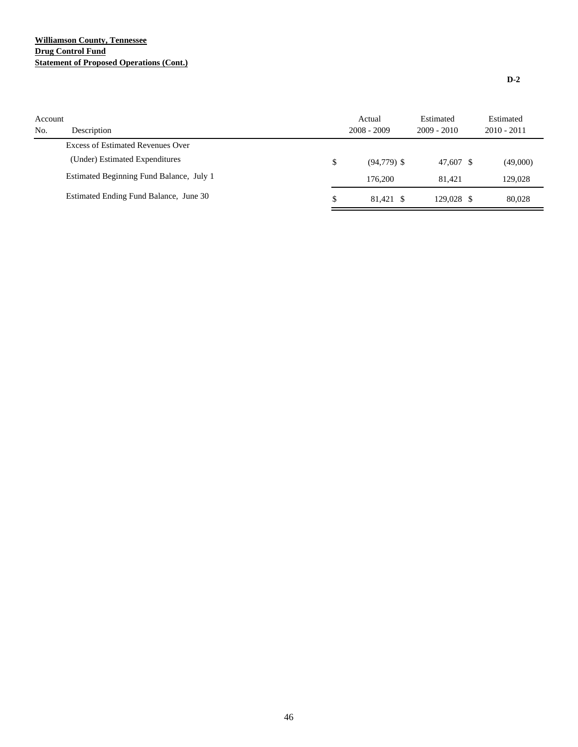# **Williamson County, Tennessee Drug Control Fund Statement of Proposed Operations (Cont.)**

| Account<br>No. | Description                              | Actual<br>$2008 - 2009$ | Estimated<br>$2009 - 2010$ | Estimated<br>$2010 - 2011$ |
|----------------|------------------------------------------|-------------------------|----------------------------|----------------------------|
|                | Excess of Estimated Revenues Over        |                         |                            |                            |
|                | (Under) Estimated Expenditures           | \$<br>$(94, 779)$ \$    | 47.607 \$                  | (49,000)                   |
|                | Estimated Beginning Fund Balance, July 1 | 176,200                 | 81.421                     | 129,028                    |
|                | Estimated Ending Fund Balance, June 30   | \$<br>81.421 \$         | 129,028 \$                 | 80,028                     |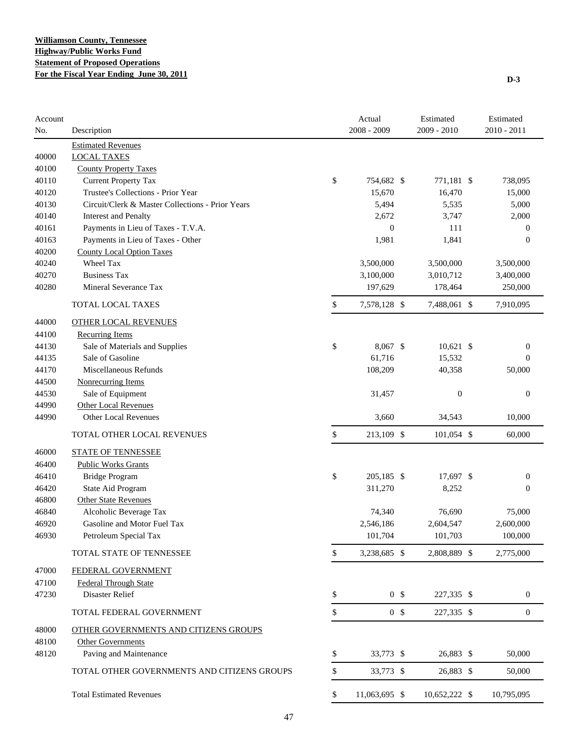| Account<br>No. | Description                                      | Actual<br>2008 - 2009 | Estimated<br>2009 - 2010 | Estimated<br>2010 - 2011 |
|----------------|--------------------------------------------------|-----------------------|--------------------------|--------------------------|
|                | <b>Estimated Revenues</b>                        |                       |                          |                          |
| 40000          | <b>LOCAL TAXES</b>                               |                       |                          |                          |
| 40100          | <b>County Property Taxes</b>                     |                       |                          |                          |
| 40110          | <b>Current Property Tax</b>                      | \$<br>754,682 \$      | 771,181 \$               | 738,095                  |
| 40120          | Trustee's Collections - Prior Year               | 15,670                | 16,470                   | 15,000                   |
| 40130          | Circuit/Clerk & Master Collections - Prior Years | 5,494                 | 5,535                    | 5,000                    |
| 40140          | <b>Interest and Penalty</b>                      | 2,672                 | 3,747                    | 2,000                    |
| 40161          | Payments in Lieu of Taxes - T.V.A.               | $\mathbf{0}$          | 111                      | $\boldsymbol{0}$         |
| 40163          | Payments in Lieu of Taxes - Other                | 1,981                 | 1,841                    | $\boldsymbol{0}$         |
| 40200          | <b>County Local Option Taxes</b>                 |                       |                          |                          |
| 40240          | Wheel Tax                                        | 3,500,000             | 3,500,000                | 3,500,000                |
| 40270          | <b>Business Tax</b>                              | 3,100,000             | 3,010,712                | 3,400,000                |
| 40280          | Mineral Severance Tax                            | 197,629               | 178,464                  | 250,000                  |
|                | TOTAL LOCAL TAXES                                | \$<br>7,578,128 \$    | 7,488,061 \$             | 7,910,095                |
| 44000          | <b>OTHER LOCAL REVENUES</b>                      |                       |                          |                          |
| 44100          | <b>Recurring Items</b>                           |                       |                          |                          |
| 44130          | Sale of Materials and Supplies                   | \$<br>8.067 \$        | $10,621$ \$              | $\boldsymbol{0}$         |
| 44135          | Sale of Gasoline                                 | 61,716                | 15,532                   | $\Omega$                 |
| 44170          | Miscellaneous Refunds                            | 108,209               | 40,358                   | 50,000                   |
| 44500          | <b>Nonrecurring Items</b>                        |                       |                          |                          |
| 44530          | Sale of Equipment                                | 31,457                | $\boldsymbol{0}$         | $\boldsymbol{0}$         |
| 44990          | Other Local Revenues                             |                       |                          |                          |
| 44990          | <b>Other Local Revenues</b>                      | 3,660                 | 34,543                   | 10,000                   |
|                | TOTAL OTHER LOCAL REVENUES                       | \$<br>213,109 \$      | 101,054 \$               | 60,000                   |
| 46000          | <b>STATE OF TENNESSEE</b>                        |                       |                          |                          |
| 46400          | <b>Public Works Grants</b>                       |                       |                          |                          |
| 46410          | <b>Bridge Program</b>                            | \$<br>205,185 \$      | 17,697 \$                | $\boldsymbol{0}$         |
| 46420          | State Aid Program                                | 311,270               | 8,252                    | $\mathbf{0}$             |
| 46800          | <b>Other State Revenues</b>                      |                       |                          |                          |
| 46840          | Alcoholic Beverage Tax                           | 74,340                | 76,690                   | 75,000                   |
| 46920          | Gasoline and Motor Fuel Tax                      | 2,546,186             | 2,604,547                | 2,600,000                |
| 46930          | Petroleum Special Tax                            | 101,704               | 101,703                  | 100,000                  |
|                | TOTAL STATE OF TENNESSEE                         | \$<br>3,238,685 \$    | 2,808,889 \$             | 2,775,000                |
| 47000          | FEDERAL GOVERNMENT                               |                       |                          |                          |
| 47100          | <b>Federal Through State</b>                     |                       |                          |                          |
| 47230          | Disaster Relief                                  | \$<br>0 <sup>5</sup>  | 227,335 \$               | $\mathbf{0}$             |
|                | TOTAL FEDERAL GOVERNMENT                         | \$<br>0 <sup>5</sup>  | 227,335 \$               | $\mathbf{0}$             |
| 48000          | OTHER GOVERNMENTS AND CITIZENS GROUPS            |                       |                          |                          |
| 48100          | <b>Other Governments</b>                         |                       |                          |                          |
| 48120          | Paving and Maintenance                           | \$<br>33,773 \$       | 26,883 \$                | 50,000                   |
|                | TOTAL OTHER GOVERNMENTS AND CITIZENS GROUPS      | \$<br>33,773 \$       | 26,883 \$                | 50,000                   |
|                | <b>Total Estimated Revenues</b>                  | \$<br>11,063,695 \$   | 10,652,222 \$            | 10,795,095               |

47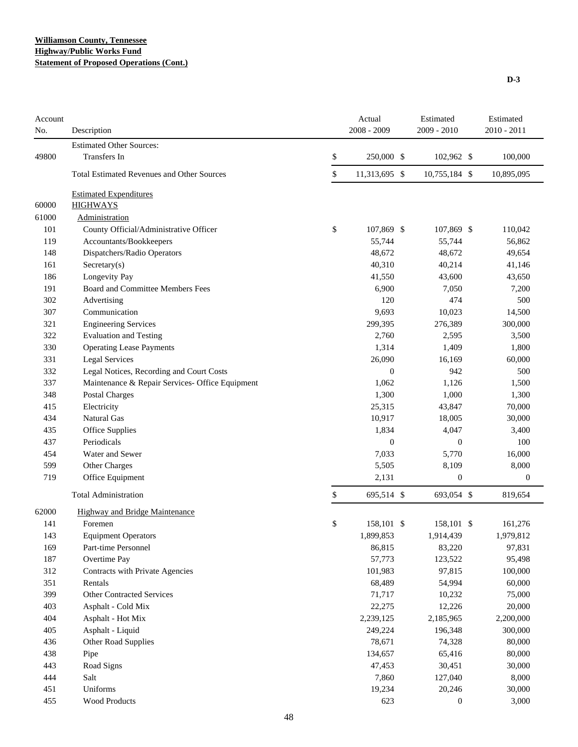### **Williamson County, Tennessee Highway/Public Works Fund Statement of Proposed Operations (Cont.)**

| Account<br>No. | Description                                       | Actual<br>2008 - 2009 |                  | Estimated<br>$2009 - 2010$ | Estimated<br>$2010 - 2011$ |
|----------------|---------------------------------------------------|-----------------------|------------------|----------------------------|----------------------------|
|                | <b>Estimated Other Sources:</b>                   |                       |                  |                            |                            |
| 49800          | Transfers In                                      | \$                    | 250,000 \$       | 102,962 \$                 | 100,000                    |
|                | <b>Total Estimated Revenues and Other Sources</b> | \$                    | 11,313,695 \$    | 10,755,184 \$              | 10,895,095                 |
|                | <b>Estimated Expenditures</b>                     |                       |                  |                            |                            |
| 60000          | <b>HIGHWAYS</b>                                   |                       |                  |                            |                            |
| 61000          | <b>Administration</b>                             |                       |                  |                            |                            |
| 101            | County Official/Administrative Officer            | \$                    | 107,869 \$       | 107,869 \$                 | 110,042                    |
| 119            | Accountants/Bookkeepers                           |                       | 55,744           | 55,744                     | 56,862                     |
| 148            | Dispatchers/Radio Operators                       |                       | 48,672           | 48,672                     | 49,654                     |
| 161            | Sercetary(s)                                      |                       | 40,310           | 40,214                     | 41,146                     |
| 186            | Longevity Pay                                     |                       | 41,550           | 43,600                     | 43,650                     |
| 191            | Board and Committee Members Fees                  |                       | 6,900            | 7,050                      | 7,200                      |
| 302            | Advertising                                       |                       | 120              | 474                        | 500                        |
| 307            | Communication                                     |                       | 9,693            | 10,023                     | 14,500                     |
| 321            | <b>Engineering Services</b>                       |                       | 299,395          | 276,389                    | 300,000                    |
| 322            | <b>Evaluation and Testing</b>                     |                       | 2,760            | 2,595                      | 3,500                      |
| 330            | <b>Operating Lease Payments</b>                   |                       | 1,314            | 1,409                      | 1,800                      |
| 331            | <b>Legal Services</b>                             |                       | 26,090           | 16,169                     | 60,000                     |
| 332            | Legal Notices, Recording and Court Costs          |                       | $\boldsymbol{0}$ | 942                        | 500                        |
| 337            | Maintenance & Repair Services- Office Equipment   |                       | 1,062            | 1,126                      | 1,500                      |
| 348            | Postal Charges                                    |                       | 1,300            | 1,000                      | 1,300                      |
| 415            | Electricity                                       |                       | 25,315           | 43,847                     | 70,000                     |
| 434            | <b>Natural Gas</b>                                |                       | 10,917           | 18,005                     | 30,000                     |
| 435            | Office Supplies                                   |                       | 1,834            | 4,047                      | 3,400                      |
| 437            | Periodicals                                       |                       | $\boldsymbol{0}$ | $\boldsymbol{0}$           | 100                        |
| 454            | Water and Sewer                                   |                       | 7,033            | 5,770                      | 16,000                     |
| 599            | Other Charges                                     |                       | 5,505            | 8,109                      | 8,000                      |
| 719            | Office Equipment                                  |                       | 2,131            | $\boldsymbol{0}$           | $\theta$                   |
|                | <b>Total Administration</b>                       | \$                    | 695,514 \$       | 693,054 \$                 | 819,654                    |
|                |                                                   |                       |                  |                            |                            |
| 62000<br>141   | <b>Highway and Bridge Maintenance</b>             |                       |                  |                            |                            |
|                | Foremen                                           | \$                    | 158,101 \$       | 158,101 \$                 | 161,276                    |
| 143            | <b>Equipment Operators</b><br>Part-time Personnel |                       | 1,899,853        | 1,914,439                  | 1,979,812                  |
| 169<br>187     |                                                   |                       | 86,815<br>57,773 | 83,220<br>123,522          | 97,831<br>95,498           |
| 312            | Overtime Pay                                      |                       | 101,983          | 97,815                     |                            |
| 351            | Contracts with Private Agencies<br>Rentals        |                       | 68,489           | 54,994                     | 100,000<br>60,000          |
|                | Other Contracted Services                         |                       |                  |                            |                            |
| 399            |                                                   |                       | 71,717           | 10,232                     | 75,000                     |
| 403            | Asphalt - Cold Mix                                |                       | 22,275           | 12,226                     | 20,000                     |
| 404            | Asphalt - Hot Mix                                 |                       | 2,239,125        | 2,185,965                  | 2,200,000                  |
| 405            | Asphalt - Liquid                                  |                       | 249,224          | 196,348                    | 300,000                    |
| 436            | Other Road Supplies                               |                       | 78,671           | 74,328                     | 80,000                     |
| 438            | Pipe                                              |                       | 134,657          | 65,416                     | 80,000                     |
| 443            | Road Signs                                        |                       | 47,453           | 30,451                     | 30,000                     |
| 444            | Salt                                              |                       | 7,860            | 127,040                    | 8,000                      |
| 451            | Uniforms                                          |                       | 19,234           | 20,246                     | 30,000                     |
| 455            | Wood Products                                     |                       | 623              | $\mathbf{0}$               | 3,000                      |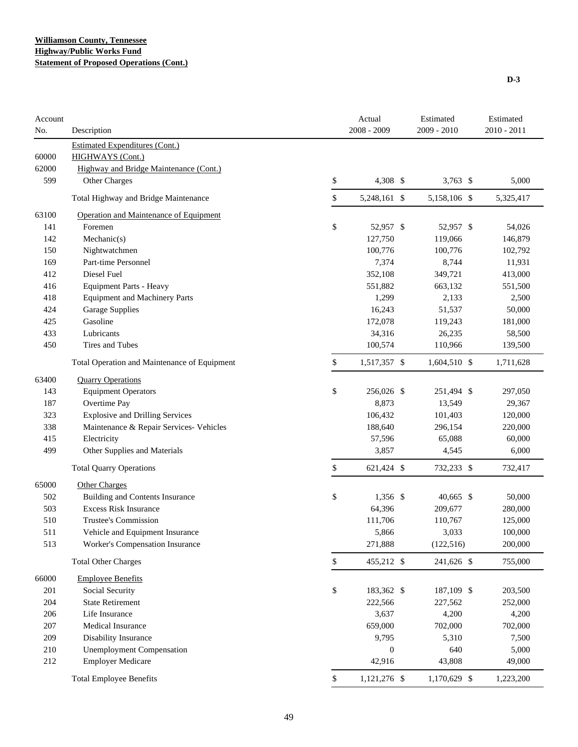| Account<br>No. | Description                                  |    | Actual<br>2008 - 2009 | Estimated    | 2009 - 2010 |           |
|----------------|----------------------------------------------|----|-----------------------|--------------|-------------|-----------|
|                | <b>Estimated Expenditures (Cont.)</b>        |    |                       |              |             |           |
| 60000          | <b>HIGHWAYS</b> (Cont.)                      |    |                       |              |             |           |
| 62000          | Highway and Bridge Maintenance (Cont.)       |    |                       |              |             |           |
| 599            | Other Charges                                | \$ | 4,308 \$              | 3,763 $$$    |             | 5,000     |
|                | Total Highway and Bridge Maintenance         | \$ | 5,248,161 \$          | 5,158,106 \$ |             | 5,325,417 |
| 63100          | Operation and Maintenance of Equipment       |    |                       |              |             |           |
| 141            | Foremen                                      | \$ | 52,957 \$             | 52,957 \$    |             | 54,026    |
| 142            | Mechanic(s)                                  |    | 127,750               | 119,066      |             | 146,879   |
| 150            | Nightwatchmen                                |    | 100,776               | 100,776      |             | 102,792   |
| 169            | Part-time Personnel                          |    | 7,374                 | 8,744        |             | 11,931    |
| 412            | Diesel Fuel                                  |    | 352,108               | 349,721      |             | 413,000   |
| 416            | <b>Equipment Parts - Heavy</b>               |    | 551,882               | 663,132      |             | 551,500   |
| 418            | <b>Equipment and Machinery Parts</b>         |    | 1,299                 | 2,133        |             | 2,500     |
| 424            | Garage Supplies                              |    | 16,243                | 51,537       |             | 50,000    |
| 425            | Gasoline                                     |    | 172,078               | 119,243      |             | 181,000   |
| 433            | Lubricants                                   |    | 34,316                | 26,235       |             | 58,500    |
| 450            | Tires and Tubes                              |    | 100,574               | 110,966      |             | 139,500   |
|                | Total Operation and Maintenance of Equipment | \$ | 1,517,357 \$          | 1,604,510 \$ |             | 1,711,628 |
| 63400          | <b>Quarry Operations</b>                     |    |                       |              |             |           |
| 143            | <b>Equipment Operators</b>                   | \$ | 256,026 \$            | 251,494 \$   |             | 297,050   |
| 187            | Overtime Pay                                 |    | 8,873                 | 13,549       |             | 29,367    |
| 323            | <b>Explosive and Drilling Services</b>       |    | 106,432               | 101,403      |             | 120,000   |
| 338            | Maintenance & Repair Services- Vehicles      |    | 188,640               | 296,154      |             | 220,000   |
| 415            | Electricity                                  |    | 57,596                | 65,088       |             | 60,000    |
| 499            | Other Supplies and Materials                 |    | 3,857                 | 4,545        |             | 6,000     |
|                | <b>Total Quarry Operations</b>               | \$ | 621,424 \$            | 732,233 \$   |             | 732,417   |
| 65000          | <b>Other Charges</b>                         |    |                       |              |             |           |
| 502            | <b>Building and Contents Insurance</b>       | \$ | $1,356$ \$            | 40,665 \$    |             | 50,000    |
| 503            | <b>Excess Risk Insurance</b>                 |    | 64,396                | 209,677      |             | 280,000   |
| 510            | <b>Trustee's Commission</b>                  |    | 111,706               | 110,767      |             | 125,000   |
| 511            | Vehicle and Equipment Insurance              |    | 5,866                 | 3,033        |             | 100,000   |
| 513            | Worker's Compensation Insurance              |    | 271,888               | (122, 516)   |             | 200,000   |
|                | <b>Total Other Charges</b>                   | \$ | 455,212 \$            | 241,626 \$   |             | 755,000   |
| 66000          | <b>Employee Benefits</b>                     |    |                       |              |             |           |
| 201            | Social Security                              | \$ | 183,362 \$            | 187,109 \$   |             | 203,500   |
| 204            | <b>State Retirement</b>                      |    | 222,566               | 227,562      |             | 252,000   |
| 206            | Life Insurance                               |    | 3,637                 | 4,200        |             | 4,200     |
| 207            | <b>Medical Insurance</b>                     |    | 659,000               | 702,000      |             | 702,000   |
| 209            | Disability Insurance                         |    | 9,795                 | 5,310        |             | 7,500     |
| 210            | <b>Unemployment Compensation</b>             |    | $\boldsymbol{0}$      | 640          |             | 5,000     |
| 212            | <b>Employer Medicare</b>                     |    | 42,916                | 43,808       |             | 49,000    |
|                | <b>Total Employee Benefits</b>               | \$ | 1,121,276 \$          | 1,170,629 \$ |             | 1,223,200 |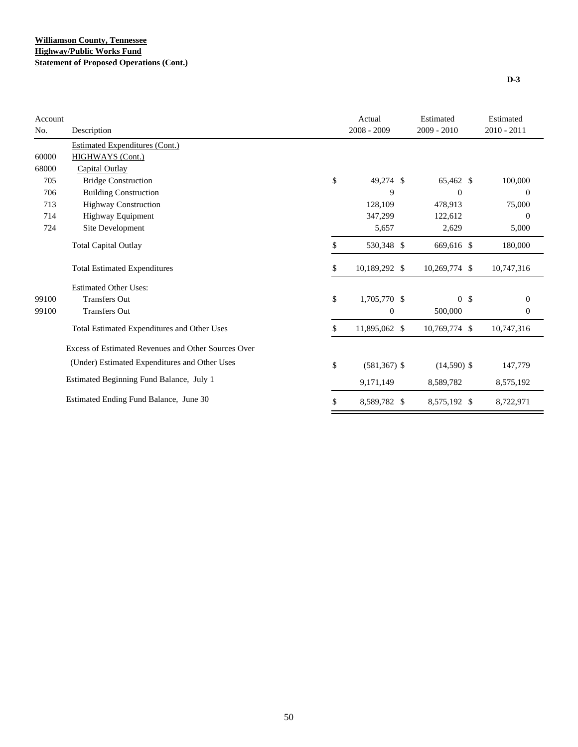| Account |                                                     | Actual                | Estimated      | Estimated        |
|---------|-----------------------------------------------------|-----------------------|----------------|------------------|
| No.     | Description                                         | $2008 - 2009$         | $2009 - 2010$  | 2010 - 2011      |
|         | <b>Estimated Expenditures (Cont.)</b>               |                       |                |                  |
| 60000   | HIGHWAYS (Cont.)                                    |                       |                |                  |
| 68000   | Capital Outlay                                      |                       |                |                  |
| 705     | <b>Bridge Construction</b>                          | \$<br>49,274 \$       | 65,462 \$      | 100,000          |
| 706     | <b>Building Construction</b>                        | 9                     | $\theta$       | $\theta$         |
| 713     | <b>Highway Construction</b>                         | 128,109               | 478,913        | 75,000           |
| 714     | Highway Equipment                                   | 347,299               | 122,612        | $\theta$         |
| 724     | Site Development                                    | 5,657                 | 2,629          | 5,000            |
|         | <b>Total Capital Outlay</b>                         | \$<br>530,348 \$      | 669,616 \$     | 180,000          |
|         | <b>Total Estimated Expenditures</b>                 | \$<br>10,189,292 \$   | 10,269,774 \$  | 10,747,316       |
|         | <b>Estimated Other Uses:</b>                        |                       |                |                  |
| 99100   | <b>Transfers Out</b>                                | \$<br>1,705,770 \$    | 0 <sup>5</sup> | $\overline{0}$   |
| 99100   | <b>Transfers Out</b>                                | $\boldsymbol{0}$      | 500,000        | $\boldsymbol{0}$ |
|         | Total Estimated Expenditures and Other Uses         | \$<br>11,895,062 \$   | 10,769,774 \$  | 10,747,316       |
|         | Excess of Estimated Revenues and Other Sources Over |                       |                |                  |
|         | (Under) Estimated Expenditures and Other Uses       | \$<br>$(581, 367)$ \$ | $(14,590)$ \$  | 147,779          |
|         | Estimated Beginning Fund Balance, July 1            | 9,171,149             | 8,589,782      | 8,575,192        |
|         | Estimated Ending Fund Balance, June 30              | \$<br>8,589,782 \$    | 8,575,192 \$   | 8,722,971        |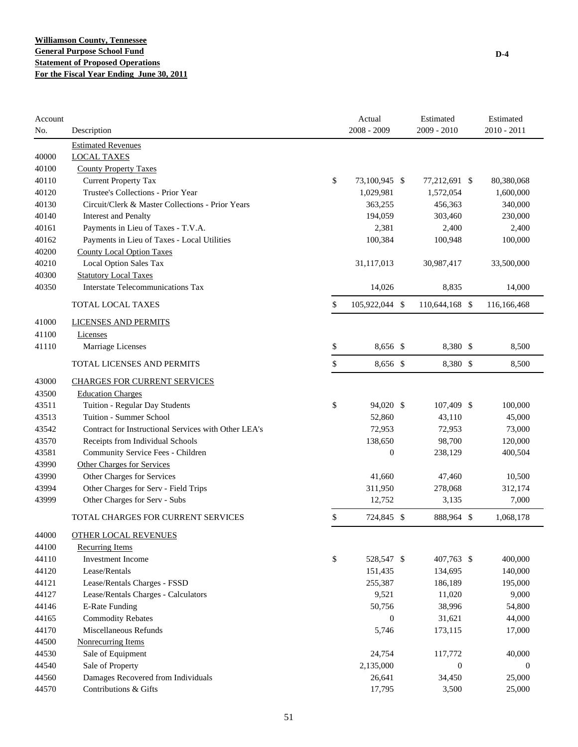| Account<br>No. | Description                                          | Actual<br>2008 - 2009 | Estimated<br>$2009 - 2010$ | Estimated<br>$2010 - 2011$ |
|----------------|------------------------------------------------------|-----------------------|----------------------------|----------------------------|
|                | <b>Estimated Revenues</b>                            |                       |                            |                            |
| 40000          | <b>LOCAL TAXES</b>                                   |                       |                            |                            |
| 40100          | <b>County Property Taxes</b>                         |                       |                            |                            |
| 40110          | <b>Current Property Tax</b>                          | \$<br>73,100,945 \$   | 77,212,691 \$              | 80,380,068                 |
| 40120          | Trustee's Collections - Prior Year                   | 1,029,981             | 1,572,054                  | 1,600,000                  |
| 40130          | Circuit/Clerk & Master Collections - Prior Years     | 363,255               | 456,363                    | 340,000                    |
| 40140          | <b>Interest and Penalty</b>                          | 194,059               | 303,460                    | 230,000                    |
| 40161          | Payments in Lieu of Taxes - T.V.A.                   | 2,381                 | 2,400                      | 2,400                      |
| 40162          | Payments in Lieu of Taxes - Local Utilities          | 100,384               | 100,948                    | 100,000                    |
| 40200          | <b>County Local Option Taxes</b>                     |                       |                            |                            |
| 40210          | Local Option Sales Tax                               | 31,117,013            | 30,987,417                 | 33,500,000                 |
| 40300          | <b>Statutory Local Taxes</b>                         |                       |                            |                            |
| 40350          | <b>Interstate Telecommunications Tax</b>             | 14,026                | 8,835                      | 14,000                     |
|                | TOTAL LOCAL TAXES                                    | \$<br>105,922,044 \$  | 110,644,168 \$             | 116,166,468                |
| 41000          | <b>LICENSES AND PERMITS</b>                          |                       |                            |                            |
| 41100          | Licenses                                             |                       |                            |                            |
| 41110          | Marriage Licenses                                    | \$<br>8,656 \$        | 8,380 \$                   | 8,500                      |
|                | TOTAL LICENSES AND PERMITS                           | \$<br>8,656 \$        | 8,380 \$                   | 8,500                      |
| 43000          | <b>CHARGES FOR CURRENT SERVICES</b>                  |                       |                            |                            |
| 43500          | <b>Education Charges</b>                             |                       |                            |                            |
| 43511          | Tuition - Regular Day Students                       | \$<br>94,020 \$       | 107,409 \$                 | 100,000                    |
| 43513          | Tuition - Summer School                              | 52,860                | 43,110                     | 45,000                     |
| 43542          | Contract for Instructional Services with Other LEA's | 72,953                | 72,953                     | 73,000                     |
| 43570          | Receipts from Individual Schools                     | 138,650               | 98,700                     | 120,000                    |
| 43581          | Community Service Fees - Children                    | $\overline{0}$        | 238,129                    | 400,504                    |
| 43990          | <b>Other Charges for Services</b>                    |                       |                            |                            |
| 43990          | Other Charges for Services                           | 41,660                | 47,460                     | 10,500                     |
| 43994          | Other Charges for Serv - Field Trips                 | 311,950               | 278,068                    | 312,174                    |
| 43999          | Other Charges for Serv - Subs                        | 12,752                | 3,135                      | 7,000                      |
|                | TOTAL CHARGES FOR CURRENT SERVICES                   | \$<br>724,845 \$      | 888,964 \$                 | 1,068,178                  |
| 44000          | <b>OTHER LOCAL REVENUES</b>                          |                       |                            |                            |
| 44100          | <b>Recurring Items</b>                               |                       |                            |                            |
| 44110          | Investment Income                                    | \$<br>528,547 \$      | 407,763 \$                 | 400,000                    |
| 44120          | Lease/Rentals                                        | 151,435               | 134,695                    | 140,000                    |
| 44121          | Lease/Rentals Charges - FSSD                         | 255,387               | 186,189                    | 195,000                    |
| 44127          | Lease/Rentals Charges - Calculators                  | 9,521                 | 11,020                     | 9,000                      |
| 44146          | <b>E-Rate Funding</b>                                | 50,756                | 38,996                     | 54,800                     |
| 44165          | <b>Commodity Rebates</b>                             | $\boldsymbol{0}$      | 31,621                     | 44,000                     |
| 44170          | Miscellaneous Refunds                                | 5,746                 | 173,115                    | 17,000                     |
| 44500          | <b>Nonrecurring Items</b>                            |                       |                            |                            |
| 44530          | Sale of Equipment                                    | 24,754                | 117,772                    | 40,000                     |
| 44540          | Sale of Property                                     | 2,135,000             | $\boldsymbol{0}$           | $\boldsymbol{0}$           |
| 44560          | Damages Recovered from Individuals                   | 26,641                | 34,450                     | 25,000                     |
| 44570          | Contributions & Gifts                                | 17,795                | 3,500                      | 25,000                     |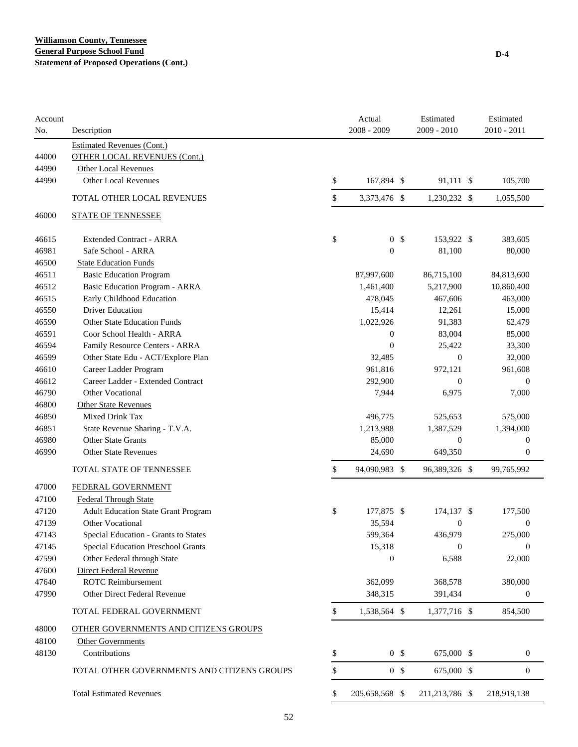| Account<br>No. | Description                                    | Actual<br>2008 - 2009 | Estimated<br>2009 - 2010 |                      | Estimated<br>2010 - 2011 |
|----------------|------------------------------------------------|-----------------------|--------------------------|----------------------|--------------------------|
|                | <b>Estimated Revenues (Cont.)</b>              |                       |                          |                      |                          |
| 44000          | <b>OTHER LOCAL REVENUES (Cont.)</b>            |                       |                          |                      |                          |
| 44990          | <b>Other Local Revenues</b>                    |                       |                          |                      |                          |
| 44990          | <b>Other Local Revenues</b>                    | \$<br>167,894 \$      |                          | 91,111 \$            | 105,700                  |
|                | TOTAL OTHER LOCAL REVENUES                     | \$<br>3,373,476 \$    |                          | 1,230,232 \$         | 1,055,500                |
| 46000          | <b>STATE OF TENNESSEE</b>                      |                       |                          |                      |                          |
| 46615          | <b>Extended Contract - ARRA</b>                | \$<br>0 <sup>5</sup>  |                          | 153,922 \$           | 383,605                  |
| 46981          | Safe School - ARRA                             | $\mathbf{0}$          |                          | 81,100               | 80,000                   |
| 46500          | <b>State Education Funds</b>                   |                       |                          |                      |                          |
| 46511          | <b>Basic Education Program</b>                 | 87,997,600            |                          | 86,715,100           | 84,813,600               |
| 46512          | Basic Education Program - ARRA                 | 1,461,400             |                          | 5,217,900            | 10,860,400               |
| 46515          | Early Childhood Education                      | 478,045               |                          | 467,606              | 463,000                  |
| 46550          | <b>Driver Education</b>                        | 15,414                |                          | 12,261               | 15,000                   |
| 46590          | <b>Other State Education Funds</b>             | 1,022,926             |                          | 91,383               | 62,479                   |
| 46591          | Coor School Health - ARRA                      | $\mathbf{0}$          |                          | 83,004               | 85,000                   |
| 46594          | Family Resource Centers - ARRA                 | $\boldsymbol{0}$      |                          | 25,422               | 33,300                   |
| 46599          | Other State Edu - ACT/Explore Plan             | 32,485                |                          | $\mathbf{0}$         | 32,000                   |
| 46610          | Career Ladder Program                          | 961,816               |                          | 972,121              | 961,608                  |
| 46612          | Career Ladder - Extended Contract              | 292,900               |                          | $\boldsymbol{0}$     | $\boldsymbol{0}$         |
| 46790          | Other Vocational                               | 7,944                 |                          | 6,975                | 7,000                    |
| 46800          | <b>Other State Revenues</b><br>Mixed Drink Tax |                       |                          |                      |                          |
| 46850<br>46851 | State Revenue Sharing - T.V.A.                 | 496,775<br>1,213,988  |                          | 525,653<br>1,387,529 | 575,000<br>1,394,000     |
| 46980          | Other State Grants                             | 85,000                |                          | $\boldsymbol{0}$     | $\boldsymbol{0}$         |
| 46990          | <b>Other State Revenues</b>                    | 24,690                |                          | 649,350              | 0                        |
|                | TOTAL STATE OF TENNESSEE                       | \$<br>94,090,983 \$   |                          | 96,389,326 \$        | 99,765,992               |
|                |                                                |                       |                          |                      |                          |
| 47000          | FEDERAL GOVERNMENT                             |                       |                          |                      |                          |
| 47100          | <b>Federal Through State</b>                   |                       |                          |                      |                          |
| 47120          | <b>Adult Education State Grant Program</b>     | \$<br>177,875 \$      |                          | 174,137 \$           | 177,500                  |
| 47139          | Other Vocational                               | 35,594                |                          | $\boldsymbol{0}$     | 0                        |
| 47143          | Special Education - Grants to States           | 599,364               |                          | 436,979              | 275,000                  |
| 47145          | Special Education Preschool Grants             | 15,318                |                          | $\boldsymbol{0}$     | $\boldsymbol{0}$         |
| 47590          | Other Federal through State                    | $\boldsymbol{0}$      |                          | 6,588                | 22,000                   |
| 47600          | <b>Direct Federal Revenue</b>                  |                       |                          |                      |                          |
| 47640          | <b>ROTC</b> Reimbursement                      | 362,099               |                          | 368,578              | 380,000                  |
| 47990          | Other Direct Federal Revenue                   | 348,315               |                          | 391,434              | $\boldsymbol{0}$         |
|                | TOTAL FEDERAL GOVERNMENT                       | \$<br>1,538,564 \$    |                          | 1,377,716 \$         | 854,500                  |
| 48000          | OTHER GOVERNMENTS AND CITIZENS GROUPS          |                       |                          |                      |                          |
| 48100          | Other Governments                              |                       |                          |                      |                          |
| 48130          | Contributions                                  | \$<br>0 <sup>5</sup>  |                          | 675,000 \$           | $\boldsymbol{0}$         |
|                | TOTAL OTHER GOVERNMENTS AND CITIZENS GROUPS    | \$<br>0 <sup>5</sup>  |                          | 675,000 \$           | $\boldsymbol{0}$         |
|                | <b>Total Estimated Revenues</b>                | \$<br>205,658,568 \$  |                          | 211,213,786 \$       | 218,919,138              |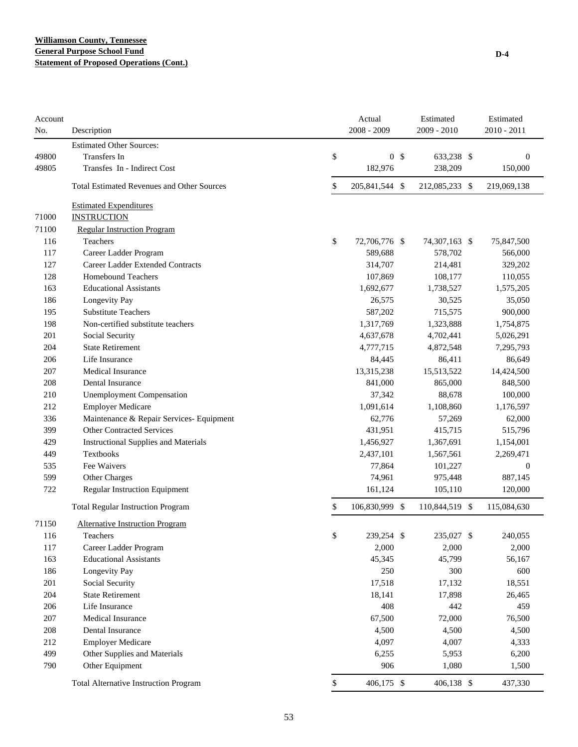#### **Williamson County, Tennessee General Purpose School Fund Statement of Proposed Operations (Cont.)**

| Account<br>No. | Description                                       | Actual<br>2008 - 2009                                                  |  | Estimated<br>2009 - 2010 | Estimated<br>$2010 - 2011$ |
|----------------|---------------------------------------------------|------------------------------------------------------------------------|--|--------------------------|----------------------------|
|                | <b>Estimated Other Sources:</b>                   |                                                                        |  |                          |                            |
| 49800          | Transfers In                                      | \$<br>0 <sup>5</sup>                                                   |  | 633,238 \$               | $\boldsymbol{0}$           |
| 49805          | Transfes In - Indirect Cost                       | 182,976                                                                |  | 238,209                  | 150,000                    |
|                | <b>Total Estimated Revenues and Other Sources</b> | \$<br>205,841,544 \$                                                   |  | 212,085,233 \$           | 219,069,138                |
|                | <b>Estimated Expenditures</b>                     |                                                                        |  |                          |                            |
| 71000          | <b>INSTRUCTION</b>                                |                                                                        |  |                          |                            |
| 71100          | <b>Regular Instruction Program</b>                |                                                                        |  |                          |                            |
| 116            | Teachers                                          | \$<br>72,706,776 \$                                                    |  | 74,307,163 \$            | 75,847,500                 |
| 117            | Career Ladder Program                             | 589,688                                                                |  | 578,702                  | 566,000                    |
| 127            | Career Ladder Extended Contracts                  | 314,707                                                                |  | 214,481                  | 329,202                    |
| 128            | <b>Homebound Teachers</b>                         | 107,869                                                                |  | 108,177                  | 110,055                    |
| 163            | <b>Educational Assistants</b>                     | 1,692,677                                                              |  | 1,738,527                | 1,575,205                  |
| 186            | Longevity Pay                                     | 26,575                                                                 |  | 30,525                   | 35,050                     |
| 195            | <b>Substitute Teachers</b>                        |                                                                        |  | 715,575                  | 900,000                    |
| 198            | Non-certified substitute teachers                 |                                                                        |  | 1,323,888                | 1,754,875                  |
| 201            | Social Security                                   | 587,202<br>1,317,769<br>4,637,678<br>4,777,715<br>84,445<br>13,315,238 |  | 4,702,441                | 5,026,291                  |
| 204            | <b>State Retirement</b>                           |                                                                        |  | 4,872,548                | 7,295,793                  |
| 206            | Life Insurance                                    |                                                                        |  | 86,411                   | 86,649                     |
| 207            | Medical Insurance                                 |                                                                        |  | 15,513,522               | 14,424,500                 |
| 208            | Dental Insurance                                  | 841,000                                                                |  | 865,000                  | 848,500                    |
| 210            | <b>Unemployment Compensation</b>                  | 37,342                                                                 |  | 88,678                   | 100,000                    |
| 212            | <b>Employer Medicare</b>                          |                                                                        |  | 1,108,860                | 1,176,597                  |
| 336            | Maintenance & Repair Services- Equipment          | 62,776                                                                 |  | 57,269                   | 62,000                     |
| 399            | <b>Other Contracted Services</b>                  |                                                                        |  | 415,715                  | 515,796                    |
| 429            | <b>Instructional Supplies and Materials</b>       | 1,091,614<br>431,951<br>1,456,927                                      |  | 1,367,691                | 1,154,001                  |
| 449            | Textbooks                                         | 2,437,101                                                              |  | 1,567,561                | 2,269,471                  |
| 535            | Fee Waivers                                       | 77,864                                                                 |  | 101,227                  | $\mathbf{0}$               |
| 599            | Other Charges                                     | 74,961                                                                 |  | 975,448                  | 887,145                    |
| 722            | <b>Regular Instruction Equipment</b>              | 161,124                                                                |  | 105,110                  | 120,000                    |
|                | <b>Total Regular Instruction Program</b>          | \$<br>106,830,999 \$                                                   |  | 110,844,519 \$           | 115,084,630                |
| 71150          | <b>Alternative Instruction Program</b>            |                                                                        |  |                          |                            |
| 116            | Teachers                                          | \$<br>239,254 \$                                                       |  | 235,027 \$               | 240,055                    |
| 117            | Career Ladder Program                             | 2,000                                                                  |  | 2,000                    | 2,000                      |
| 163            | <b>Educational Assistants</b>                     | 45,345                                                                 |  | 45,799                   | 56,167                     |
| 186            | Longevity Pay                                     | 250                                                                    |  | 300                      | 600                        |
| 201            | Social Security                                   | 17,518                                                                 |  | 17,132                   | 18,551                     |
| 204            | <b>State Retirement</b>                           | 18,141                                                                 |  | 17,898                   | 26,465                     |
| 206            | Life Insurance                                    | 408                                                                    |  | 442                      | 459                        |
| 207            | Medical Insurance                                 | 67,500                                                                 |  | 72,000                   | 76,500                     |
| 208            | Dental Insurance                                  | 4,500                                                                  |  | 4,500                    | 4,500                      |
| 212            | <b>Employer Medicare</b>                          | 4,097                                                                  |  | 4,007                    | 4,333                      |
| 499            | Other Supplies and Materials                      | 6,255                                                                  |  | 5,953                    | 6,200                      |
| 790            | Other Equipment                                   | 906                                                                    |  | 1,080                    | 1,500                      |
|                | <b>Total Alternative Instruction Program</b>      | \$<br>406,175 \$                                                       |  | 406,138 \$               | 437,330                    |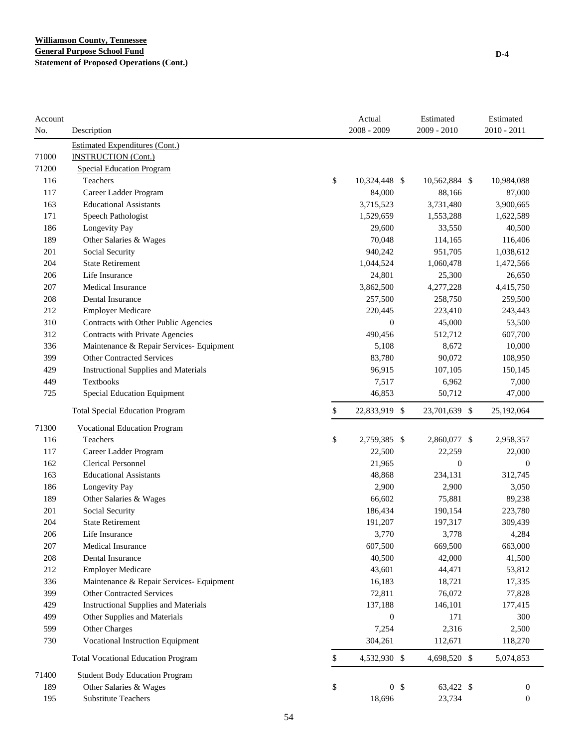| Account |                                             | Actual               | Estimated        | Estimated        |
|---------|---------------------------------------------|----------------------|------------------|------------------|
| No.     | Description                                 | 2008 - 2009          | 2009 - 2010      | 2010 - 2011      |
|         | <b>Estimated Expenditures (Cont.)</b>       |                      |                  |                  |
| 71000   | <b>INSTRUCTION (Cont.)</b>                  |                      |                  |                  |
| 71200   | <b>Special Education Program</b>            |                      |                  |                  |
| 116     | Teachers                                    | \$<br>10,324,448 \$  | 10,562,884 \$    | 10,984,088       |
| 117     | Career Ladder Program                       | 84,000               | 88,166           | 87,000           |
| 163     | <b>Educational Assistants</b>               | 3,715,523            | 3,731,480        | 3,900,665        |
| 171     | Speech Pathologist                          | 1,529,659            | 1,553,288        | 1,622,589        |
| 186     | Longevity Pay                               | 29,600               | 33,550           | 40,500           |
| 189     | Other Salaries & Wages                      | 70,048               | 114,165          | 116,406          |
| 201     | Social Security                             | 940,242              | 951,705          | 1,038,612        |
| 204     | <b>State Retirement</b>                     | 1,044,524            | 1,060,478        | 1,472,566        |
| 206     | Life Insurance                              | 24,801               | 25,300           | 26,650           |
| 207     | <b>Medical Insurance</b>                    | 3,862,500            | 4,277,228        | 4,415,750        |
| 208     | Dental Insurance                            | 257,500              | 258,750          | 259,500          |
| 212     | <b>Employer Medicare</b>                    | 220,445              | 223,410          | 243,443          |
| 310     | Contracts with Other Public Agencies        | $\boldsymbol{0}$     | 45,000           | 53,500           |
| 312     | Contracts with Private Agencies             | 490,456              | 512,712          | 607,700          |
| 336     | Maintenance & Repair Services- Equipment    | 5,108                | 8,672            | 10,000           |
| 399     | <b>Other Contracted Services</b>            | 83,780               | 90,072           | 108,950          |
| 429     | <b>Instructional Supplies and Materials</b> | 96,915               | 107,105          | 150,145          |
| 449     | Textbooks                                   | 7,517                | 6,962            | 7,000            |
| 725     | Special Education Equipment                 | 46,853               | 50,712           | 47,000           |
|         | <b>Total Special Education Program</b>      | \$<br>22,833,919 \$  | 23,701,639 \$    | 25,192,064       |
| 71300   | <b>Vocational Education Program</b>         |                      |                  |                  |
| 116     | Teachers                                    | \$<br>2,759,385 \$   | 2,860,077 \$     | 2,958,357        |
| 117     | Career Ladder Program                       | 22,500               | 22,259           | 22,000           |
| 162     | <b>Clerical Personnel</b>                   | 21,965               | $\boldsymbol{0}$ | $\boldsymbol{0}$ |
| 163     | <b>Educational Assistants</b>               | 48,868               | 234,131          | 312,745          |
| 186     | Longevity Pay                               | 2,900                | 2,900            | 3,050            |
| 189     | Other Salaries & Wages                      | 66,602               | 75,881           | 89,238           |
| 201     | Social Security                             | 186,434              | 190,154          | 223,780          |
| 204     | <b>State Retirement</b>                     | 191,207              | 197,317          | 309,439          |
| 206     | Life Insurance                              | 3.770                | 3,778            | 4.284            |
| 207     | Medical Insurance                           | 607,500              | 669,500          | 663,000          |
| 208     | Dental Insurance                            | 40,500               | 42,000           | 41,500           |
| 212     | <b>Employer Medicare</b>                    | 43,601               | 44,471           | 53,812           |
| 336     | Maintenance & Repair Services- Equipment    | 16,183               | 18,721           | 17,335           |
| 399     | Other Contracted Services                   | 72,811               | 76,072           | 77,828           |
| 429     | <b>Instructional Supplies and Materials</b> | 137,188              | 146,101          | 177,415          |
| 499     | Other Supplies and Materials                | $\boldsymbol{0}$     | 171              | 300              |
| 599     | Other Charges                               | 7,254                | 2,316            | 2,500            |
| 730     | Vocational Instruction Equipment            | 304,261              | 112,671          | 118,270          |
|         | <b>Total Vocational Education Program</b>   | \$<br>4,532,930 \$   | 4,698,520 \$     | 5,074,853        |
| 71400   | <b>Student Body Education Program</b>       |                      |                  |                  |
| 189     | Other Salaries & Wages                      | \$<br>0 <sup>5</sup> | 63,422 \$        | $\boldsymbol{0}$ |
| 195     | <b>Substitute Teachers</b>                  | 18,696               | 23,734           | $\boldsymbol{0}$ |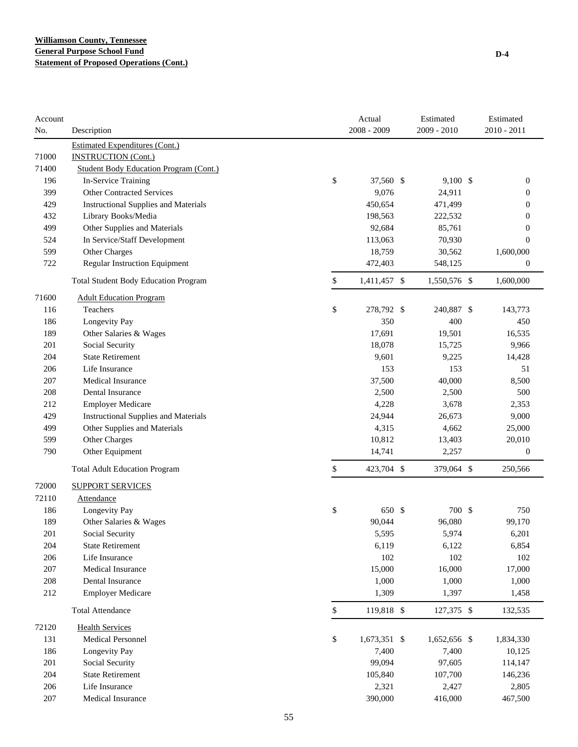| Account |                                               | Actual             | Estimated     | Estimated        |
|---------|-----------------------------------------------|--------------------|---------------|------------------|
| No.     | Description                                   | $2008 - 2009$      | $2009 - 2010$ | 2010 - 2011      |
|         | <b>Estimated Expenditures (Cont.)</b>         |                    |               |                  |
| 71000   | <b>INSTRUCTION (Cont.)</b>                    |                    |               |                  |
| 71400   | <b>Student Body Education Program (Cont.)</b> |                    |               |                  |
| 196     | In-Service Training                           | \$<br>37,560 \$    | $9,100$ \$    | 0                |
| 399     | <b>Other Contracted Services</b>              | 9,076              | 24,911        | 0                |
| 429     | <b>Instructional Supplies and Materials</b>   | 450,654            | 471,499       | 0                |
| 432     | Library Books/Media                           | 198,563            | 222,532       | 0                |
| 499     | Other Supplies and Materials                  | 92,684             | 85,761        | 0                |
| 524     | In Service/Staff Development                  | 113,063            | 70,930        | $\overline{0}$   |
| 599     | Other Charges                                 | 18,759             | 30,562        | 1,600,000        |
| 722     | Regular Instruction Equipment                 | 472,403            | 548,125       | 0                |
|         | <b>Total Student Body Education Program</b>   | \$<br>1,411,457 \$ | 1,550,576 \$  | 1,600,000        |
| 71600   | <b>Adult Education Program</b>                |                    |               |                  |
| 116     | Teachers                                      | \$<br>278,792 \$   | 240,887 \$    | 143,773          |
| 186     | Longevity Pay                                 | 350                | 400           | 450              |
| 189     | Other Salaries & Wages                        | 17,691             | 19,501        | 16,535           |
| 201     | Social Security                               | 18,078             | 15,725        | 9,966            |
| 204     | <b>State Retirement</b>                       | 9,601              | 9,225         | 14,428           |
| 206     | Life Insurance                                | 153                | 153           | 51               |
| 207     | Medical Insurance                             | 37,500             | 40,000        | 8,500            |
| 208     | Dental Insurance                              | 2,500              | 2,500         | 500              |
| 212     | <b>Employer Medicare</b>                      | 4,228              | 3,678         | 2,353            |
| 429     | <b>Instructional Supplies and Materials</b>   | 24,944             | 26,673        | 9,000            |
| 499     | Other Supplies and Materials                  | 4,315              | 4,662         | 25,000           |
| 599     | Other Charges                                 | 10,812             | 13,403        | 20,010           |
| 790     | Other Equipment                               | 14,741             | 2,257         | $\boldsymbol{0}$ |
|         | <b>Total Adult Education Program</b>          | \$<br>423,704 \$   | 379,064 \$    | 250,566          |
| 72000   | <b>SUPPORT SERVICES</b>                       |                    |               |                  |
| 72110   | <b>Attendance</b>                             |                    |               |                  |
| 186     | Longevity Pay                                 | \$<br>650 \$       | 700 \$        | 750              |
| 189     | Other Salaries & Wages                        | 90,044             | 96,080        | 99,170           |
| 201     | Social Security                               | 5,595              | 5,974         | 6,201            |
| 204     | <b>State Retirement</b>                       | 6,119              | 6,122         | 6,854            |
| 206     | Life Insurance                                | 102                | 102           | 102              |
| 207     | Medical Insurance                             | 15,000             | 16,000        | 17,000           |
| 208     | Dental Insurance                              | 1,000              | 1,000         | 1,000            |
| 212     | <b>Employer Medicare</b>                      | 1,309              | 1,397         | 1,458            |
|         | <b>Total Attendance</b>                       | \$<br>119,818 \$   | 127,375 \$    | 132,535          |
| 72120   | <b>Health Services</b>                        |                    |               |                  |
| 131     | Medical Personnel                             | \$<br>1,673,351 \$ | 1,652,656 \$  | 1,834,330        |
| 186     | Longevity Pay                                 | 7,400              | 7,400         | 10,125           |
| 201     | Social Security                               | 99,094             | 97,605        | 114,147          |
| 204     | <b>State Retirement</b>                       | 105,840            | 107,700       | 146,236          |
| 206     | Life Insurance                                | 2,321              | 2,427         | 2,805            |
| 207     | Medical Insurance                             | 390,000            | 416,000       | 467,500          |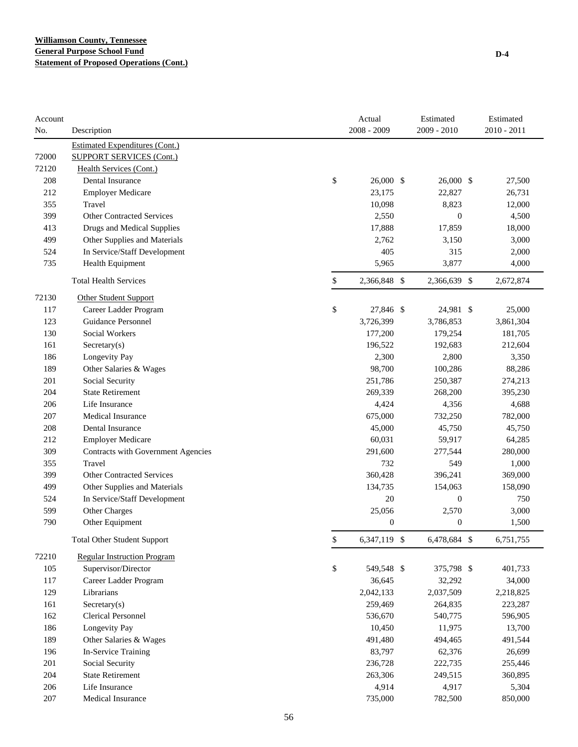| Account<br>No. | Description                           | Actual<br>2008 - 2009                                                                                                                                                                                                                                                                                                                                                                                                             |  | Estimated<br>$2009 - 2010$ | Estimated<br>$2010 - 2011$ |
|----------------|---------------------------------------|-----------------------------------------------------------------------------------------------------------------------------------------------------------------------------------------------------------------------------------------------------------------------------------------------------------------------------------------------------------------------------------------------------------------------------------|--|----------------------------|----------------------------|
|                | <b>Estimated Expenditures (Cont.)</b> |                                                                                                                                                                                                                                                                                                                                                                                                                                   |  |                            |                            |
| 72000          | <b>SUPPORT SERVICES (Cont.)</b>       |                                                                                                                                                                                                                                                                                                                                                                                                                                   |  |                            |                            |
| 72120          | Health Services (Cont.)               |                                                                                                                                                                                                                                                                                                                                                                                                                                   |  |                            |                            |
| 208            | <b>Dental Insurance</b>               | \$                                                                                                                                                                                                                                                                                                                                                                                                                                |  | 26,000 \$                  | 27,500                     |
| 212            | <b>Employer Medicare</b>              | 23,175                                                                                                                                                                                                                                                                                                                                                                                                                            |  | 22,827                     | 26,731                     |
| 355            | Travel                                | 10,098                                                                                                                                                                                                                                                                                                                                                                                                                            |  | 8,823                      | 12,000                     |
| 399            | <b>Other Contracted Services</b>      | 2,550                                                                                                                                                                                                                                                                                                                                                                                                                             |  | $\overline{0}$             | 4,500                      |
| 413            | Drugs and Medical Supplies            |                                                                                                                                                                                                                                                                                                                                                                                                                                   |  | 17,859                     | 18,000                     |
| 499            | Other Supplies and Materials          | 2,762                                                                                                                                                                                                                                                                                                                                                                                                                             |  | 3,150                      | 3,000                      |
| 524            | In Service/Staff Development          | 26,000 \$<br>17,888<br>405<br>5,965<br>\$<br>2,366,848 \$<br>\$<br>27,846 \$<br>3,726,399<br>177,200<br>196,522<br>2,300<br>98,700<br>251,786<br>269,339<br>4,424<br>675,000<br>45,000<br>60,031<br>291,600<br>732<br>360,428<br>134,735<br>20<br>25,056<br>$\boldsymbol{0}$<br>\$<br>6,347,119 \$<br>\$<br>549,548 \$<br>36,645<br>2,042,133<br>259,469<br>536,670<br>10,450<br>491,480<br>83,797<br>236,728<br>263,306<br>4,914 |  | 315                        | 2,000                      |
| 735            | Health Equipment                      |                                                                                                                                                                                                                                                                                                                                                                                                                                   |  | 3,877                      | 4,000                      |
|                | <b>Total Health Services</b>          |                                                                                                                                                                                                                                                                                                                                                                                                                                   |  | 2,366,639 \$               | 2,672,874                  |
| 72130          | <b>Other Student Support</b>          |                                                                                                                                                                                                                                                                                                                                                                                                                                   |  |                            |                            |
| 117            | Career Ladder Program                 |                                                                                                                                                                                                                                                                                                                                                                                                                                   |  | 24,981 \$                  | 25,000                     |
| 123            | Guidance Personnel                    |                                                                                                                                                                                                                                                                                                                                                                                                                                   |  | 3,786,853                  | 3,861,304                  |
| 130            | <b>Social Workers</b>                 |                                                                                                                                                                                                                                                                                                                                                                                                                                   |  | 179,254                    | 181,705                    |
| 161            | Sercetary(s)                          |                                                                                                                                                                                                                                                                                                                                                                                                                                   |  | 192,683                    | 212,604                    |
| 186            | Longevity Pay                         |                                                                                                                                                                                                                                                                                                                                                                                                                                   |  | 2,800                      | 3,350                      |
| 189            | Other Salaries & Wages                |                                                                                                                                                                                                                                                                                                                                                                                                                                   |  | 100,286                    | 88,286                     |
| 201            | Social Security                       |                                                                                                                                                                                                                                                                                                                                                                                                                                   |  | 250,387                    | 274,213                    |
| 204            | <b>State Retirement</b>               |                                                                                                                                                                                                                                                                                                                                                                                                                                   |  | 268,200                    | 395,230                    |
| 206            | Life Insurance                        |                                                                                                                                                                                                                                                                                                                                                                                                                                   |  | 4,356                      | 4,688                      |
| 207            | <b>Medical Insurance</b>              |                                                                                                                                                                                                                                                                                                                                                                                                                                   |  | 732,250                    | 782,000                    |
| 208            | Dental Insurance                      |                                                                                                                                                                                                                                                                                                                                                                                                                                   |  | 45,750                     | 45,750                     |
| 212            | <b>Employer Medicare</b>              |                                                                                                                                                                                                                                                                                                                                                                                                                                   |  | 59,917                     | 64,285                     |
| 309            | Contracts with Government Agencies    |                                                                                                                                                                                                                                                                                                                                                                                                                                   |  | 277,544                    | 280,000                    |
| 355            | Travel                                |                                                                                                                                                                                                                                                                                                                                                                                                                                   |  | 549                        | 1,000                      |
| 399            | <b>Other Contracted Services</b>      |                                                                                                                                                                                                                                                                                                                                                                                                                                   |  | 396,241                    | 369,000                    |
| 499            | Other Supplies and Materials          |                                                                                                                                                                                                                                                                                                                                                                                                                                   |  | 154,063                    | 158,090                    |
| 524            | In Service/Staff Development          |                                                                                                                                                                                                                                                                                                                                                                                                                                   |  | $\boldsymbol{0}$           | 750                        |
| 599            | Other Charges                         |                                                                                                                                                                                                                                                                                                                                                                                                                                   |  | 2,570                      | 3,000                      |
| 790            | Other Equipment                       |                                                                                                                                                                                                                                                                                                                                                                                                                                   |  | $\boldsymbol{0}$           | 1,500                      |
|                | <b>Total Other Student Support</b>    |                                                                                                                                                                                                                                                                                                                                                                                                                                   |  | 6,478,684 \$               | 6,751,755                  |
| 72210          | <b>Regular Instruction Program</b>    |                                                                                                                                                                                                                                                                                                                                                                                                                                   |  |                            |                            |
| 105            | Supervisor/Director                   |                                                                                                                                                                                                                                                                                                                                                                                                                                   |  | 375,798 \$                 | 401,733                    |
| 117            | Career Ladder Program                 |                                                                                                                                                                                                                                                                                                                                                                                                                                   |  | 32,292                     | 34,000                     |
| 129            | Librarians                            |                                                                                                                                                                                                                                                                                                                                                                                                                                   |  | 2,037,509                  | 2,218,825                  |
| 161            | $S \text{ecc} \text{tary}(s)$         |                                                                                                                                                                                                                                                                                                                                                                                                                                   |  | 264,835                    | 223,287                    |
| 162            | <b>Clerical Personnel</b>             |                                                                                                                                                                                                                                                                                                                                                                                                                                   |  | 540,775                    | 596,905                    |
| 186            | Longevity Pay                         |                                                                                                                                                                                                                                                                                                                                                                                                                                   |  | 11,975                     | 13,700                     |
| 189            | Other Salaries & Wages                |                                                                                                                                                                                                                                                                                                                                                                                                                                   |  | 494,465                    | 491,544                    |
| 196            | In-Service Training                   |                                                                                                                                                                                                                                                                                                                                                                                                                                   |  | 62,376                     | 26,699                     |
| 201            | Social Security                       |                                                                                                                                                                                                                                                                                                                                                                                                                                   |  | 222,735                    | 255,446                    |
| 204            | <b>State Retirement</b>               |                                                                                                                                                                                                                                                                                                                                                                                                                                   |  | 249,515                    | 360,895                    |
| 206            | Life Insurance                        |                                                                                                                                                                                                                                                                                                                                                                                                                                   |  | 4,917                      | 5,304                      |
| 207            | Medical Insurance                     | 735,000                                                                                                                                                                                                                                                                                                                                                                                                                           |  | 782,500                    | 850,000                    |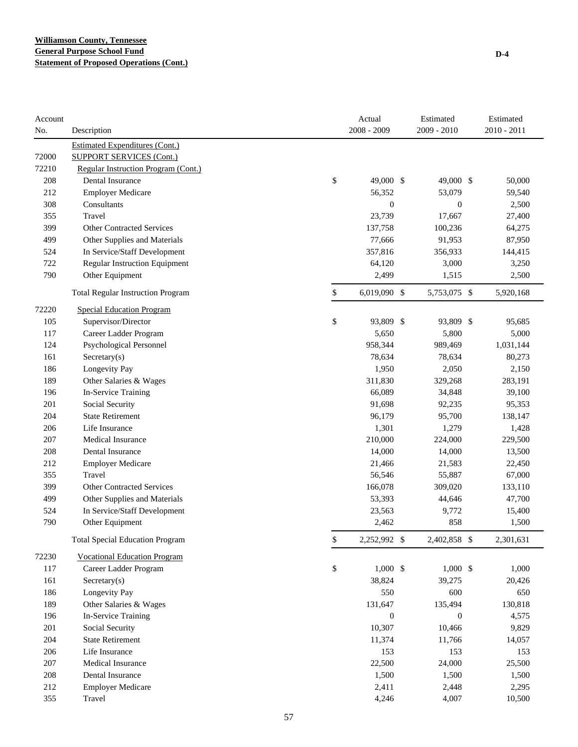| Account |                                          | Actual             | Estimated<br>2009 - 2010 |                  | Estimated<br>$2010 - 2011$ |
|---------|------------------------------------------|--------------------|--------------------------|------------------|----------------------------|
| No.     | Description                              | 2008 - 2009        |                          |                  |                            |
|         | <b>Estimated Expenditures (Cont.)</b>    |                    |                          |                  |                            |
| 72000   | <b>SUPPORT SERVICES (Cont.)</b>          |                    |                          |                  |                            |
| 72210   | Regular Instruction Program (Cont.)      |                    |                          |                  |                            |
| 208     | Dental Insurance                         | \$<br>49,000 \$    |                          | 49,000 \$        | 50,000                     |
| 212     | <b>Employer Medicare</b>                 | 56,352             |                          | 53,079           | 59,540                     |
| 308     | Consultants                              | $\mathbf{0}$       |                          | $\boldsymbol{0}$ | 2,500                      |
| 355     | Travel                                   | 23,739             |                          | 17,667           | 27,400                     |
| 399     | <b>Other Contracted Services</b>         | 137,758            |                          | 100,236          | 64,275                     |
| 499     | Other Supplies and Materials             | 77,666             |                          | 91,953           | 87,950                     |
| 524     | In Service/Staff Development             | 357,816            |                          | 356,933          | 144,415                    |
| 722     | <b>Regular Instruction Equipment</b>     | 64,120             |                          | 3,000            | 3,250                      |
| 790     | Other Equipment                          | 2,499              |                          | 1,515            | 2,500                      |
|         | <b>Total Regular Instruction Program</b> | \$<br>6,019,090 \$ |                          | 5,753,075 \$     | 5,920,168                  |
| 72220   | <b>Special Education Program</b>         |                    |                          |                  |                            |
| 105     | Supervisor/Director                      | \$<br>93,809 \$    |                          | 93,809 \$        | 95,685                     |
| 117     | Career Ladder Program                    | 5,650              |                          | 5,800            | 5,000                      |
| 124     | Psychological Personnel                  | 958,344            |                          | 989,469          | 1,031,144                  |
| 161     | $S \text{eccetary}(s)$                   | 78,634             |                          | 78,634           | 80,273                     |
| 186     | Longevity Pay                            | 1,950              |                          | 2,050            | 2,150                      |
| 189     | Other Salaries & Wages                   | 311,830            |                          | 329,268          | 283,191                    |
| 196     | <b>In-Service Training</b>               | 66,089             |                          | 34,848           | 39,100                     |
| 201     | Social Security                          | 91,698             |                          | 92,235           | 95,353                     |
| 204     | <b>State Retirement</b>                  | 96,179             |                          | 95,700           | 138,147                    |
| 206     | Life Insurance                           | 1,301              |                          | 1,279            | 1,428                      |
| 207     | <b>Medical Insurance</b>                 | 210,000            |                          | 224,000          | 229,500                    |
| 208     | Dental Insurance                         | 14,000             |                          | 14,000           | 13,500                     |
| 212     | <b>Employer Medicare</b>                 | 21,466             |                          | 21,583           | 22,450                     |
| 355     | Travel                                   | 56,546             |                          | 55,887           | 67,000                     |
| 399     | <b>Other Contracted Services</b>         | 166,078            |                          | 309,020          | 133,110                    |
| 499     | Other Supplies and Materials             | 53,393             |                          | 44,646           | 47,700                     |
| 524     | In Service/Staff Development             | 23,563             |                          | 9,772            | 15,400                     |
| 790     | Other Equipment                          | 2,462              |                          | 858              | 1,500                      |
|         | <b>Total Special Education Program</b>   | \$<br>2,252,992 \$ |                          | 2,402,858 \$     | 2,301,631                  |
| 72230   | <b>Vocational Education Program</b>      |                    |                          |                  |                            |
| 117     | Career Ladder Program                    | \$<br>$1,000$ \$   |                          | $1,000$ \$       | 1,000                      |
| 161     | $S \text{eccetary}(s)$                   | 38,824             |                          | 39,275           | 20,426                     |
| 186     | Longevity Pay                            | 550                |                          | 600              | 650                        |
| 189     | Other Salaries & Wages                   | 131,647            |                          | 135,494          | 130,818                    |
| 196     | In-Service Training                      | $\mathbf{0}$       |                          | $\mathbf{0}$     | 4,575                      |
| 201     | Social Security                          | 10,307             |                          | 10,466           | 9,829                      |
| 204     | <b>State Retirement</b>                  | 11,374             |                          | 11,766           | 14,057                     |
| 206     | Life Insurance                           | 153                |                          | 153              | 153                        |
| 207     | Medical Insurance                        | 22,500             |                          | 24,000           | 25,500                     |
| 208     | Dental Insurance                         | 1,500              |                          | 1,500            | 1,500                      |
|         |                                          |                    |                          |                  |                            |
| 212     | <b>Employer Medicare</b>                 | 2,411              |                          | 2,448            | 2,295                      |
| 355     | Travel                                   | 4,246              |                          | 4,007            | 10,500                     |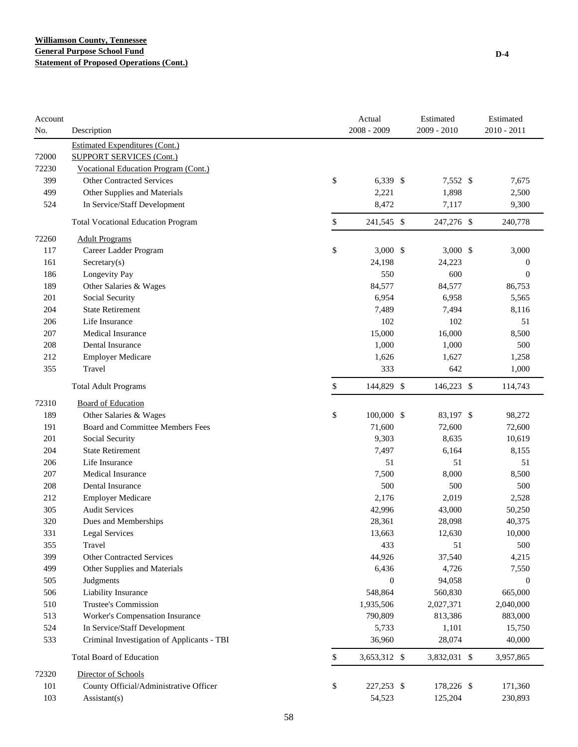| Account<br>No. | Description                                | Actual<br>2008 - 2009 | Estimated<br>$2009 - 2010$ | Estimated<br>2010 - 2011 |
|----------------|--------------------------------------------|-----------------------|----------------------------|--------------------------|
|                | <b>Estimated Expenditures (Cont.)</b>      |                       |                            |                          |
| 72000          | <b>SUPPORT SERVICES (Cont.)</b>            |                       |                            |                          |
| 72230          | Vocational Education Program (Cont.)       |                       |                            |                          |
| 399            | <b>Other Contracted Services</b>           | \$<br>6,339 \$        | 7,552 \$                   | 7,675                    |
| 499            | Other Supplies and Materials               | 2,221                 | 1,898                      | 2,500                    |
| 524            | In Service/Staff Development               | 8,472                 | 7,117                      | 9,300                    |
|                | <b>Total Vocational Education Program</b>  | \$<br>241,545 \$      | 247,276 \$                 | 240,778                  |
| 72260          | <b>Adult Programs</b>                      |                       |                            |                          |
| 117            | Career Ladder Program                      | \$<br>$3,000$ \$      | $3,000$ \$                 | 3,000                    |
| 161            | Sercetary(s)                               | 24,198                | 24,223                     | $\boldsymbol{0}$         |
| 186            | Longevity Pay                              | 550                   | 600                        | $\overline{0}$           |
| 189            | Other Salaries & Wages                     | 84,577                | 84,577                     | 86,753                   |
| 201            | Social Security                            | 6,954                 | 6,958                      | 5,565                    |
| 204            | <b>State Retirement</b>                    | 7,489                 | 7,494                      | 8,116                    |
| 206            | Life Insurance                             | 102                   | 102                        | 51                       |
| 207            | <b>Medical Insurance</b>                   | 15,000                | 16,000                     | 8,500                    |
| 208            | Dental Insurance                           | 1,000                 | 1,000                      | 500                      |
| 212            | <b>Employer Medicare</b>                   | 1,626                 | 1,627                      | 1,258                    |
| 355            | Travel                                     | 333                   | 642                        | 1,000                    |
|                | <b>Total Adult Programs</b>                | \$<br>144,829 \$      | 146,223 \$                 | 114,743                  |
| 72310          | <b>Board of Education</b>                  |                       |                            |                          |
| 189            | Other Salaries & Wages                     | \$<br>100,000 \$      | 83,197 \$                  | 98,272                   |
| 191            | Board and Committee Members Fees           | 71,600                | 72,600                     | 72,600                   |
| 201            | Social Security                            | 9,303                 | 8,635                      | 10,619                   |
| 204            | <b>State Retirement</b>                    | 7,497                 | 6,164                      | 8,155                    |
| 206            | Life Insurance                             | 51                    | 51                         | 51                       |
| 207            | <b>Medical Insurance</b>                   | 7,500                 | 8,000                      | 8,500                    |
| 208            | Dental Insurance                           | 500                   | 500                        | 500                      |
| 212            | <b>Employer Medicare</b>                   | 2,176                 | 2,019                      | 2,528                    |
| 305            | <b>Audit Services</b>                      | 42,996                | 43,000                     | 50,250                   |
| 320            | Dues and Memberships                       | 28,361                | 28,098                     | 40,375                   |
| 331            | Legal Services                             | 13,663                | 12,630                     | 10,000                   |
| 355            | Travel                                     | 433                   | 51                         | 500                      |
| 399            | <b>Other Contracted Services</b>           | 44,926                | 37,540                     | 4,215                    |
| 499            | Other Supplies and Materials               | 6,436                 | 4,726                      | 7,550                    |
| 505            | Judgments                                  | $\mathbf{0}$          | 94,058                     | $\boldsymbol{0}$         |
| 506            | Liability Insurance                        | 548,864               | 560,830                    | 665,000                  |
| 510            | Trustee's Commission                       | 1,935,506             | 2,027,371                  | 2,040,000                |
| 513            | Worker's Compensation Insurance            | 790,809               | 813,386                    | 883,000                  |
| 524            | In Service/Staff Development               | 5,733                 | 1,101                      | 15,750                   |
| 533            | Criminal Investigation of Applicants - TBI | 36,960                | 28,074                     | 40,000                   |
|                | <b>Total Board of Education</b>            | \$<br>3,653,312 \$    | 3,832,031 \$               | 3,957,865                |
| 72320          | Director of Schools                        |                       |                            |                          |
| 101            | County Official/Administrative Officer     | \$<br>227,253 \$      | 178,226 \$                 | 171,360                  |
| 103            | Assistant(s)                               | 54,523                | 125,204                    | 230,893                  |
|                |                                            |                       |                            |                          |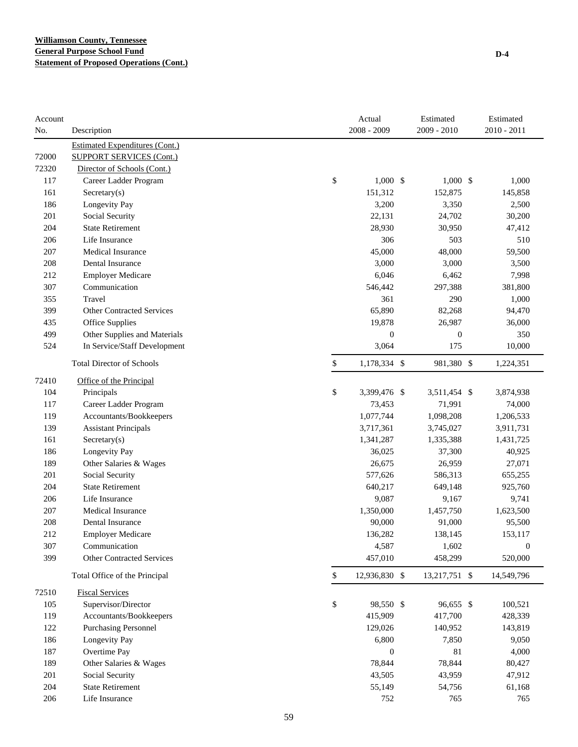| $2008 - 2009$<br>2009 - 2010<br>2010 - 2011<br>No.<br>Description<br><b>Estimated Expenditures (Cont.)</b><br>72000<br><b>SUPPORT SERVICES (Cont.)</b><br>72320<br>Director of Schools (Cont.)<br>\$<br>$1,000$ \$<br>117<br>Career Ladder Program<br>$1,000$ \$<br>1,000<br>161<br>151,312<br>152,875<br>145,858<br>Sercetary(s)<br>186<br>Longevity Pay<br>3,200<br>3,350<br>2,500<br>201<br>Social Security<br>22,131<br>24,702<br>30,200<br><b>State Retirement</b><br>204<br>28,930<br>30,950<br>47,412<br>306<br>206<br>Life Insurance<br>503<br>510<br>45,000<br>48,000<br>207<br><b>Medical Insurance</b><br>59,500<br>3,000<br>208<br>Dental Insurance<br>3,000<br>3,500<br>212<br><b>Employer Medicare</b><br>6,046<br>6,462<br>7,998<br>307<br>Communication<br>546,442<br>297,388<br>381,800<br>Travel<br>355<br>361<br>290<br>1,000<br>65,890<br>399<br><b>Other Contracted Services</b><br>82,268<br>94,470<br>435<br>Office Supplies<br>19,878<br>26,987<br>36,000<br>499<br>Other Supplies and Materials<br>$\overline{0}$<br>$\boldsymbol{0}$<br>350<br>524<br>In Service/Staff Development<br>3,064<br>175<br>10,000<br>\$<br><b>Total Director of Schools</b><br>1,178,334 \$<br>981,380 \$<br>1,224,351<br>72410<br>Office of the Principal<br>\$<br>104<br>Principals<br>3,399,476 \$<br>3,511,454 \$<br>3,874,938<br>117<br>73,453<br>71,991<br>74,000<br>Career Ladder Program<br>119<br>Accountants/Bookkeepers<br>1,077,744<br>1,098,208<br>1,206,533<br>139<br><b>Assistant Principals</b><br>3,717,361<br>3,745,027<br>3,911,731<br>161<br>1,341,287<br>1,431,725<br>Secretary(s)<br>1,335,388<br>186<br>Longevity Pay<br>36,025<br>37,300<br>40,925<br>189<br>Other Salaries & Wages<br>26,675<br>26,959<br>27,071<br>201<br>Social Security<br>577,626<br>586,313<br>655,255<br>204<br><b>State Retirement</b><br>640,217<br>649,148<br>925,760<br>206<br>Life Insurance<br>9,087<br>9,741<br>9,167<br>207<br>Medical Insurance<br>1,350,000<br>1,457,750<br>1,623,500<br>208<br>Dental Insurance<br>90,000<br>91,000<br>95,500<br>212<br>136,282<br>138,145<br><b>Employer Medicare</b><br>153,117<br>307<br>Communication<br>4,587<br>1,602<br>$\boldsymbol{0}$<br>399<br>457,010<br>458,299<br>520,000<br><b>Other Contracted Services</b><br>$\mathbb{S}$<br>12,936,830 \$<br>Total Office of the Principal<br>13,217,751 \$<br>14,549,796<br>72510<br><b>Fiscal Services</b><br>\$<br>Supervisor/Director<br>96,655 \$<br>105<br>98,550 \$<br>100,521<br>119<br>Accountants/Bookkeepers<br>415,909<br>417,700<br>428,339<br>122<br>Purchasing Personnel<br>129,026<br>140,952<br>143,819<br>186<br>Longevity Pay<br>6,800<br>7,850<br>9,050<br>187<br>Overtime Pay<br>$\boldsymbol{0}$<br>81<br>4,000<br>189<br>Other Salaries & Wages<br>78,844<br>78,844<br>80,427<br>201<br>Social Security<br>43,505<br>43,959<br>47,912<br>204<br><b>State Retirement</b><br>55,149<br>54,756<br>61,168<br>206<br>Life Insurance<br>752<br>765<br>765 | Account |  | Actual | Estimated | Estimated |
|------------------------------------------------------------------------------------------------------------------------------------------------------------------------------------------------------------------------------------------------------------------------------------------------------------------------------------------------------------------------------------------------------------------------------------------------------------------------------------------------------------------------------------------------------------------------------------------------------------------------------------------------------------------------------------------------------------------------------------------------------------------------------------------------------------------------------------------------------------------------------------------------------------------------------------------------------------------------------------------------------------------------------------------------------------------------------------------------------------------------------------------------------------------------------------------------------------------------------------------------------------------------------------------------------------------------------------------------------------------------------------------------------------------------------------------------------------------------------------------------------------------------------------------------------------------------------------------------------------------------------------------------------------------------------------------------------------------------------------------------------------------------------------------------------------------------------------------------------------------------------------------------------------------------------------------------------------------------------------------------------------------------------------------------------------------------------------------------------------------------------------------------------------------------------------------------------------------------------------------------------------------------------------------------------------------------------------------------------------------------------------------------------------------------------------------------------------------------------------------------------------------------------------------------------------------------------------------------------------------------------------------------------------------------------------------------------------------------------------------------------------------------------------------------------------------------------------------------------------------------------------------------------------------------------------------------------------------------------|---------|--|--------|-----------|-----------|
|                                                                                                                                                                                                                                                                                                                                                                                                                                                                                                                                                                                                                                                                                                                                                                                                                                                                                                                                                                                                                                                                                                                                                                                                                                                                                                                                                                                                                                                                                                                                                                                                                                                                                                                                                                                                                                                                                                                                                                                                                                                                                                                                                                                                                                                                                                                                                                                                                                                                                                                                                                                                                                                                                                                                                                                                                                                                                                                                                                              |         |  |        |           |           |
|                                                                                                                                                                                                                                                                                                                                                                                                                                                                                                                                                                                                                                                                                                                                                                                                                                                                                                                                                                                                                                                                                                                                                                                                                                                                                                                                                                                                                                                                                                                                                                                                                                                                                                                                                                                                                                                                                                                                                                                                                                                                                                                                                                                                                                                                                                                                                                                                                                                                                                                                                                                                                                                                                                                                                                                                                                                                                                                                                                              |         |  |        |           |           |
|                                                                                                                                                                                                                                                                                                                                                                                                                                                                                                                                                                                                                                                                                                                                                                                                                                                                                                                                                                                                                                                                                                                                                                                                                                                                                                                                                                                                                                                                                                                                                                                                                                                                                                                                                                                                                                                                                                                                                                                                                                                                                                                                                                                                                                                                                                                                                                                                                                                                                                                                                                                                                                                                                                                                                                                                                                                                                                                                                                              |         |  |        |           |           |
|                                                                                                                                                                                                                                                                                                                                                                                                                                                                                                                                                                                                                                                                                                                                                                                                                                                                                                                                                                                                                                                                                                                                                                                                                                                                                                                                                                                                                                                                                                                                                                                                                                                                                                                                                                                                                                                                                                                                                                                                                                                                                                                                                                                                                                                                                                                                                                                                                                                                                                                                                                                                                                                                                                                                                                                                                                                                                                                                                                              |         |  |        |           |           |
|                                                                                                                                                                                                                                                                                                                                                                                                                                                                                                                                                                                                                                                                                                                                                                                                                                                                                                                                                                                                                                                                                                                                                                                                                                                                                                                                                                                                                                                                                                                                                                                                                                                                                                                                                                                                                                                                                                                                                                                                                                                                                                                                                                                                                                                                                                                                                                                                                                                                                                                                                                                                                                                                                                                                                                                                                                                                                                                                                                              |         |  |        |           |           |
|                                                                                                                                                                                                                                                                                                                                                                                                                                                                                                                                                                                                                                                                                                                                                                                                                                                                                                                                                                                                                                                                                                                                                                                                                                                                                                                                                                                                                                                                                                                                                                                                                                                                                                                                                                                                                                                                                                                                                                                                                                                                                                                                                                                                                                                                                                                                                                                                                                                                                                                                                                                                                                                                                                                                                                                                                                                                                                                                                                              |         |  |        |           |           |
|                                                                                                                                                                                                                                                                                                                                                                                                                                                                                                                                                                                                                                                                                                                                                                                                                                                                                                                                                                                                                                                                                                                                                                                                                                                                                                                                                                                                                                                                                                                                                                                                                                                                                                                                                                                                                                                                                                                                                                                                                                                                                                                                                                                                                                                                                                                                                                                                                                                                                                                                                                                                                                                                                                                                                                                                                                                                                                                                                                              |         |  |        |           |           |
|                                                                                                                                                                                                                                                                                                                                                                                                                                                                                                                                                                                                                                                                                                                                                                                                                                                                                                                                                                                                                                                                                                                                                                                                                                                                                                                                                                                                                                                                                                                                                                                                                                                                                                                                                                                                                                                                                                                                                                                                                                                                                                                                                                                                                                                                                                                                                                                                                                                                                                                                                                                                                                                                                                                                                                                                                                                                                                                                                                              |         |  |        |           |           |
|                                                                                                                                                                                                                                                                                                                                                                                                                                                                                                                                                                                                                                                                                                                                                                                                                                                                                                                                                                                                                                                                                                                                                                                                                                                                                                                                                                                                                                                                                                                                                                                                                                                                                                                                                                                                                                                                                                                                                                                                                                                                                                                                                                                                                                                                                                                                                                                                                                                                                                                                                                                                                                                                                                                                                                                                                                                                                                                                                                              |         |  |        |           |           |
|                                                                                                                                                                                                                                                                                                                                                                                                                                                                                                                                                                                                                                                                                                                                                                                                                                                                                                                                                                                                                                                                                                                                                                                                                                                                                                                                                                                                                                                                                                                                                                                                                                                                                                                                                                                                                                                                                                                                                                                                                                                                                                                                                                                                                                                                                                                                                                                                                                                                                                                                                                                                                                                                                                                                                                                                                                                                                                                                                                              |         |  |        |           |           |
|                                                                                                                                                                                                                                                                                                                                                                                                                                                                                                                                                                                                                                                                                                                                                                                                                                                                                                                                                                                                                                                                                                                                                                                                                                                                                                                                                                                                                                                                                                                                                                                                                                                                                                                                                                                                                                                                                                                                                                                                                                                                                                                                                                                                                                                                                                                                                                                                                                                                                                                                                                                                                                                                                                                                                                                                                                                                                                                                                                              |         |  |        |           |           |
|                                                                                                                                                                                                                                                                                                                                                                                                                                                                                                                                                                                                                                                                                                                                                                                                                                                                                                                                                                                                                                                                                                                                                                                                                                                                                                                                                                                                                                                                                                                                                                                                                                                                                                                                                                                                                                                                                                                                                                                                                                                                                                                                                                                                                                                                                                                                                                                                                                                                                                                                                                                                                                                                                                                                                                                                                                                                                                                                                                              |         |  |        |           |           |
|                                                                                                                                                                                                                                                                                                                                                                                                                                                                                                                                                                                                                                                                                                                                                                                                                                                                                                                                                                                                                                                                                                                                                                                                                                                                                                                                                                                                                                                                                                                                                                                                                                                                                                                                                                                                                                                                                                                                                                                                                                                                                                                                                                                                                                                                                                                                                                                                                                                                                                                                                                                                                                                                                                                                                                                                                                                                                                                                                                              |         |  |        |           |           |
|                                                                                                                                                                                                                                                                                                                                                                                                                                                                                                                                                                                                                                                                                                                                                                                                                                                                                                                                                                                                                                                                                                                                                                                                                                                                                                                                                                                                                                                                                                                                                                                                                                                                                                                                                                                                                                                                                                                                                                                                                                                                                                                                                                                                                                                                                                                                                                                                                                                                                                                                                                                                                                                                                                                                                                                                                                                                                                                                                                              |         |  |        |           |           |
|                                                                                                                                                                                                                                                                                                                                                                                                                                                                                                                                                                                                                                                                                                                                                                                                                                                                                                                                                                                                                                                                                                                                                                                                                                                                                                                                                                                                                                                                                                                                                                                                                                                                                                                                                                                                                                                                                                                                                                                                                                                                                                                                                                                                                                                                                                                                                                                                                                                                                                                                                                                                                                                                                                                                                                                                                                                                                                                                                                              |         |  |        |           |           |
|                                                                                                                                                                                                                                                                                                                                                                                                                                                                                                                                                                                                                                                                                                                                                                                                                                                                                                                                                                                                                                                                                                                                                                                                                                                                                                                                                                                                                                                                                                                                                                                                                                                                                                                                                                                                                                                                                                                                                                                                                                                                                                                                                                                                                                                                                                                                                                                                                                                                                                                                                                                                                                                                                                                                                                                                                                                                                                                                                                              |         |  |        |           |           |
|                                                                                                                                                                                                                                                                                                                                                                                                                                                                                                                                                                                                                                                                                                                                                                                                                                                                                                                                                                                                                                                                                                                                                                                                                                                                                                                                                                                                                                                                                                                                                                                                                                                                                                                                                                                                                                                                                                                                                                                                                                                                                                                                                                                                                                                                                                                                                                                                                                                                                                                                                                                                                                                                                                                                                                                                                                                                                                                                                                              |         |  |        |           |           |
|                                                                                                                                                                                                                                                                                                                                                                                                                                                                                                                                                                                                                                                                                                                                                                                                                                                                                                                                                                                                                                                                                                                                                                                                                                                                                                                                                                                                                                                                                                                                                                                                                                                                                                                                                                                                                                                                                                                                                                                                                                                                                                                                                                                                                                                                                                                                                                                                                                                                                                                                                                                                                                                                                                                                                                                                                                                                                                                                                                              |         |  |        |           |           |
|                                                                                                                                                                                                                                                                                                                                                                                                                                                                                                                                                                                                                                                                                                                                                                                                                                                                                                                                                                                                                                                                                                                                                                                                                                                                                                                                                                                                                                                                                                                                                                                                                                                                                                                                                                                                                                                                                                                                                                                                                                                                                                                                                                                                                                                                                                                                                                                                                                                                                                                                                                                                                                                                                                                                                                                                                                                                                                                                                                              |         |  |        |           |           |
|                                                                                                                                                                                                                                                                                                                                                                                                                                                                                                                                                                                                                                                                                                                                                                                                                                                                                                                                                                                                                                                                                                                                                                                                                                                                                                                                                                                                                                                                                                                                                                                                                                                                                                                                                                                                                                                                                                                                                                                                                                                                                                                                                                                                                                                                                                                                                                                                                                                                                                                                                                                                                                                                                                                                                                                                                                                                                                                                                                              |         |  |        |           |           |
|                                                                                                                                                                                                                                                                                                                                                                                                                                                                                                                                                                                                                                                                                                                                                                                                                                                                                                                                                                                                                                                                                                                                                                                                                                                                                                                                                                                                                                                                                                                                                                                                                                                                                                                                                                                                                                                                                                                                                                                                                                                                                                                                                                                                                                                                                                                                                                                                                                                                                                                                                                                                                                                                                                                                                                                                                                                                                                                                                                              |         |  |        |           |           |
|                                                                                                                                                                                                                                                                                                                                                                                                                                                                                                                                                                                                                                                                                                                                                                                                                                                                                                                                                                                                                                                                                                                                                                                                                                                                                                                                                                                                                                                                                                                                                                                                                                                                                                                                                                                                                                                                                                                                                                                                                                                                                                                                                                                                                                                                                                                                                                                                                                                                                                                                                                                                                                                                                                                                                                                                                                                                                                                                                                              |         |  |        |           |           |
|                                                                                                                                                                                                                                                                                                                                                                                                                                                                                                                                                                                                                                                                                                                                                                                                                                                                                                                                                                                                                                                                                                                                                                                                                                                                                                                                                                                                                                                                                                                                                                                                                                                                                                                                                                                                                                                                                                                                                                                                                                                                                                                                                                                                                                                                                                                                                                                                                                                                                                                                                                                                                                                                                                                                                                                                                                                                                                                                                                              |         |  |        |           |           |
|                                                                                                                                                                                                                                                                                                                                                                                                                                                                                                                                                                                                                                                                                                                                                                                                                                                                                                                                                                                                                                                                                                                                                                                                                                                                                                                                                                                                                                                                                                                                                                                                                                                                                                                                                                                                                                                                                                                                                                                                                                                                                                                                                                                                                                                                                                                                                                                                                                                                                                                                                                                                                                                                                                                                                                                                                                                                                                                                                                              |         |  |        |           |           |
|                                                                                                                                                                                                                                                                                                                                                                                                                                                                                                                                                                                                                                                                                                                                                                                                                                                                                                                                                                                                                                                                                                                                                                                                                                                                                                                                                                                                                                                                                                                                                                                                                                                                                                                                                                                                                                                                                                                                                                                                                                                                                                                                                                                                                                                                                                                                                                                                                                                                                                                                                                                                                                                                                                                                                                                                                                                                                                                                                                              |         |  |        |           |           |
|                                                                                                                                                                                                                                                                                                                                                                                                                                                                                                                                                                                                                                                                                                                                                                                                                                                                                                                                                                                                                                                                                                                                                                                                                                                                                                                                                                                                                                                                                                                                                                                                                                                                                                                                                                                                                                                                                                                                                                                                                                                                                                                                                                                                                                                                                                                                                                                                                                                                                                                                                                                                                                                                                                                                                                                                                                                                                                                                                                              |         |  |        |           |           |
|                                                                                                                                                                                                                                                                                                                                                                                                                                                                                                                                                                                                                                                                                                                                                                                                                                                                                                                                                                                                                                                                                                                                                                                                                                                                                                                                                                                                                                                                                                                                                                                                                                                                                                                                                                                                                                                                                                                                                                                                                                                                                                                                                                                                                                                                                                                                                                                                                                                                                                                                                                                                                                                                                                                                                                                                                                                                                                                                                                              |         |  |        |           |           |
|                                                                                                                                                                                                                                                                                                                                                                                                                                                                                                                                                                                                                                                                                                                                                                                                                                                                                                                                                                                                                                                                                                                                                                                                                                                                                                                                                                                                                                                                                                                                                                                                                                                                                                                                                                                                                                                                                                                                                                                                                                                                                                                                                                                                                                                                                                                                                                                                                                                                                                                                                                                                                                                                                                                                                                                                                                                                                                                                                                              |         |  |        |           |           |
|                                                                                                                                                                                                                                                                                                                                                                                                                                                                                                                                                                                                                                                                                                                                                                                                                                                                                                                                                                                                                                                                                                                                                                                                                                                                                                                                                                                                                                                                                                                                                                                                                                                                                                                                                                                                                                                                                                                                                                                                                                                                                                                                                                                                                                                                                                                                                                                                                                                                                                                                                                                                                                                                                                                                                                                                                                                                                                                                                                              |         |  |        |           |           |
|                                                                                                                                                                                                                                                                                                                                                                                                                                                                                                                                                                                                                                                                                                                                                                                                                                                                                                                                                                                                                                                                                                                                                                                                                                                                                                                                                                                                                                                                                                                                                                                                                                                                                                                                                                                                                                                                                                                                                                                                                                                                                                                                                                                                                                                                                                                                                                                                                                                                                                                                                                                                                                                                                                                                                                                                                                                                                                                                                                              |         |  |        |           |           |
|                                                                                                                                                                                                                                                                                                                                                                                                                                                                                                                                                                                                                                                                                                                                                                                                                                                                                                                                                                                                                                                                                                                                                                                                                                                                                                                                                                                                                                                                                                                                                                                                                                                                                                                                                                                                                                                                                                                                                                                                                                                                                                                                                                                                                                                                                                                                                                                                                                                                                                                                                                                                                                                                                                                                                                                                                                                                                                                                                                              |         |  |        |           |           |
|                                                                                                                                                                                                                                                                                                                                                                                                                                                                                                                                                                                                                                                                                                                                                                                                                                                                                                                                                                                                                                                                                                                                                                                                                                                                                                                                                                                                                                                                                                                                                                                                                                                                                                                                                                                                                                                                                                                                                                                                                                                                                                                                                                                                                                                                                                                                                                                                                                                                                                                                                                                                                                                                                                                                                                                                                                                                                                                                                                              |         |  |        |           |           |
|                                                                                                                                                                                                                                                                                                                                                                                                                                                                                                                                                                                                                                                                                                                                                                                                                                                                                                                                                                                                                                                                                                                                                                                                                                                                                                                                                                                                                                                                                                                                                                                                                                                                                                                                                                                                                                                                                                                                                                                                                                                                                                                                                                                                                                                                                                                                                                                                                                                                                                                                                                                                                                                                                                                                                                                                                                                                                                                                                                              |         |  |        |           |           |
|                                                                                                                                                                                                                                                                                                                                                                                                                                                                                                                                                                                                                                                                                                                                                                                                                                                                                                                                                                                                                                                                                                                                                                                                                                                                                                                                                                                                                                                                                                                                                                                                                                                                                                                                                                                                                                                                                                                                                                                                                                                                                                                                                                                                                                                                                                                                                                                                                                                                                                                                                                                                                                                                                                                                                                                                                                                                                                                                                                              |         |  |        |           |           |
|                                                                                                                                                                                                                                                                                                                                                                                                                                                                                                                                                                                                                                                                                                                                                                                                                                                                                                                                                                                                                                                                                                                                                                                                                                                                                                                                                                                                                                                                                                                                                                                                                                                                                                                                                                                                                                                                                                                                                                                                                                                                                                                                                                                                                                                                                                                                                                                                                                                                                                                                                                                                                                                                                                                                                                                                                                                                                                                                                                              |         |  |        |           |           |
|                                                                                                                                                                                                                                                                                                                                                                                                                                                                                                                                                                                                                                                                                                                                                                                                                                                                                                                                                                                                                                                                                                                                                                                                                                                                                                                                                                                                                                                                                                                                                                                                                                                                                                                                                                                                                                                                                                                                                                                                                                                                                                                                                                                                                                                                                                                                                                                                                                                                                                                                                                                                                                                                                                                                                                                                                                                                                                                                                                              |         |  |        |           |           |
|                                                                                                                                                                                                                                                                                                                                                                                                                                                                                                                                                                                                                                                                                                                                                                                                                                                                                                                                                                                                                                                                                                                                                                                                                                                                                                                                                                                                                                                                                                                                                                                                                                                                                                                                                                                                                                                                                                                                                                                                                                                                                                                                                                                                                                                                                                                                                                                                                                                                                                                                                                                                                                                                                                                                                                                                                                                                                                                                                                              |         |  |        |           |           |
|                                                                                                                                                                                                                                                                                                                                                                                                                                                                                                                                                                                                                                                                                                                                                                                                                                                                                                                                                                                                                                                                                                                                                                                                                                                                                                                                                                                                                                                                                                                                                                                                                                                                                                                                                                                                                                                                                                                                                                                                                                                                                                                                                                                                                                                                                                                                                                                                                                                                                                                                                                                                                                                                                                                                                                                                                                                                                                                                                                              |         |  |        |           |           |
|                                                                                                                                                                                                                                                                                                                                                                                                                                                                                                                                                                                                                                                                                                                                                                                                                                                                                                                                                                                                                                                                                                                                                                                                                                                                                                                                                                                                                                                                                                                                                                                                                                                                                                                                                                                                                                                                                                                                                                                                                                                                                                                                                                                                                                                                                                                                                                                                                                                                                                                                                                                                                                                                                                                                                                                                                                                                                                                                                                              |         |  |        |           |           |
|                                                                                                                                                                                                                                                                                                                                                                                                                                                                                                                                                                                                                                                                                                                                                                                                                                                                                                                                                                                                                                                                                                                                                                                                                                                                                                                                                                                                                                                                                                                                                                                                                                                                                                                                                                                                                                                                                                                                                                                                                                                                                                                                                                                                                                                                                                                                                                                                                                                                                                                                                                                                                                                                                                                                                                                                                                                                                                                                                                              |         |  |        |           |           |
|                                                                                                                                                                                                                                                                                                                                                                                                                                                                                                                                                                                                                                                                                                                                                                                                                                                                                                                                                                                                                                                                                                                                                                                                                                                                                                                                                                                                                                                                                                                                                                                                                                                                                                                                                                                                                                                                                                                                                                                                                                                                                                                                                                                                                                                                                                                                                                                                                                                                                                                                                                                                                                                                                                                                                                                                                                                                                                                                                                              |         |  |        |           |           |
|                                                                                                                                                                                                                                                                                                                                                                                                                                                                                                                                                                                                                                                                                                                                                                                                                                                                                                                                                                                                                                                                                                                                                                                                                                                                                                                                                                                                                                                                                                                                                                                                                                                                                                                                                                                                                                                                                                                                                                                                                                                                                                                                                                                                                                                                                                                                                                                                                                                                                                                                                                                                                                                                                                                                                                                                                                                                                                                                                                              |         |  |        |           |           |
|                                                                                                                                                                                                                                                                                                                                                                                                                                                                                                                                                                                                                                                                                                                                                                                                                                                                                                                                                                                                                                                                                                                                                                                                                                                                                                                                                                                                                                                                                                                                                                                                                                                                                                                                                                                                                                                                                                                                                                                                                                                                                                                                                                                                                                                                                                                                                                                                                                                                                                                                                                                                                                                                                                                                                                                                                                                                                                                                                                              |         |  |        |           |           |
|                                                                                                                                                                                                                                                                                                                                                                                                                                                                                                                                                                                                                                                                                                                                                                                                                                                                                                                                                                                                                                                                                                                                                                                                                                                                                                                                                                                                                                                                                                                                                                                                                                                                                                                                                                                                                                                                                                                                                                                                                                                                                                                                                                                                                                                                                                                                                                                                                                                                                                                                                                                                                                                                                                                                                                                                                                                                                                                                                                              |         |  |        |           |           |
|                                                                                                                                                                                                                                                                                                                                                                                                                                                                                                                                                                                                                                                                                                                                                                                                                                                                                                                                                                                                                                                                                                                                                                                                                                                                                                                                                                                                                                                                                                                                                                                                                                                                                                                                                                                                                                                                                                                                                                                                                                                                                                                                                                                                                                                                                                                                                                                                                                                                                                                                                                                                                                                                                                                                                                                                                                                                                                                                                                              |         |  |        |           |           |
|                                                                                                                                                                                                                                                                                                                                                                                                                                                                                                                                                                                                                                                                                                                                                                                                                                                                                                                                                                                                                                                                                                                                                                                                                                                                                                                                                                                                                                                                                                                                                                                                                                                                                                                                                                                                                                                                                                                                                                                                                                                                                                                                                                                                                                                                                                                                                                                                                                                                                                                                                                                                                                                                                                                                                                                                                                                                                                                                                                              |         |  |        |           |           |
|                                                                                                                                                                                                                                                                                                                                                                                                                                                                                                                                                                                                                                                                                                                                                                                                                                                                                                                                                                                                                                                                                                                                                                                                                                                                                                                                                                                                                                                                                                                                                                                                                                                                                                                                                                                                                                                                                                                                                                                                                                                                                                                                                                                                                                                                                                                                                                                                                                                                                                                                                                                                                                                                                                                                                                                                                                                                                                                                                                              |         |  |        |           |           |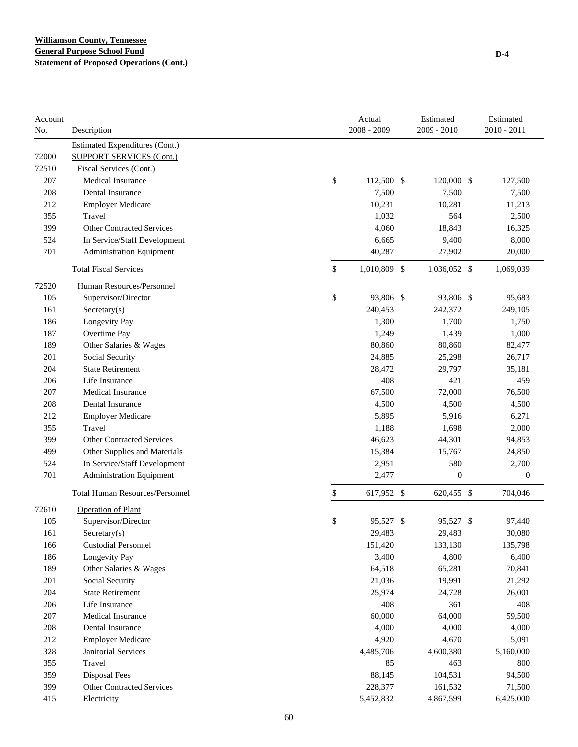| <b>Estimated Expenditures (Cont.)</b><br>72000<br><b>SUPPORT SERVICES (Cont.)</b><br>72510<br>Fiscal Services (Cont.)<br>\$<br>207<br><b>Medical Insurance</b><br>112,500 \$<br>120,000 \$<br>127,500<br>7,500<br>208<br>Dental Insurance<br>7,500<br>7,500<br>10,231<br>212<br><b>Employer Medicare</b><br>10,281<br>11,213<br>Travel<br>355<br>1,032<br>564<br>2,500<br>399<br><b>Other Contracted Services</b><br>4,060<br>18,843<br>16,325<br>6,665<br>524<br>In Service/Staff Development<br>9,400<br>8,000<br>701<br><b>Administration Equipment</b><br>40,287<br>27,902<br>20,000<br>\$<br>1,010,809 \$<br><b>Total Fiscal Services</b><br>1,036,052 \$<br>1,069,039<br>72520<br>Human Resources/Personnel<br>\$<br>Supervisor/Director<br>105<br>93,806 \$<br>93,806 \$<br>95,683<br>240,453<br>161<br>Sercetary(s)<br>242,372<br>249,105<br>186<br>Longevity Pay<br>1,300<br>1,700<br>1,750<br>187<br>Overtime Pay<br>1,249<br>1,439<br>1,000<br>80,860<br>189<br>Other Salaries & Wages<br>80,860<br>82,477<br>201<br>Social Security<br>24,885<br>25,298<br>26,717<br><b>State Retirement</b><br>204<br>28,472<br>29,797<br>35,181<br>408<br>206<br>Life Insurance<br>421<br>459<br>207<br>Medical Insurance<br>67,500<br>72,000<br>76,500<br>208<br>Dental Insurance<br>4,500<br>4,500<br>4,500<br>212<br><b>Employer Medicare</b><br>5,895<br>5,916<br>6,271<br>Travel<br>1,188<br>1,698<br>2,000<br>355<br>399<br><b>Other Contracted Services</b><br>46,623<br>44,301<br>94,853<br>499<br>15,384<br>Other Supplies and Materials<br>15,767<br>24,850<br>524<br>In Service/Staff Development<br>2,951<br>580<br>2,700<br>701<br><b>Administration Equipment</b><br>2,477<br>$\boldsymbol{0}$<br>0<br><b>Total Human Resources/Personnel</b><br>\$<br>617,952 \$<br>620,455 \$<br>704,046<br><b>Operation of Plant</b><br>72610<br>105<br>\$<br>Supervisor/Director<br>95,527 \$<br>95,527 \$<br>97,440<br>29,483<br>29,483<br>161<br>30,080<br>$S \text{eccetary}(s)$<br>166<br>135,798<br><b>Custodial Personnel</b><br>151,420<br>133,130<br>186<br>Longevity Pay<br>3,400<br>4,800<br>6,400<br>189<br>Other Salaries & Wages<br>64,518<br>70,841<br>65,281<br>201<br>Social Security<br>21,036<br>19,991<br>21,292<br>204<br><b>State Retirement</b><br>25,974<br>24,728<br>26,001<br>206<br>Life Insurance<br>408<br>361<br>408<br>207<br>Medical Insurance<br>60,000<br>64,000<br>59,500<br>208<br>Dental Insurance<br>4,000<br>4,000<br>4,000<br>212<br><b>Employer Medicare</b><br>4,920<br>4,670<br>5,091<br>328<br>Janitorial Services<br>4,485,706<br>4,600,380<br>5,160,000<br>Travel<br>355<br>85<br>463<br>800<br>359<br><b>Disposal Fees</b><br>88,145<br>104,531<br>94,500<br>399<br>Other Contracted Services<br>228,377<br>161,532<br>71,500 | Account<br>No. | Description | Actual<br>$2008 - 2009$ | Estimated<br>2009 - 2010 | Estimated<br>$2010 - 2011$ |
|-----------------------------------------------------------------------------------------------------------------------------------------------------------------------------------------------------------------------------------------------------------------------------------------------------------------------------------------------------------------------------------------------------------------------------------------------------------------------------------------------------------------------------------------------------------------------------------------------------------------------------------------------------------------------------------------------------------------------------------------------------------------------------------------------------------------------------------------------------------------------------------------------------------------------------------------------------------------------------------------------------------------------------------------------------------------------------------------------------------------------------------------------------------------------------------------------------------------------------------------------------------------------------------------------------------------------------------------------------------------------------------------------------------------------------------------------------------------------------------------------------------------------------------------------------------------------------------------------------------------------------------------------------------------------------------------------------------------------------------------------------------------------------------------------------------------------------------------------------------------------------------------------------------------------------------------------------------------------------------------------------------------------------------------------------------------------------------------------------------------------------------------------------------------------------------------------------------------------------------------------------------------------------------------------------------------------------------------------------------------------------------------------------------------------------------------------------------------------------------------------------------------------------------------------------------------------------------------------------------------------------------------------------------------------------------------------------------------------------------------------------------------------------|----------------|-------------|-------------------------|--------------------------|----------------------------|
|                                                                                                                                                                                                                                                                                                                                                                                                                                                                                                                                                                                                                                                                                                                                                                                                                                                                                                                                                                                                                                                                                                                                                                                                                                                                                                                                                                                                                                                                                                                                                                                                                                                                                                                                                                                                                                                                                                                                                                                                                                                                                                                                                                                                                                                                                                                                                                                                                                                                                                                                                                                                                                                                                                                                                                             |                |             |                         |                          |                            |
|                                                                                                                                                                                                                                                                                                                                                                                                                                                                                                                                                                                                                                                                                                                                                                                                                                                                                                                                                                                                                                                                                                                                                                                                                                                                                                                                                                                                                                                                                                                                                                                                                                                                                                                                                                                                                                                                                                                                                                                                                                                                                                                                                                                                                                                                                                                                                                                                                                                                                                                                                                                                                                                                                                                                                                             |                |             |                         |                          |                            |
|                                                                                                                                                                                                                                                                                                                                                                                                                                                                                                                                                                                                                                                                                                                                                                                                                                                                                                                                                                                                                                                                                                                                                                                                                                                                                                                                                                                                                                                                                                                                                                                                                                                                                                                                                                                                                                                                                                                                                                                                                                                                                                                                                                                                                                                                                                                                                                                                                                                                                                                                                                                                                                                                                                                                                                             |                |             |                         |                          |                            |
|                                                                                                                                                                                                                                                                                                                                                                                                                                                                                                                                                                                                                                                                                                                                                                                                                                                                                                                                                                                                                                                                                                                                                                                                                                                                                                                                                                                                                                                                                                                                                                                                                                                                                                                                                                                                                                                                                                                                                                                                                                                                                                                                                                                                                                                                                                                                                                                                                                                                                                                                                                                                                                                                                                                                                                             |                |             |                         |                          |                            |
|                                                                                                                                                                                                                                                                                                                                                                                                                                                                                                                                                                                                                                                                                                                                                                                                                                                                                                                                                                                                                                                                                                                                                                                                                                                                                                                                                                                                                                                                                                                                                                                                                                                                                                                                                                                                                                                                                                                                                                                                                                                                                                                                                                                                                                                                                                                                                                                                                                                                                                                                                                                                                                                                                                                                                                             |                |             |                         |                          |                            |
|                                                                                                                                                                                                                                                                                                                                                                                                                                                                                                                                                                                                                                                                                                                                                                                                                                                                                                                                                                                                                                                                                                                                                                                                                                                                                                                                                                                                                                                                                                                                                                                                                                                                                                                                                                                                                                                                                                                                                                                                                                                                                                                                                                                                                                                                                                                                                                                                                                                                                                                                                                                                                                                                                                                                                                             |                |             |                         |                          |                            |
|                                                                                                                                                                                                                                                                                                                                                                                                                                                                                                                                                                                                                                                                                                                                                                                                                                                                                                                                                                                                                                                                                                                                                                                                                                                                                                                                                                                                                                                                                                                                                                                                                                                                                                                                                                                                                                                                                                                                                                                                                                                                                                                                                                                                                                                                                                                                                                                                                                                                                                                                                                                                                                                                                                                                                                             |                |             |                         |                          |                            |
|                                                                                                                                                                                                                                                                                                                                                                                                                                                                                                                                                                                                                                                                                                                                                                                                                                                                                                                                                                                                                                                                                                                                                                                                                                                                                                                                                                                                                                                                                                                                                                                                                                                                                                                                                                                                                                                                                                                                                                                                                                                                                                                                                                                                                                                                                                                                                                                                                                                                                                                                                                                                                                                                                                                                                                             |                |             |                         |                          |                            |
|                                                                                                                                                                                                                                                                                                                                                                                                                                                                                                                                                                                                                                                                                                                                                                                                                                                                                                                                                                                                                                                                                                                                                                                                                                                                                                                                                                                                                                                                                                                                                                                                                                                                                                                                                                                                                                                                                                                                                                                                                                                                                                                                                                                                                                                                                                                                                                                                                                                                                                                                                                                                                                                                                                                                                                             |                |             |                         |                          |                            |
|                                                                                                                                                                                                                                                                                                                                                                                                                                                                                                                                                                                                                                                                                                                                                                                                                                                                                                                                                                                                                                                                                                                                                                                                                                                                                                                                                                                                                                                                                                                                                                                                                                                                                                                                                                                                                                                                                                                                                                                                                                                                                                                                                                                                                                                                                                                                                                                                                                                                                                                                                                                                                                                                                                                                                                             |                |             |                         |                          |                            |
|                                                                                                                                                                                                                                                                                                                                                                                                                                                                                                                                                                                                                                                                                                                                                                                                                                                                                                                                                                                                                                                                                                                                                                                                                                                                                                                                                                                                                                                                                                                                                                                                                                                                                                                                                                                                                                                                                                                                                                                                                                                                                                                                                                                                                                                                                                                                                                                                                                                                                                                                                                                                                                                                                                                                                                             |                |             |                         |                          |                            |
|                                                                                                                                                                                                                                                                                                                                                                                                                                                                                                                                                                                                                                                                                                                                                                                                                                                                                                                                                                                                                                                                                                                                                                                                                                                                                                                                                                                                                                                                                                                                                                                                                                                                                                                                                                                                                                                                                                                                                                                                                                                                                                                                                                                                                                                                                                                                                                                                                                                                                                                                                                                                                                                                                                                                                                             |                |             |                         |                          |                            |
|                                                                                                                                                                                                                                                                                                                                                                                                                                                                                                                                                                                                                                                                                                                                                                                                                                                                                                                                                                                                                                                                                                                                                                                                                                                                                                                                                                                                                                                                                                                                                                                                                                                                                                                                                                                                                                                                                                                                                                                                                                                                                                                                                                                                                                                                                                                                                                                                                                                                                                                                                                                                                                                                                                                                                                             |                |             |                         |                          |                            |
|                                                                                                                                                                                                                                                                                                                                                                                                                                                                                                                                                                                                                                                                                                                                                                                                                                                                                                                                                                                                                                                                                                                                                                                                                                                                                                                                                                                                                                                                                                                                                                                                                                                                                                                                                                                                                                                                                                                                                                                                                                                                                                                                                                                                                                                                                                                                                                                                                                                                                                                                                                                                                                                                                                                                                                             |                |             |                         |                          |                            |
|                                                                                                                                                                                                                                                                                                                                                                                                                                                                                                                                                                                                                                                                                                                                                                                                                                                                                                                                                                                                                                                                                                                                                                                                                                                                                                                                                                                                                                                                                                                                                                                                                                                                                                                                                                                                                                                                                                                                                                                                                                                                                                                                                                                                                                                                                                                                                                                                                                                                                                                                                                                                                                                                                                                                                                             |                |             |                         |                          |                            |
|                                                                                                                                                                                                                                                                                                                                                                                                                                                                                                                                                                                                                                                                                                                                                                                                                                                                                                                                                                                                                                                                                                                                                                                                                                                                                                                                                                                                                                                                                                                                                                                                                                                                                                                                                                                                                                                                                                                                                                                                                                                                                                                                                                                                                                                                                                                                                                                                                                                                                                                                                                                                                                                                                                                                                                             |                |             |                         |                          |                            |
|                                                                                                                                                                                                                                                                                                                                                                                                                                                                                                                                                                                                                                                                                                                                                                                                                                                                                                                                                                                                                                                                                                                                                                                                                                                                                                                                                                                                                                                                                                                                                                                                                                                                                                                                                                                                                                                                                                                                                                                                                                                                                                                                                                                                                                                                                                                                                                                                                                                                                                                                                                                                                                                                                                                                                                             |                |             |                         |                          |                            |
|                                                                                                                                                                                                                                                                                                                                                                                                                                                                                                                                                                                                                                                                                                                                                                                                                                                                                                                                                                                                                                                                                                                                                                                                                                                                                                                                                                                                                                                                                                                                                                                                                                                                                                                                                                                                                                                                                                                                                                                                                                                                                                                                                                                                                                                                                                                                                                                                                                                                                                                                                                                                                                                                                                                                                                             |                |             |                         |                          |                            |
|                                                                                                                                                                                                                                                                                                                                                                                                                                                                                                                                                                                                                                                                                                                                                                                                                                                                                                                                                                                                                                                                                                                                                                                                                                                                                                                                                                                                                                                                                                                                                                                                                                                                                                                                                                                                                                                                                                                                                                                                                                                                                                                                                                                                                                                                                                                                                                                                                                                                                                                                                                                                                                                                                                                                                                             |                |             |                         |                          |                            |
|                                                                                                                                                                                                                                                                                                                                                                                                                                                                                                                                                                                                                                                                                                                                                                                                                                                                                                                                                                                                                                                                                                                                                                                                                                                                                                                                                                                                                                                                                                                                                                                                                                                                                                                                                                                                                                                                                                                                                                                                                                                                                                                                                                                                                                                                                                                                                                                                                                                                                                                                                                                                                                                                                                                                                                             |                |             |                         |                          |                            |
|                                                                                                                                                                                                                                                                                                                                                                                                                                                                                                                                                                                                                                                                                                                                                                                                                                                                                                                                                                                                                                                                                                                                                                                                                                                                                                                                                                                                                                                                                                                                                                                                                                                                                                                                                                                                                                                                                                                                                                                                                                                                                                                                                                                                                                                                                                                                                                                                                                                                                                                                                                                                                                                                                                                                                                             |                |             |                         |                          |                            |
|                                                                                                                                                                                                                                                                                                                                                                                                                                                                                                                                                                                                                                                                                                                                                                                                                                                                                                                                                                                                                                                                                                                                                                                                                                                                                                                                                                                                                                                                                                                                                                                                                                                                                                                                                                                                                                                                                                                                                                                                                                                                                                                                                                                                                                                                                                                                                                                                                                                                                                                                                                                                                                                                                                                                                                             |                |             |                         |                          |                            |
|                                                                                                                                                                                                                                                                                                                                                                                                                                                                                                                                                                                                                                                                                                                                                                                                                                                                                                                                                                                                                                                                                                                                                                                                                                                                                                                                                                                                                                                                                                                                                                                                                                                                                                                                                                                                                                                                                                                                                                                                                                                                                                                                                                                                                                                                                                                                                                                                                                                                                                                                                                                                                                                                                                                                                                             |                |             |                         |                          |                            |
|                                                                                                                                                                                                                                                                                                                                                                                                                                                                                                                                                                                                                                                                                                                                                                                                                                                                                                                                                                                                                                                                                                                                                                                                                                                                                                                                                                                                                                                                                                                                                                                                                                                                                                                                                                                                                                                                                                                                                                                                                                                                                                                                                                                                                                                                                                                                                                                                                                                                                                                                                                                                                                                                                                                                                                             |                |             |                         |                          |                            |
|                                                                                                                                                                                                                                                                                                                                                                                                                                                                                                                                                                                                                                                                                                                                                                                                                                                                                                                                                                                                                                                                                                                                                                                                                                                                                                                                                                                                                                                                                                                                                                                                                                                                                                                                                                                                                                                                                                                                                                                                                                                                                                                                                                                                                                                                                                                                                                                                                                                                                                                                                                                                                                                                                                                                                                             |                |             |                         |                          |                            |
|                                                                                                                                                                                                                                                                                                                                                                                                                                                                                                                                                                                                                                                                                                                                                                                                                                                                                                                                                                                                                                                                                                                                                                                                                                                                                                                                                                                                                                                                                                                                                                                                                                                                                                                                                                                                                                                                                                                                                                                                                                                                                                                                                                                                                                                                                                                                                                                                                                                                                                                                                                                                                                                                                                                                                                             |                |             |                         |                          |                            |
|                                                                                                                                                                                                                                                                                                                                                                                                                                                                                                                                                                                                                                                                                                                                                                                                                                                                                                                                                                                                                                                                                                                                                                                                                                                                                                                                                                                                                                                                                                                                                                                                                                                                                                                                                                                                                                                                                                                                                                                                                                                                                                                                                                                                                                                                                                                                                                                                                                                                                                                                                                                                                                                                                                                                                                             |                |             |                         |                          |                            |
|                                                                                                                                                                                                                                                                                                                                                                                                                                                                                                                                                                                                                                                                                                                                                                                                                                                                                                                                                                                                                                                                                                                                                                                                                                                                                                                                                                                                                                                                                                                                                                                                                                                                                                                                                                                                                                                                                                                                                                                                                                                                                                                                                                                                                                                                                                                                                                                                                                                                                                                                                                                                                                                                                                                                                                             |                |             |                         |                          |                            |
|                                                                                                                                                                                                                                                                                                                                                                                                                                                                                                                                                                                                                                                                                                                                                                                                                                                                                                                                                                                                                                                                                                                                                                                                                                                                                                                                                                                                                                                                                                                                                                                                                                                                                                                                                                                                                                                                                                                                                                                                                                                                                                                                                                                                                                                                                                                                                                                                                                                                                                                                                                                                                                                                                                                                                                             |                |             |                         |                          |                            |
|                                                                                                                                                                                                                                                                                                                                                                                                                                                                                                                                                                                                                                                                                                                                                                                                                                                                                                                                                                                                                                                                                                                                                                                                                                                                                                                                                                                                                                                                                                                                                                                                                                                                                                                                                                                                                                                                                                                                                                                                                                                                                                                                                                                                                                                                                                                                                                                                                                                                                                                                                                                                                                                                                                                                                                             |                |             |                         |                          |                            |
|                                                                                                                                                                                                                                                                                                                                                                                                                                                                                                                                                                                                                                                                                                                                                                                                                                                                                                                                                                                                                                                                                                                                                                                                                                                                                                                                                                                                                                                                                                                                                                                                                                                                                                                                                                                                                                                                                                                                                                                                                                                                                                                                                                                                                                                                                                                                                                                                                                                                                                                                                                                                                                                                                                                                                                             |                |             |                         |                          |                            |
|                                                                                                                                                                                                                                                                                                                                                                                                                                                                                                                                                                                                                                                                                                                                                                                                                                                                                                                                                                                                                                                                                                                                                                                                                                                                                                                                                                                                                                                                                                                                                                                                                                                                                                                                                                                                                                                                                                                                                                                                                                                                                                                                                                                                                                                                                                                                                                                                                                                                                                                                                                                                                                                                                                                                                                             |                |             |                         |                          |                            |
|                                                                                                                                                                                                                                                                                                                                                                                                                                                                                                                                                                                                                                                                                                                                                                                                                                                                                                                                                                                                                                                                                                                                                                                                                                                                                                                                                                                                                                                                                                                                                                                                                                                                                                                                                                                                                                                                                                                                                                                                                                                                                                                                                                                                                                                                                                                                                                                                                                                                                                                                                                                                                                                                                                                                                                             |                |             |                         |                          |                            |
|                                                                                                                                                                                                                                                                                                                                                                                                                                                                                                                                                                                                                                                                                                                                                                                                                                                                                                                                                                                                                                                                                                                                                                                                                                                                                                                                                                                                                                                                                                                                                                                                                                                                                                                                                                                                                                                                                                                                                                                                                                                                                                                                                                                                                                                                                                                                                                                                                                                                                                                                                                                                                                                                                                                                                                             |                |             |                         |                          |                            |
|                                                                                                                                                                                                                                                                                                                                                                                                                                                                                                                                                                                                                                                                                                                                                                                                                                                                                                                                                                                                                                                                                                                                                                                                                                                                                                                                                                                                                                                                                                                                                                                                                                                                                                                                                                                                                                                                                                                                                                                                                                                                                                                                                                                                                                                                                                                                                                                                                                                                                                                                                                                                                                                                                                                                                                             |                |             |                         |                          |                            |
|                                                                                                                                                                                                                                                                                                                                                                                                                                                                                                                                                                                                                                                                                                                                                                                                                                                                                                                                                                                                                                                                                                                                                                                                                                                                                                                                                                                                                                                                                                                                                                                                                                                                                                                                                                                                                                                                                                                                                                                                                                                                                                                                                                                                                                                                                                                                                                                                                                                                                                                                                                                                                                                                                                                                                                             |                |             |                         |                          |                            |
|                                                                                                                                                                                                                                                                                                                                                                                                                                                                                                                                                                                                                                                                                                                                                                                                                                                                                                                                                                                                                                                                                                                                                                                                                                                                                                                                                                                                                                                                                                                                                                                                                                                                                                                                                                                                                                                                                                                                                                                                                                                                                                                                                                                                                                                                                                                                                                                                                                                                                                                                                                                                                                                                                                                                                                             |                |             |                         |                          |                            |
|                                                                                                                                                                                                                                                                                                                                                                                                                                                                                                                                                                                                                                                                                                                                                                                                                                                                                                                                                                                                                                                                                                                                                                                                                                                                                                                                                                                                                                                                                                                                                                                                                                                                                                                                                                                                                                                                                                                                                                                                                                                                                                                                                                                                                                                                                                                                                                                                                                                                                                                                                                                                                                                                                                                                                                             |                |             |                         |                          |                            |
|                                                                                                                                                                                                                                                                                                                                                                                                                                                                                                                                                                                                                                                                                                                                                                                                                                                                                                                                                                                                                                                                                                                                                                                                                                                                                                                                                                                                                                                                                                                                                                                                                                                                                                                                                                                                                                                                                                                                                                                                                                                                                                                                                                                                                                                                                                                                                                                                                                                                                                                                                                                                                                                                                                                                                                             |                |             |                         |                          |                            |
|                                                                                                                                                                                                                                                                                                                                                                                                                                                                                                                                                                                                                                                                                                                                                                                                                                                                                                                                                                                                                                                                                                                                                                                                                                                                                                                                                                                                                                                                                                                                                                                                                                                                                                                                                                                                                                                                                                                                                                                                                                                                                                                                                                                                                                                                                                                                                                                                                                                                                                                                                                                                                                                                                                                                                                             |                |             |                         |                          |                            |
|                                                                                                                                                                                                                                                                                                                                                                                                                                                                                                                                                                                                                                                                                                                                                                                                                                                                                                                                                                                                                                                                                                                                                                                                                                                                                                                                                                                                                                                                                                                                                                                                                                                                                                                                                                                                                                                                                                                                                                                                                                                                                                                                                                                                                                                                                                                                                                                                                                                                                                                                                                                                                                                                                                                                                                             |                |             |                         |                          |                            |
|                                                                                                                                                                                                                                                                                                                                                                                                                                                                                                                                                                                                                                                                                                                                                                                                                                                                                                                                                                                                                                                                                                                                                                                                                                                                                                                                                                                                                                                                                                                                                                                                                                                                                                                                                                                                                                                                                                                                                                                                                                                                                                                                                                                                                                                                                                                                                                                                                                                                                                                                                                                                                                                                                                                                                                             |                |             |                         |                          |                            |
|                                                                                                                                                                                                                                                                                                                                                                                                                                                                                                                                                                                                                                                                                                                                                                                                                                                                                                                                                                                                                                                                                                                                                                                                                                                                                                                                                                                                                                                                                                                                                                                                                                                                                                                                                                                                                                                                                                                                                                                                                                                                                                                                                                                                                                                                                                                                                                                                                                                                                                                                                                                                                                                                                                                                                                             |                |             |                         |                          |                            |
|                                                                                                                                                                                                                                                                                                                                                                                                                                                                                                                                                                                                                                                                                                                                                                                                                                                                                                                                                                                                                                                                                                                                                                                                                                                                                                                                                                                                                                                                                                                                                                                                                                                                                                                                                                                                                                                                                                                                                                                                                                                                                                                                                                                                                                                                                                                                                                                                                                                                                                                                                                                                                                                                                                                                                                             |                |             |                         |                          |                            |
|                                                                                                                                                                                                                                                                                                                                                                                                                                                                                                                                                                                                                                                                                                                                                                                                                                                                                                                                                                                                                                                                                                                                                                                                                                                                                                                                                                                                                                                                                                                                                                                                                                                                                                                                                                                                                                                                                                                                                                                                                                                                                                                                                                                                                                                                                                                                                                                                                                                                                                                                                                                                                                                                                                                                                                             |                |             |                         |                          |                            |
|                                                                                                                                                                                                                                                                                                                                                                                                                                                                                                                                                                                                                                                                                                                                                                                                                                                                                                                                                                                                                                                                                                                                                                                                                                                                                                                                                                                                                                                                                                                                                                                                                                                                                                                                                                                                                                                                                                                                                                                                                                                                                                                                                                                                                                                                                                                                                                                                                                                                                                                                                                                                                                                                                                                                                                             | 415            | Electricity | 5,452,832               | 4,867,599                | 6,425,000                  |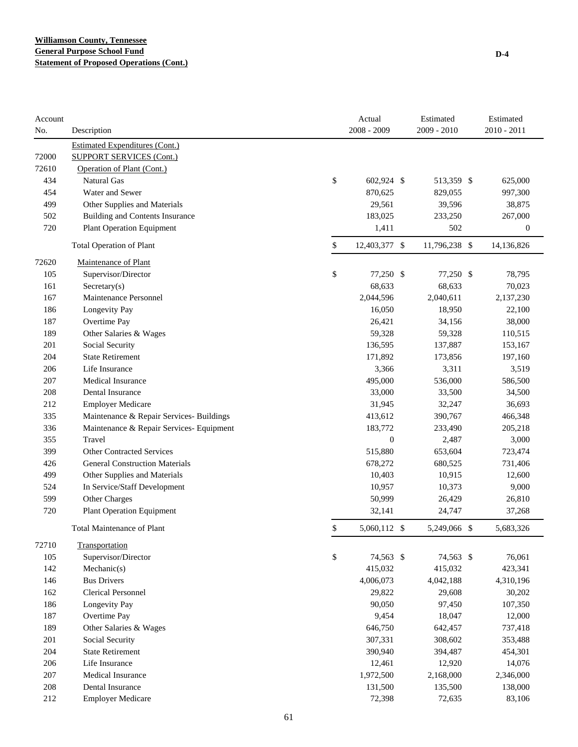| Account<br>No. | Description                              | Actual<br>2008 - 2009 | Estimated<br>$2009 - 2010$ | Estimated<br>2010 - 2011 |
|----------------|------------------------------------------|-----------------------|----------------------------|--------------------------|
|                | <b>Estimated Expenditures (Cont.)</b>    |                       |                            |                          |
| 72000          | <b>SUPPORT SERVICES (Cont.)</b>          |                       |                            |                          |
| 72610          | Operation of Plant (Cont.)               |                       |                            |                          |
| 434            | <b>Natural Gas</b>                       | \$<br>602,924 \$      | 513,359 \$                 | 625,000                  |
| 454            | Water and Sewer                          | 870,625               | 829,055                    | 997,300                  |
| 499            | Other Supplies and Materials             | 29,561                | 39,596                     | 38,875                   |
| 502            | <b>Building and Contents Insurance</b>   | 183,025               | 233,250                    | 267,000                  |
| 720            | <b>Plant Operation Equipment</b>         | 1,411                 | 502                        | $\boldsymbol{0}$         |
|                | <b>Total Operation of Plant</b>          | \$<br>12,403,377 \$   | 11,796,238 \$              | 14,136,826               |
| 72620          | Maintenance of Plant                     |                       |                            |                          |
| 105            | Supervisor/Director                      | \$<br>77,250 \$       | 77,250 \$                  | 78,795                   |
| 161            | $S \text{eccetary}(s)$                   | 68,633                | 68,633                     | 70,023                   |
| 167            | Maintenance Personnel                    | 2,044,596             | 2,040,611                  | 2,137,230                |
| 186            | Longevity Pay                            | 16,050                | 18,950                     | 22,100                   |
| 187            | Overtime Pay                             | 26,421                | 34,156                     | 38,000                   |
| 189            | Other Salaries & Wages                   | 59,328                | 59,328                     | 110,515                  |
| 201            | Social Security                          | 136,595               | 137,887                    | 153,167                  |
| 204            | <b>State Retirement</b>                  | 171,892               | 173,856                    | 197,160                  |
| 206            | Life Insurance                           | 3,366                 | 3,311                      | 3,519                    |
| 207            | <b>Medical Insurance</b>                 | 495,000               | 536,000                    | 586,500                  |
| 208            | Dental Insurance                         | 33,000                | 33,500                     | 34,500                   |
| 212            | <b>Employer Medicare</b>                 | 31,945                | 32,247                     | 36,693                   |
| 335            | Maintenance & Repair Services- Buildings | 413,612               | 390,767                    | 466,348                  |
| 336            | Maintenance & Repair Services- Equipment | 183,772               | 233,490                    | 205,218                  |
| 355            | Travel                                   | $\mathbf{0}$          | 2,487                      | 3,000                    |
| 399            | <b>Other Contracted Services</b>         | 515,880               | 653,604                    | 723,474                  |
| 426            | <b>General Construction Materials</b>    | 678,272               | 680,525                    | 731,406                  |
| 499            | Other Supplies and Materials             | 10,403                | 10,915                     | 12,600                   |
| 524            | In Service/Staff Development             | 10,957                | 10,373                     | 9,000                    |
| 599            | Other Charges                            | 50,999                | 26,429                     | 26,810                   |
| 720            | <b>Plant Operation Equipment</b>         | 32,141                | 24,747                     | 37,268                   |
|                | <b>Total Maintenance of Plant</b>        | \$<br>5,060,112 \$    | 5,249,066 \$               | 5,683,326                |
| 72710          | Transportation                           |                       |                            |                          |
| 105            | Supervisor/Director                      | \$<br>74,563 \$       | 74,563 \$                  | 76,061                   |
| 142            | Mechanic(s)                              | 415,032               | 415,032                    | 423,341                  |
| 146            | <b>Bus Drivers</b>                       | 4,006,073             | 4,042,188                  | 4,310,196                |
| 162            | <b>Clerical Personnel</b>                | 29,822                | 29,608                     | 30,202                   |
| 186            | Longevity Pay                            | 90,050                | 97,450                     | 107,350                  |
| 187            | Overtime Pay                             | 9,454                 | 18,047                     | 12,000                   |
| 189            | Other Salaries & Wages                   | 646,750               | 642,457                    | 737,418                  |
| 201            | Social Security                          | 307,331               | 308,602                    | 353,488                  |
| 204            | <b>State Retirement</b>                  | 390,940               | 394,487                    | 454,301                  |
| 206            | Life Insurance                           | 12,461                | 12,920                     | 14,076                   |
| 207            | Medical Insurance                        | 1,972,500             | 2,168,000                  | 2,346,000                |
| 208            | Dental Insurance                         | 131,500               | 135,500                    | 138,000                  |
| 212            | <b>Employer Medicare</b>                 | 72,398                | 72,635                     | 83,106                   |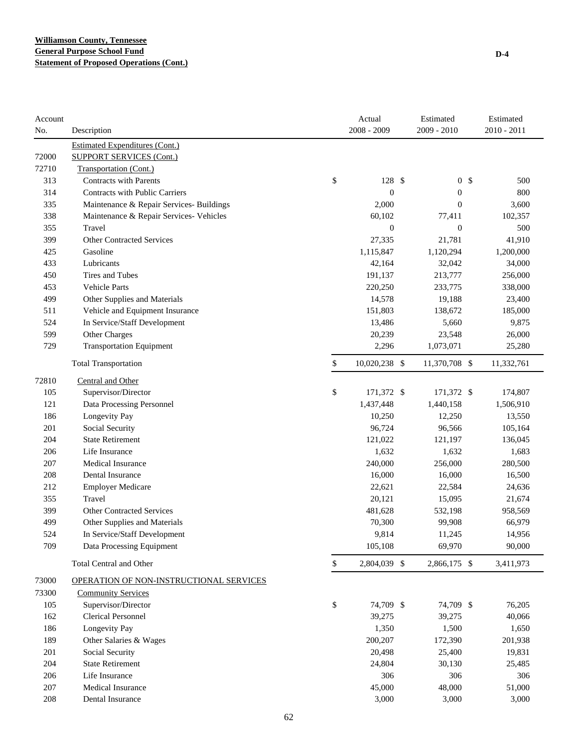| Account |                                          | Actual              | Estimated        | Estimated             |
|---------|------------------------------------------|---------------------|------------------|-----------------------|
| No.     | Description                              | 2008 - 2009         | $2009 - 2010$    | $2010 - 2011$         |
|         | <b>Estimated Expenditures (Cont.)</b>    |                     |                  |                       |
| 72000   | <b>SUPPORT SERVICES (Cont.)</b>          |                     |                  |                       |
| 72710   | Transportation (Cont.)                   |                     |                  |                       |
| 313     | <b>Contracts with Parents</b>            | \$<br>128 \$        |                  | 0 <sup>5</sup><br>500 |
| 314     | <b>Contracts with Public Carriers</b>    | $\mathbf{0}$        | $\boldsymbol{0}$ | 800                   |
| 335     | Maintenance & Repair Services- Buildings | 2,000               | $\overline{0}$   | 3,600                 |
| 338     | Maintenance & Repair Services- Vehicles  | 60,102              | 77,411           | 102,357               |
| 355     | Travel                                   | $\mathbf{0}$        | $\mathbf{0}$     | 500                   |
| 399     | <b>Other Contracted Services</b>         | 27,335              | 21,781           | 41,910                |
| 425     | Gasoline                                 | 1,115,847           | 1,120,294        | 1,200,000             |
| 433     | Lubricants                               | 42,164              | 32,042           | 34,000                |
| 450     | Tires and Tubes                          | 191,137             | 213,777          | 256,000               |
| 453     | Vehicle Parts                            | 220,250             | 233,775          | 338,000               |
| 499     | Other Supplies and Materials             | 14,578              | 19,188           | 23,400                |
| 511     | Vehicle and Equipment Insurance          | 151,803             | 138,672          | 185,000               |
| 524     | In Service/Staff Development             | 13,486              | 5,660            | 9,875                 |
| 599     | Other Charges                            | 20,239              | 23,548           | 26,000                |
| 729     | <b>Transportation Equipment</b>          | 2,296               | 1,073,071        | 25,280                |
|         | <b>Total Transportation</b>              | \$<br>10,020,238 \$ | 11,370,708 \$    | 11,332,761            |
| 72810   | <b>Central and Other</b>                 |                     |                  |                       |
| 105     | Supervisor/Director                      | \$<br>171,372 \$    | 171,372 \$       | 174,807               |
| 121     | Data Processing Personnel                | 1,437,448           | 1,440,158        | 1,506,910             |
| 186     | Longevity Pay                            | 10,250              | 12,250           | 13,550                |
| 201     | Social Security                          | 96,724              | 96,566           | 105,164               |
| 204     | <b>State Retirement</b>                  | 121,022             | 121,197          | 136,045               |
| 206     | Life Insurance                           | 1,632               | 1,632            | 1,683                 |
| 207     | <b>Medical Insurance</b>                 | 240,000             | 256,000          | 280,500               |
| 208     | Dental Insurance                         | 16,000              | 16,000           | 16,500                |
| 212     | <b>Employer Medicare</b>                 | 22,621              | 22,584           | 24,636                |
| 355     | Travel                                   | 20,121              | 15,095           | 21,674                |
| 399     | <b>Other Contracted Services</b>         | 481,628             | 532,198          | 958,569               |
| 499     | Other Supplies and Materials             | 70,300              | 99,908           | 66,979                |
| 524     | In Service/Staff Development             | 9,814               | 11,245           | 14,956                |
| 709     | Data Processing Equipment                | 105,108             | 69,970           | 90,000                |
|         | <b>Total Central and Other</b>           | \$<br>2,804,039 \$  | 2,866,175 \$     | 3,411,973             |
| 73000   | OPERATION OF NON-INSTRUCTIONAL SERVICES  |                     |                  |                       |
| 73300   | <b>Community Services</b>                |                     |                  |                       |
| 105     | Supervisor/Director                      | \$<br>74,709 \$     | 74,709 \$        | 76,205                |
| 162     | <b>Clerical Personnel</b>                | 39,275              | 39,275           | 40,066                |
| 186     | Longevity Pay                            | 1,350               | 1,500            | 1,650                 |
| 189     | Other Salaries & Wages                   | 200,207             | 172,390          | 201,938               |
| 201     | Social Security                          | 20,498              | 25,400           | 19,831                |
| 204     | <b>State Retirement</b>                  | 24,804              | 30,130           | 25,485                |
| 206     | Life Insurance                           | 306                 | 306              | 306                   |
| 207     | Medical Insurance                        | 45,000              | 48,000           | 51,000                |
| 208     | Dental Insurance                         | 3,000               | 3,000            | 3,000                 |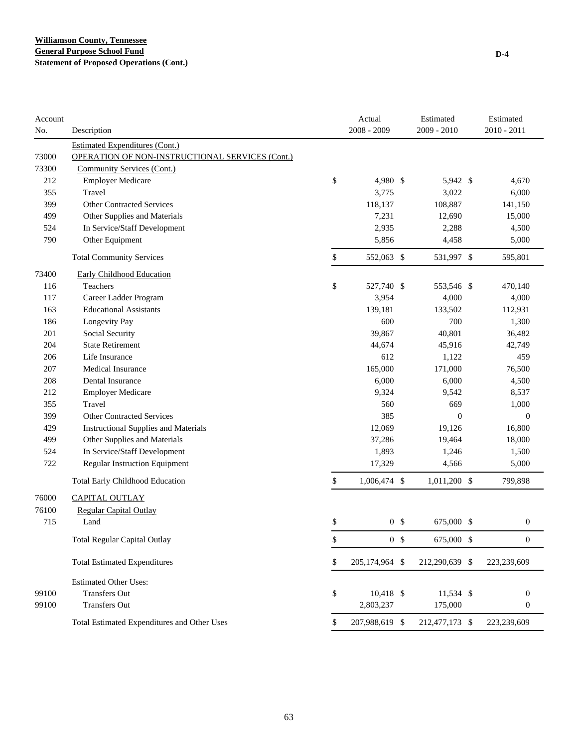| Account |                                                 | Actual<br>2008 - 2009 |                | Estimated<br>2009 - 2010 | Estimated<br>$2010 - 2011$ |
|---------|-------------------------------------------------|-----------------------|----------------|--------------------------|----------------------------|
| No.     | Description                                     |                       |                |                          |                            |
| 73000   | <b>Estimated Expenditures (Cont.)</b>           |                       |                |                          |                            |
|         | OPERATION OF NON-INSTRUCTIONAL SERVICES (Cont.) |                       |                |                          |                            |
| 73300   | Community Services (Cont.)                      |                       |                |                          |                            |
| 212     | <b>Employer Medicare</b>                        | \$<br>4,980 \$        |                | 5,942 \$                 | 4,670                      |
| 355     | Travel                                          | 3,775                 |                | 3,022                    | 6,000                      |
| 399     | <b>Other Contracted Services</b>                | 118,137               |                | 108,887                  | 141,150                    |
| 499     | Other Supplies and Materials                    | 7,231                 |                | 12,690                   | 15,000                     |
| 524     | In Service/Staff Development                    | 2,935                 |                | 2,288                    | 4,500                      |
| 790     | Other Equipment                                 | 5,856                 |                | 4,458                    | 5,000                      |
|         | <b>Total Community Services</b>                 | \$<br>552,063 \$      |                | 531,997 \$               | 595,801                    |
| 73400   | <b>Early Childhood Education</b>                |                       |                |                          |                            |
| 116     | Teachers                                        | \$<br>527,740 \$      |                | 553,546 \$               | 470,140                    |
| 117     | Career Ladder Program                           | 3,954                 |                | 4,000                    | 4,000                      |
| 163     | <b>Educational Assistants</b>                   | 139,181               |                | 133,502                  | 112,931                    |
| 186     | Longevity Pay                                   | 600                   |                | 700                      | 1,300                      |
| 201     | Social Security                                 | 39,867                |                | 40,801                   | 36,482                     |
| 204     | <b>State Retirement</b>                         | 44,674                |                | 45,916                   | 42,749                     |
| 206     | Life Insurance                                  | 612                   |                | 1,122                    | 459                        |
| 207     | Medical Insurance                               | 165,000               |                | 171,000                  | 76,500                     |
| 208     | <b>Dental Insurance</b>                         | 6,000                 |                | 6,000                    | 4,500                      |
| 212     | <b>Employer Medicare</b>                        | 9,324                 |                | 9,542                    | 8,537                      |
| 355     | Travel                                          | 560                   |                | 669                      | 1,000                      |
| 399     | <b>Other Contracted Services</b>                | 385                   |                | $\mathbf{0}$             | $\mathbf{0}$               |
| 429     | <b>Instructional Supplies and Materials</b>     | 12,069                |                | 19,126                   | 16,800                     |
| 499     | Other Supplies and Materials                    | 37,286                |                | 19,464                   | 18,000                     |
| 524     | In Service/Staff Development                    | 1,893                 |                | 1,246                    | 1,500                      |
| 722     | <b>Regular Instruction Equipment</b>            | 17,329                |                | 4,566                    | 5,000                      |
|         | <b>Total Early Childhood Education</b>          | \$<br>1,006,474 \$    |                | 1,011,200 \$             | 799,898                    |
| 76000   | <b>CAPITAL OUTLAY</b>                           |                       |                |                          |                            |
| 76100   | Regular Capital Outlay                          |                       |                |                          |                            |
| 715     | Land                                            | \$                    | 0 <sup>5</sup> | 675,000 \$               | $\boldsymbol{0}$           |
|         | <b>Total Regular Capital Outlay</b>             | \$                    | 0 <sup>5</sup> | 675,000 \$               | $\boldsymbol{0}$           |
|         | <b>Total Estimated Expenditures</b>             | \$<br>205,174,964 \$  |                | 212,290,639 \$           | 223,239,609                |
|         | <b>Estimated Other Uses:</b>                    |                       |                |                          |                            |
| 99100   | <b>Transfers Out</b>                            | \$<br>$10,418$ \$     |                | 11,534 \$                | $\boldsymbol{0}$           |
| 99100   | <b>Transfers Out</b>                            | 2,803,237             |                | 175,000                  | $\boldsymbol{0}$           |
|         | Total Estimated Expenditures and Other Uses     | \$<br>207,988,619 \$  |                | 212,477,173 \$           | 223,239,609                |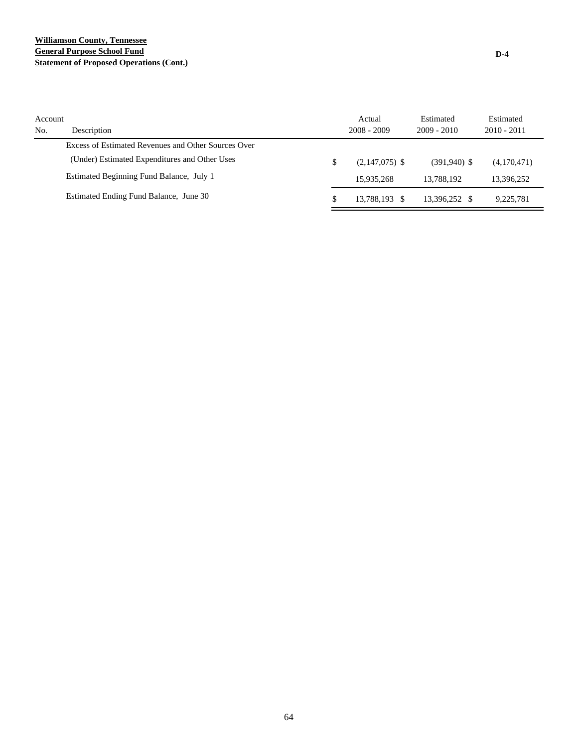### **Williamson County, Tennessee General Purpose School Fund Statement of Proposed Operations (Cont.)**

| Account<br>No. | Description                                         |    | Actual<br>$2008 - 2009$ | Estimated<br>$2009 - 2010$ | Estimated<br>$2010 - 2011$ |
|----------------|-----------------------------------------------------|----|-------------------------|----------------------------|----------------------------|
|                | Excess of Estimated Revenues and Other Sources Over |    |                         |                            |                            |
|                | (Under) Estimated Expenditures and Other Uses       | \$ | $(2,147,075)$ \$        | $(391,940)$ \$             | (4,170,471)                |
|                | Estimated Beginning Fund Balance, July 1            |    | 15.935.268              | 13.788.192                 | 13,396,252                 |
|                | Estimated Ending Fund Balance, June 30              | S  | 13.788.193 \$           | 13,396,252 \$              | 9.225.781                  |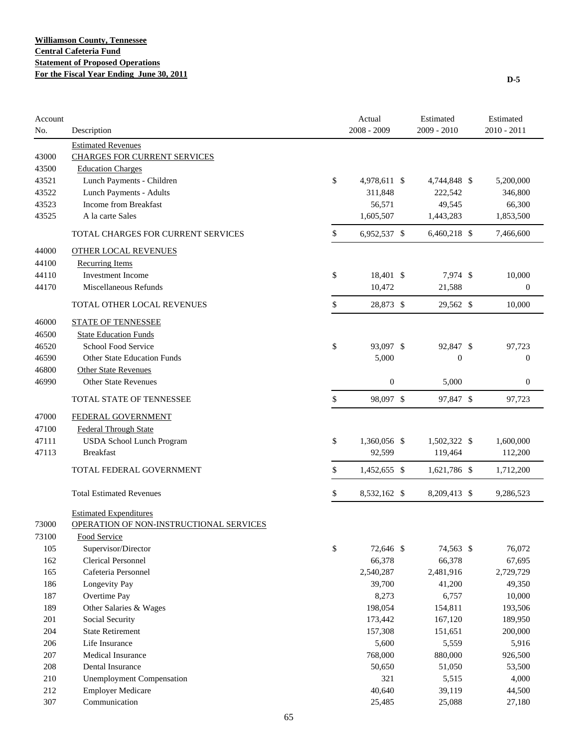| Account<br>No. | Description                             | Actual<br>2008 - 2009 | Estimated<br>2009 - 2010 | Estimated<br>$2010 - 2011$ |
|----------------|-----------------------------------------|-----------------------|--------------------------|----------------------------|
|                | <b>Estimated Revenues</b>               |                       |                          |                            |
| 43000          | <b>CHARGES FOR CURRENT SERVICES</b>     |                       |                          |                            |
| 43500          | <b>Education Charges</b>                |                       |                          |                            |
| 43521          | Lunch Payments - Children               | \$<br>4,978,611 \$    | 4,744,848 \$             | 5,200,000                  |
| 43522          | Lunch Payments - Adults                 | 311,848               | 222,542                  | 346,800                    |
| 43523          | Income from Breakfast                   | 56,571                | 49,545                   | 66,300                     |
| 43525          | A la carte Sales                        | 1,605,507             | 1,443,283                | 1,853,500                  |
|                | TOTAL CHARGES FOR CURRENT SERVICES      | \$<br>6,952,537 \$    | 6,460,218 \$             | 7,466,600                  |
| 44000          | <b>OTHER LOCAL REVENUES</b>             |                       |                          |                            |
| 44100          | <b>Recurring Items</b>                  |                       |                          |                            |
| 44110          | <b>Investment Income</b>                | \$<br>18,401 \$       | 7,974 \$                 | 10,000                     |
| 44170          | Miscellaneous Refunds                   | 10,472                | 21,588                   | $\boldsymbol{0}$           |
|                | TOTAL OTHER LOCAL REVENUES              | \$<br>28,873 \$       | 29,562 \$                | 10,000                     |
| 46000          | <b>STATE OF TENNESSEE</b>               |                       |                          |                            |
| 46500          | <b>State Education Funds</b>            |                       |                          |                            |
| 46520          | <b>School Food Service</b>              | \$<br>93,097 \$       | 92,847 \$                | 97,723                     |
| 46590          | <b>Other State Education Funds</b>      | 5,000                 | $\boldsymbol{0}$         | $\boldsymbol{0}$           |
| 46800          | <b>Other State Revenues</b>             |                       |                          |                            |
| 46990          | <b>Other State Revenues</b>             | $\boldsymbol{0}$      | 5,000                    | $\boldsymbol{0}$           |
|                | TOTAL STATE OF TENNESSEE                | \$<br>98,097 \$       | 97,847 \$                | 97,723                     |
| 47000          | FEDERAL GOVERNMENT                      |                       |                          |                            |
| 47100          | <b>Federal Through State</b>            |                       |                          |                            |
| 47111          | <b>USDA School Lunch Program</b>        | \$<br>1,360,056 \$    | 1,502,322 \$             | 1,600,000                  |
| 47113          | <b>Breakfast</b>                        | 92,599                | 119,464                  | 112,200                    |
|                |                                         |                       |                          |                            |
|                | TOTAL FEDERAL GOVERNMENT                | \$<br>1,452,655 \$    | 1,621,786 \$             | 1,712,200                  |
|                | <b>Total Estimated Revenues</b>         | \$<br>8,532,162 \$    | 8,209,413 \$             | 9,286,523                  |
|                | <b>Estimated Expenditures</b>           |                       |                          |                            |
| 73000          | OPERATION OF NON-INSTRUCTIONAL SERVICES |                       |                          |                            |
| 73100          | Food Service                            |                       |                          |                            |
| 105            | Supervisor/Director                     | \$<br>72,646 \$       | 74,563 \$                | 76,072                     |
| 162            | <b>Clerical Personnel</b>               | 66,378                | 66,378                   | 67,695                     |
| 165            | Cafeteria Personnel                     | 2,540,287             | 2,481,916                | 2,729,729                  |
| 186            | Longevity Pay                           | 39,700                | 41,200                   | 49,350                     |
| 187            | Overtime Pay                            | 8,273                 | 6,757                    | 10,000                     |
| 189            | Other Salaries & Wages                  | 198,054               | 154,811                  | 193,506                    |
| 201            | Social Security                         | 173,442               | 167,120                  | 189,950                    |
| 204            | <b>State Retirement</b>                 | 157,308               | 151,651                  | 200,000                    |
| 206            | Life Insurance                          | 5,600                 | 5,559                    | 5,916                      |
| 207            | Medical Insurance                       | 768,000               | 880,000                  | 926,500                    |
| 208            | Dental Insurance                        | 50,650                | 51,050                   | 53,500                     |
| 210            | <b>Unemployment Compensation</b>        | 321                   | 5,515                    | 4,000                      |
| 212            | <b>Employer Medicare</b>                | 40,640                | 39,119                   | 44,500                     |
| 307            | Communication                           | 25,485                | 25,088                   | 27,180                     |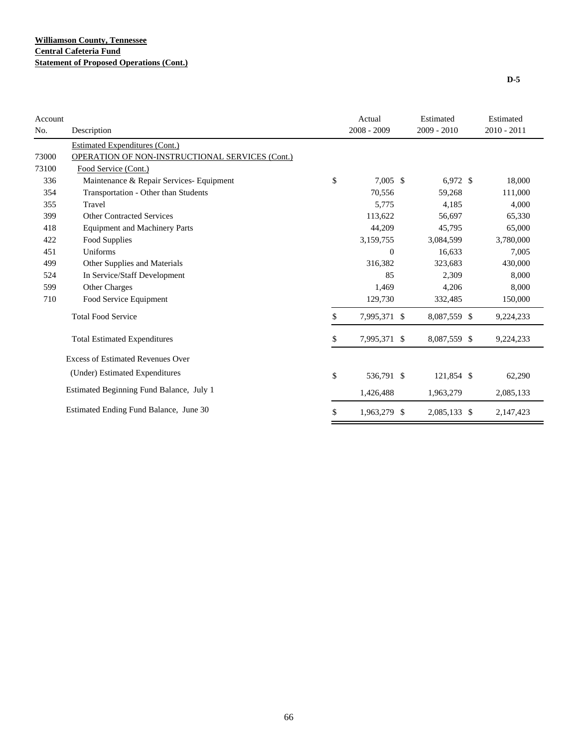| Account |                                                 | Actual             | Estimated    | Estimated   |
|---------|-------------------------------------------------|--------------------|--------------|-------------|
| No.     | Description                                     | $2008 - 2009$      | 2009 - 2010  | 2010 - 2011 |
|         | Estimated Expenditures (Cont.)                  |                    |              |             |
| 73000   | OPERATION OF NON-INSTRUCTIONAL SERVICES (Cont.) |                    |              |             |
| 73100   | Food Service (Cont.)                            |                    |              |             |
| 336     | Maintenance & Repair Services- Equipment        | \$<br>$7,005$ \$   | $6,972$ \$   | 18,000      |
| 354     | Transportation - Other than Students            | 70,556             | 59,268       | 111,000     |
| 355     | Travel                                          | 5,775              | 4,185        | 4,000       |
| 399     | <b>Other Contracted Services</b>                | 113,622            | 56,697       | 65,330      |
| 418     | <b>Equipment and Machinery Parts</b>            | 44,209             | 45,795       | 65,000      |
| 422     | Food Supplies                                   | 3,159,755          | 3,084,599    | 3,780,000   |
| 451     | Uniforms                                        | $\Omega$           | 16,633       | 7,005       |
| 499     | Other Supplies and Materials                    | 316,382            | 323,683      | 430,000     |
| 524     | In Service/Staff Development                    | 85                 | 2,309        | 8,000       |
| 599     | <b>Other Charges</b>                            | 1,469              | 4,206        | 8,000       |
| 710     | Food Service Equipment                          | 129,730            | 332,485      | 150,000     |
|         | <b>Total Food Service</b>                       | \$<br>7,995,371 \$ | 8,087,559 \$ | 9,224,233   |
|         | <b>Total Estimated Expenditures</b>             | \$<br>7,995,371 \$ | 8,087,559 \$ | 9,224,233   |
|         | <b>Excess of Estimated Revenues Over</b>        |                    |              |             |
|         | (Under) Estimated Expenditures                  | \$<br>536,791 \$   | 121,854 \$   | 62,290      |
|         | Estimated Beginning Fund Balance, July 1        | 1,426,488          | 1,963,279    | 2,085,133   |
|         | Estimated Ending Fund Balance, June 30          | \$<br>1,963,279 \$ | 2,085,133 \$ | 2,147,423   |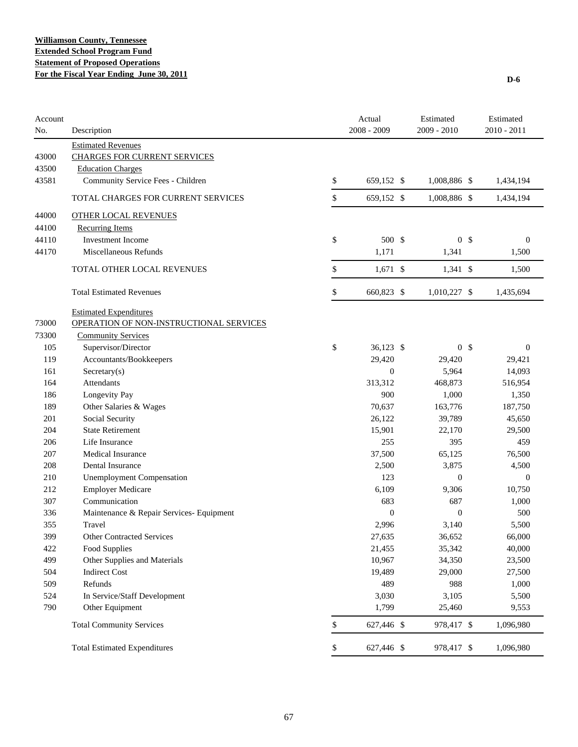| Account<br>No. | Description                              | Actual<br>$2008 - 2009$ | Estimated<br>$2009 - 2010$ |                | Estimated<br>2010 - 2011 |
|----------------|------------------------------------------|-------------------------|----------------------------|----------------|--------------------------|
|                | <b>Estimated Revenues</b>                |                         |                            |                |                          |
| 43000          | <b>CHARGES FOR CURRENT SERVICES</b>      |                         |                            |                |                          |
| 43500          | <b>Education Charges</b>                 |                         |                            |                |                          |
| 43581          | Community Service Fees - Children        | \$<br>659,152 \$        | 1,008,886 \$               |                | 1,434,194                |
|                | TOTAL CHARGES FOR CURRENT SERVICES       | \$<br>659,152 \$        | 1,008,886 \$               |                | 1,434,194                |
| 44000          | <b>OTHER LOCAL REVENUES</b>              |                         |                            |                |                          |
| 44100          | <b>Recurring Items</b>                   |                         |                            |                |                          |
| 44110          | Investment Income                        | \$<br>500 \$            |                            | 0 <sup>5</sup> | $\mathbf{0}$             |
| 44170          | Miscellaneous Refunds                    | 1,171                   | 1,341                      |                | 1,500                    |
|                | TOTAL OTHER LOCAL REVENUES               | \$<br>$1,671$ \$        | 1,341 \$                   |                | 1,500                    |
|                | <b>Total Estimated Revenues</b>          | \$<br>660,823 \$        | 1,010,227 \$               |                | 1,435,694                |
|                | <b>Estimated Expenditures</b>            |                         |                            |                |                          |
| 73000          | OPERATION OF NON-INSTRUCTIONAL SERVICES  |                         |                            |                |                          |
| 73300          | <b>Community Services</b>                |                         |                            |                |                          |
| 105            | Supervisor/Director                      | \$<br>36,123 \$         |                            | 0 <sup>5</sup> | $\boldsymbol{0}$         |
| 119            | Accountants/Bookkeepers                  | 29,420                  | 29,420                     |                | 29,421                   |
| 161            | Sercetary(s)                             | $\boldsymbol{0}$        | 5,964                      |                | 14,093                   |
| 164            | Attendants                               | 313,312                 | 468,873                    |                | 516,954                  |
| 186            | Longevity Pay                            | 900                     | 1,000                      |                | 1,350                    |
| 189            | Other Salaries & Wages                   | 70,637                  | 163,776                    |                | 187,750                  |
| 201            | Social Security                          | 26,122                  | 39,789                     |                | 45,650                   |
| 204            | <b>State Retirement</b>                  | 15,901                  | 22,170                     |                | 29,500                   |
| 206            | Life Insurance                           | 255                     | 395                        |                | 459                      |
| 207            | <b>Medical Insurance</b>                 | 37,500                  | 65,125                     |                | 76,500                   |
| 208            | Dental Insurance                         | 2,500                   | 3,875                      |                | 4,500                    |
| 210            | <b>Unemployment Compensation</b>         | 123                     | $\overline{0}$             |                | $\mathbf{0}$             |
| 212            | <b>Employer Medicare</b>                 | 6,109                   | 9,306                      |                | 10,750                   |
| 307            | Communication                            | 683                     | 687                        |                | 1,000                    |
| 336            | Maintenance & Repair Services- Equipment | $\boldsymbol{0}$        | $\mathbf{0}$               |                | 500                      |
| 355            | Travel                                   | 2,996                   | 3,140                      |                | 5,500                    |
| 399            | Other Contracted Services                | 27,635                  | 36,652                     |                | 66,000                   |
| 422            | Food Supplies                            | 21,455                  | 35,342                     |                | 40,000                   |
| 499            | Other Supplies and Materials             | 10,967                  | 34,350                     |                | 23,500                   |
| 504            | <b>Indirect Cost</b>                     | 19,489                  | 29,000                     |                | 27,500                   |
| 509            | Refunds                                  | 489                     | 988                        |                | 1,000                    |
| 524            | In Service/Staff Development             | 3,030                   | 3,105                      |                | 5,500                    |
| 790            | Other Equipment                          | 1,799                   | 25,460                     |                | 9,553                    |
|                | <b>Total Community Services</b>          | \$<br>627,446 \$        | 978,417 \$                 |                | 1,096,980                |
|                | <b>Total Estimated Expenditures</b>      | \$<br>627,446 \$        | 978,417 \$                 |                | 1,096,980                |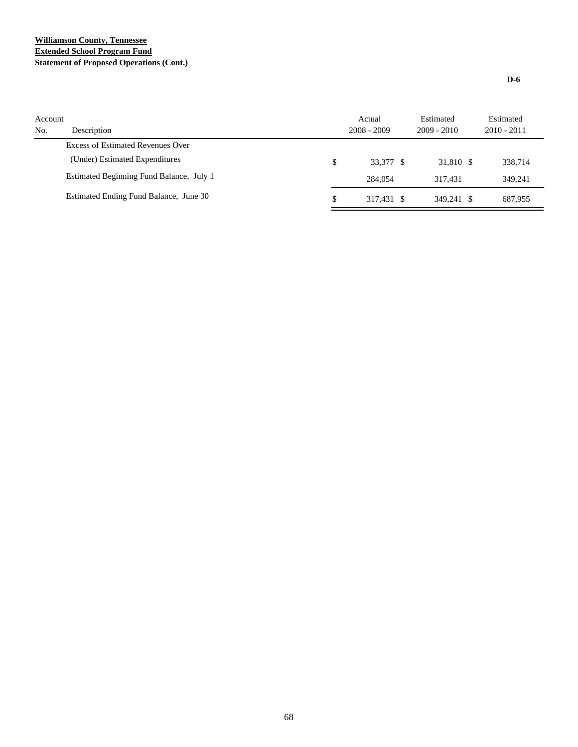# **Williamson County, Tennessee Extended School Program Fund Statement of Proposed Operations (Cont.)**

| Account<br>No. | Description                              | Actual<br>$2008 - 2009$ | Estimated<br>$2009 - 2010$ | Estimated<br>$2010 - 2011$ |
|----------------|------------------------------------------|-------------------------|----------------------------|----------------------------|
|                | <b>Excess of Estimated Revenues Over</b> |                         |                            |                            |
|                | (Under) Estimated Expenditures           | \$<br>33.377 \$         | 31.810 \$                  | 338,714                    |
|                | Estimated Beginning Fund Balance, July 1 | 284,054                 | 317.431                    | 349.241                    |
|                | Estimated Ending Fund Balance, June 30   | \$<br>317.431 \$        | 349.241 \$                 | 687.955                    |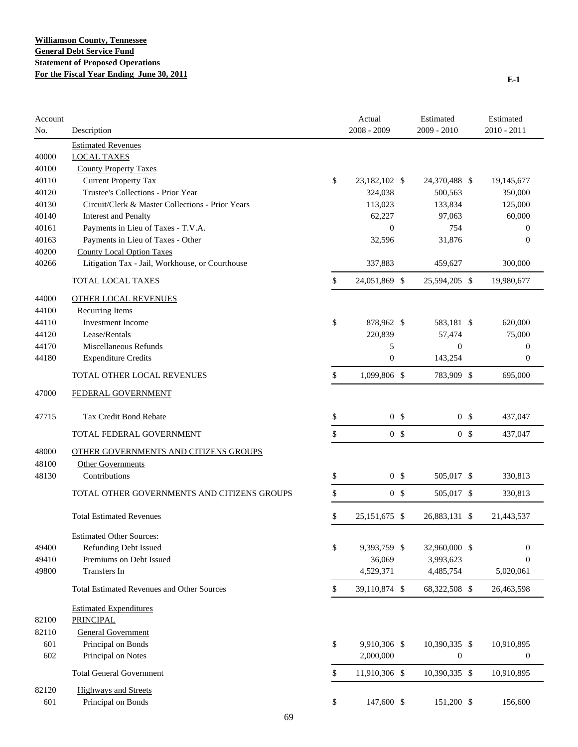| Account<br>No. | Description                                       | Actual<br>2008 - 2009 |                | Estimated<br>2009 - 2010 | Estimated<br>$2010 - 2011$ |
|----------------|---------------------------------------------------|-----------------------|----------------|--------------------------|----------------------------|
|                | <b>Estimated Revenues</b>                         |                       |                |                          |                            |
| 40000          | <b>LOCAL TAXES</b>                                |                       |                |                          |                            |
| 40100          | <b>County Property Taxes</b>                      |                       |                |                          |                            |
| 40110          | <b>Current Property Tax</b>                       | \$<br>23,182,102 \$   |                | 24,370,488 \$            | 19,145,677                 |
| 40120          | Trustee's Collections - Prior Year                | 324,038               |                | 500,563                  | 350,000                    |
| 40130          | Circuit/Clerk & Master Collections - Prior Years  | 113,023               |                | 133,834                  | 125,000                    |
| 40140          | <b>Interest and Penalty</b>                       | 62,227                |                | 97,063                   | 60,000                     |
| 40161          | Payments in Lieu of Taxes - T.V.A.                | $\overline{0}$        |                | 754                      | $\mathbf{0}$               |
| 40163          | Payments in Lieu of Taxes - Other                 | 32,596                |                | 31,876                   | $\theta$                   |
| 40200          | <b>County Local Option Taxes</b>                  |                       |                |                          |                            |
| 40266          | Litigation Tax - Jail, Workhouse, or Courthouse   | 337,883               |                | 459,627                  | 300,000                    |
|                | TOTAL LOCAL TAXES                                 | \$<br>24,051,869 \$   |                | 25,594,205 \$            | 19,980,677                 |
| 44000          | <b>OTHER LOCAL REVENUES</b>                       |                       |                |                          |                            |
| 44100          | <b>Recurring Items</b>                            |                       |                |                          |                            |
| 44110          | <b>Investment Income</b>                          | \$<br>878,962 \$      |                | 583,181 \$               | 620,000                    |
| 44120          | Lease/Rentals                                     | 220,839               |                | 57,474                   | 75,000                     |
| 44170          | Miscellaneous Refunds                             | 5                     |                | $\mathbf{0}$             | $\mathbf{0}$               |
| 44180          | <b>Expenditure Credits</b>                        | $\boldsymbol{0}$      |                | 143,254                  | $\boldsymbol{0}$           |
|                | TOTAL OTHER LOCAL REVENUES                        | \$<br>1,099,806 \$    |                | 783,909 \$               | 695,000                    |
| 47000          | FEDERAL GOVERNMENT                                |                       |                |                          |                            |
| 47715          | Tax Credit Bond Rebate                            | \$                    | 0 <sup>5</sup> | 0 <sup>5</sup>           | 437,047                    |
|                | TOTAL FEDERAL GOVERNMENT                          | \$                    | 0 <sup>5</sup> | 0 <sup>5</sup>           | 437,047                    |
| 48000          | <b>OTHER GOVERNMENTS AND CITIZENS GROUPS</b>      |                       |                |                          |                            |
| 48100          | <b>Other Governments</b>                          |                       |                |                          |                            |
| 48130          | Contributions                                     | \$                    | 0 <sup>5</sup> | 505,017 \$               | 330,813                    |
|                | TOTAL OTHER GOVERNMENTS AND CITIZENS GROUPS       | \$                    | 0 <sup>5</sup> | 505,017 \$               | 330,813                    |
|                | <b>Total Estimated Revenues</b>                   | \$<br>25, 151, 675 \$ |                | 26,883,131 \$            | 21,443,537                 |
|                | <b>Estimated Other Sources:</b>                   |                       |                |                          |                            |
| 49400          | Refunding Debt Issued                             | \$<br>9,393,759 \$    |                | 32,960,000 \$            | $\mathbf{0}$               |
| 49410          | Premiums on Debt Issued                           | 36,069                |                | 3,993,623                | $\theta$                   |
| 49800          | Transfers In                                      | 4,529,371             |                | 4,485,754                | 5,020,061                  |
|                | <b>Total Estimated Revenues and Other Sources</b> | \$<br>39,110,874 \$   |                | 68,322,508 \$            | 26,463,598                 |
|                | <b>Estimated Expenditures</b>                     |                       |                |                          |                            |
| 82100          | <b>PRINCIPAL</b>                                  |                       |                |                          |                            |
| 82110          | <b>General Government</b>                         |                       |                |                          |                            |
| 601            | Principal on Bonds                                | \$<br>9,910,306 \$    |                | 10,390,335 \$            | 10,910,895                 |
| 602            | Principal on Notes                                | 2,000,000             |                | $\boldsymbol{0}$         | $\boldsymbol{0}$           |
|                | <b>Total General Government</b>                   | \$<br>11,910,306 \$   |                | 10,390,335 \$            | 10,910,895                 |
| 82120          | <b>Highways and Streets</b>                       |                       |                |                          |                            |
| 601            | Principal on Bonds                                | \$<br>147,600 \$      |                | 151,200 \$               | 156,600                    |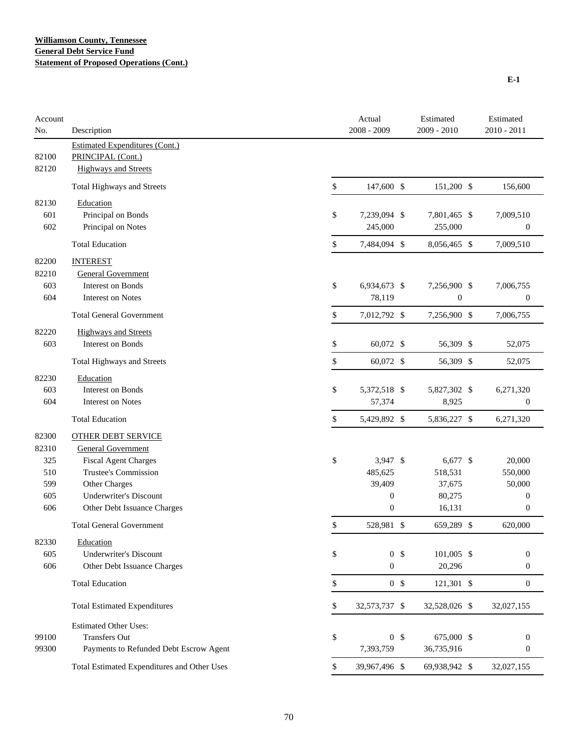| Account<br>No. | Description                                 | Actual<br>2008 - 2009 | Estimated<br>2009 - 2010 | Estimated<br>2010 - 2011 |
|----------------|---------------------------------------------|-----------------------|--------------------------|--------------------------|
|                | <b>Estimated Expenditures (Cont.)</b>       |                       |                          |                          |
| 82100          | PRINCIPAL (Cont.)                           |                       |                          |                          |
| 82120          | <b>Highways and Streets</b>                 |                       |                          |                          |
|                | Total Highways and Streets                  | \$<br>147,600 \$      | 151,200 \$               | 156,600                  |
| 82130          | Education                                   |                       |                          |                          |
| 601            | Principal on Bonds                          | \$<br>7,239,094 \$    | 7,801,465 \$             | 7,009,510                |
| 602            | Principal on Notes                          | 245,000               | 255,000                  | $\boldsymbol{0}$         |
|                | <b>Total Education</b>                      | \$<br>7,484,094 \$    | 8,056,465 \$             | 7,009,510                |
| 82200          | <b>INTEREST</b>                             |                       |                          |                          |
| 82210          | <b>General Government</b>                   |                       |                          |                          |
| 603            | <b>Interest on Bonds</b>                    | \$<br>6,934,673 \$    | 7,256,900 \$             | 7,006,755                |
| 604            | <b>Interest on Notes</b>                    | 78,119                | $\boldsymbol{0}$         | $\boldsymbol{0}$         |
|                | <b>Total General Government</b>             | \$<br>7,012,792 \$    | 7,256,900 \$             | 7,006,755                |
| 82220          | <b>Highways and Streets</b>                 |                       |                          |                          |
| 603            | <b>Interest on Bonds</b>                    | \$<br>60,072 \$       | 56,309 \$                | 52,075                   |
|                | Total Highways and Streets                  | \$<br>60,072 \$       | 56,309 \$                | 52,075                   |
| 82230          | Education                                   |                       |                          |                          |
| 603            | <b>Interest on Bonds</b>                    | \$<br>5,372,518 \$    | 5,827,302 \$             | 6,271,320                |
| 604            | <b>Interest on Notes</b>                    | 57,374                | 8,925                    | $\boldsymbol{0}$         |
|                | <b>Total Education</b>                      | \$<br>5,429,892 \$    | 5,836,227 \$             | 6,271,320                |
| 82300          | <b>OTHER DEBT SERVICE</b>                   |                       |                          |                          |
| 82310          | <b>General Government</b>                   |                       |                          |                          |
| 325            | <b>Fiscal Agent Charges</b>                 | \$<br>3,947 \$        | 6,677 \$                 | 20,000                   |
| 510            | <b>Trustee's Commission</b>                 | 485,625               | 518,531                  | 550,000                  |
| 599            | Other Charges                               | 39,409                | 37,675                   | 50,000                   |
| 605            | <b>Underwriter's Discount</b>               | $\boldsymbol{0}$      | 80,275                   | $\boldsymbol{0}$         |
| 606            | Other Debt Issuance Charges                 | $\boldsymbol{0}$      | 16,131                   | $\boldsymbol{0}$         |
|                | <b>Total General Government</b>             | \$<br>528,981 \$      | 659,289 \$               | 620,000                  |
| 82330          | Education                                   |                       |                          |                          |
| 605            | <b>Underwriter's Discount</b>               | \$<br>0 <sup>5</sup>  | 101,005 \$               | $\boldsymbol{0}$         |
| 606            | Other Debt Issuance Charges                 | $\mathbf{0}$          | 20,296                   | $\boldsymbol{0}$         |
|                | <b>Total Education</b>                      | \$<br>0 <sup>5</sup>  | 121,301 \$               | $\boldsymbol{0}$         |
|                | <b>Total Estimated Expenditures</b>         | \$<br>32,573,737 \$   | 32,528,026 \$            | 32,027,155               |
|                | <b>Estimated Other Uses:</b>                |                       |                          |                          |
| 99100          | <b>Transfers Out</b>                        | \$<br>0 <sup>6</sup>  | 675,000 \$               | $\boldsymbol{0}$         |
| 99300          | Payments to Refunded Debt Escrow Agent      | 7,393,759             | 36,735,916               | $\boldsymbol{0}$         |
|                | Total Estimated Expenditures and Other Uses | \$<br>39,967,496 \$   | 69,938,942 \$            | 32,027,155               |

**E-1**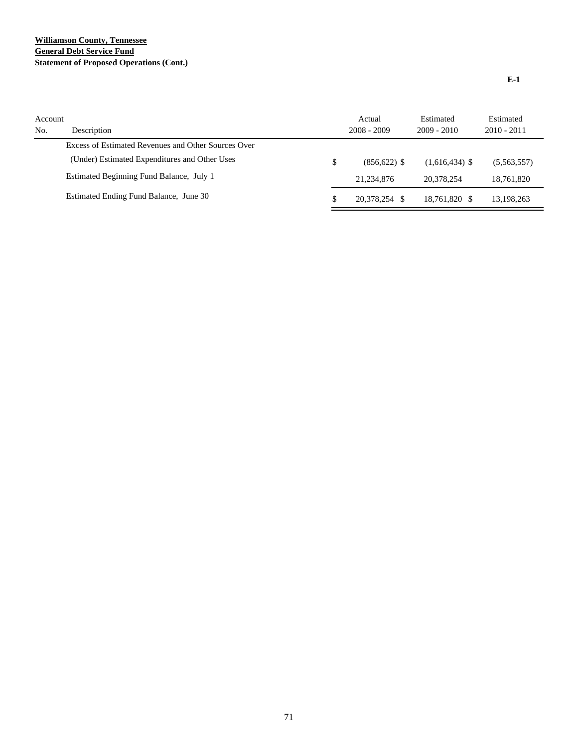## **Williamson County, Tennessee General Debt Service Fund Statement of Proposed Operations (Cont.)**

| Account<br>No. | Description                                         | Actual<br>$2008 - 2009$ | Estimated<br>$2009 - 2010$ | Estimated<br>$2010 - 2011$ |
|----------------|-----------------------------------------------------|-------------------------|----------------------------|----------------------------|
|                | Excess of Estimated Revenues and Other Sources Over |                         |                            |                            |
|                | (Under) Estimated Expenditures and Other Uses       | \$<br>$(856.622)$ \$    | $(1,616,434)$ \$           | (5,563,557)                |
|                | Estimated Beginning Fund Balance, July 1            | 21.234.876              | 20.378.254                 | 18.761.820                 |
|                | Estimated Ending Fund Balance, June 30              | \$<br>20.378.254        | 18.761.820 \$              | 13,198,263                 |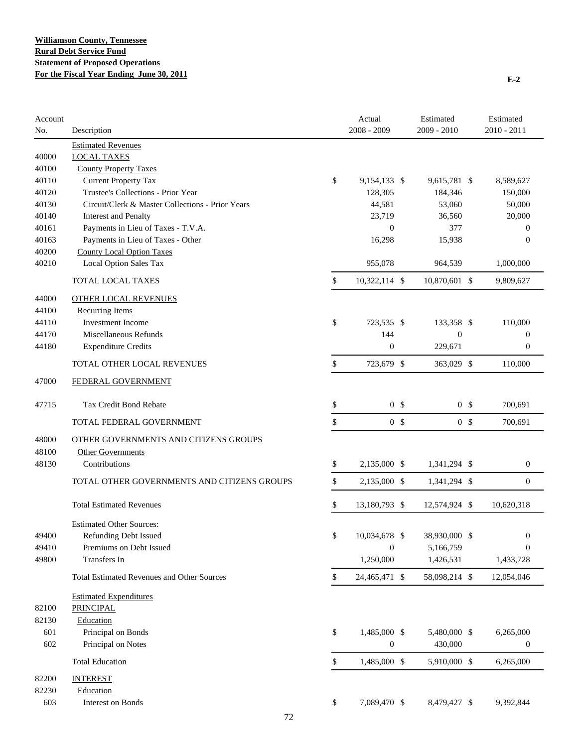| Account<br>No. | Description                                       | Actual<br>2008 - 2009 |                | Estimated<br>2009 - 2010 |                | Estimated<br>$2010 - 2011$ |
|----------------|---------------------------------------------------|-----------------------|----------------|--------------------------|----------------|----------------------------|
|                | <b>Estimated Revenues</b>                         |                       |                |                          |                |                            |
| 40000          | <b>LOCAL TAXES</b>                                |                       |                |                          |                |                            |
| 40100          | <b>County Property Taxes</b>                      |                       |                |                          |                |                            |
| 40110          | Current Property Tax                              | \$<br>9,154,133 \$    |                | 9,615,781 \$             |                | 8,589,627                  |
| 40120          | Trustee's Collections - Prior Year                | 128,305               |                | 184,346                  |                | 150,000                    |
| 40130          | Circuit/Clerk & Master Collections - Prior Years  | 44,581                |                | 53,060                   |                | 50,000                     |
| 40140          | <b>Interest and Penalty</b>                       | 23,719                |                | 36,560                   |                | 20,000                     |
| 40161          | Payments in Lieu of Taxes - T.V.A.                | $\boldsymbol{0}$      |                | 377                      |                | $\boldsymbol{0}$           |
| 40163          | Payments in Lieu of Taxes - Other                 | 16,298                |                | 15,938                   |                | $\mathbf{0}$               |
| 40200          | <b>County Local Option Taxes</b>                  |                       |                |                          |                |                            |
| 40210          | Local Option Sales Tax                            | 955,078               |                | 964,539                  |                | 1,000,000                  |
|                | TOTAL LOCAL TAXES                                 | \$<br>10,322,114 \$   |                | 10,870,601 \$            |                | 9,809,627                  |
| 44000          | <b>OTHER LOCAL REVENUES</b>                       |                       |                |                          |                |                            |
| 44100          | <b>Recurring Items</b>                            |                       |                |                          |                |                            |
| 44110          | <b>Investment Income</b>                          | \$<br>723,535 \$      |                | 133,358 \$               |                | 110,000                    |
| 44170          | Miscellaneous Refunds                             | 144                   |                | $\boldsymbol{0}$         |                | $\boldsymbol{0}$           |
| 44180          | <b>Expenditure Credits</b>                        | $\boldsymbol{0}$      |                | 229,671                  |                | $\theta$                   |
|                | TOTAL OTHER LOCAL REVENUES                        | \$<br>723,679 \$      |                | 363,029 \$               |                | 110,000                    |
| 47000          | FEDERAL GOVERNMENT                                |                       |                |                          |                |                            |
| 47715          | <b>Tax Credit Bond Rebate</b>                     | \$                    | 0 <sup>5</sup> |                          | 0 <sup>5</sup> | 700,691                    |
|                | TOTAL FEDERAL GOVERNMENT                          | \$                    | 0 <sup>5</sup> |                          | 0 <sup>5</sup> | 700,691                    |
| 48000          | OTHER GOVERNMENTS AND CITIZENS GROUPS             |                       |                |                          |                |                            |
| 48100          | Other Governments                                 |                       |                |                          |                |                            |
| 48130          | Contributions                                     | \$<br>2,135,000 \$    |                | 1,341,294 \$             |                | $\mathbf{0}$               |
|                | TOTAL OTHER GOVERNMENTS AND CITIZENS GROUPS       | \$<br>2,135,000 \$    |                | 1,341,294 \$             |                | $\mathbf{0}$               |
|                |                                                   |                       |                |                          |                |                            |
|                | <b>Total Estimated Revenues</b>                   | \$<br>13,180,793 \$   |                | 12,574,924 \$            |                | 10,620,318                 |
|                | <b>Estimated Other Sources:</b>                   |                       |                |                          |                |                            |
| 49400          | <b>Refunding Debt Issued</b>                      | \$<br>10,034,678 \$   |                | 38,930,000 \$            |                | $\boldsymbol{0}$           |
| 49410          | Premiums on Debt Issued                           | $\boldsymbol{0}$      |                | 5,166,759                |                | $\theta$                   |
| 49800          | Transfers In                                      | 1,250,000             |                | 1,426,531                |                | 1,433,728                  |
|                | <b>Total Estimated Revenues and Other Sources</b> | \$<br>24,465,471 \$   |                | 58,098,214 \$            |                | 12,054,046                 |
|                | <b>Estimated Expenditures</b>                     |                       |                |                          |                |                            |
| 82100          | <b>PRINCIPAL</b>                                  |                       |                |                          |                |                            |
| 82130          | Education                                         |                       |                |                          |                |                            |
| 601            | Principal on Bonds                                | \$<br>1,485,000 \$    |                | 5,480,000 \$             |                | 6,265,000                  |
| 602            | Principal on Notes                                | $\boldsymbol{0}$      |                | 430,000                  |                | $\boldsymbol{0}$           |
|                | <b>Total Education</b>                            | \$<br>1,485,000 \$    |                | 5,910,000 \$             |                | 6,265,000                  |
| 82200          | <b>INTEREST</b>                                   |                       |                |                          |                |                            |
| 82230          | Education                                         |                       |                |                          |                |                            |
| 603            | Interest on Bonds                                 | \$<br>7,089,470 \$    |                | 8,479,427 \$             |                | 9,392,844                  |